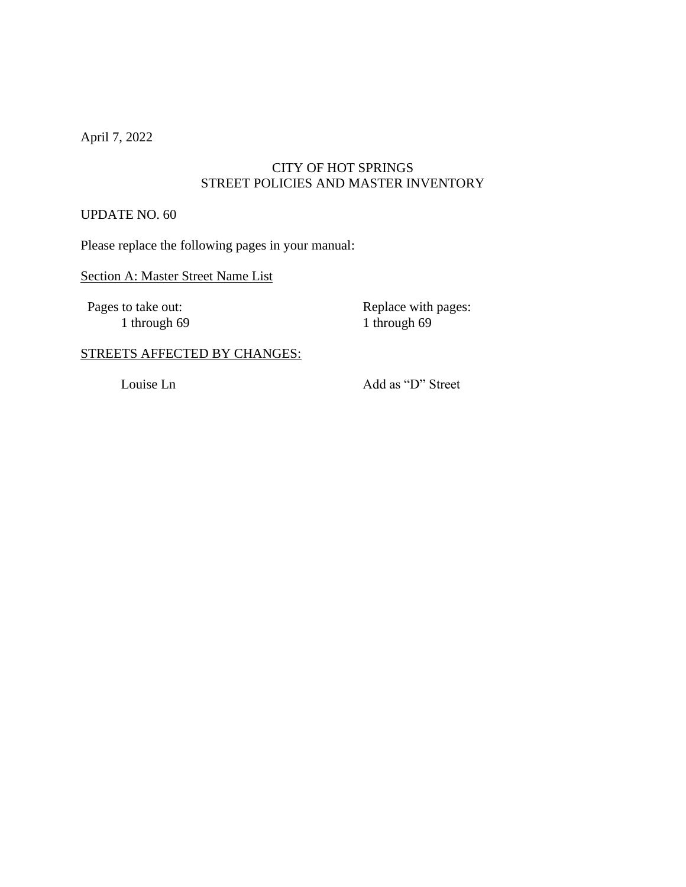April 7, 2022

### CITY OF HOT SPRINGS STREET POLICIES AND MASTER INVENTORY

#### UPDATE NO. 60

Please replace the following pages in your manual:

### Section A: Master Street Name List

1 through  $69$ 

Pages to take out:<br>
1 through 69<br>
1 through 69<br>
1 through 69

## STREETS AFFECTED BY CHANGES:

Louise Ln Add as "D" Street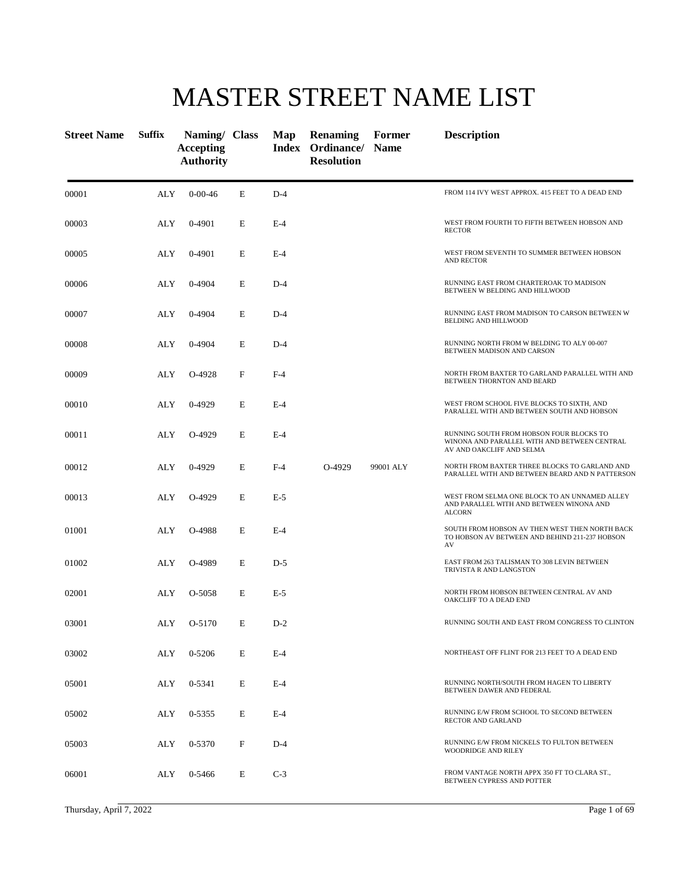# MASTER STREET NAME LIST

| <b>Street Name</b> | <b>Suffix</b> | Naming/ Class<br><b>Accepting</b><br><b>Authority</b> |   | Map   | <b>Renaming</b><br>Index Ordinance/ Name<br><b>Resolution</b> | Former    | <b>Description</b>                                                                                                    |
|--------------------|---------------|-------------------------------------------------------|---|-------|---------------------------------------------------------------|-----------|-----------------------------------------------------------------------------------------------------------------------|
| 00001              | ALY           | $0 - 00 - 46$                                         | E | $D-4$ |                                                               |           | FROM 114 IVY WEST APPROX. 415 FEET TO A DEAD END                                                                      |
| 00003              | ALY           | 0-4901                                                | E | $E-4$ |                                                               |           | WEST FROM FOURTH TO FIFTH BETWEEN HOBSON AND<br><b>RECTOR</b>                                                         |
| 00005              | ALY           | 0-4901                                                | E | $E-4$ |                                                               |           | WEST FROM SEVENTH TO SUMMER BETWEEN HOBSON<br><b>AND RECTOR</b>                                                       |
| 00006              | ALY           | 0-4904                                                | E | $D-4$ |                                                               |           | RUNNING EAST FROM CHARTEROAK TO MADISON<br>BETWEEN W BELDING AND HILLWOOD                                             |
| 00007              | ALY           | 0-4904                                                | E | $D-4$ |                                                               |           | RUNNING EAST FROM MADISON TO CARSON BETWEEN W<br>BELDING AND HILLWOOD                                                 |
| 00008              | ALY           | 0-4904                                                | E | $D-4$ |                                                               |           | RUNNING NORTH FROM W BELDING TO ALY 00-007<br>BETWEEN MADISON AND CARSON                                              |
| 00009              | ALY           | O-4928                                                | F | $F-4$ |                                                               |           | NORTH FROM BAXTER TO GARLAND PARALLEL WITH AND<br>BETWEEN THORNTON AND BEARD                                          |
| 00010              | ALY           | 0-4929                                                | E | $E-4$ |                                                               |           | WEST FROM SCHOOL FIVE BLOCKS TO SIXTH, AND<br>PARALLEL WITH AND BETWEEN SOUTH AND HOBSON                              |
| 00011              | ALY           | O-4929                                                | E | $E-4$ |                                                               |           | RUNNING SOUTH FROM HOBSON FOUR BLOCKS TO<br>WINONA AND PARALLEL WITH AND BETWEEN CENTRAL<br>AV AND OAKCLIFF AND SELMA |
| 00012              | ALY           | 0-4929                                                | E | $F-4$ | O-4929                                                        | 99001 ALY | NORTH FROM BAXTER THREE BLOCKS TO GARLAND AND<br>PARALLEL WITH AND BETWEEN BEARD AND N PATTERSON                      |
| 00013              | ALY           | O-4929                                                | E | $E-5$ |                                                               |           | WEST FROM SELMA ONE BLOCK TO AN UNNAMED ALLEY<br>AND PARALLEL WITH AND BETWEEN WINONA AND<br><b>ALCORN</b>            |
| 01001              | ALY           | O-4988                                                | Е | $E-4$ |                                                               |           | SOUTH FROM HOBSON AV THEN WEST THEN NORTH BACK<br>TO HOBSON AV BETWEEN AND BEHIND 211-237 HOBSON<br>AV                |
| 01002              | ALY           | O-4989                                                | E | $D-5$ |                                                               |           | EAST FROM 263 TALISMAN TO 308 LEVIN BETWEEN<br>TRIVISTA R AND LANGSTON                                                |
| 02001              | ALY           | O-5058                                                | E | $E-5$ |                                                               |           | NORTH FROM HOBSON BETWEEN CENTRAL AV AND<br>OAKCLIFF TO A DEAD END                                                    |
| 03001              | ALY           | O-5170                                                | E | $D-2$ |                                                               |           | RUNNING SOUTH AND EAST FROM CONGRESS TO CLINTON                                                                       |
| 03002              | ALY           | 0-5206                                                | E | $E-4$ |                                                               |           | NORTHEAST OFF FLINT FOR 213 FEET TO A DEAD END                                                                        |
| 05001              | ALY           | 0-5341                                                | E | $E-4$ |                                                               |           | RUNNING NORTH/SOUTH FROM HAGEN TO LIBERTY<br>BETWEEN DAWER AND FEDERAL                                                |
| 05002              | ALY           | 0-5355                                                | E | $E-4$ |                                                               |           | RUNNING E/W FROM SCHOOL TO SECOND BETWEEN<br>RECTOR AND GARLAND                                                       |
| 05003              | ALY           | 0-5370                                                | F | $D-4$ |                                                               |           | RUNNING E/W FROM NICKELS TO FULTON BETWEEN<br>WOODRIDGE AND RILEY                                                     |
| 06001              | ALY           | 0-5466                                                | E | $C-3$ |                                                               |           | FROM VANTAGE NORTH APPX 350 FT TO CLARA ST.,<br>BETWEEN CYPRESS AND POTTER                                            |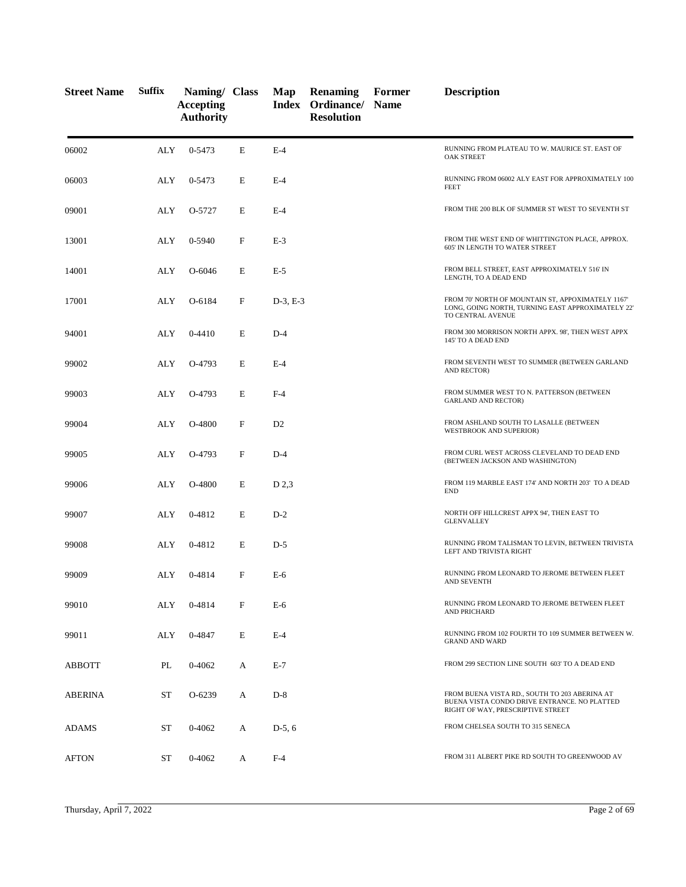| <b>Street Name</b> | <b>Suffix</b> | Naming/ Class<br><b>Accepting</b><br><b>Authority</b> |             | Map            | Renaming<br>Index Ordinance/ Name<br><b>Resolution</b> | Former | <b>Description</b>                                                                                                                 |
|--------------------|---------------|-------------------------------------------------------|-------------|----------------|--------------------------------------------------------|--------|------------------------------------------------------------------------------------------------------------------------------------|
| 06002              | ALY           | 0-5473                                                | E           | $E-4$          |                                                        |        | RUNNING FROM PLATEAU TO W. MAURICE ST. EAST OF<br><b>OAK STREET</b>                                                                |
| 06003              | ALY           | 0-5473                                                | E           | $E-4$          |                                                        |        | RUNNING FROM 06002 ALY EAST FOR APPROXIMATELY 100<br><b>FEET</b>                                                                   |
| 09001              | ALY           | O-5727                                                | E           | $E-4$          |                                                        |        | FROM THE 200 BLK OF SUMMER ST WEST TO SEVENTH ST                                                                                   |
| 13001              | ALY           | 0-5940                                                | $\mathbf F$ | $E-3$          |                                                        |        | FROM THE WEST END OF WHITTINGTON PLACE, APPROX.<br>605' IN LENGTH TO WATER STREET                                                  |
| 14001              | ALY           | O-6046                                                | E           | $E-5$          |                                                        |        | FROM BELL STREET, EAST APPROXIMATELY 516' IN<br>LENGTH, TO A DEAD END                                                              |
| 17001              | ALY           | O-6184                                                | F           | $D-3, E-3$     |                                                        |        | FROM 70' NORTH OF MOUNTAIN ST, APPOXIMATELY 1167'<br>LONG, GOING NORTH, TURNING EAST APPROXIMATELY 22'<br>TO CENTRAL AVENUE        |
| 94001              | ALY           | $0-4410$                                              | E           | $D-4$          |                                                        |        | FROM 300 MORRISON NORTH APPX. 98', THEN WEST APPX<br>145' TO A DEAD END                                                            |
| 99002              | ALY           | O-4793                                                | E           | $E-4$          |                                                        |        | FROM SEVENTH WEST TO SUMMER (BETWEEN GARLAND<br>AND RECTOR)                                                                        |
| 99003              | ALY           | O-4793                                                | E           | $F-4$          |                                                        |        | FROM SUMMER WEST TO N. PATTERSON (BETWEEN<br><b>GARLAND AND RECTOR)</b>                                                            |
| 99004              | <b>ALY</b>    | O-4800                                                | F           | D <sub>2</sub> |                                                        |        | FROM ASHLAND SOUTH TO LASALLE (BETWEEN<br>WESTBROOK AND SUPERIOR)                                                                  |
| 99005              | ALY           | O-4793                                                | F           | $D-4$          |                                                        |        | FROM CURL WEST ACROSS CLEVELAND TO DEAD END<br>(BETWEEN JACKSON AND WASHINGTON)                                                    |
| 99006              | ALY           | O-4800                                                | E           | D 2,3          |                                                        |        | FROM 119 MARBLE EAST 174' AND NORTH 203' TO A DEAD<br><b>END</b>                                                                   |
| 99007              | ALY           | 0-4812                                                | E           | $D-2$          |                                                        |        | NORTH OFF HILLCREST APPX 94', THEN EAST TO<br><b>GLENVALLEY</b>                                                                    |
| 99008              | ALY           | 0-4812                                                | E           | $D-5$          |                                                        |        | RUNNING FROM TALISMAN TO LEVIN, BETWEEN TRIVISTA<br>LEFT AND TRIVISTA RIGHT                                                        |
| 99009              | ALY           | 0-4814                                                | F           | $E-6$          |                                                        |        | RUNNING FROM LEONARD TO JEROME BETWEEN FLEET<br>AND SEVENTH                                                                        |
| 99010              | ALY           | 0-4814                                                | F           | $E-6$          |                                                        |        | RUNNING FROM LEONARD TO JEROME BETWEEN FLEET<br>AND PRICHARD                                                                       |
| 99011              | ALY           | 0-4847                                                | E           | $E-4$          |                                                        |        | RUNNING FROM 102 FOURTH TO 109 SUMMER BETWEEN W.<br><b>GRAND AND WARD</b>                                                          |
| ABBOTT             | PL            | 0-4062                                                | А           | $E-7$          |                                                        |        | FROM 299 SECTION LINE SOUTH 603' TO A DEAD END                                                                                     |
| ABERINA            | ST            | O-6239                                                | А           | $D-8$          |                                                        |        | FROM BUENA VISTA RD., SOUTH TO 203 ABERINA AT<br>BUENA VISTA CONDO DRIVE ENTRANCE. NO PLATTED<br>RIGHT OF WAY, PRESCRIPTIVE STREET |
| <b>ADAMS</b>       | <b>ST</b>     | 0-4062                                                | A           | $D-5, 6$       |                                                        |        | FROM CHELSEA SOUTH TO 315 SENECA                                                                                                   |
| <b>AFTON</b>       | ST            | 0-4062                                                | A           | $F-4$          |                                                        |        | FROM 311 ALBERT PIKE RD SOUTH TO GREENWOOD AV                                                                                      |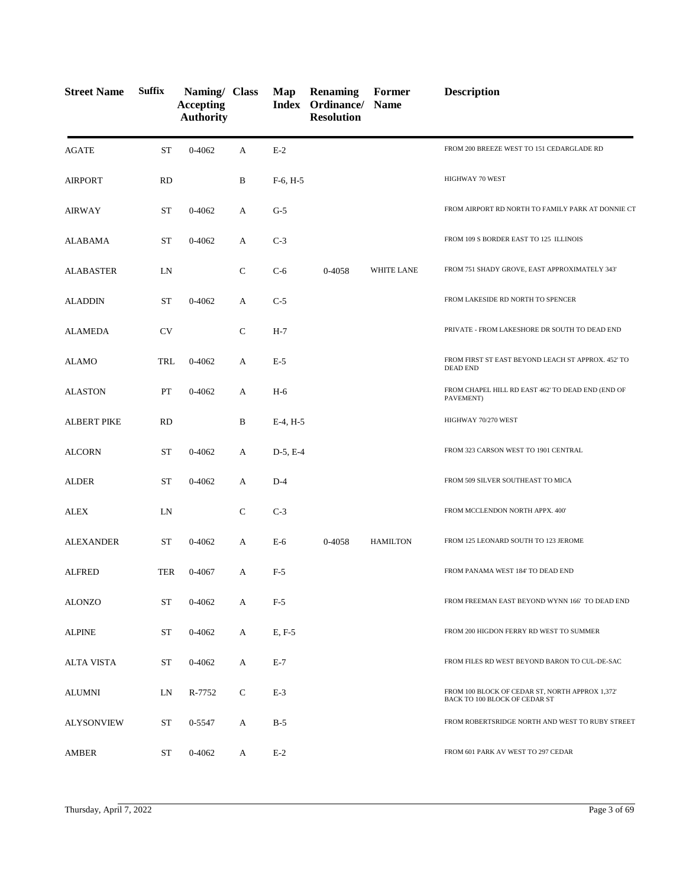| <b>Street Name</b> | <b>Suffix</b> | Naming/ Class<br><b>Accepting</b><br><b>Authority</b> |              | Map        | <b>Renaming</b><br>Index Ordinance/<br><b>Resolution</b> | Former<br><b>Name</b> | <b>Description</b>                                                               |
|--------------------|---------------|-------------------------------------------------------|--------------|------------|----------------------------------------------------------|-----------------------|----------------------------------------------------------------------------------|
| <b>AGATE</b>       | <b>ST</b>     | $0 - 4062$                                            | A            | $E-2$      |                                                          |                       | FROM 200 BREEZE WEST TO 151 CEDARGLADE RD                                        |
| <b>AIRPORT</b>     | <b>RD</b>     |                                                       | B            | $F-6, H-5$ |                                                          |                       | HIGHWAY 70 WEST                                                                  |
| <b>AIRWAY</b>      | ST            | 0-4062                                                | A            | $G-5$      |                                                          |                       | FROM AIRPORT RD NORTH TO FAMILY PARK AT DONNIE CT                                |
| ALABAMA            | ST            | 0-4062                                                | A            | $C-3$      |                                                          |                       | FROM 109 S BORDER EAST TO 125 ILLINOIS                                           |
| <b>ALABASTER</b>   | LN            |                                                       | $\mathsf{C}$ | $C-6$      | 0-4058                                                   | <b>WHITE LANE</b>     | FROM 751 SHADY GROVE, EAST APPROXIMATELY 343'                                    |
| <b>ALADDIN</b>     | ST            | 0-4062                                                | A            | $C-5$      |                                                          |                       | FROM LAKESIDE RD NORTH TO SPENCER                                                |
| <b>ALAMEDA</b>     | <b>CV</b>     |                                                       | ${\bf C}$    | $H-7$      |                                                          |                       | PRIVATE - FROM LAKESHORE DR SOUTH TO DEAD END                                    |
| <b>ALAMO</b>       | TRL           | 0-4062                                                | А            | E-5        |                                                          |                       | FROM FIRST ST EAST BEYOND LEACH ST APPROX. 452' TO<br><b>DEAD END</b>            |
| <b>ALASTON</b>     | PT            | $0 - 4062$                                            | А            | $H-6$      |                                                          |                       | FROM CHAPEL HILL RD EAST 462' TO DEAD END (END OF<br>PAVEMENT)                   |
| <b>ALBERT PIKE</b> | RD            |                                                       | $\, {\bf B}$ | $E-4, H-5$ |                                                          |                       | HIGHWAY 70/270 WEST                                                              |
| <b>ALCORN</b>      | <b>ST</b>     | 0-4062                                                | A            | $D-5, E-4$ |                                                          |                       | FROM 323 CARSON WEST TO 1901 CENTRAL                                             |
| <b>ALDER</b>       | <b>ST</b>     | 0-4062                                                | A            | $D-4$      |                                                          |                       | FROM 509 SILVER SOUTHEAST TO MICA                                                |
| <b>ALEX</b>        | LN            |                                                       | $\mathsf{C}$ | $C-3$      |                                                          |                       | FROM MCCLENDON NORTH APPX. 400'                                                  |
| <b>ALEXANDER</b>   | <b>ST</b>     | 0-4062                                                | A            | $E-6$      | 0-4058                                                   | <b>HAMILTON</b>       | FROM 125 LEONARD SOUTH TO 123 JEROME                                             |
| <b>ALFRED</b>      | <b>TER</b>    | 0-4067                                                | A            | $F-5$      |                                                          |                       | FROM PANAMA WEST 184' TO DEAD END                                                |
| <b>ALONZO</b>      | <b>ST</b>     | 0-4062                                                | А            | $F-5$      |                                                          |                       | FROM FREEMAN EAST BEYOND WYNN 166' TO DEAD END                                   |
| <b>ALPINE</b>      | <b>ST</b>     | 0-4062                                                | A            | E, F-5     |                                                          |                       | FROM 200 HIGDON FERRY RD WEST TO SUMMER                                          |
| <b>ALTA VISTA</b>  | ST            | 0-4062                                                | A            | $E-7$      |                                                          |                       | FROM FILES RD WEST BEYOND BARON TO CUL-DE-SAC                                    |
| ALUMNI             | LN            | R-7752                                                | C            | $E-3$      |                                                          |                       | FROM 100 BLOCK OF CEDAR ST, NORTH APPROX 1,372'<br>BACK TO 100 BLOCK OF CEDAR ST |
| <b>ALYSONVIEW</b>  | ST            | 0-5547                                                | A            | $B-5$      |                                                          |                       | FROM ROBERTSRIDGE NORTH AND WEST TO RUBY STREET                                  |
| AMBER              | ST            | 0-4062                                                | A            | $E-2$      |                                                          |                       | FROM 601 PARK AV WEST TO 297 CEDAR                                               |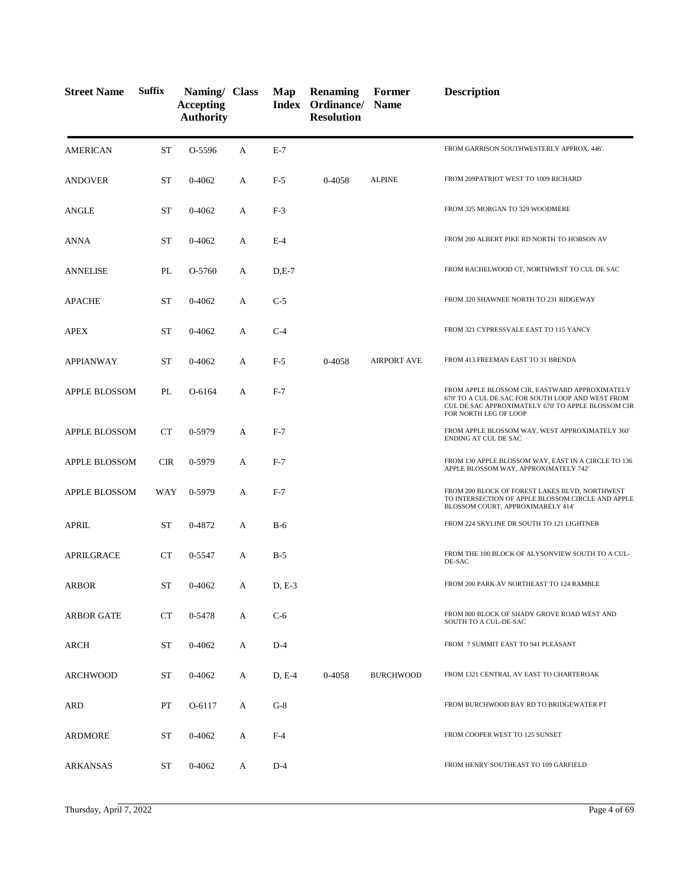| <b>Street Name</b>   | <b>Suffix</b> | Naming/ Class<br><b>Accepting</b><br><b>Authority</b> |   | Map      | <b>Renaming</b><br>Index Ordinance/<br><b>Resolution</b> | Former<br><b>Name</b> | <b>Description</b>                                                                                                                                                                 |
|----------------------|---------------|-------------------------------------------------------|---|----------|----------------------------------------------------------|-----------------------|------------------------------------------------------------------------------------------------------------------------------------------------------------------------------------|
| <b>AMERICAN</b>      | <b>ST</b>     | O-5596                                                | A | $E-7$    |                                                          |                       | FROM GARRISON SOUTHWESTERLY APPROX. 446'.                                                                                                                                          |
| <b>ANDOVER</b>       | ST            | 0-4062                                                | A | $F-5$    | 0-4058                                                   | <b>ALPINE</b>         | FROM 209PATRIOT WEST TO 1009 RICHARD                                                                                                                                               |
| ANGLE                | ST            | 0-4062                                                | А | $F-3$    |                                                          |                       | FROM 325 MORGAN TO 329 WOODMERE                                                                                                                                                    |
| ANNA                 | ST            | 0-4062                                                | A | $E-4$    |                                                          |                       | FROM 200 ALBERT PIKE RD NORTH TO HOBSON AV                                                                                                                                         |
| ANNELISE             | PL            | O-5760                                                | A | $D,E-7$  |                                                          |                       | FROM RACHELWOOD CT, NORTHWEST TO CUL DE SAC                                                                                                                                        |
| <b>APACHE</b>        | ST            | 0-4062                                                | A | $C-5$    |                                                          |                       | FROM 320 SHAWNEE NORTH TO 231 RIDGEWAY                                                                                                                                             |
| <b>APEX</b>          | ST            | 0-4062                                                | A | $C-4$    |                                                          |                       | FROM 321 CYPRESSVALE EAST TO 115 YANCY                                                                                                                                             |
| <b>APPIANWAY</b>     | ST            | 0-4062                                                | А | $F-5$    | 0-4058                                                   | <b>AIRPORT AVE</b>    | FROM 413 FREEMAN EAST TO 31 BRENDA                                                                                                                                                 |
| APPLE BLOSSOM        | PL            | O-6164                                                | А | $F-7$    |                                                          |                       | FROM APPLE BLOSSOM CIR, EASTWARD APPROXIMATELY<br>670' TO A CUL DE SAC FOR SOUTH LOOP AND WEST FROM<br>CUL DE SAC APPROXIMATELY 670' TO APPLE BLOSSOM CIR<br>FOR NORTH LEG OF LOOP |
| <b>APPLE BLOSSOM</b> | <b>CT</b>     | 0-5979                                                | А | $F-7$    |                                                          |                       | FROM APPLE BLOSSOM WAY, WEST APPROXIMATELY 360'<br>ENDING AT CUL DE SAC                                                                                                            |
| APPLE BLOSSOM        | <b>CIR</b>    | 0-5979                                                | A | $F-7$    |                                                          |                       | FROM 130 APPLE BLOSSOM WAY, EAST IN A CIRCLE TO 136<br>APPLE BLOSSOM WAY, APPROXIMATELY 742'                                                                                       |
| APPLE BLOSSOM        | WAY           | 0-5979                                                | A | $F-7$    |                                                          |                       | FROM 200 BLOCK OF FOREST LAKES BLVD, NORTHWEST<br>TO INTERSECTION OF APPLE BLOSSOM CIRCLE AND APPLE<br>BLOSSOM COURT, APPROXIMARELY 414'                                           |
| <b>APRIL</b>         | ST            | 0-4872                                                | А | $B-6$    |                                                          |                       | FROM 224 SKYLINE DR SOUTH TO 121 LIGHTNER                                                                                                                                          |
| <b>APRILGRACE</b>    | <b>CT</b>     | 0-5547                                                | A | $B-5$    |                                                          |                       | FROM THE 100 BLOCK OF ALYSONVIEW SOUTH TO A CUL-<br>DE-SAC                                                                                                                         |
| ARBOR                | ST            | 0-4062                                                | A | $D, E-3$ |                                                          |                       | FROM 200 PARK AV NORTHEAST TO 124 RAMBLE                                                                                                                                           |
| <b>ARBOR GATE</b>    | <b>CT</b>     | 0-5478                                                | А | $C-6$    |                                                          |                       | FROM 800 BLOCK OF SHADY GROVE ROAD WEST AND<br>SOUTH TO A CUL-DE-SAC                                                                                                               |
| ARCH                 | ST            | 0-4062                                                | А | $D-4$    |                                                          |                       | FROM 7 SUMMIT EAST TO 941 PLEASANT                                                                                                                                                 |
| ARCHWOOD             | ST            | 0-4062                                                | A | $D, E-4$ | 0-4058                                                   | <b>BURCHWOOD</b>      | FROM 1321 CENTRAL AV EAST TO CHARTEROAK                                                                                                                                            |
| <b>ARD</b>           | PT            | O-6117                                                | A | $G-8$    |                                                          |                       | FROM BURCHWOOD BAY RD TO BRIDGEWATER PT                                                                                                                                            |
| ARDMORE              | ST            | 0-4062                                                | A | $F-4$    |                                                          |                       | FROM COOPER WEST TO 125 SUNSET                                                                                                                                                     |
| <b>ARKANSAS</b>      | ST            | 0-4062                                                | А | $D-4$    |                                                          |                       | FROM HENRY SOUTHEAST TO 109 GARFIELD                                                                                                                                               |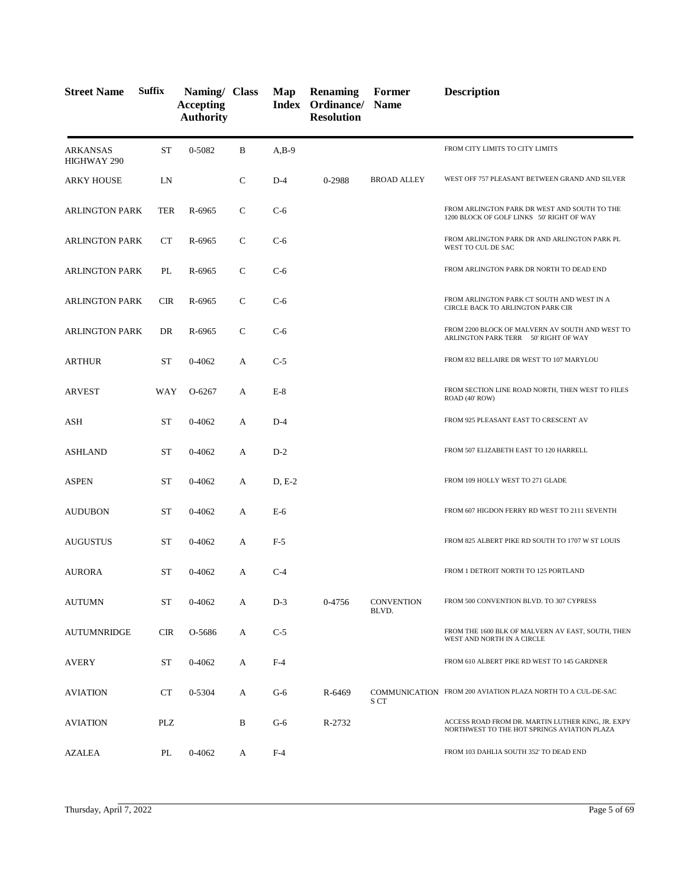| <b>Street Name</b>             | Suffix     | Naming/ Class<br><b>Accepting</b><br><b>Authority</b> |              | Map      | <b>Renaming</b><br>Index Ordinance/<br><b>Resolution</b> | Former<br><b>Name</b>      | <b>Description</b>                                                                               |
|--------------------------------|------------|-------------------------------------------------------|--------------|----------|----------------------------------------------------------|----------------------------|--------------------------------------------------------------------------------------------------|
| <b>ARKANSAS</b><br>HIGHWAY 290 | ST         | 0-5082                                                | B            | $A,B-9$  |                                                          |                            | FROM CITY LIMITS TO CITY LIMITS                                                                  |
| <b>ARKY HOUSE</b>              | LN         |                                                       | $\mathsf{C}$ | $D-4$    | 0-2988                                                   | <b>BROAD ALLEY</b>         | WEST OFF 757 PLEASANT BETWEEN GRAND AND SILVER                                                   |
| <b>ARLINGTON PARK</b>          | TER        | R-6965                                                | $\mathsf{C}$ | $C-6$    |                                                          |                            | FROM ARLINGTON PARK DR WEST AND SOUTH TO THE<br>1200 BLOCK OF GOLF LINKS 50' RIGHT OF WAY        |
| <b>ARLINGTON PARK</b>          | <b>CT</b>  | R-6965                                                | $\mathbf C$  | $C-6$    |                                                          |                            | FROM ARLINGTON PARK DR AND ARLINGTON PARK PL<br>WEST TO CUL DE SAC                               |
| <b>ARLINGTON PARK</b>          | PL         | R-6965                                                | $\mathsf{C}$ | $C-6$    |                                                          |                            | FROM ARLINGTON PARK DR NORTH TO DEAD END                                                         |
| <b>ARLINGTON PARK</b>          | <b>CIR</b> | R-6965                                                | C            | $C-6$    |                                                          |                            | FROM ARLINGTON PARK CT SOUTH AND WEST IN A<br>CIRCLE BACK TO ARLINGTON PARK CIR                  |
| <b>ARLINGTON PARK</b>          | DR         | R-6965                                                | $\mathsf{C}$ | $C-6$    |                                                          |                            | FROM 2200 BLOCK OF MALVERN AV SOUTH AND WEST TO<br>ARLINGTON PARK TERR 50' RIGHT OF WAY          |
| <b>ARTHUR</b>                  | ST         | $0 - 4062$                                            | A            | $C-5$    |                                                          |                            | FROM 832 BELLAIRE DR WEST TO 107 MARYLOU                                                         |
| <b>ARVEST</b>                  | WAY        | O-6267                                                | A            | $E-8$    |                                                          |                            | FROM SECTION LINE ROAD NORTH, THEN WEST TO FILES<br>ROAD (40' ROW)                               |
| ASH                            | ST         | $0 - 4062$                                            | A            | $D-4$    |                                                          |                            | FROM 925 PLEASANT EAST TO CRESCENT AV                                                            |
| <b>ASHLAND</b>                 | ST         | $0 - 4062$                                            | A            | $D-2$    |                                                          |                            | FROM 507 ELIZABETH EAST TO 120 HARRELL                                                           |
| <b>ASPEN</b>                   | ST         | $0 - 4062$                                            | A            | $D, E-2$ |                                                          |                            | FROM 109 HOLLY WEST TO 271 GLADE                                                                 |
| <b>AUDUBON</b>                 | ST         | $0 - 4062$                                            | A            | $E-6$    |                                                          |                            | FROM 607 HIGDON FERRY RD WEST TO 2111 SEVENTH                                                    |
| <b>AUGUSTUS</b>                | ST         | $0 - 4062$                                            | A            | $F-5$    |                                                          |                            | FROM 825 ALBERT PIKE RD SOUTH TO 1707 W ST LOUIS                                                 |
| <b>AURORA</b>                  | ST         | 0-4062                                                | А            | $C-4$    |                                                          |                            | FROM 1 DETROIT NORTH TO 125 PORTLAND                                                             |
| <b>AUTUMN</b>                  | <b>ST</b>  | 0-4062                                                | A            | $D-3$    | 0-4756                                                   | <b>CONVENTION</b><br>BLVD. | FROM 500 CONVENTION BLVD. TO 307 CYPRESS                                                         |
| <b>AUTUMNRIDGE</b>             | <b>CIR</b> | O-5686                                                | A            | $C-5$    |                                                          |                            | FROM THE 1600 BLK OF MALVERN AV EAST, SOUTH, THEN<br>WEST AND NORTH IN A CIRCLE                  |
| AVERY                          | ST         | $0 - 4062$                                            | A            | $F-4$    |                                                          |                            | FROM 610 ALBERT PIKE RD WEST TO 145 GARDNER                                                      |
| <b>AVIATION</b>                | <b>CT</b>  | 0-5304                                                | A            | $G-6$    | R-6469                                                   | S CT                       | COMMUNICATION FROM 200 AVIATION PLAZA NORTH TO A CUL-DE-SAC                                      |
| <b>AVIATION</b>                | PLZ        |                                                       | B            | $G-6$    | R-2732                                                   |                            | ACCESS ROAD FROM DR. MARTIN LUTHER KING, JR. EXPY<br>NORTHWEST TO THE HOT SPRINGS AVIATION PLAZA |
| AZALEA                         | PL         | 0-4062                                                | A            | $F-4$    |                                                          |                            | FROM 103 DAHLIA SOUTH 352' TO DEAD END                                                           |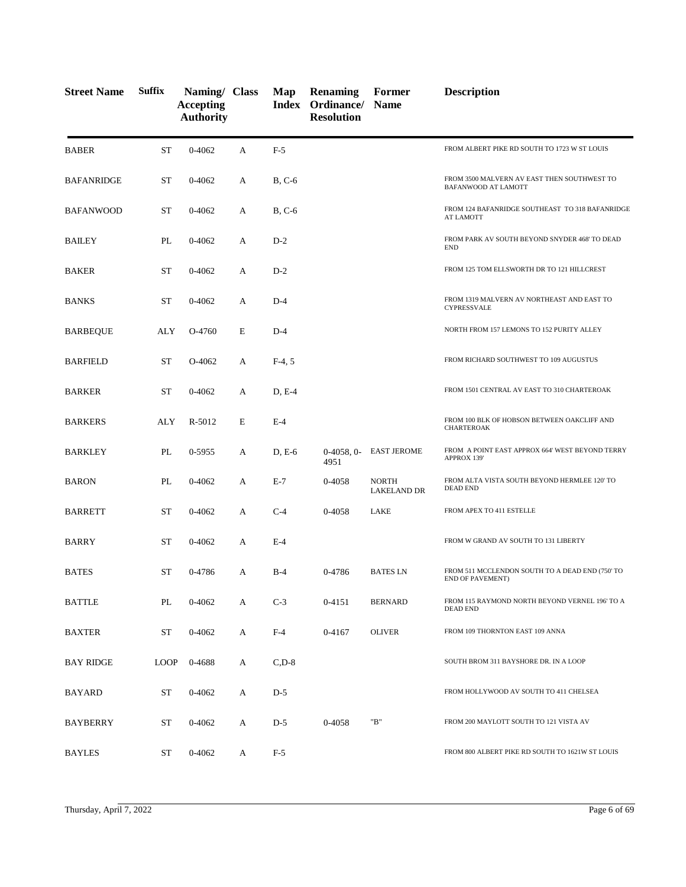| <b>Street Name</b> | <b>Suffix</b> | Naming/ Class<br><b>Accepting</b><br><b>Authority</b> |   | Map         | <b>Renaming</b><br>Index Ordinance/ Name<br><b>Resolution</b> | Former                             | <b>Description</b>                                                  |
|--------------------|---------------|-------------------------------------------------------|---|-------------|---------------------------------------------------------------|------------------------------------|---------------------------------------------------------------------|
| <b>BABER</b>       | <b>ST</b>     | $0 - 4062$                                            | A | $F-5$       |                                                               |                                    | FROM ALBERT PIKE RD SOUTH TO 1723 W ST LOUIS                        |
| <b>BAFANRIDGE</b>  | <b>ST</b>     | $0 - 4062$                                            | А | $B, C-6$    |                                                               |                                    | FROM 3500 MALVERN AV EAST THEN SOUTHWEST TO<br>BAFANWOOD AT LAMOTT  |
| <b>BAFANWOOD</b>   | <b>ST</b>     | $0 - 4062$                                            | A | $B, C-6$    |                                                               |                                    | FROM 124 BAFANRIDGE SOUTHEAST TO 318 BAFANRIDGE<br><b>AT LAMOTT</b> |
| <b>BAILEY</b>      | PL            | 0-4062                                                | А | $D-2$       |                                                               |                                    | FROM PARK AV SOUTH BEYOND SNYDER 468' TO DEAD<br><b>END</b>         |
| <b>BAKER</b>       | <b>ST</b>     | 0-4062                                                | А | $D-2$       |                                                               |                                    | FROM 125 TOM ELLSWORTH DR TO 121 HILLCREST                          |
| <b>BANKS</b>       | ST            | $0 - 4062$                                            | A | $D-4$       |                                                               |                                    | FROM 1319 MALVERN AV NORTHEAST AND EAST TO<br>CYPRESSVALE           |
| <b>BARBEQUE</b>    | ALY           | O-4760                                                | E | $D-4$       |                                                               |                                    | NORTH FROM 157 LEMONS TO 152 PURITY ALLEY                           |
| <b>BARFIELD</b>    | ST            | O-4062                                                | А | $F-4, 5$    |                                                               |                                    | FROM RICHARD SOUTHWEST TO 109 AUGUSTUS                              |
| <b>BARKER</b>      | <b>ST</b>     | $0 - 4062$                                            | A | D, E-4      |                                                               |                                    | FROM 1501 CENTRAL AV EAST TO 310 CHARTEROAK                         |
| <b>BARKERS</b>     | ALY           | R-5012                                                | E | $E-4$       |                                                               |                                    | FROM 100 BLK OF HOBSON BETWEEN OAKCLIFF AND<br><b>CHARTEROAK</b>    |
| <b>BARKLEY</b>     | PL            | 0-5955                                                | A | $D, E-6$    | $0-4058, 0-$<br>4951                                          | <b>EAST JEROME</b>                 | FROM A POINT EAST APPROX 664' WEST BEYOND TERRY<br>APPROX 139'      |
| <b>BARON</b>       | PL            | $0 - 4062$                                            | А | $E-7$       | 0-4058                                                        | <b>NORTH</b><br><b>LAKELAND DR</b> | FROM ALTA VISTA SOUTH BEYOND HERMLEE 120' TO<br><b>DEAD END</b>     |
| <b>BARRETT</b>     | <b>ST</b>     | 0-4062                                                | А | $C-4$       | 0-4058                                                        | LAKE                               | FROM APEX TO 411 ESTELLE                                            |
| <b>BARRY</b>       | <b>ST</b>     | $0 - 4062$                                            | A | $E-4$       |                                                               |                                    | FROM W GRAND AV SOUTH TO 131 LIBERTY                                |
| <b>BATES</b>       | <b>ST</b>     | 0-4786                                                | А | $B-4$       | 0-4786                                                        | <b>BATES LN</b>                    | FROM 511 MCCLENDON SOUTH TO A DEAD END (750' TO<br>END OF PAVEMENT) |
| <b>BATTLE</b>      | PL            | 0-4062                                                | A | $C-3$       | 0-4151                                                        | <b>BERNARD</b>                     | FROM 115 RAYMOND NORTH BEYOND VERNEL 196'TO A<br><b>DEAD END</b>    |
| <b>BAXTER</b>      | <b>ST</b>     | 0-4062                                                | A | $F-4$       | 0-4167                                                        | <b>OLIVER</b>                      | FROM 109 THORNTON EAST 109 ANNA                                     |
| <b>BAY RIDGE</b>   | <b>LOOP</b>   | 0-4688                                                | A | $C$ , $D-8$ |                                                               |                                    | SOUTH BROM 311 BAYSHORE DR. IN A LOOP                               |
| BAYARD             | ST            | $0 - 4062$                                            | A | $D-5$       |                                                               |                                    | FROM HOLLYWOOD AV SOUTH TO 411 CHELSEA                              |
| <b>BAYBERRY</b>    | ST            | $0 - 4062$                                            | A | $D-5$       | 0-4058                                                        | "B"                                | FROM 200 MAYLOTT SOUTH TO 121 VISTA AV                              |
| <b>BAYLES</b>      | ST            | 0-4062                                                | A | $F-5$       |                                                               |                                    | FROM 800 ALBERT PIKE RD SOUTH TO 1621W ST LOUIS                     |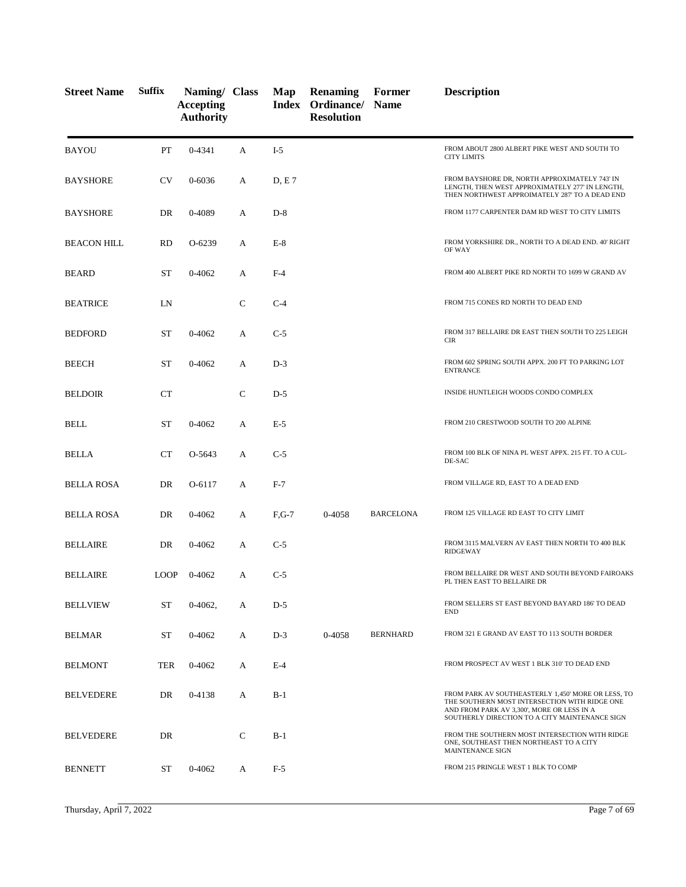| <b>Street Name</b> | <b>Suffix</b> | Naming/ Class<br><b>Accepting</b><br><b>Authority</b> |              | Map     | <b>Renaming</b><br><b>Index Ordinance/ Name</b><br><b>Resolution</b> | Former           | <b>Description</b>                                                                                                                                                                                  |
|--------------------|---------------|-------------------------------------------------------|--------------|---------|----------------------------------------------------------------------|------------------|-----------------------------------------------------------------------------------------------------------------------------------------------------------------------------------------------------|
| <b>BAYOU</b>       | PT            | 0-4341                                                | A            | $I-5$   |                                                                      |                  | FROM ABOUT 2800 ALBERT PIKE WEST AND SOUTH TO<br><b>CITY LIMITS</b>                                                                                                                                 |
| <b>BAYSHORE</b>    | <b>CV</b>     | 0-6036                                                | A            | D, E7   |                                                                      |                  | FROM BAYSHORE DR, NORTH APPROXIMATELY 743' IN<br>LENGTH, THEN WEST APPROXIMATELY 277' IN LENGTH,<br>THEN NORTHWEST APPROIMATELY 287' TO A DEAD END                                                  |
| <b>BAYSHORE</b>    | DR            | 0-4089                                                | А            | $D-8$   |                                                                      |                  | FROM 1177 CARPENTER DAM RD WEST TO CITY LIMITS                                                                                                                                                      |
| <b>BEACON HILL</b> | <b>RD</b>     | $O-6239$                                              | А            | $E-8$   |                                                                      |                  | FROM YORKSHIRE DR., NORTH TO A DEAD END. 40' RIGHT<br>OF WAY                                                                                                                                        |
| <b>BEARD</b>       | <b>ST</b>     | $0 - 4062$                                            | А            | $F-4$   |                                                                      |                  | FROM 400 ALBERT PIKE RD NORTH TO 1699 W GRAND AV                                                                                                                                                    |
| <b>BEATRICE</b>    | LN            |                                                       | $\mathsf{C}$ | $C-4$   |                                                                      |                  | FROM 715 CONES RD NORTH TO DEAD END                                                                                                                                                                 |
| <b>BEDFORD</b>     | <b>ST</b>     | 0-4062                                                | А            | $C-5$   |                                                                      |                  | FROM 317 BELLAIRE DR EAST THEN SOUTH TO 225 LEIGH<br><b>CIR</b>                                                                                                                                     |
| <b>BEECH</b>       | <b>ST</b>     | 0-4062                                                | А            | $D-3$   |                                                                      |                  | FROM 602 SPRING SOUTH APPX. 200 FT TO PARKING LOT<br><b>ENTRANCE</b>                                                                                                                                |
| <b>BELDOIR</b>     | <b>CT</b>     |                                                       | $\mathsf{C}$ | $D-5$   |                                                                      |                  | INSIDE HUNTLEIGH WOODS CONDO COMPLEX                                                                                                                                                                |
| <b>BELL</b>        | <b>ST</b>     | 0-4062                                                | А            | $E-5$   |                                                                      |                  | FROM 210 CRESTWOOD SOUTH TO 200 ALPINE                                                                                                                                                              |
| <b>BELLA</b>       | CT            | O-5643                                                | A            | $C-5$   |                                                                      |                  | FROM 100 BLK OF NINA PL WEST APPX. 215 FT. TO A CUL-<br>DE-SAC                                                                                                                                      |
| <b>BELLA ROSA</b>  | DR            | O-6117                                                | A            | $F-7$   |                                                                      |                  | FROM VILLAGE RD, EAST TO A DEAD END                                                                                                                                                                 |
| <b>BELLA ROSA</b>  | DR            | 0-4062                                                | А            | $F,G-7$ | 0-4058                                                               | <b>BARCELONA</b> | FROM 125 VILLAGE RD EAST TO CITY LIMIT                                                                                                                                                              |
| <b>BELLAIRE</b>    | DR            | 0-4062                                                | A            | $C-5$   |                                                                      |                  | FROM 3115 MALVERN AV EAST THEN NORTH TO 400 BLK<br><b>RIDGEWAY</b>                                                                                                                                  |
| <b>BELLAIRE</b>    | <b>LOOP</b>   | 0-4062                                                | А            | $C-5$   |                                                                      |                  | FROM BELLAIRE DR WEST AND SOUTH BEYOND FAIROAKS<br>PL THEN EAST TO BELLAIRE DR                                                                                                                      |
| <b>BELLVIEW</b>    | <b>ST</b>     | 0-4062,                                               | A            | $D-5$   |                                                                      |                  | FROM SELLERS ST EAST BEYOND BAYARD 186' TO DEAD<br><b>END</b>                                                                                                                                       |
| <b>BELMAR</b>      | ST            | 0-4062                                                | А            | $D-3$   | 0-4058                                                               | <b>BERNHARD</b>  | FROM 321 E GRAND AV EAST TO 113 SOUTH BORDER                                                                                                                                                        |
| <b>BELMONT</b>     | <b>TER</b>    | 0-4062                                                | A            | $E-4$   |                                                                      |                  | FROM PROSPECT AV WEST 1 BLK 310' TO DEAD END                                                                                                                                                        |
| <b>BELVEDERE</b>   | DR            | 0-4138                                                | A            | $B-1$   |                                                                      |                  | FROM PARK AV SOUTHEASTERLY 1,450' MORE OR LESS, TO<br>THE SOUTHERN MOST INTERSECTION WITH RIDGE ONE<br>AND FROM PARK AV 3,300', MORE OR LESS IN A<br>SOUTHERLY DIRECTION TO A CITY MAINTENANCE SIGN |
| <b>BELVEDERE</b>   | DR            |                                                       | C            | $B-1$   |                                                                      |                  | FROM THE SOUTHERN MOST INTERSECTION WITH RIDGE<br>ONE, SOUTHEAST THEN NORTHEAST TO A CITY<br>MAINTENANCE SIGN                                                                                       |
| <b>BENNETT</b>     | ST            | 0-4062                                                | A            | $F-5$   |                                                                      |                  | FROM 215 PRINGLE WEST 1 BLK TO COMP                                                                                                                                                                 |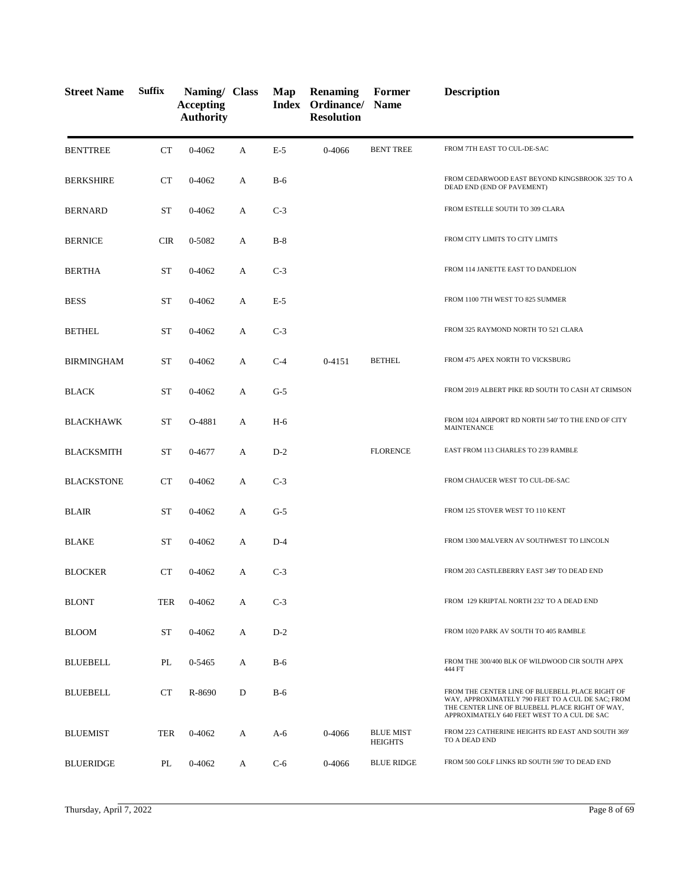| <b>Street Name</b> | <b>Suffix</b> | Naming/ Class<br><b>Accepting</b><br><b>Authority</b> |   | Map   | <b>Renaming</b><br>Index Ordinance/ Name<br><b>Resolution</b> | Former                             | <b>Description</b>                                                                                                                                                                                     |
|--------------------|---------------|-------------------------------------------------------|---|-------|---------------------------------------------------------------|------------------------------------|--------------------------------------------------------------------------------------------------------------------------------------------------------------------------------------------------------|
| <b>BENTTREE</b>    | CT            | 0-4062                                                | A | $E-5$ | 0-4066                                                        | <b>BENT TREE</b>                   | FROM 7TH EAST TO CUL-DE-SAC                                                                                                                                                                            |
| <b>BERKSHIRE</b>   | CT            | $0 - 4062$                                            | A | $B-6$ |                                                               |                                    | FROM CEDARWOOD EAST BEYOND KINGSBROOK 325' TO A<br>DEAD END (END OF PAVEMENT)                                                                                                                          |
| <b>BERNARD</b>     | <b>ST</b>     | $0 - 4062$                                            | A | $C-3$ |                                                               |                                    | FROM ESTELLE SOUTH TO 309 CLARA                                                                                                                                                                        |
| <b>BERNICE</b>     | <b>CIR</b>    | 0-5082                                                | A | $B-8$ |                                                               |                                    | FROM CITY LIMITS TO CITY LIMITS                                                                                                                                                                        |
| <b>BERTHA</b>      | <b>ST</b>     | $0 - 4062$                                            | A | $C-3$ |                                                               |                                    | FROM 114 JANETTE EAST TO DANDELION                                                                                                                                                                     |
| <b>BESS</b>        | <b>ST</b>     | $0 - 4062$                                            | A | $E-5$ |                                                               |                                    | FROM 1100 7TH WEST TO 825 SUMMER                                                                                                                                                                       |
| <b>BETHEL</b>      | <b>ST</b>     | $0 - 4062$                                            | A | $C-3$ |                                                               |                                    | FROM 325 RAYMOND NORTH TO 521 CLARA                                                                                                                                                                    |
| <b>BIRMINGHAM</b>  | <b>ST</b>     | $0 - 4062$                                            | A | $C-4$ | $0 - 4151$                                                    | <b>BETHEL</b>                      | FROM 475 APEX NORTH TO VICKSBURG                                                                                                                                                                       |
| <b>BLACK</b>       | <b>ST</b>     | 0-4062                                                | A | $G-5$ |                                                               |                                    | FROM 2019 ALBERT PIKE RD SOUTH TO CASH AT CRIMSON                                                                                                                                                      |
| <b>BLACKHAWK</b>   | <b>ST</b>     | O-4881                                                | A | $H-6$ |                                                               |                                    | FROM 1024 AIRPORT RD NORTH 540' TO THE END OF CITY<br><b>MAINTENANCE</b>                                                                                                                               |
| <b>BLACKSMITH</b>  | <b>ST</b>     | 0-4677                                                | A | $D-2$ |                                                               | <b>FLORENCE</b>                    | EAST FROM 113 CHARLES TO 239 RAMBLE                                                                                                                                                                    |
| <b>BLACKSTONE</b>  | СT            | $0 - 4062$                                            | A | $C-3$ |                                                               |                                    | FROM CHAUCER WEST TO CUL-DE-SAC                                                                                                                                                                        |
| <b>BLAIR</b>       | <b>ST</b>     | 0-4062                                                | A | $G-5$ |                                                               |                                    | FROM 125 STOVER WEST TO 110 KENT                                                                                                                                                                       |
| <b>BLAKE</b>       | <b>ST</b>     | 0-4062                                                | A | $D-4$ |                                                               |                                    | FROM 1300 MALVERN AV SOUTHWEST TO LINCOLN                                                                                                                                                              |
| <b>BLOCKER</b>     | СT            | $0 - 4062$                                            | A | $C-3$ |                                                               |                                    | FROM 203 CASTLEBERRY EAST 349' TO DEAD END                                                                                                                                                             |
| <b>BLONT</b>       | <b>TER</b>    | 0-4062                                                | A | $C-3$ |                                                               |                                    | FROM 129 KRIPTAL NORTH 232' TO A DEAD END                                                                                                                                                              |
| <b>BLOOM</b>       | <b>ST</b>     | $0 - 4062$                                            | A | $D-2$ |                                                               |                                    | FROM 1020 PARK AV SOUTH TO 405 RAMBLE                                                                                                                                                                  |
| <b>BLUEBELL</b>    | PL            | 0-5465                                                | A | $B-6$ |                                                               |                                    | FROM THE 300/400 BLK OF WILDWOOD CIR SOUTH APPX<br>444 FT                                                                                                                                              |
| <b>BLUEBELL</b>    | <b>CT</b>     | R-8690                                                | D | $B-6$ |                                                               |                                    | FROM THE CENTER LINE OF BLUEBELL PLACE RIGHT OF<br>WAY, APPROXIMATELY 790 FEET TO A CUL DE SAC; FROM<br>THE CENTER LINE OF BLUEBELL PLACE RIGHT OF WAY,<br>APPROXIMATELY 640 FEET WEST TO A CUL DE SAC |
| <b>BLUEMIST</b>    | <b>TER</b>    | 0-4062                                                | A | $A-6$ | 0-4066                                                        | <b>BLUE MIST</b><br><b>HEIGHTS</b> | FROM 223 CATHERINE HEIGHTS RD EAST AND SOUTH 369'<br>TO A DEAD END                                                                                                                                     |
| <b>BLUERIDGE</b>   | PL            | 0-4062                                                | A | $C-6$ | 0-4066                                                        | <b>BLUE RIDGE</b>                  | FROM 500 GOLF LINKS RD SOUTH 590' TO DEAD END                                                                                                                                                          |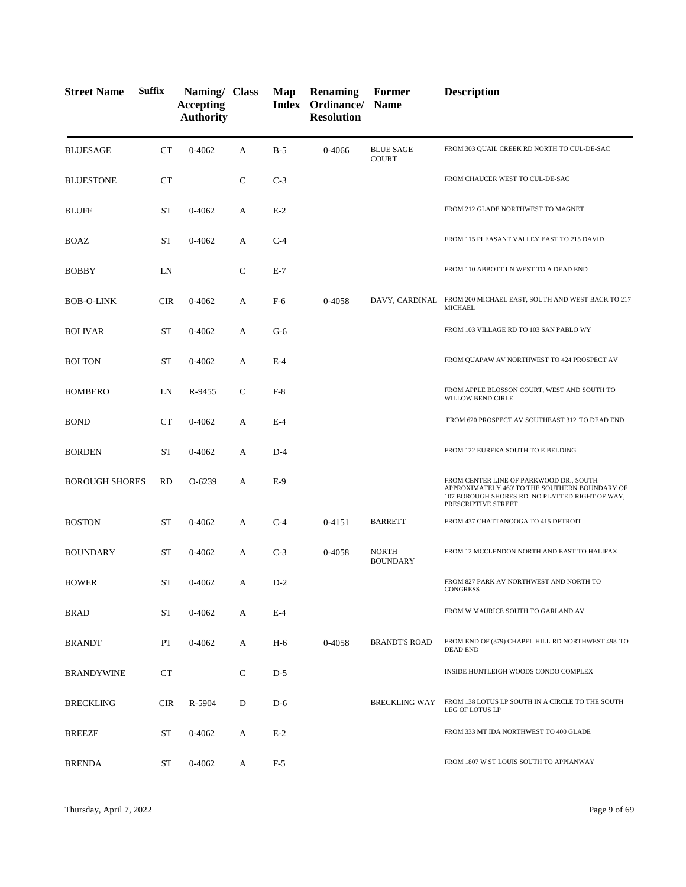| <b>Street Name</b>    | <b>Suffix</b> | Naming/ Class<br><b>Accepting</b><br><b>Authority</b> |              | Map   | <b>Renaming</b><br>Index Ordinance/ Name<br><b>Resolution</b> | Former                           | <b>Description</b>                                                                                                                                                  |
|-----------------------|---------------|-------------------------------------------------------|--------------|-------|---------------------------------------------------------------|----------------------------------|---------------------------------------------------------------------------------------------------------------------------------------------------------------------|
| <b>BLUESAGE</b>       | <b>CT</b>     | $0 - 4062$                                            | А            | $B-5$ | 0-4066                                                        | <b>BLUE SAGE</b><br><b>COURT</b> | FROM 303 QUAIL CREEK RD NORTH TO CUL-DE-SAC                                                                                                                         |
| <b>BLUESTONE</b>      | <b>CT</b>     |                                                       | $\mathbf C$  | $C-3$ |                                                               |                                  | FROM CHAUCER WEST TO CUL-DE-SAC                                                                                                                                     |
| <b>BLUFF</b>          | ST            | 0-4062                                                | A            | $E-2$ |                                                               |                                  | FROM 212 GLADE NORTHWEST TO MAGNET                                                                                                                                  |
| <b>BOAZ</b>           | <b>ST</b>     | 0-4062                                                | А            | $C-4$ |                                                               |                                  | FROM 115 PLEASANT VALLEY EAST TO 215 DAVID                                                                                                                          |
| <b>BOBBY</b>          | LN            |                                                       | $\mathsf{C}$ | $E-7$ |                                                               |                                  | FROM 110 ABBOTT LN WEST TO A DEAD END                                                                                                                               |
| <b>BOB-O-LINK</b>     | <b>CIR</b>    | 0-4062                                                | А            | F-6   | 0-4058                                                        | DAVY, CARDINAL                   | FROM 200 MICHAEL EAST, SOUTH AND WEST BACK TO 217<br><b>MICHAEL</b>                                                                                                 |
| <b>BOLIVAR</b>        | ST            | 0-4062                                                | А            | $G-6$ |                                                               |                                  | FROM 103 VILLAGE RD TO 103 SAN PABLO WY                                                                                                                             |
| <b>BOLTON</b>         | ST            | 0-4062                                                | A            | $E-4$ |                                                               |                                  | FROM QUAPAW AV NORTHWEST TO 424 PROSPECT AV                                                                                                                         |
| <b>BOMBERO</b>        | LN            | R-9455                                                | C            | $F-8$ |                                                               |                                  | FROM APPLE BLOSSON COURT, WEST AND SOUTH TO<br>WILLOW BEND CIRLE                                                                                                    |
| <b>BOND</b>           | CT            | 0-4062                                                | A            | $E-4$ |                                                               |                                  | FROM 620 PROSPECT AV SOUTHEAST 312' TO DEAD END                                                                                                                     |
| <b>BORDEN</b>         | <b>ST</b>     | 0-4062                                                | A            | $D-4$ |                                                               |                                  | FROM 122 EUREKA SOUTH TO E BELDING                                                                                                                                  |
| <b>BOROUGH SHORES</b> | <b>RD</b>     | O-6239                                                | A            | $E-9$ |                                                               |                                  | FROM CENTER LINE OF PARKWOOD DR., SOUTH<br>APPROXIMATELY 460' TO THE SOUTHERN BOUNDARY OF<br>107 BOROUGH SHORES RD. NO PLATTED RIGHT OF WAY,<br>PRESCRIPTIVE STREET |
| <b>BOSTON</b>         | ST            | 0-4062                                                | A            | $C-4$ | 0-4151                                                        | <b>BARRETT</b>                   | FROM 437 CHATTANOOGA TO 415 DETROIT                                                                                                                                 |
| <b>BOUNDARY</b>       | ST            | 0-4062                                                | А            | $C-3$ | 0-4058                                                        | <b>NORTH</b><br><b>BOUNDARY</b>  | FROM 12 MCCLENDON NORTH AND EAST TO HALIFAX                                                                                                                         |
| <b>BOWER</b>          | <b>ST</b>     | 0-4062                                                | A            | $D-2$ |                                                               |                                  | FROM 827 PARK AV NORTHWEST AND NORTH TO<br><b>CONGRESS</b>                                                                                                          |
| <b>BRAD</b>           | ST            | 0-4062                                                | А            | $E-4$ |                                                               |                                  | FROM W MAURICE SOUTH TO GARLAND AV                                                                                                                                  |
| <b>BRANDT</b>         | PT            | 0-4062                                                | А            | $H-6$ | 0-4058                                                        | <b>BRANDT'S ROAD</b>             | FROM END OF (379) CHAPEL HILL RD NORTHWEST 498' TO<br><b>DEAD END</b>                                                                                               |
| <b>BRANDYWINE</b>     | CT            |                                                       | $\mathsf{C}$ | $D-5$ |                                                               |                                  | INSIDE HUNTLEIGH WOODS CONDO COMPLEX                                                                                                                                |
| <b>BRECKLING</b>      | <b>CIR</b>    | R-5904                                                | D            | $D-6$ |                                                               | <b>BRECKLING WAY</b>             | FROM 138 LOTUS LP SOUTH IN A CIRCLE TO THE SOUTH<br>LEG OF LOTUS LP                                                                                                 |
| <b>BREEZE</b>         | ST            | 0-4062                                                | A            | $E-2$ |                                                               |                                  | FROM 333 MT IDA NORTHWEST TO 400 GLADE                                                                                                                              |
| <b>BRENDA</b>         | <b>ST</b>     | 0-4062                                                | A            | $F-5$ |                                                               |                                  | FROM 1807 W ST LOUIS SOUTH TO APPIANWAY                                                                                                                             |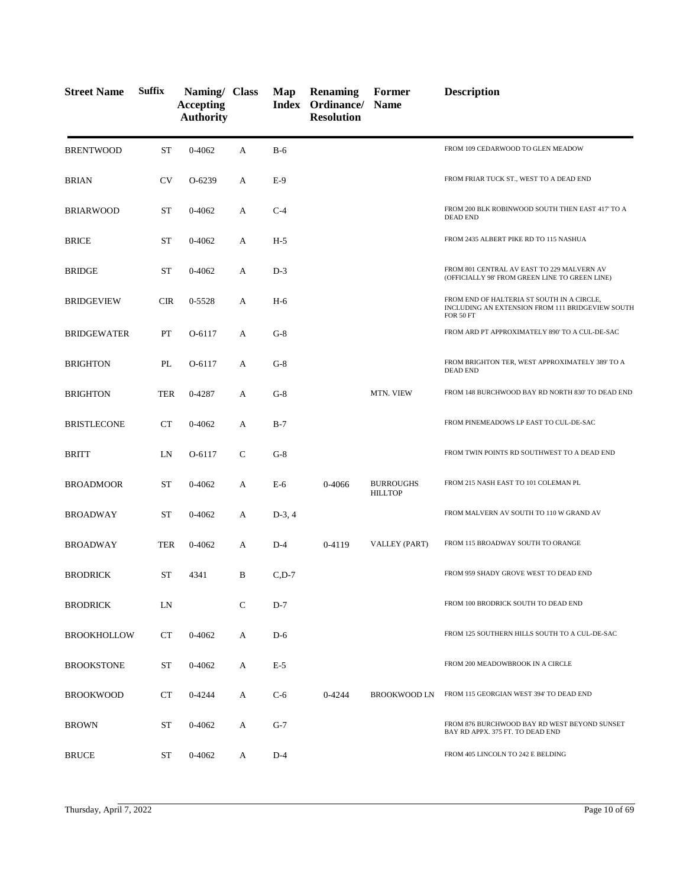| <b>Street Name</b> | <b>Suffix</b> | Naming/ Class<br><b>Accepting</b><br><b>Authority</b> |              | Map      | <b>Renaming</b><br>Index Ordinance/ Name<br><b>Resolution</b> | Former                             | <b>Description</b>                                                                                                 |
|--------------------|---------------|-------------------------------------------------------|--------------|----------|---------------------------------------------------------------|------------------------------------|--------------------------------------------------------------------------------------------------------------------|
| <b>BRENTWOOD</b>   | <b>ST</b>     | $0 - 4062$                                            | A            | $B-6$    |                                                               |                                    | FROM 109 CEDARWOOD TO GLEN MEADOW                                                                                  |
| <b>BRIAN</b>       | <b>CV</b>     | O-6239                                                | A            | $E-9$    |                                                               |                                    | FROM FRIAR TUCK ST., WEST TO A DEAD END                                                                            |
| <b>BRIARWOOD</b>   | <b>ST</b>     | 0-4062                                                | А            | $C-4$    |                                                               |                                    | FROM 200 BLK ROBINWOOD SOUTH THEN EAST 417' TO A<br><b>DEAD END</b>                                                |
| <b>BRICE</b>       | <b>ST</b>     | 0-4062                                                | А            | $H-5$    |                                                               |                                    | FROM 2435 ALBERT PIKE RD TO 115 NASHUA                                                                             |
| <b>BRIDGE</b>      | <b>ST</b>     | 0-4062                                                | A            | $D-3$    |                                                               |                                    | FROM 801 CENTRAL AV EAST TO 229 MALVERN AV<br>(OFFICIALLY 98' FROM GREEN LINE TO GREEN LINE)                       |
| <b>BRIDGEVIEW</b>  | <b>CIR</b>    | 0-5528                                                | A            | $H-6$    |                                                               |                                    | FROM END OF HALTERIA ST SOUTH IN A CIRCLE,<br>INCLUDING AN EXTENSION FROM 111 BRIDGEVIEW SOUTH<br><b>FOR 50 FT</b> |
| <b>BRIDGEWATER</b> | PT            | O-6117                                                | A            | $G-8$    |                                                               |                                    | FROM ARD PT APPROXIMATELY 890' TO A CUL-DE-SAC                                                                     |
| <b>BRIGHTON</b>    | PL            | O-6117                                                | A            | $G-8$    |                                                               |                                    | FROM BRIGHTON TER, WEST APPROXIMATELY 389' TO A<br><b>DEAD END</b>                                                 |
| <b>BRIGHTON</b>    | <b>TER</b>    | 0-4287                                                | A            | $G-8$    |                                                               | MTN. VIEW                          | FROM 148 BURCHWOOD BAY RD NORTH 830' TO DEAD END                                                                   |
| <b>BRISTLECONE</b> | <b>CT</b>     | 0-4062                                                | A            | $B-7$    |                                                               |                                    | FROM PINEMEADOWS LP EAST TO CUL-DE-SAC                                                                             |
| BRITT              | LN            | O-6117                                                | $\mathsf{C}$ | $G-8$    |                                                               |                                    | FROM TWIN POINTS RD SOUTHWEST TO A DEAD END                                                                        |
| <b>BROADMOOR</b>   | <b>ST</b>     | 0-4062                                                | A            | $E-6$    | 0-4066                                                        | <b>BURROUGHS</b><br><b>HILLTOP</b> | FROM 215 NASH EAST TO 101 COLEMAN PL                                                                               |
| <b>BROADWAY</b>    | <b>ST</b>     | 0-4062                                                | A            | $D-3, 4$ |                                                               |                                    | FROM MALVERN AV SOUTH TO 110 W GRAND AV                                                                            |
| <b>BROADWAY</b>    | <b>TER</b>    | 0-4062                                                | A            | $D-4$    | 0-4119                                                        | VALLEY (PART)                      | FROM 115 BROADWAY SOUTH TO ORANGE                                                                                  |
| <b>BRODRICK</b>    | ST            | 4341                                                  | B            | $C, D-7$ |                                                               |                                    | FROM 959 SHADY GROVE WEST TO DEAD END                                                                              |
| <b>BRODRICK</b>    | LN            |                                                       | $\mathsf{C}$ | $D-7$    |                                                               |                                    | FROM 100 BRODRICK SOUTH TO DEAD END                                                                                |
| <b>BROOKHOLLOW</b> | <b>CT</b>     | 0-4062                                                | A            | $D-6$    |                                                               |                                    | FROM 125 SOUTHERN HILLS SOUTH TO A CUL-DE-SAC                                                                      |
| <b>BROOKSTONE</b>  | ST            | 0-4062                                                | A            | $E-5$    |                                                               |                                    | FROM 200 MEADOWBROOK IN A CIRCLE                                                                                   |
| <b>BROOKWOOD</b>   | CT            | 0-4244                                                | A            | $C-6$    | $0 - 4244$                                                    | <b>BROOKWOOD LN</b>                | FROM 115 GEORGIAN WEST 394' TO DEAD END                                                                            |
| <b>BROWN</b>       | ST            | 0-4062                                                | A            | $G-7$    |                                                               |                                    | FROM 876 BURCHWOOD BAY RD WEST BEYOND SUNSET<br>BAY RD APPX. 375 FT. TO DEAD END                                   |
| <b>BRUCE</b>       | ST            | 0-4062                                                | A            | $D-4$    |                                                               |                                    | FROM 405 LINCOLN TO 242 E BELDING                                                                                  |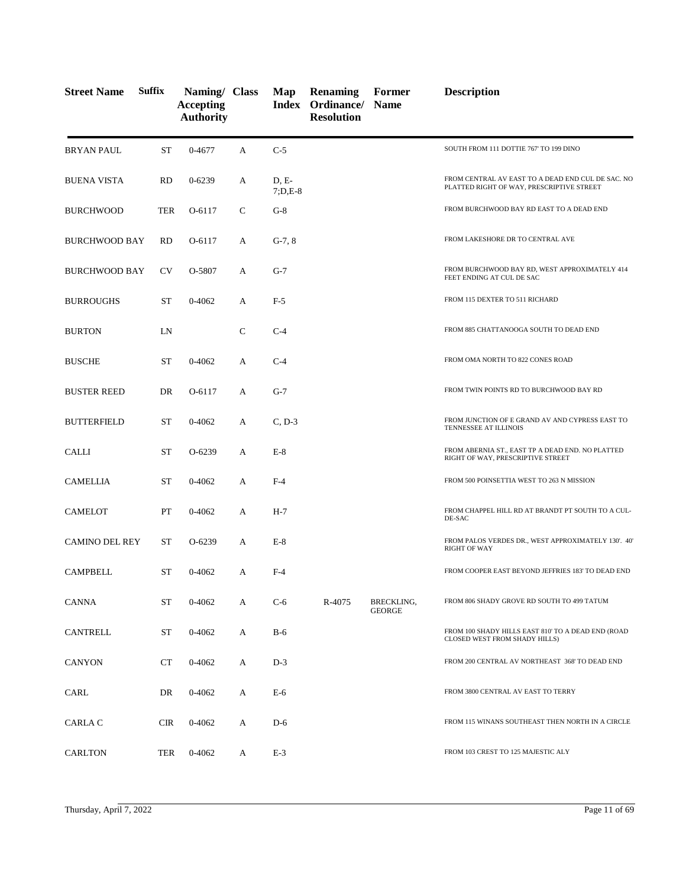| <b>Street Name</b>    | <b>Suffix</b> | Naming/ Class<br><b>Accepting</b><br><b>Authority</b> |              | Map                | <b>Renaming</b><br>Index Ordinance/ Name<br><b>Resolution</b> | Former                      | <b>Description</b>                                                                             |
|-----------------------|---------------|-------------------------------------------------------|--------------|--------------------|---------------------------------------------------------------|-----------------------------|------------------------------------------------------------------------------------------------|
| BRYAN PAUL            | <b>ST</b>     | 0-4677                                                | A            | $C-5$              |                                                               |                             | SOUTH FROM 111 DOTTIE 767' TO 199 DINO                                                         |
| <b>BUENA VISTA</b>    | <b>RD</b>     | $0 - 6239$                                            | A            | D, E-<br>$7;D,E-8$ |                                                               |                             | FROM CENTRAL AV EAST TO A DEAD END CUL DE SAC. NO<br>PLATTED RIGHT OF WAY, PRESCRIPTIVE STREET |
| <b>BURCHWOOD</b>      | TER           | O-6117                                                | C            | $G-8$              |                                                               |                             | FROM BURCHWOOD BAY RD EAST TO A DEAD END                                                       |
| <b>BURCHWOOD BAY</b>  | <b>RD</b>     | O-6117                                                | A            | $G-7, 8$           |                                                               |                             | FROM LAKESHORE DR TO CENTRAL AVE                                                               |
| <b>BURCHWOOD BAY</b>  | <b>CV</b>     | O-5807                                                | А            | $G-7$              |                                                               |                             | FROM BURCHWOOD BAY RD, WEST APPROXIMATELY 414<br>FEET ENDING AT CUL DE SAC                     |
| <b>BURROUGHS</b>      | ST            | 0-4062                                                | A            | $F-5$              |                                                               |                             | FROM 115 DEXTER TO 511 RICHARD                                                                 |
| <b>BURTON</b>         | LN            |                                                       | $\mathsf{C}$ | $C-4$              |                                                               |                             | FROM 885 CHATTANOOGA SOUTH TO DEAD END                                                         |
| <b>BUSCHE</b>         | ST            | 0-4062                                                | A            | $C-4$              |                                                               |                             | FROM OMA NORTH TO 822 CONES ROAD                                                               |
| <b>BUSTER REED</b>    | DR            | O-6117                                                | A            | $G-7$              |                                                               |                             | FROM TWIN POINTS RD TO BURCHWOOD BAY RD                                                        |
| <b>BUTTERFIELD</b>    | ST            | 0-4062                                                | A            | $C, D-3$           |                                                               |                             | FROM JUNCTION OF E GRAND AV AND CYPRESS EAST TO<br>TENNESSEE AT ILLINOIS                       |
| <b>CALLI</b>          | <b>ST</b>     | O-6239                                                | A            | $E-8$              |                                                               |                             | FROM ABERNIA ST., EAST TP A DEAD END. NO PLATTED<br>RIGHT OF WAY, PRESCRIPTIVE STREET          |
| CAMELLIA              | ST            | 0-4062                                                | A            | $F-4$              |                                                               |                             | FROM 500 POINSETTIA WEST TO 263 N MISSION                                                      |
| <b>CAMELOT</b>        | PT            | 0-4062                                                | A            | $H-7$              |                                                               |                             | FROM CHAPPEL HILL RD AT BRANDT PT SOUTH TO A CUL-<br>DE-SAC                                    |
| <b>CAMINO DEL REY</b> | <b>ST</b>     | O-6239                                                | А            | $E-8$              |                                                               |                             | FROM PALOS VERDES DR., WEST APPROXIMATELY 130'. 40'<br><b>RIGHT OF WAY</b>                     |
| <b>CAMPBELL</b>       | ST            | 0-4062                                                | A            | $F-4$              |                                                               |                             | FROM COOPER EAST BEYOND JEFFRIES 183' TO DEAD END                                              |
| <b>CANNA</b>          | ST            | 0-4062                                                | А            | $C-6$              | R-4075                                                        | BRECKLING,<br><b>GEORGE</b> | FROM 806 SHADY GROVE RD SOUTH TO 499 TATUM                                                     |
| <b>CANTRELL</b>       | <b>ST</b>     | 0-4062                                                | А            | B-6                |                                                               |                             | FROM 100 SHADY HILLS EAST 810' TO A DEAD END (ROAD<br>CLOSED WEST FROM SHADY HILLS)            |
| CANYON                | <b>CT</b>     | 0-4062                                                | А            | $D-3$              |                                                               |                             | FROM 200 CENTRAL AV NORTHEAST 368' TO DEAD END                                                 |
| CARL                  | DR            | 0-4062                                                | A            | E-6                |                                                               |                             | FROM 3800 CENTRAL AV EAST TO TERRY                                                             |
| CARLA C               | <b>CIR</b>    | 0-4062                                                | А            | $D-6$              |                                                               |                             | FROM 115 WINANS SOUTHEAST THEN NORTH IN A CIRCLE                                               |
| <b>CARLTON</b>        | TER           | 0-4062                                                | A            | $E-3$              |                                                               |                             | FROM 103 CREST TO 125 MAJESTIC ALY                                                             |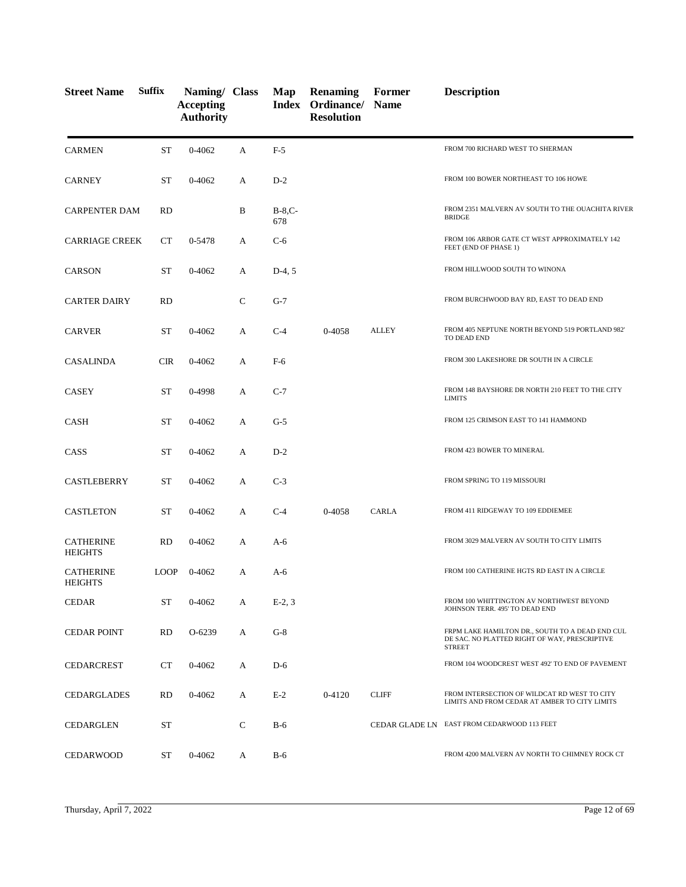| <b>Street Name</b>                 | <b>Suffix</b> | Naming/ Class<br><b>Accepting</b><br><b>Authority</b> |              | Map             | <b>Renaming</b><br><b>Index Ordinance/ Name</b><br><b>Resolution</b> | Former                | <b>Description</b>                                                                                                |
|------------------------------------|---------------|-------------------------------------------------------|--------------|-----------------|----------------------------------------------------------------------|-----------------------|-------------------------------------------------------------------------------------------------------------------|
| <b>CARMEN</b>                      | <b>ST</b>     | $0 - 4062$                                            | A            | $F-5$           |                                                                      |                       | FROM 700 RICHARD WEST TO SHERMAN                                                                                  |
| <b>CARNEY</b>                      | <b>ST</b>     | 0-4062                                                | A            | $D-2$           |                                                                      |                       | FROM 100 BOWER NORTHEAST TO 106 HOWE                                                                              |
| <b>CARPENTER DAM</b>               | <b>RD</b>     |                                                       | B            | $B-8,C-$<br>678 |                                                                      |                       | FROM 2351 MALVERN AV SOUTH TO THE OUACHITA RIVER<br><b>BRIDGE</b>                                                 |
| <b>CARRIAGE CREEK</b>              | CT            | 0-5478                                                | A            | $C-6$           |                                                                      |                       | FROM 106 ARBOR GATE CT WEST APPROXIMATELY 142<br>FEET (END OF PHASE 1)                                            |
| <b>CARSON</b>                      | <b>ST</b>     | $0 - 4062$                                            | A            | $D-4, 5$        |                                                                      |                       | FROM HILLWOOD SOUTH TO WINONA                                                                                     |
| <b>CARTER DAIRY</b>                | <b>RD</b>     |                                                       | $\mathsf{C}$ | $G-7$           |                                                                      |                       | FROM BURCHWOOD BAY RD, EAST TO DEAD END                                                                           |
| <b>CARVER</b>                      | <b>ST</b>     | $0 - 4062$                                            | A            | $C-4$           | 0-4058                                                               | <b>ALLEY</b>          | FROM 405 NEPTUNE NORTH BEYOND 519 PORTLAND 982'<br>TO DEAD END                                                    |
| <b>CASALINDA</b>                   | <b>CIR</b>    | 0-4062                                                | А            | $F-6$           |                                                                      |                       | FROM 300 LAKESHORE DR SOUTH IN A CIRCLE                                                                           |
| CASEY                              | <b>ST</b>     | 0-4998                                                | A            | $C-7$           |                                                                      |                       | FROM 148 BAYSHORE DR NORTH 210 FEET TO THE CITY<br><b>LIMITS</b>                                                  |
| CASH                               | <b>ST</b>     | 0-4062                                                | A            | $G-5$           |                                                                      |                       | FROM 125 CRIMSON EAST TO 141 HAMMOND                                                                              |
| CASS                               | ST            | 0-4062                                                | А            | $D-2$           |                                                                      |                       | FROM 423 BOWER TO MINERAL                                                                                         |
| CASTLEBERRY                        | ST            | 0-4062                                                | А            | $C-3$           |                                                                      |                       | FROM SPRING TO 119 MISSOURI                                                                                       |
| <b>CASTLETON</b>                   | ST            | 0-4062                                                | A            | $C-4$           | 0-4058                                                               | <b>CARLA</b>          | FROM 411 RIDGEWAY TO 109 EDDIEMEE                                                                                 |
| <b>CATHERINE</b><br><b>HEIGHTS</b> | <b>RD</b>     | 0-4062                                                | А            | A-6             |                                                                      |                       | FROM 3029 MALVERN AV SOUTH TO CITY LIMITS                                                                         |
| <b>CATHERINE</b><br><b>HEIGHTS</b> | <b>LOOP</b>   | 0-4062                                                | A            | A-6             |                                                                      |                       | FROM 100 CATHERINE HGTS RD EAST IN A CIRCLE                                                                       |
| <b>CEDAR</b>                       | <b>ST</b>     | 0-4062                                                | А            | $E-2, 3$        |                                                                      |                       | FROM 100 WHITTINGTON AV NORTHWEST BEYOND<br>JOHNSON TERR. 495' TO DEAD END                                        |
| <b>CEDAR POINT</b>                 | <b>RD</b>     | O-6239                                                | А            | $G-8$           |                                                                      |                       | FRPM LAKE HAMILTON DR., SOUTH TO A DEAD END CUL<br>DE SAC. NO PLATTED RIGHT OF WAY, PRESCRIPTIVE<br><b>STREET</b> |
| <b>CEDARCREST</b>                  | CT            | 0-4062                                                | А            | $D-6$           |                                                                      |                       | FROM 104 WOODCREST WEST 492' TO END OF PAVEMENT                                                                   |
| <b>CEDARGLADES</b>                 | <b>RD</b>     | 0-4062                                                | A            | $E-2$           | 0-4120                                                               | <b>CLIFF</b>          | FROM INTERSECTION OF WILDCAT RD WEST TO CITY<br>LIMITS AND FROM CEDAR AT AMBER TO CITY LIMITS                     |
| <b>CEDARGLEN</b>                   | ST            |                                                       | $\mathsf{C}$ | $B-6$           |                                                                      | <b>CEDAR GLADE LN</b> | EAST FROM CEDARWOOD 113 FEET                                                                                      |
| <b>CEDARWOOD</b>                   | ST            | 0-4062                                                | A            | <b>B-6</b>      |                                                                      |                       | FROM 4200 MALVERN AV NORTH TO CHIMNEY ROCK CT                                                                     |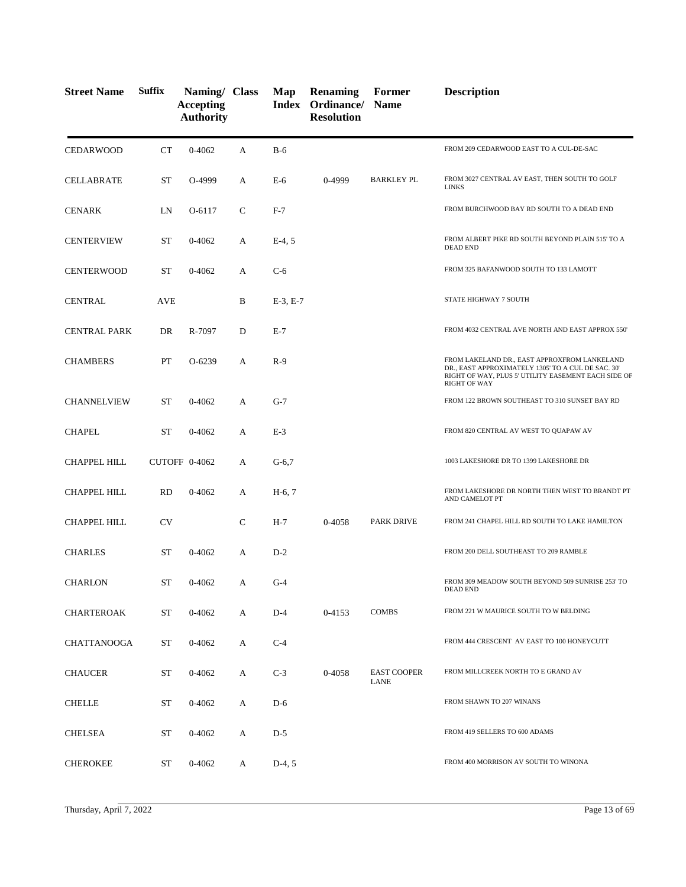| <b>Street Name</b>  | <b>Suffix</b> | Naming/ Class<br><b>Accepting</b><br><b>Authority</b> |              | Map        | <b>Renaming</b><br><b>Index Ordinance/ Name</b><br><b>Resolution</b> | Former                            | <b>Description</b>                                                                                                                                                               |
|---------------------|---------------|-------------------------------------------------------|--------------|------------|----------------------------------------------------------------------|-----------------------------------|----------------------------------------------------------------------------------------------------------------------------------------------------------------------------------|
| <b>CEDARWOOD</b>    | CT            | $0 - 4062$                                            | A            | $B-6$      |                                                                      |                                   | FROM 209 CEDARWOOD EAST TO A CUL-DE-SAC                                                                                                                                          |
| <b>CELLABRATE</b>   | <b>ST</b>     | O-4999                                                | А            | $E-6$      | 0-4999                                                               | <b>BARKLEY PL</b>                 | FROM 3027 CENTRAL AV EAST, THEN SOUTH TO GOLF<br><b>LINKS</b>                                                                                                                    |
| <b>CENARK</b>       | LN            | O-6117                                                | C            | $F-7$      |                                                                      |                                   | FROM BURCHWOOD BAY RD SOUTH TO A DEAD END                                                                                                                                        |
| <b>CENTERVIEW</b>   | <b>ST</b>     | 0-4062                                                | А            | $E-4, 5$   |                                                                      |                                   | FROM ALBERT PIKE RD SOUTH BEYOND PLAIN 515' TO A<br><b>DEAD END</b>                                                                                                              |
| <b>CENTERWOOD</b>   | <b>ST</b>     | 0-4062                                                | А            | $C-6$      |                                                                      |                                   | FROM 325 BAFANWOOD SOUTH TO 133 LAMOTT                                                                                                                                           |
| <b>CENTRAL</b>      | <b>AVE</b>    |                                                       | B            | $E-3, E-7$ |                                                                      |                                   | STATE HIGHWAY 7 SOUTH                                                                                                                                                            |
| <b>CENTRAL PARK</b> | DR            | R-7097                                                | D            | $E-7$      |                                                                      |                                   | FROM 4032 CENTRAL AVE NORTH AND EAST APPROX 550'                                                                                                                                 |
| <b>CHAMBERS</b>     | PT            | O-6239                                                | A            | $R-9$      |                                                                      |                                   | FROM LAKELAND DR., EAST APPROXFROM LANKELAND<br>DR., EAST APPROXIMATELY 1305' TO A CUL DE SAC. 30'<br>RIGHT OF WAY, PLUS 5' UTILITY EASEMENT EACH SIDE OF<br><b>RIGHT OF WAY</b> |
| <b>CHANNELVIEW</b>  | ST            | 0-4062                                                | А            | $G-7$      |                                                                      |                                   | FROM 122 BROWN SOUTHEAST TO 310 SUNSET BAY RD                                                                                                                                    |
| <b>CHAPEL</b>       | <b>ST</b>     | 0-4062                                                | A            | $E-3$      |                                                                      |                                   | FROM 820 CENTRAL AV WEST TO QUAPAW AV                                                                                                                                            |
| CHAPPEL HILL        |               | CUTOFF 0-4062                                         | A            | $G-6,7$    |                                                                      |                                   | 1003 LAKESHORE DR TO 1399 LAKESHORE DR                                                                                                                                           |
| CHAPPEL HILL        | <b>RD</b>     | 0-4062                                                | А            | $H-6, 7$   |                                                                      |                                   | FROM LAKESHORE DR NORTH THEN WEST TO BRANDT PT<br>AND CAMELOT PT                                                                                                                 |
| <b>CHAPPEL HILL</b> | <b>CV</b>     |                                                       | $\mathsf{C}$ | $H-7$      | 0-4058                                                               | <b>PARK DRIVE</b>                 | FROM 241 CHAPEL HILL RD SOUTH TO LAKE HAMILTON                                                                                                                                   |
| <b>CHARLES</b>      | <b>ST</b>     | 0-4062                                                | A            | $D-2$      |                                                                      |                                   | FROM 200 DELL SOUTHEAST TO 209 RAMBLE                                                                                                                                            |
| <b>CHARLON</b>      | <b>ST</b>     | 0-4062                                                | А            | $G-4$      |                                                                      |                                   | FROM 309 MEADOW SOUTH BEYOND 509 SUNRISE 253' TO<br>DEAD END                                                                                                                     |
| <b>CHARTEROAK</b>   | <b>ST</b>     | 0-4062                                                | A            | $D-4$      | 0-4153                                                               | <b>COMBS</b>                      | FROM 221 W MAURICE SOUTH TO W BELDING                                                                                                                                            |
| <b>CHATTANOOGA</b>  | ST            | 0-4062                                                | A            | $C-4$      |                                                                      |                                   | FROM 444 CRESCENT AV EAST TO 100 HONEYCUTT                                                                                                                                       |
| <b>CHAUCER</b>      | <b>ST</b>     | 0-4062                                                | A            | $C-3$      | 0-4058                                                               | <b>EAST COOPER</b><br><b>LANE</b> | FROM MILLCREEK NORTH TO E GRAND AV                                                                                                                                               |
| <b>CHELLE</b>       | ST            | $0 - 4062$                                            | A            | $D-6$      |                                                                      |                                   | FROM SHAWN TO 207 WINANS                                                                                                                                                         |
| <b>CHELSEA</b>      | ST            | 0-4062                                                | A            | $D-5$      |                                                                      |                                   | FROM 419 SELLERS TO 600 ADAMS                                                                                                                                                    |
| <b>CHEROKEE</b>     | ST            | 0-4062                                                | A            | $D-4, 5$   |                                                                      |                                   | FROM 400 MORRISON AV SOUTH TO WINONA                                                                                                                                             |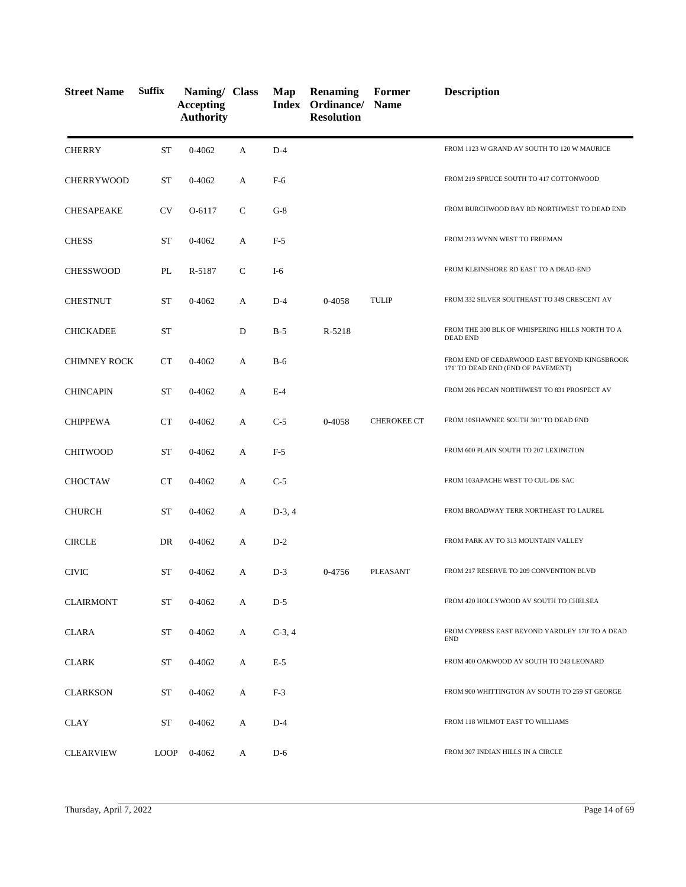| <b>Street Name</b>  | <b>Suffix</b> | Naming/ Class<br><b>Accepting</b><br><b>Authority</b> |              | Map      | <b>Renaming</b><br>Index Ordinance/<br><b>Resolution</b> | Former<br><b>Name</b> | <b>Description</b>                                                                 |
|---------------------|---------------|-------------------------------------------------------|--------------|----------|----------------------------------------------------------|-----------------------|------------------------------------------------------------------------------------|
| <b>CHERRY</b>       | <b>ST</b>     | $0 - 4062$                                            | A            | $D-4$    |                                                          |                       | FROM 1123 W GRAND AV SOUTH TO 120 W MAURICE                                        |
| <b>CHERRYWOOD</b>   | ST            | 0-4062                                                | A            | F-6      |                                                          |                       | FROM 219 SPRUCE SOUTH TO 417 COTTONWOOD                                            |
| <b>CHESAPEAKE</b>   | <b>CV</b>     | O-6117                                                | $\mathsf{C}$ | $G-8$    |                                                          |                       | FROM BURCHWOOD BAY RD NORTHWEST TO DEAD END                                        |
| <b>CHESS</b>        | ST            | 0-4062                                                | A            | $F-5$    |                                                          |                       | FROM 213 WYNN WEST TO FREEMAN                                                      |
| <b>CHESSWOOD</b>    | PL            | R-5187                                                | $\mathsf{C}$ | $I-6$    |                                                          |                       | FROM KLEINSHORE RD EAST TO A DEAD-END                                              |
| <b>CHESTNUT</b>     | <b>ST</b>     | 0-4062                                                | A            | $D-4$    | 0-4058                                                   | <b>TULIP</b>          | FROM 332 SILVER SOUTHEAST TO 349 CRESCENT AV                                       |
| <b>CHICKADEE</b>    | <b>ST</b>     |                                                       | D            | $B-5$    | R-5218                                                   |                       | FROM THE 300 BLK OF WHISPERING HILLS NORTH TO A<br><b>DEAD END</b>                 |
| <b>CHIMNEY ROCK</b> | CT            | 0-4062                                                | A            | $B-6$    |                                                          |                       | FROM END OF CEDARWOOD EAST BEYOND KINGSBROOK<br>171' TO DEAD END (END OF PAVEMENT) |
| <b>CHINCAPIN</b>    | <b>ST</b>     | $0 - 4062$                                            | A            | $E-4$    |                                                          |                       | FROM 206 PECAN NORTHWEST TO 831 PROSPECT AV                                        |
| <b>CHIPPEWA</b>     | <b>CT</b>     | 0-4062                                                | A            | $C-5$    | 0-4058                                                   | <b>CHEROKEE CT</b>    | FROM 10SHAWNEE SOUTH 301' TO DEAD END                                              |
| <b>CHITWOOD</b>     | <b>ST</b>     | 0-4062                                                | A            | $F-5$    |                                                          |                       | FROM 600 PLAIN SOUTH TO 207 LEXINGTON                                              |
| <b>CHOCTAW</b>      | <b>CT</b>     | 0-4062                                                | A            | $C-5$    |                                                          |                       | FROM 103APACHE WEST TO CUL-DE-SAC                                                  |
| <b>CHURCH</b>       | <b>ST</b>     | 0-4062                                                | A            | $D-3, 4$ |                                                          |                       | FROM BROADWAY TERR NORTHEAST TO LAUREL                                             |
| <b>CIRCLE</b>       | DR            | 0-4062                                                | A            | $D-2$    |                                                          |                       | FROM PARK AV TO 313 MOUNTAIN VALLEY                                                |
| <b>CIVIC</b>        | <b>ST</b>     | 0-4062                                                | A            | $D-3$    | 0-4756                                                   | <b>PLEASANT</b>       | FROM 217 RESERVE TO 209 CONVENTION BLVD                                            |
| <b>CLAIRMONT</b>    | <b>ST</b>     | 0-4062                                                | A            | $D-5$    |                                                          |                       | FROM 420 HOLLYWOOD AV SOUTH TO CHELSEA                                             |
| <b>CLARA</b>        | <b>ST</b>     | 0-4062                                                | A            | $C-3, 4$ |                                                          |                       | FROM CYPRESS EAST BEYOND YARDLEY 170' TO A DEAD<br><b>END</b>                      |
| <b>CLARK</b>        | ST            | 0-4062                                                | A            | $E-5$    |                                                          |                       | FROM 400 OAKWOOD AV SOUTH TO 243 LEONARD                                           |
| <b>CLARKSON</b>     | <b>ST</b>     | 0-4062                                                | A            | $F-3$    |                                                          |                       | FROM 900 WHITTINGTON AV SOUTH TO 259 ST GEORGE                                     |
| <b>CLAY</b>         | ST            | 0-4062                                                | A            | $D-4$    |                                                          |                       | FROM 118 WILMOT EAST TO WILLIAMS                                                   |
| <b>CLEARVIEW</b>    | <b>LOOP</b>   | 0-4062                                                | A            | $D-6$    |                                                          |                       | FROM 307 INDIAN HILLS IN A CIRCLE                                                  |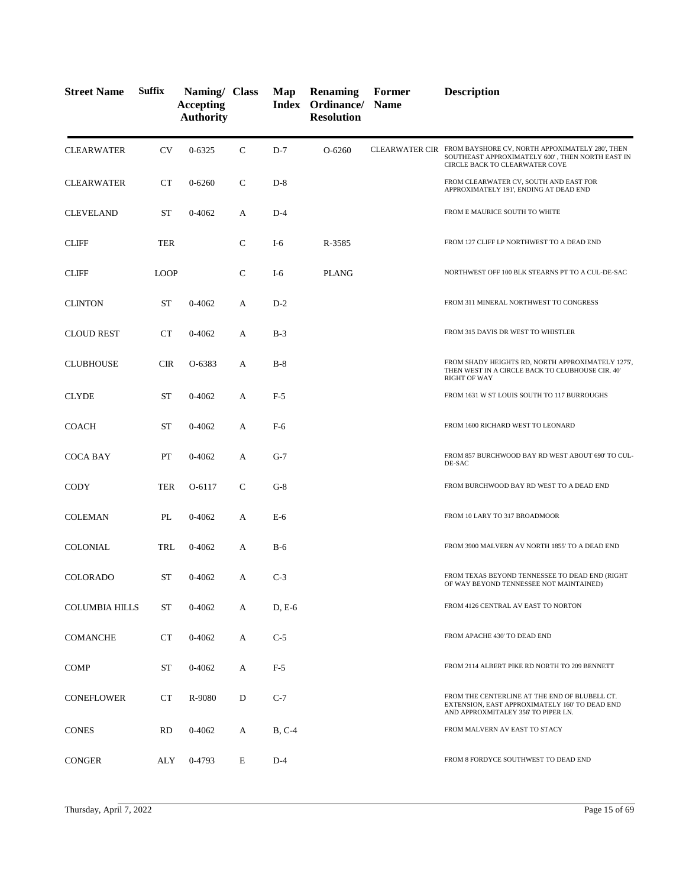| <b>Street Name</b>    | <b>Suffix</b> | Naming/ Class<br><b>Accepting</b><br><b>Authority</b> |              | Map      | <b>Renaming</b><br>Index Ordinance/ Name<br><b>Resolution</b> | Former | <b>Description</b>                                                                                                                                   |
|-----------------------|---------------|-------------------------------------------------------|--------------|----------|---------------------------------------------------------------|--------|------------------------------------------------------------------------------------------------------------------------------------------------------|
| <b>CLEARWATER</b>     | <b>CV</b>     | $0 - 6325$                                            | $\mathsf{C}$ | $D-7$    | O-6260                                                        |        | CLEARWATER CIR FROM BAYSHORE CV, NORTH APPOXIMATELY 280', THEN<br>SOUTHEAST APPROXIMATELY 600', THEN NORTH EAST IN<br>CIRCLE BACK TO CLEARWATER COVE |
| <b>CLEARWATER</b>     | <b>CT</b>     | $0 - 6260$                                            | $\mathsf{C}$ | $D-8$    |                                                               |        | FROM CLEARWATER CV, SOUTH AND EAST FOR<br>APPROXIMATELY 191', ENDING AT DEAD END                                                                     |
| <b>CLEVELAND</b>      | <b>ST</b>     | 0-4062                                                | А            | $D-4$    |                                                               |        | FROM E MAURICE SOUTH TO WHITE                                                                                                                        |
| <b>CLIFF</b>          | <b>TER</b>    |                                                       | $\mathsf{C}$ | $I-6$    | R-3585                                                        |        | FROM 127 CLIFF LP NORTHWEST TO A DEAD END                                                                                                            |
| <b>CLIFF</b>          | <b>LOOP</b>   |                                                       | $\mathsf{C}$ | $I-6$    | <b>PLANG</b>                                                  |        | NORTHWEST OFF 100 BLK STEARNS PT TO A CUL-DE-SAC                                                                                                     |
| <b>CLINTON</b>        | <b>ST</b>     | 0-4062                                                | A            | $D-2$    |                                                               |        | FROM 311 MINERAL NORTHWEST TO CONGRESS                                                                                                               |
| <b>CLOUD REST</b>     | <b>CT</b>     | 0-4062                                                | A            | $B-3$    |                                                               |        | FROM 315 DAVIS DR WEST TO WHISTLER                                                                                                                   |
| <b>CLUBHOUSE</b>      | <b>CIR</b>    | O-6383                                                | A            | $B-8$    |                                                               |        | FROM SHADY HEIGHTS RD, NORTH APPROXIMATELY 1275',<br>THEN WEST IN A CIRCLE BACK TO CLUBHOUSE CIR. 40'<br><b>RIGHT OF WAY</b>                         |
| <b>CLYDE</b>          | ST            | 0-4062                                                | A            | $F-5$    |                                                               |        | FROM 1631 W ST LOUIS SOUTH TO 117 BURROUGHS                                                                                                          |
| <b>COACH</b>          | ST            | 0-4062                                                | А            | $F-6$    |                                                               |        | FROM 1600 RICHARD WEST TO LEONARD                                                                                                                    |
| <b>COCA BAY</b>       | PT            | 0-4062                                                | А            | $G-7$    |                                                               |        | FROM 857 BURCHWOOD BAY RD WEST ABOUT 690' TO CUL-<br>DE-SAC                                                                                          |
| CODY                  | <b>TER</b>    | O-6117                                                | C            | $G-8$    |                                                               |        | FROM BURCHWOOD BAY RD WEST TO A DEAD END                                                                                                             |
| <b>COLEMAN</b>        | PL            | 0-4062                                                | А            | E-6      |                                                               |        | FROM 10 LARY TO 317 BROADMOOR                                                                                                                        |
| COLONIAL              | TRL           | 0-4062                                                | A            | $B-6$    |                                                               |        | FROM 3900 MALVERN AV NORTH 1855' TO A DEAD END                                                                                                       |
| COLORADO              | ST            | 0-4062                                                | А            | $C-3$    |                                                               |        | FROM TEXAS BEYOND TENNESSEE TO DEAD END (RIGHT<br>OF WAY BEYOND TENNESSEE NOT MAINTAINED)                                                            |
| <b>COLUMBIA HILLS</b> | <b>ST</b>     | 0-4062                                                | А            | $D, E-6$ |                                                               |        | FROM 4126 CENTRAL AV EAST TO NORTON                                                                                                                  |
| <b>COMANCHE</b>       | CT            | 0-4062                                                | A            | $C-5$    |                                                               |        | FROM APACHE 430' TO DEAD END                                                                                                                         |
| <b>COMP</b>           | ST            | 0-4062                                                | A            | $F-5$    |                                                               |        | FROM 2114 ALBERT PIKE RD NORTH TO 209 BENNETT                                                                                                        |
| <b>CONEFLOWER</b>     | <b>CT</b>     | R-9080                                                | D            | $C-7$    |                                                               |        | FROM THE CENTERLINE AT THE END OF BLUBELL CT.<br>EXTENSION, EAST APPROXIMATELY 160' TO DEAD END<br>AND APPROXMITALEY 356' TO PIPER LN.               |
| <b>CONES</b>          | <b>RD</b>     | 0-4062                                                | А            | $B, C-4$ |                                                               |        | FROM MALVERN AV EAST TO STACY                                                                                                                        |
| <b>CONGER</b>         | ALY           | 0-4793                                                | E            | $D-4$    |                                                               |        | FROM 8 FORDYCE SOUTHWEST TO DEAD END                                                                                                                 |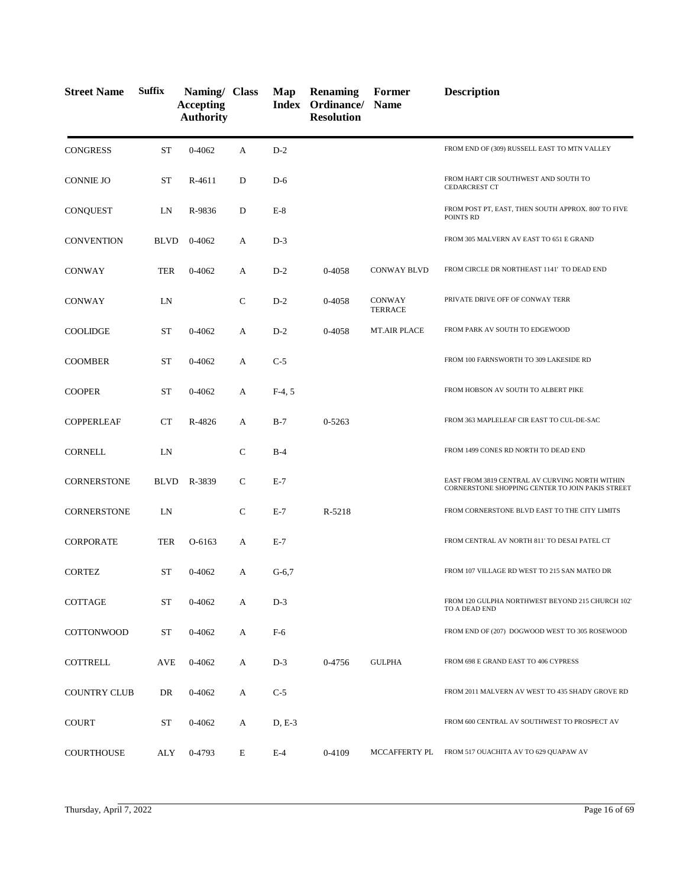| <b>Street Name</b>  | <b>Suffix</b> | Naming/ Class<br><b>Accepting</b><br><b>Authority</b> |               | Map      | <b>Renaming</b><br>Index Ordinance/ Name<br><b>Resolution</b> | Former                   | <b>Description</b>                                                                                 |
|---------------------|---------------|-------------------------------------------------------|---------------|----------|---------------------------------------------------------------|--------------------------|----------------------------------------------------------------------------------------------------|
| <b>CONGRESS</b>     | <b>ST</b>     | 0-4062                                                | A             | $D-2$    |                                                               |                          | FROM END OF (309) RUSSELL EAST TO MTN VALLEY                                                       |
| <b>CONNIE JO</b>    | ST            | R-4611                                                | D             | $D-6$    |                                                               |                          | FROM HART CIR SOUTHWEST AND SOUTH TO<br><b>CEDARCREST CT</b>                                       |
| <b>CONQUEST</b>     | LN            | R-9836                                                | D             | $E-8$    |                                                               |                          | FROM POST PT, EAST, THEN SOUTH APPROX. 800' TO FIVE<br>POINTS RD                                   |
| <b>CONVENTION</b>   | <b>BLVD</b>   | 0-4062                                                | А             | $D-3$    |                                                               |                          | FROM 305 MALVERN AV EAST TO 651 E GRAND                                                            |
| <b>CONWAY</b>       | TER           | 0-4062                                                | A             | $D-2$    | 0-4058                                                        | <b>CONWAY BLVD</b>       | FROM CIRCLE DR NORTHEAST 1141' TO DEAD END                                                         |
| CONWAY              | LN            |                                                       | $\mathsf{C}$  | $D-2$    | 0-4058                                                        | CONWAY<br><b>TERRACE</b> | PRIVATE DRIVE OFF OF CONWAY TERR                                                                   |
| <b>COOLIDGE</b>     | <b>ST</b>     | $0 - 4062$                                            | A             | $D-2$    | 0-4058                                                        | <b>MT.AIR PLACE</b>      | FROM PARK AV SOUTH TO EDGEWOOD                                                                     |
| <b>COOMBER</b>      | <b>ST</b>     | 0-4062                                                | A             | $C-5$    |                                                               |                          | FROM 100 FARNSWORTH TO 309 LAKESIDE RD                                                             |
| <b>COOPER</b>       | <b>ST</b>     | 0-4062                                                | А             | $F-4, 5$ |                                                               |                          | FROM HOBSON AV SOUTH TO ALBERT PIKE                                                                |
| <b>COPPERLEAF</b>   | <b>CT</b>     | R-4826                                                | A             | $B-7$    | 0-5263                                                        |                          | FROM 363 MAPLELEAF CIR EAST TO CUL-DE-SAC                                                          |
| <b>CORNELL</b>      | LN            |                                                       | $\mathsf{C}$  | $B-4$    |                                                               |                          | FROM 1499 CONES RD NORTH TO DEAD END                                                               |
| <b>CORNERSTONE</b>  | <b>BLVD</b>   | R-3839                                                | $\mathcal{C}$ | $E-7$    |                                                               |                          | EAST FROM 3819 CENTRAL AV CURVING NORTH WITHIN<br>CORNERSTONE SHOPPING CENTER TO JOIN PAKIS STREET |
| <b>CORNERSTONE</b>  | LN            |                                                       | $\mathsf{C}$  | $E-7$    | R-5218                                                        |                          | FROM CORNERSTONE BLVD EAST TO THE CITY LIMITS                                                      |
| <b>CORPORATE</b>    | <b>TER</b>    | O-6163                                                | A             | $E-7$    |                                                               |                          | FROM CENTRAL AV NORTH 811' TO DESAI PATEL CT                                                       |
| <b>CORTEZ</b>       | <b>ST</b>     | $0 - 4062$                                            | A             | $G-6,7$  |                                                               |                          | FROM 107 VILLAGE RD WEST TO 215 SAN MATEO DR                                                       |
| COTTAGE             | <b>ST</b>     | $0 - 4062$                                            | А             | $D-3$    |                                                               |                          | FROM 120 GULPHA NORTHWEST BEYOND 215 CHURCH 102'<br>TO A DEAD END                                  |
| <b>COTTONWOOD</b>   | <b>ST</b>     | 0-4062                                                | A             | F-6      |                                                               |                          | FROM END OF (207) DOGWOOD WEST TO 305 ROSEWOOD                                                     |
| COTTRELL            | <b>AVE</b>    | $0 - 4062$                                            | А             | $D-3$    | 0-4756                                                        | <b>GULPHA</b>            | FROM 698 E GRAND EAST TO 406 CYPRESS                                                               |
| <b>COUNTRY CLUB</b> | DR            | 0-4062                                                | А             | $C-5$    |                                                               |                          | FROM 2011 MALVERN AV WEST TO 435 SHADY GROVE RD                                                    |
| <b>COURT</b>        | ST            | 0-4062                                                | A             | $D, E-3$ |                                                               |                          | FROM 600 CENTRAL AV SOUTHWEST TO PROSPECT AV                                                       |
| <b>COURTHOUSE</b>   | ALY           | 0-4793                                                | E             | $E-4$    | 0-4109                                                        | MCCAFFERTY PL            | FROM 517 OUACHITA AV TO 629 QUAPAW AV                                                              |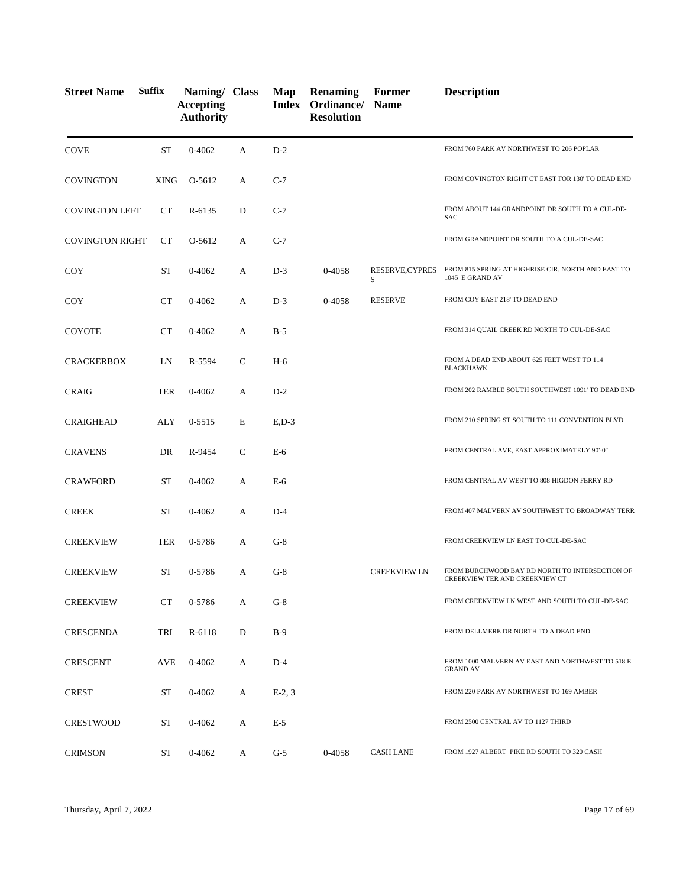| <b>Street Name</b>     | <b>Suffix</b> | Naming/ Class<br><b>Accepting</b><br><b>Authority</b> |              | Map         | <b>Renaming</b><br>Index Ordinance/ Name<br><b>Resolution</b> | Former               | <b>Description</b>                                                               |
|------------------------|---------------|-------------------------------------------------------|--------------|-------------|---------------------------------------------------------------|----------------------|----------------------------------------------------------------------------------|
| <b>COVE</b>            | <b>ST</b>     | $0 - 4062$                                            | A            | $D-2$       |                                                               |                      | FROM 760 PARK AV NORTHWEST TO 206 POPLAR                                         |
| <b>COVINGTON</b>       | <b>XING</b>   | O-5612                                                | A            | $C-7$       |                                                               |                      | FROM COVINGTON RIGHT CT EAST FOR 130' TO DEAD END                                |
| <b>COVINGTON LEFT</b>  | CT            | R-6135                                                | D            | $C-7$       |                                                               |                      | FROM ABOUT 144 GRANDPOINT DR SOUTH TO A CUL-DE-<br><b>SAC</b>                    |
| <b>COVINGTON RIGHT</b> | CT            | O-5612                                                | A            | $C-7$       |                                                               |                      | FROM GRANDPOINT DR SOUTH TO A CUL-DE-SAC                                         |
| COY                    | <b>ST</b>     | 0-4062                                                | A            | $D-3$       | 0-4058                                                        | RESERVE, CYPRES<br>S | FROM 815 SPRING AT HIGHRISE CIR. NORTH AND EAST TO<br>1045 E GRAND AV            |
| COY                    | CT            | $0 - 4062$                                            | А            | $D-3$       | 0-4058                                                        | <b>RESERVE</b>       | FROM COY EAST 218' TO DEAD END                                                   |
| <b>COYOTE</b>          | CT            | 0-4062                                                | А            | $B-5$       |                                                               |                      | FROM 314 QUAIL CREEK RD NORTH TO CUL-DE-SAC                                      |
| <b>CRACKERBOX</b>      | LN            | R-5594                                                | C            | $H-6$       |                                                               |                      | FROM A DEAD END ABOUT 625 FEET WEST TO 114<br><b>BLACKHAWK</b>                   |
| <b>CRAIG</b>           | <b>TER</b>    | 0-4062                                                | A            | $D-2$       |                                                               |                      | FROM 202 RAMBLE SOUTH SOUTHWEST 1091' TO DEAD END                                |
| <b>CRAIGHEAD</b>       | ALY           | $0 - 5515$                                            | E            | $E$ , $D-3$ |                                                               |                      | FROM 210 SPRING ST SOUTH TO 111 CONVENTION BLVD                                  |
| <b>CRAVENS</b>         | DR            | R-9454                                                | $\mathsf{C}$ | E-6         |                                                               |                      | FROM CENTRAL AVE, EAST APPROXIMATELY 90'-0"                                      |
| <b>CRAWFORD</b>        | <b>ST</b>     | 0-4062                                                | A            | E-6         |                                                               |                      | FROM CENTRAL AV WEST TO 808 HIGDON FERRY RD                                      |
| <b>CREEK</b>           | <b>ST</b>     | 0-4062                                                | А            | $D-4$       |                                                               |                      | FROM 407 MALVERN AV SOUTHWEST TO BROADWAY TERR                                   |
| <b>CREEKVIEW</b>       | TER           | 0-5786                                                | А            | $G-8$       |                                                               |                      | FROM CREEKVIEW LN EAST TO CUL-DE-SAC                                             |
| <b>CREEKVIEW</b>       | <b>ST</b>     | 0-5786                                                | A            | $G-8$       |                                                               | <b>CREEKVIEW LN</b>  | FROM BURCHWOOD BAY RD NORTH TO INTERSECTION OF<br>CREEKVIEW TER AND CREEKVIEW CT |
| <b>CREEKVIEW</b>       | CT            | 0-5786                                                | A            | $G-8$       |                                                               |                      | FROM CREEKVIEW LN WEST AND SOUTH TO CUL-DE-SAC                                   |
| <b>CRESCENDA</b>       | TRL           | R-6118                                                | D            | $B-9$       |                                                               |                      | FROM DELLMERE DR NORTH TO A DEAD END                                             |
| <b>CRESCENT</b>        | AVE           | 0-4062                                                | А            | $D-4$       |                                                               |                      | FROM 1000 MALVERN AV EAST AND NORTHWEST TO 518 E<br><b>GRAND AV</b>              |
| <b>CREST</b>           | ST            | 0-4062                                                | A            | $E-2, 3$    |                                                               |                      | FROM 220 PARK AV NORTHWEST TO 169 AMBER                                          |
| <b>CRESTWOOD</b>       | ST            | 0-4062                                                | A            | $E-5$       |                                                               |                      | FROM 2500 CENTRAL AV TO 1127 THIRD                                               |
| <b>CRIMSON</b>         | ST            | 0-4062                                                | A            | $G-5$       | 0-4058                                                        | <b>CASH LANE</b>     | FROM 1927 ALBERT PIKE RD SOUTH TO 320 CASH                                       |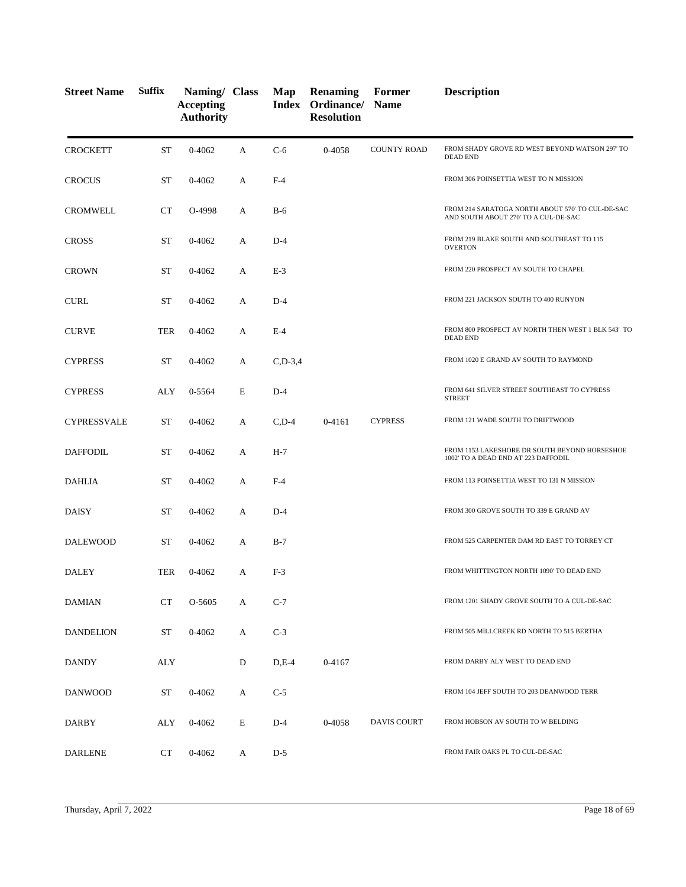| <b>Street Name</b> | <b>Suffix</b> | Naming/ Class<br><b>Accepting</b><br><b>Authority</b> |   | Map          | <b>Renaming</b><br>Index Ordinance/<br><b>Resolution</b> | Former<br><b>Name</b> | <b>Description</b>                                                                       |
|--------------------|---------------|-------------------------------------------------------|---|--------------|----------------------------------------------------------|-----------------------|------------------------------------------------------------------------------------------|
| <b>CROCKETT</b>    | <b>ST</b>     | 0-4062                                                | A | $C-6$        | 0-4058                                                   | <b>COUNTY ROAD</b>    | FROM SHADY GROVE RD WEST BEYOND WATSON 297' TO<br><b>DEAD END</b>                        |
| <b>CROCUS</b>      | <b>ST</b>     | 0-4062                                                | A | $F-4$        |                                                          |                       | FROM 306 POINSETTIA WEST TO N MISSION                                                    |
| <b>CROMWELL</b>    | CT            | O-4998                                                | A | $B-6$        |                                                          |                       | FROM 214 SARATOGA NORTH ABOUT 570' TO CUL-DE-SAC<br>AND SOUTH ABOUT 270' TO A CUL-DE-SAC |
| <b>CROSS</b>       | <b>ST</b>     | 0-4062                                                | A | $D-4$        |                                                          |                       | FROM 219 BLAKE SOUTH AND SOUTHEAST TO 115<br><b>OVERTON</b>                              |
| <b>CROWN</b>       | <b>ST</b>     | $0 - 4062$                                            | А | $E-3$        |                                                          |                       | FROM 220 PROSPECT AV SOUTH TO CHAPEL                                                     |
| <b>CURL</b>        | <b>ST</b>     | 0-4062                                                | A | $D-4$        |                                                          |                       | FROM 221 JACKSON SOUTH TO 400 RUNYON                                                     |
| <b>CURVE</b>       | <b>TER</b>    | $0 - 4062$                                            | A | $E-4$        |                                                          |                       | FROM 800 PROSPECT AV NORTH THEN WEST 1 BLK 543' TO<br><b>DEAD END</b>                    |
| <b>CYPRESS</b>     | <b>ST</b>     | 0-4062                                                | A | $C$ , D-3, 4 |                                                          |                       | FROM 1020 E GRAND AV SOUTH TO RAYMOND                                                    |
| <b>CYPRESS</b>     | ALY           | 0-5564                                                | E | $D-4$        |                                                          |                       | FROM 641 SILVER STREET SOUTHEAST TO CYPRESS<br><b>STREET</b>                             |
| <b>CYPRESSVALE</b> | <b>ST</b>     | 0-4062                                                | A | $C$ , D-4    | 0-4161                                                   | <b>CYPRESS</b>        | FROM 121 WADE SOUTH TO DRIFTWOOD                                                         |
| <b>DAFFODIL</b>    | <b>ST</b>     | 0-4062                                                | A | $H-7$        |                                                          |                       | FROM 1153 LAKESHORE DR SOUTH BEYOND HORSESHOE<br>1002' TO A DEAD END AT 223 DAFFODIL     |
| DAHLIA             | <b>ST</b>     | 0-4062                                                | А | $F-4$        |                                                          |                       | FROM 113 POINSETTIA WEST TO 131 N MISSION                                                |
| <b>DAISY</b>       | <b>ST</b>     | 0-4062                                                | A | $D-4$        |                                                          |                       | FROM 300 GROVE SOUTH TO 339 E GRAND AV                                                   |
| <b>DALEWOOD</b>    | <b>ST</b>     | 0-4062                                                | A | $B-7$        |                                                          |                       | FROM 525 CARPENTER DAM RD EAST TO TORREY CT                                              |
| <b>DALEY</b>       | <b>TER</b>    | 0-4062                                                | А | $F-3$        |                                                          |                       | FROM WHITTINGTON NORTH 1090' TO DEAD END                                                 |
| <b>DAMIAN</b>      | <b>CT</b>     | O-5605                                                | A | $C-7$        |                                                          |                       | FROM 1201 SHADY GROVE SOUTH TO A CUL-DE-SAC                                              |
| <b>DANDELION</b>   | <b>ST</b>     | $0 - 4062$                                            | A | $C-3$        |                                                          |                       | FROM 505 MILLCREEK RD NORTH TO 515 BERTHA                                                |
| <b>DANDY</b>       | <b>ALY</b>    |                                                       | D | $D,E-4$      | 0-4167                                                   |                       | FROM DARBY ALY WEST TO DEAD END                                                          |
| <b>DANWOOD</b>     | <b>ST</b>     | $0 - 4062$                                            | A | $C-5$        |                                                          |                       | FROM 104 JEFF SOUTH TO 203 DEANWOOD TERR                                                 |
| DARBY              | ALY           | 0-4062                                                | E | $D-4$        | 0-4058                                                   | <b>DAVIS COURT</b>    | FROM HOBSON AV SOUTH TO W BELDING                                                        |
| <b>DARLENE</b>     | <b>CT</b>     | 0-4062                                                | A | $D-5$        |                                                          |                       | FROM FAIR OAKS PL TO CUL-DE-SAC                                                          |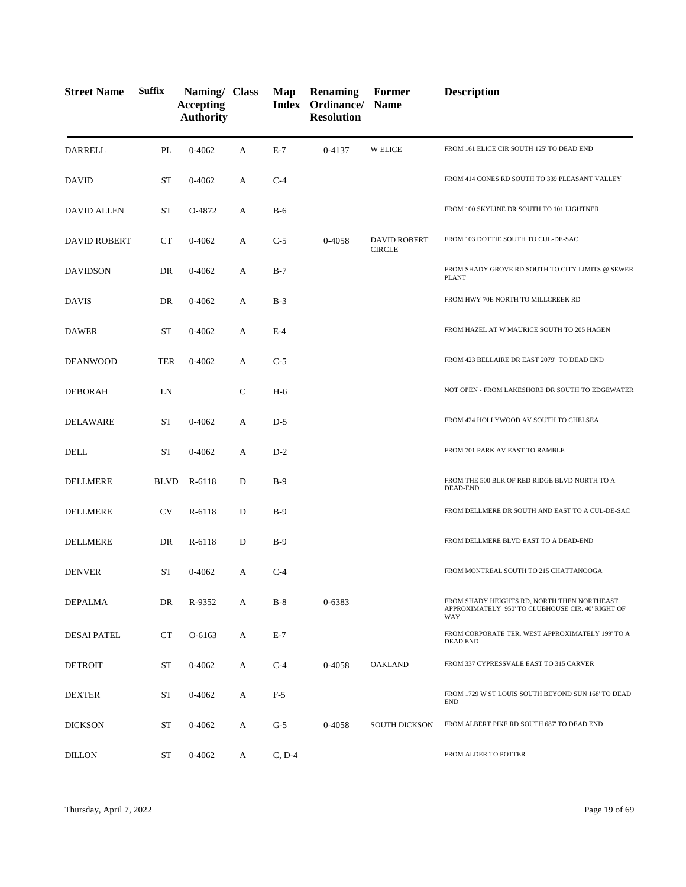| <b>Street Name</b>  | <b>Suffix</b> | Naming/ Class<br><b>Accepting</b><br><b>Authority</b> |              | Map      | <b>Renaming</b><br>Index Ordinance/ Name<br><b>Resolution</b> | Former                               | <b>Description</b>                                                                                      |
|---------------------|---------------|-------------------------------------------------------|--------------|----------|---------------------------------------------------------------|--------------------------------------|---------------------------------------------------------------------------------------------------------|
| <b>DARRELL</b>      | PL            | 0-4062                                                | A            | $E-7$    | 0-4137                                                        | <b>W ELICE</b>                       | FROM 161 ELICE CIR SOUTH 125' TO DEAD END                                                               |
| <b>DAVID</b>        | <b>ST</b>     | 0-4062                                                | A            | $C-4$    |                                                               |                                      | FROM 414 CONES RD SOUTH TO 339 PLEASANT VALLEY                                                          |
| <b>DAVID ALLEN</b>  | <b>ST</b>     | O-4872                                                | A            | $B-6$    |                                                               |                                      | FROM 100 SKYLINE DR SOUTH TO 101 LIGHTNER                                                               |
| <b>DAVID ROBERT</b> | <b>CT</b>     | $0 - 4062$                                            | A            | $C-5$    | 0-4058                                                        | <b>DAVID ROBERT</b><br><b>CIRCLE</b> | FROM 103 DOTTIE SOUTH TO CUL-DE-SAC                                                                     |
| <b>DAVIDSON</b>     | DR            | $0 - 4062$                                            | A            | $B-7$    |                                                               |                                      | FROM SHADY GROVE RD SOUTH TO CITY LIMITS @ SEWER<br><b>PLANT</b>                                        |
| <b>DAVIS</b>        | DR            | 0-4062                                                | A            | $B-3$    |                                                               |                                      | FROM HWY 70E NORTH TO MILLCREEK RD                                                                      |
| <b>DAWER</b>        | <b>ST</b>     | $0 - 4062$                                            | A            | $E-4$    |                                                               |                                      | FROM HAZEL AT W MAURICE SOUTH TO 205 HAGEN                                                              |
| <b>DEANWOOD</b>     | <b>TER</b>    | $0 - 4062$                                            | А            | $C-5$    |                                                               |                                      | FROM 423 BELLAIRE DR EAST 2079' TO DEAD END                                                             |
| <b>DEBORAH</b>      | LN            |                                                       | $\mathsf{C}$ | $H-6$    |                                                               |                                      | NOT OPEN - FROM LAKESHORE DR SOUTH TO EDGEWATER                                                         |
| <b>DELAWARE</b>     | <b>ST</b>     | 0-4062                                                | A            | $D-5$    |                                                               |                                      | FROM 424 HOLLYWOOD AV SOUTH TO CHELSEA                                                                  |
| <b>DELL</b>         | <b>ST</b>     | $0 - 4062$                                            | A            | $D-2$    |                                                               |                                      | FROM 701 PARK AV EAST TO RAMBLE                                                                         |
| <b>DELLMERE</b>     | BLVD          | R-6118                                                | D            | $B-9$    |                                                               |                                      | FROM THE 500 BLK OF RED RIDGE BLVD NORTH TO A<br>DEAD-END                                               |
| DELLMERE            | <b>CV</b>     | R-6118                                                | D            | $B-9$    |                                                               |                                      | FROM DELLMERE DR SOUTH AND EAST TO A CUL-DE-SAC                                                         |
| <b>DELLMERE</b>     | DR            | R-6118                                                | D            | $B-9$    |                                                               |                                      | FROM DELLMERE BLVD EAST TO A DEAD-END                                                                   |
| <b>DENVER</b>       | ST            | $0 - 4062$                                            | A            | $C-4$    |                                                               |                                      | FROM MONTREAL SOUTH TO 215 CHATTANOOGA                                                                  |
| DEPALMA             | DR            | R-9352                                                | A            | $B-8$    | 0-6383                                                        |                                      | FROM SHADY HEIGHTS RD, NORTH THEN NORTHEAST<br>APPROXIMATELY 950' TO CLUBHOUSE CIR. 40' RIGHT OF<br>WAY |
| <b>DESAI PATEL</b>  | CT            | O-6163                                                | A            | $E-7$    |                                                               |                                      | FROM CORPORATE TER, WEST APPROXIMATELY 199' TO A<br><b>DEAD END</b>                                     |
| <b>DETROIT</b>      | <b>ST</b>     | 0-4062                                                | A            | $C-4$    | 0-4058                                                        | <b>OAKLAND</b>                       | FROM 337 CYPRESSVALE EAST TO 315 CARVER                                                                 |
| <b>DEXTER</b>       | <b>ST</b>     | 0-4062                                                | A            | $F-5$    |                                                               |                                      | FROM 1729 W ST LOUIS SOUTH BEYOND SUN 168' TO DEAD<br><b>END</b>                                        |
| <b>DICKSON</b>      | ST            | $0 - 4062$                                            | A            | $G-5$    | 0-4058                                                        | <b>SOUTH DICKSON</b>                 | FROM ALBERT PIKE RD SOUTH 687' TO DEAD END                                                              |
| <b>DILLON</b>       | ST            | 0-4062                                                | A            | $C, D-4$ |                                                               |                                      | FROM ALDER TO POTTER                                                                                    |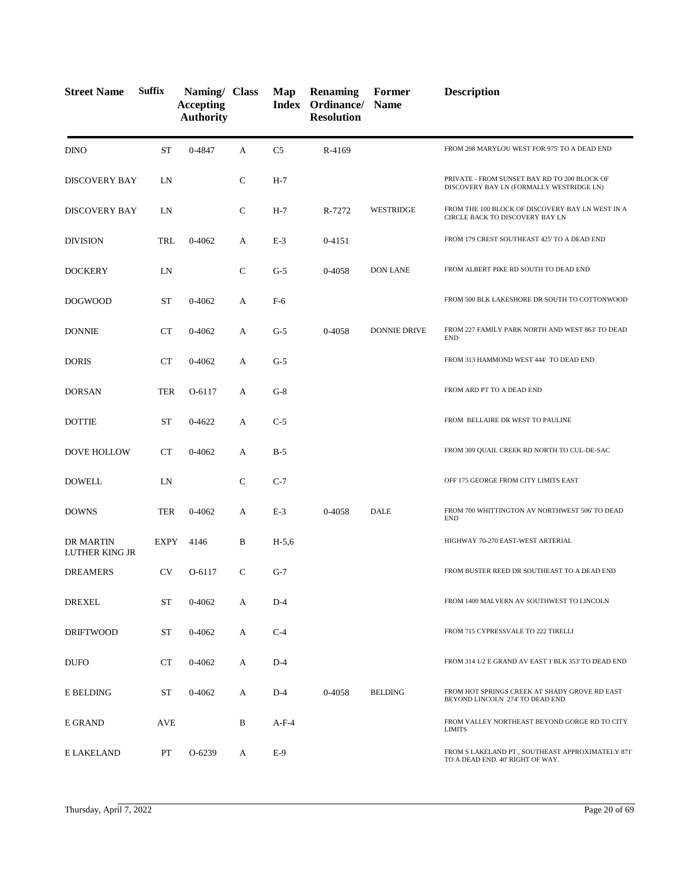| <b>Street Name</b>          | <b>Suffix</b> | Naming/ Class<br><b>Accepting</b><br><b>Authority</b> |              | Map            | <b>Renaming</b><br><b>Index Ordinance/ Name</b><br><b>Resolution</b> | Former              | <b>Description</b>                                                                       |
|-----------------------------|---------------|-------------------------------------------------------|--------------|----------------|----------------------------------------------------------------------|---------------------|------------------------------------------------------------------------------------------|
| <b>DINO</b>                 | <b>ST</b>     | 0-4847                                                | A            | C <sub>5</sub> | R-4169                                                               |                     | FROM 208 MARYLOU WEST FOR 975' TO A DEAD END                                             |
| <b>DISCOVERY BAY</b>        | LN            |                                                       | $\mathsf{C}$ | $H-7$          |                                                                      |                     | PRIVATE - FROM SUNSET BAY RD TO 200 BLOCK OF<br>DISCOVERY BAY LN (FORMALLY WESTRIDGE LN) |
| <b>DISCOVERY BAY</b>        | LN            |                                                       | $\mathsf{C}$ | $H-7$          | R-7272                                                               | <b>WESTRIDGE</b>    | FROM THE 100 BLOCK OF DISCOVERY BAY LN WEST IN A<br>CIRCLE BACK TO DISCOVERY BAY LN      |
| <b>DIVISION</b>             | <b>TRL</b>    | 0-4062                                                | A            | $E-3$          | $0 - 4151$                                                           |                     | FROM 179 CREST SOUTHEAST 425' TO A DEAD END                                              |
| <b>DOCKERY</b>              | LN            |                                                       | $\mathsf{C}$ | $G-5$          | 0-4058                                                               | <b>DON LANE</b>     | FROM ALBERT PIKE RD SOUTH TO DEAD END                                                    |
| <b>DOGWOOD</b>              | <b>ST</b>     | $0 - 4062$                                            | A            | $F-6$          |                                                                      |                     | FROM 500 BLK LAKESHORE DR SOUTH TO COTTONWOOD                                            |
| <b>DONNIE</b>               | CT            | $0 - 4062$                                            | A            | $G-5$          | 0-4058                                                               | <b>DONNIE DRIVE</b> | FROM 227 FAMILY PARK NORTH AND WEST 863' TO DEAD<br><b>END</b>                           |
| <b>DORIS</b>                | <b>CT</b>     | $0 - 4062$                                            | A            | $G-5$          |                                                                      |                     | FROM 313 HAMMOND WEST 444' TO DEAD END                                                   |
| <b>DORSAN</b>               | <b>TER</b>    | O-6117                                                | A            | $G-8$          |                                                                      |                     | FROM ARD PT TO A DEAD END                                                                |
| <b>DOTTIE</b>               | <b>ST</b>     | $0 - 4622$                                            | A            | $C-5$          |                                                                      |                     | FROM BELLAIRE DR WEST TO PAULINE                                                         |
| <b>DOVE HOLLOW</b>          | CT            | $0 - 4062$                                            | A            | $B-5$          |                                                                      |                     | FROM 309 QUAIL CREEK RD NORTH TO CUL-DE-SAC                                              |
| <b>DOWELL</b>               | LN            |                                                       | $\mathsf{C}$ | $C-7$          |                                                                      |                     | OFF 175 GEORGE FROM CITY LIMITS EAST                                                     |
| <b>DOWNS</b>                | <b>TER</b>    | $0 - 4062$                                            | A            | $E-3$          | 0-4058                                                               | <b>DALE</b>         | FROM 700 WHITTINGTON AV NORTHWEST 506' TO DEAD<br><b>END</b>                             |
| DR MARTIN<br>LUTHER KING JR | <b>EXPY</b>   | 4146                                                  | B            | $H-5,6$        |                                                                      |                     | HIGHWAY 70-270 EAST-WEST ARTERIAL                                                        |
| <b>DREAMERS</b>             | <b>CV</b>     | O-6117                                                | C            | $G-7$          |                                                                      |                     | FROM BUSTER REED DR SOUTHEAST TO A DEAD END                                              |
| <b>DREXEL</b>               | ST            | 0-4062                                                | A            | $D-4$          |                                                                      |                     | FROM 1400 MALVERN AV SOUTHWEST TO LINCOLN                                                |
| <b>DRIFTWOOD</b>            | ST            | 0-4062                                                | A            | $C-4$          |                                                                      |                     | FROM 715 CYPRESSVALE TO 222 TIRELLI                                                      |
| <b>DUFO</b>                 | CT            | 0-4062                                                | A            | $D-4$          |                                                                      |                     | FROM 314 1/2 E GRAND AV EAST 1 BLK 353' TO DEAD END                                      |
| E BELDING                   | ST            | 0-4062                                                | A            | $D-4$          | 0-4058                                                               | <b>BELDING</b>      | FROM HOT SPRINGS CREEK AT SHADY GROVE RD EAST<br>BEYOND LINCOLN 274' TO DEAD END         |
| E GRAND                     | AVE           |                                                       | B            | $A-F-4$        |                                                                      |                     | FROM VALLEY NORTHEAST BEYOND GORGE RD TO CITY<br><b>LIMITS</b>                           |
| E LAKELAND                  | PT            | O-6239                                                | A            | $E-9$          |                                                                      |                     | FROM S LAKELAND PT., SOUTHEAST APPROXIMATELY 871'<br>TO A DEAD END. 40' RIGHT OF WAY.    |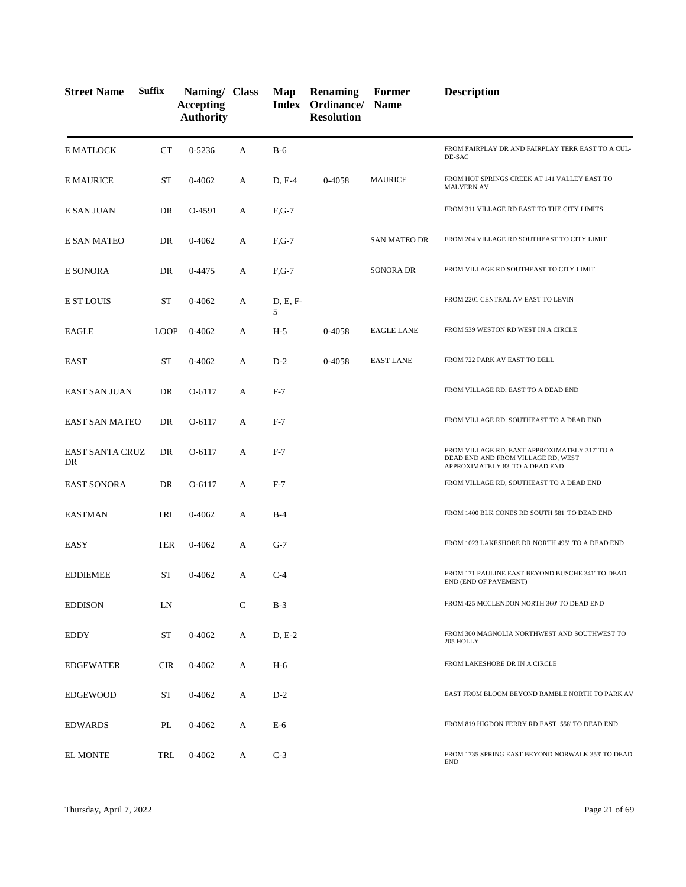| <b>Street Name</b>           | <b>Suffix</b> | Naming/ Class<br><b>Accepting</b><br><b>Authority</b> |              | Map           | <b>Renaming</b><br><b>Index Ordinance/ Name</b><br><b>Resolution</b> | Former              | <b>Description</b>                                                                                                     |
|------------------------------|---------------|-------------------------------------------------------|--------------|---------------|----------------------------------------------------------------------|---------------------|------------------------------------------------------------------------------------------------------------------------|
| E MATLOCK                    | CT            | 0-5236                                                | A            | $B-6$         |                                                                      |                     | FROM FAIRPLAY DR AND FAIRPLAY TERR EAST TO A CUL-<br>DE-SAC                                                            |
| <b>E MAURICE</b>             | ST            | $0 - 4062$                                            | A            | $D, E-4$      | 0-4058                                                               | <b>MAURICE</b>      | FROM HOT SPRINGS CREEK AT 141 VALLEY EAST TO<br><b>MALVERN AV</b>                                                      |
| E SAN JUAN                   | DR            | O-4591                                                | А            | $F,G-7$       |                                                                      |                     | FROM 311 VILLAGE RD EAST TO THE CITY LIMITS                                                                            |
| <b>E SAN MATEO</b>           | DR            | $0 - 4062$                                            | А            | $F,G-7$       |                                                                      | <b>SAN MATEO DR</b> | FROM 204 VILLAGE RD SOUTHEAST TO CITY LIMIT                                                                            |
| E SONORA                     | DR            | 0-4475                                                | A            | $F,G-7$       |                                                                      | SONORA DR           | FROM VILLAGE RD SOUTHEAST TO CITY LIMIT                                                                                |
| <b>E ST LOUIS</b>            | ST            | $0 - 4062$                                            | А            | D, E, F-<br>5 |                                                                      |                     | FROM 2201 CENTRAL AV EAST TO LEVIN                                                                                     |
| <b>EAGLE</b>                 | <b>LOOP</b>   | 0-4062                                                | A            | $H-5$         | 0-4058                                                               | <b>EAGLE LANE</b>   | FROM 539 WESTON RD WEST IN A CIRCLE                                                                                    |
| <b>EAST</b>                  | ST            | $0 - 4062$                                            | А            | $D-2$         | 0-4058                                                               | <b>EAST LANE</b>    | FROM 722 PARK AV EAST TO DELL                                                                                          |
| <b>EAST SAN JUAN</b>         | DR            | O-6117                                                | А            | $F-7$         |                                                                      |                     | FROM VILLAGE RD, EAST TO A DEAD END                                                                                    |
| <b>EAST SAN MATEO</b>        | DR            | O-6117                                                | A            | $F-7$         |                                                                      |                     | FROM VILLAGE RD, SOUTHEAST TO A DEAD END                                                                               |
| <b>EAST SANTA CRUZ</b><br>DR | DR            | O-6117                                                | А            | $F-7$         |                                                                      |                     | FROM VILLAGE RD, EAST APPROXIMATELY 317' TO A<br>DEAD END AND FROM VILLAGE RD, WEST<br>APPROXIMATELY 83' TO A DEAD END |
| <b>EAST SONORA</b>           | DR            | $O-6117$                                              | А            | $F-7$         |                                                                      |                     | FROM VILLAGE RD, SOUTHEAST TO A DEAD END                                                                               |
| <b>EASTMAN</b>               | TRL           | $0 - 4062$                                            | A            | $B-4$         |                                                                      |                     | FROM 1400 BLK CONES RD SOUTH 581' TO DEAD END                                                                          |
| EASY                         | <b>TER</b>    | $0 - 4062$                                            | А            | $G-7$         |                                                                      |                     | FROM 1023 LAKESHORE DR NORTH 495' TO A DEAD END                                                                        |
| <b>EDDIEMEE</b>              | ST            | $0 - 4062$                                            | A            | $C-4$         |                                                                      |                     | FROM 171 PAULINE EAST BEYOND BUSCHE 341' TO DEAD<br>END (END OF PAVEMENT)                                              |
| <b>EDDISON</b>               | LN            |                                                       | $\mathsf{C}$ | $B-3$         |                                                                      |                     | FROM 425 MCCLENDON NORTH 360' TO DEAD END                                                                              |
| EDDY                         | ST            | 0-4062                                                | А            | $D, E-2$      |                                                                      |                     | FROM 300 MAGNOLIA NORTHWEST AND SOUTHWEST TO<br>205 HOLLY                                                              |
| <b>EDGEWATER</b>             | <b>CIR</b>    | 0-4062                                                | A            | $H-6$         |                                                                      |                     | FROM LAKESHORE DR IN A CIRCLE                                                                                          |
| <b>EDGEWOOD</b>              | ST            | 0-4062                                                | А            | $D-2$         |                                                                      |                     | EAST FROM BLOOM BEYOND RAMBLE NORTH TO PARK AV                                                                         |
| <b>EDWARDS</b>               | PL            | 0-4062                                                | A            | $E-6$         |                                                                      |                     | FROM 819 HIGDON FERRY RD EAST 558' TO DEAD END                                                                         |
| <b>EL MONTE</b>              | TRL           | 0-4062                                                | A            | $C-3$         |                                                                      |                     | FROM 1735 SPRING EAST BEYOND NORWALK 353' TO DEAD<br><b>END</b>                                                        |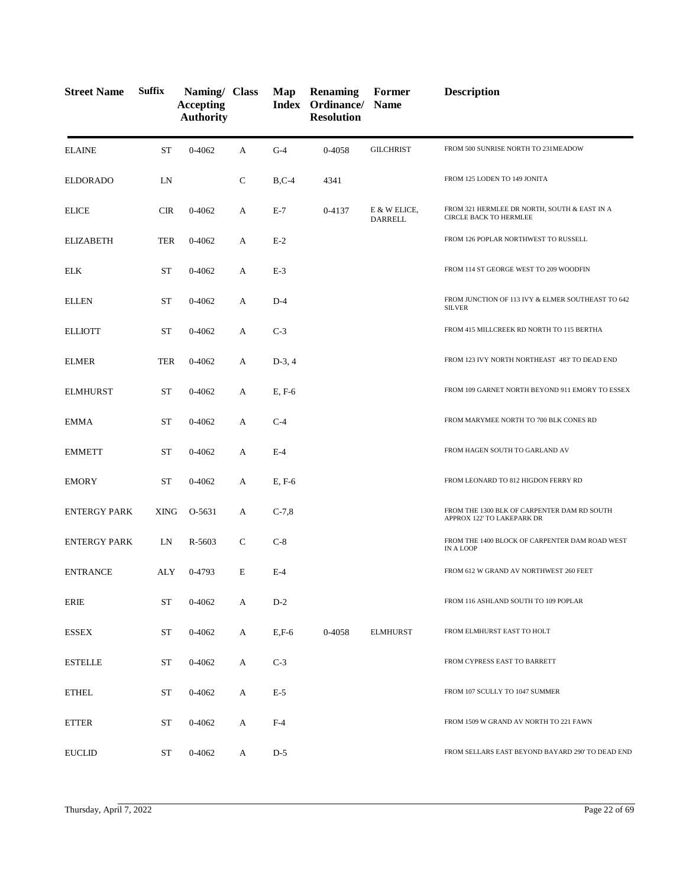| <b>Street Name</b>  | <b>Suffix</b> | Naming/ Class<br><b>Accepting</b><br><b>Authority</b> |             | Map      | <b>Renaming</b><br><b>Index Ordinance/ Name</b><br><b>Resolution</b> | Former                         | <b>Description</b>                                                        |
|---------------------|---------------|-------------------------------------------------------|-------------|----------|----------------------------------------------------------------------|--------------------------------|---------------------------------------------------------------------------|
| <b>ELAINE</b>       | <b>ST</b>     | $0 - 4062$                                            | A           | $G-4$    | 0-4058                                                               | <b>GILCHRIST</b>               | FROM 500 SUNRISE NORTH TO 231MEADOW                                       |
| <b>ELDORADO</b>     | LN            |                                                       | $\mathbf C$ | $B, C-4$ | 4341                                                                 |                                | FROM 125 LODEN TO 149 JONITA                                              |
| <b>ELICE</b>        | <b>CIR</b>    | $0 - 4062$                                            | А           | $E-7$    | 0-4137                                                               | E & W ELICE,<br><b>DARRELL</b> | FROM 321 HERMLEE DR NORTH, SOUTH & EAST IN A<br>CIRCLE BACK TO HERMLEE    |
| <b>ELIZABETH</b>    | <b>TER</b>    | 0-4062                                                | А           | $E-2$    |                                                                      |                                | FROM 126 POPLAR NORTHWEST TO RUSSELL                                      |
| <b>ELK</b>          | <b>ST</b>     | $0 - 4062$                                            | А           | $E-3$    |                                                                      |                                | FROM 114 ST GEORGE WEST TO 209 WOODFIN                                    |
| <b>ELLEN</b>        | <b>ST</b>     | 0-4062                                                | А           | $D-4$    |                                                                      |                                | FROM JUNCTION OF 113 IVY & ELMER SOUTHEAST TO 642<br><b>SILVER</b>        |
| <b>ELLIOTT</b>      | ST            | 0-4062                                                | А           | $C-3$    |                                                                      |                                | FROM 415 MILLCREEK RD NORTH TO 115 BERTHA                                 |
| <b>ELMER</b>        | <b>TER</b>    | 0-4062                                                | А           | $D-3, 4$ |                                                                      |                                | FROM 123 IVY NORTH NORTHEAST 483' TO DEAD END                             |
| <b>ELMHURST</b>     | <b>ST</b>     | 0-4062                                                | A           | E, F-6   |                                                                      |                                | FROM 109 GARNET NORTH BEYOND 911 EMORY TO ESSEX                           |
| <b>EMMA</b>         | <b>ST</b>     | 0-4062                                                | A           | $C-4$    |                                                                      |                                | FROM MARYMEE NORTH TO 700 BLK CONES RD                                    |
| <b>EMMETT</b>       | <b>ST</b>     | 0-4062                                                | А           | $E-4$    |                                                                      |                                | FROM HAGEN SOUTH TO GARLAND AV                                            |
| <b>EMORY</b>        | ST            | 0-4062                                                | А           | E, F-6   |                                                                      |                                | FROM LEONARD TO 812 HIGDON FERRY RD                                       |
| <b>ENTERGY PARK</b> | XING          | O-5631                                                | А           | $C-7,8$  |                                                                      |                                | FROM THE 1300 BLK OF CARPENTER DAM RD SOUTH<br>APPROX 122' TO LAKEPARK DR |
| <b>ENTERGY PARK</b> | LN            | $R - 5603$                                            | $\mathbf C$ | $C-8$    |                                                                      |                                | FROM THE 1400 BLOCK OF CARPENTER DAM ROAD WEST<br><b>IN A LOOP</b>        |
| <b>ENTRANCE</b>     | ALY           | 0-4793                                                | E           | $E-4$    |                                                                      |                                | FROM 612 W GRAND AV NORTHWEST 260 FEET                                    |
| ERIE                | <b>ST</b>     | $0 - 4062$                                            | A           | $D-2$    |                                                                      |                                | FROM 116 ASHLAND SOUTH TO 109 POPLAR                                      |
| <b>ESSEX</b>        | <b>ST</b>     | $0 - 4062$                                            | A           | $E, F-6$ | 0-4058                                                               | <b>ELMHURST</b>                | FROM ELMHURST EAST TO HOLT                                                |
| <b>ESTELLE</b>      | ${\rm ST}$    | $0 - 4062$                                            | A           | $C-3$    |                                                                      |                                | FROM CYPRESS EAST TO BARRETT                                              |
| <b>ETHEL</b>        | <b>ST</b>     | $0 - 4062$                                            | A           | $E-5$    |                                                                      |                                | FROM 107 SCULLY TO 1047 SUMMER                                            |
| <b>ETTER</b>        | ST            | $0 - 4062$                                            | A           | $F-4$    |                                                                      |                                | FROM 1509 W GRAND AV NORTH TO 221 FAWN                                    |
| <b>EUCLID</b>       | ST            | $0 - 4062$                                            | A           | $D-5$    |                                                                      |                                | FROM SELLARS EAST BEYOND BAYARD 290' TO DEAD END                          |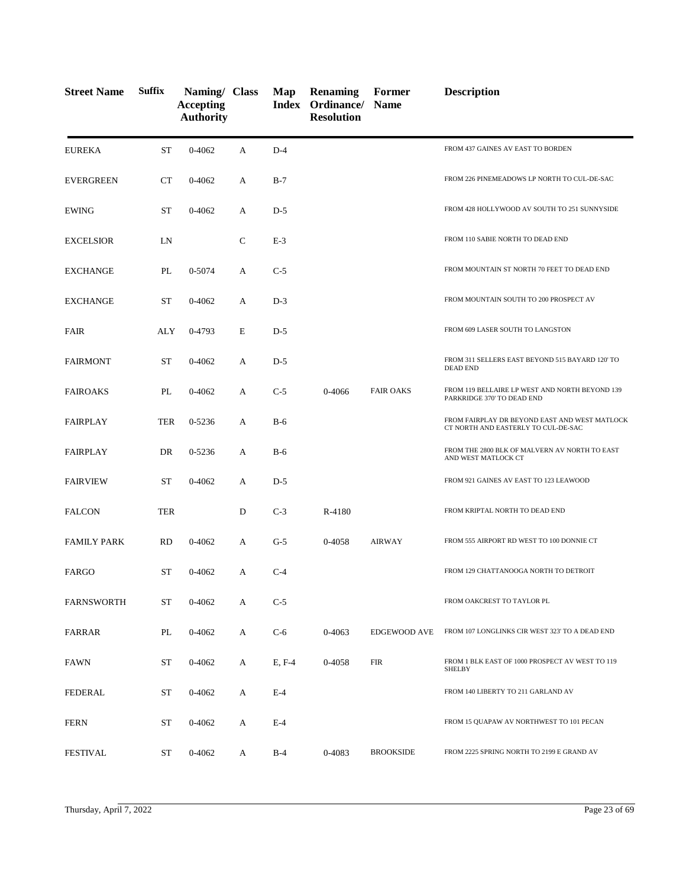| <b>Street Name</b> | <b>Suffix</b> | Naming/ Class<br><b>Accepting</b><br><b>Authority</b> |              | Map    | <b>Renaming</b><br>Index Ordinance/ Name<br><b>Resolution</b> | Former           | <b>Description</b>                                                                   |
|--------------------|---------------|-------------------------------------------------------|--------------|--------|---------------------------------------------------------------|------------------|--------------------------------------------------------------------------------------|
| <b>EUREKA</b>      | <b>ST</b>     | 0-4062                                                | А            | $D-4$  |                                                               |                  | FROM 437 GAINES AV EAST TO BORDEN                                                    |
| <b>EVERGREEN</b>   | CT            | $0 - 4062$                                            | А            | $B-7$  |                                                               |                  | FROM 226 PINEMEADOWS LP NORTH TO CUL-DE-SAC                                          |
| <b>EWING</b>       | <b>ST</b>     | 0-4062                                                | А            | $D-5$  |                                                               |                  | FROM 428 HOLLYWOOD AV SOUTH TO 251 SUNNYSIDE                                         |
| <b>EXCELSIOR</b>   | LN            |                                                       | $\mathsf{C}$ | $E-3$  |                                                               |                  | FROM 110 SABIE NORTH TO DEAD END                                                     |
| <b>EXCHANGE</b>    | PL            | 0-5074                                                | А            | $C-5$  |                                                               |                  | FROM MOUNTAIN ST NORTH 70 FEET TO DEAD END                                           |
| <b>EXCHANGE</b>    | <b>ST</b>     | 0-4062                                                | A            | $D-3$  |                                                               |                  | FROM MOUNTAIN SOUTH TO 200 PROSPECT AV                                               |
| <b>FAIR</b>        | ALY           | 0-4793                                                | E            | $D-5$  |                                                               |                  | FROM 609 LASER SOUTH TO LANGSTON                                                     |
| <b>FAIRMONT</b>    | <b>ST</b>     | $0 - 4062$                                            | А            | $D-5$  |                                                               |                  | FROM 311 SELLERS EAST BEYOND 515 BAYARD 120' TO<br><b>DEAD END</b>                   |
| <b>FAIROAKS</b>    | PL            | 0-4062                                                | А            | $C-5$  | 0-4066                                                        | <b>FAIR OAKS</b> | FROM 119 BELLAIRE LP WEST AND NORTH BEYOND 139<br>PARKRIDGE 370' TO DEAD END         |
| <b>FAIRPLAY</b>    | <b>TER</b>    | 0-5236                                                | А            | $B-6$  |                                                               |                  | FROM FAIRPLAY DR BEYOND EAST AND WEST MATLOCK<br>CT NORTH AND EASTERLY TO CUL-DE-SAC |
| <b>FAIRPLAY</b>    | DR            | 0-5236                                                | А            | $B-6$  |                                                               |                  | FROM THE 2800 BLK OF MALVERN AV NORTH TO EAST<br>AND WEST MATLOCK CT                 |
| <b>FAIRVIEW</b>    | <b>ST</b>     | 0-4062                                                | А            | $D-5$  |                                                               |                  | FROM 921 GAINES AV EAST TO 123 LEAWOOD                                               |
| <b>FALCON</b>      | <b>TER</b>    |                                                       | D            | $C-3$  | R-4180                                                        |                  | FROM KRIPTAL NORTH TO DEAD END                                                       |
| <b>FAMILY PARK</b> | <b>RD</b>     | 0-4062                                                | А            | $G-5$  | 0-4058                                                        | <b>AIRWAY</b>    | FROM 555 AIRPORT RD WEST TO 100 DONNIE CT                                            |
| FARGO              | <b>ST</b>     | 0-4062                                                | A            | $C-4$  |                                                               |                  | FROM 129 CHATTANOOGA NORTH TO DETROIT                                                |
| <b>FARNSWORTH</b>  | ST            | 0-4062                                                | A            | $C-5$  |                                                               |                  | FROM OAKCREST TO TAYLOR PL                                                           |
| FARRAR             | PL            | $0 - 4062$                                            | A            | $C-6$  | $0 - 4063$                                                    | EDGEWOOD AVE     | FROM 107 LONGLINKS CIR WEST 323' TO A DEAD END                                       |
| <b>FAWN</b>        | ST            | $0 - 4062$                                            | A            | E, F-4 | 0-4058                                                        | <b>FIR</b>       | FROM 1 BLK EAST OF 1000 PROSPECT AV WEST TO 119<br><b>SHELBY</b>                     |
| <b>FEDERAL</b>     | ST            | 0-4062                                                | А            | $E-4$  |                                                               |                  | FROM 140 LIBERTY TO 211 GARLAND AV                                                   |
| <b>FERN</b>        | <b>ST</b>     | 0-4062                                                | A            | $E-4$  |                                                               |                  | FROM 15 QUAPAW AV NORTHWEST TO 101 PECAN                                             |
| <b>FESTIVAL</b>    | ST            | $0 - 4062$                                            | A            | $B-4$  | 0-4083                                                        | <b>BROOKSIDE</b> | FROM 2225 SPRING NORTH TO 2199 E GRAND AV                                            |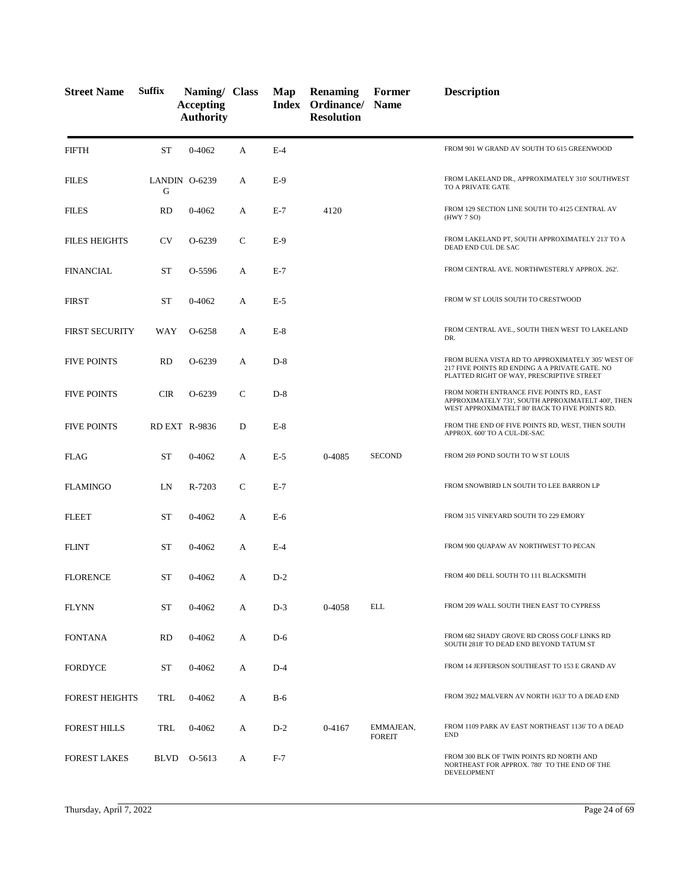| <b>Street Name</b>    | <b>Suffix</b> | Naming/ Class<br><b>Accepting</b><br><b>Authority</b> |              | Map   | <b>Renaming</b><br>Index Ordinance/<br><b>Resolution</b> | Former<br><b>Name</b>      | <b>Description</b>                                                                                                                                |
|-----------------------|---------------|-------------------------------------------------------|--------------|-------|----------------------------------------------------------|----------------------------|---------------------------------------------------------------------------------------------------------------------------------------------------|
| <b>FIFTH</b>          | <b>ST</b>     | $0 - 4062$                                            | A            | $E-4$ |                                                          |                            | FROM 901 W GRAND AV SOUTH TO 615 GREENWOOD                                                                                                        |
| <b>FILES</b>          | G             | LANDIN 0-6239                                         | A            | $E-9$ |                                                          |                            | FROM LAKELAND DR., APPROXIMATELY 310' SOUTHWEST<br>TO A PRIVATE GATE                                                                              |
| <b>FILES</b>          | <b>RD</b>     | $0 - 4062$                                            | A            | $E-7$ | 4120                                                     |                            | FROM 129 SECTION LINE SOUTH TO 4125 CENTRAL AV<br>(HWY 7 SO)                                                                                      |
| <b>FILES HEIGHTS</b>  | <b>CV</b>     | O-6239                                                | C            | $E-9$ |                                                          |                            | FROM LAKELAND PT, SOUTH APPROXIMATELY 213' TO A<br>DEAD END CUL DE SAC                                                                            |
| <b>FINANCIAL</b>      | ST            | O-5596                                                | A            | $E-7$ |                                                          |                            | FROM CENTRAL AVE. NORTHWESTERLY APPROX. 262'.                                                                                                     |
| <b>FIRST</b>          | <b>ST</b>     | $0 - 4062$                                            | A            | $E-5$ |                                                          |                            | FROM W ST LOUIS SOUTH TO CRESTWOOD                                                                                                                |
| <b>FIRST SECURITY</b> | WAY           | O-6258                                                | A            | $E-8$ |                                                          |                            | FROM CENTRAL AVE., SOUTH THEN WEST TO LAKELAND<br>DR.                                                                                             |
| <b>FIVE POINTS</b>    | <b>RD</b>     | O-6239                                                | А            | $D-8$ |                                                          |                            | FROM BUENA VISTA RD TO APPROXIMATELY 305' WEST OF<br>217 FIVE POINTS RD ENDING A A PRIVATE GATE. NO<br>PLATTED RIGHT OF WAY, PRESCRIPTIVE STREET  |
| <b>FIVE POINTS</b>    | <b>CIR</b>    | $O-6239$                                              | $\mathsf{C}$ | $D-8$ |                                                          |                            | FROM NORTH ENTRANCE FIVE POINTS RD., EAST<br>APPROXIMATELY 731', SOUTH APPROXIMATELT 400', THEN<br>WEST APPROXIMATELT 80' BACK TO FIVE POINTS RD. |
| <b>FIVE POINTS</b>    |               | <b>RD EXT R-9836</b>                                  | D            | $E-8$ |                                                          |                            | FROM THE END OF FIVE POINTS RD, WEST, THEN SOUTH<br>APPROX. 600' TO A CUL-DE-SAC                                                                  |
| <b>FLAG</b>           | ST            | 0-4062                                                | A            | $E-5$ | 0-4085                                                   | <b>SECOND</b>              | FROM 269 POND SOUTH TO W ST LOUIS                                                                                                                 |
| <b>FLAMINGO</b>       | LN            | R-7203                                                | $\mathsf{C}$ | $E-7$ |                                                          |                            | FROM SNOWBIRD LN SOUTH TO LEE BARRON LP                                                                                                           |
| <b>FLEET</b>          | <b>ST</b>     | $0 - 4062$                                            | A            | $E-6$ |                                                          |                            | FROM 315 VINEYARD SOUTH TO 229 EMORY                                                                                                              |
| <b>FLINT</b>          | ST            | $0 - 4062$                                            | A            | $E-4$ |                                                          |                            | FROM 900 QUAPAW AV NORTHWEST TO PECAN                                                                                                             |
| <b>FLORENCE</b>       | ST            | 0-4062                                                | А            | $D-2$ |                                                          |                            | FROM 400 DELL SOUTH TO 111 BLACKSMITH                                                                                                             |
| <b>FLYNN</b>          | <b>ST</b>     | 0-4062                                                | А            | $D-3$ | 0-4058                                                   | ELL                        | FROM 209 WALL SOUTH THEN EAST TO CYPRESS                                                                                                          |
| <b>FONTANA</b>        | <b>RD</b>     | 0-4062                                                | А            | $D-6$ |                                                          |                            | FROM 682 SHADY GROVE RD CROSS GOLF LINKS RD<br>SOUTH 2818' TO DEAD END BEYOND TATUM ST                                                            |
| <b>FORDYCE</b>        | ST            | 0-4062                                                | A            | $D-4$ |                                                          |                            | FROM 14 JEFFERSON SOUTHEAST TO 153 E GRAND AV                                                                                                     |
| <b>FOREST HEIGHTS</b> | TRL           | 0-4062                                                | А            | $B-6$ |                                                          |                            | FROM 3922 MALVERN AV NORTH 1633' TO A DEAD END                                                                                                    |
| <b>FOREST HILLS</b>   | TRL           | 0-4062                                                | A            | $D-2$ | 0-4167                                                   | EMMAJEAN,<br><b>FOREIT</b> | FROM 1109 PARK AV EAST NORTHEAST 1136' TO A DEAD<br><b>END</b>                                                                                    |
| <b>FOREST LAKES</b>   | BLVD          | O-5613                                                | A            | $F-7$ |                                                          |                            | FROM 300 BLK OF TWIN POINTS RD NORTH AND<br>NORTHEAST FOR APPROX. 780' TO THE END OF THE<br>DEVELOPMENT                                           |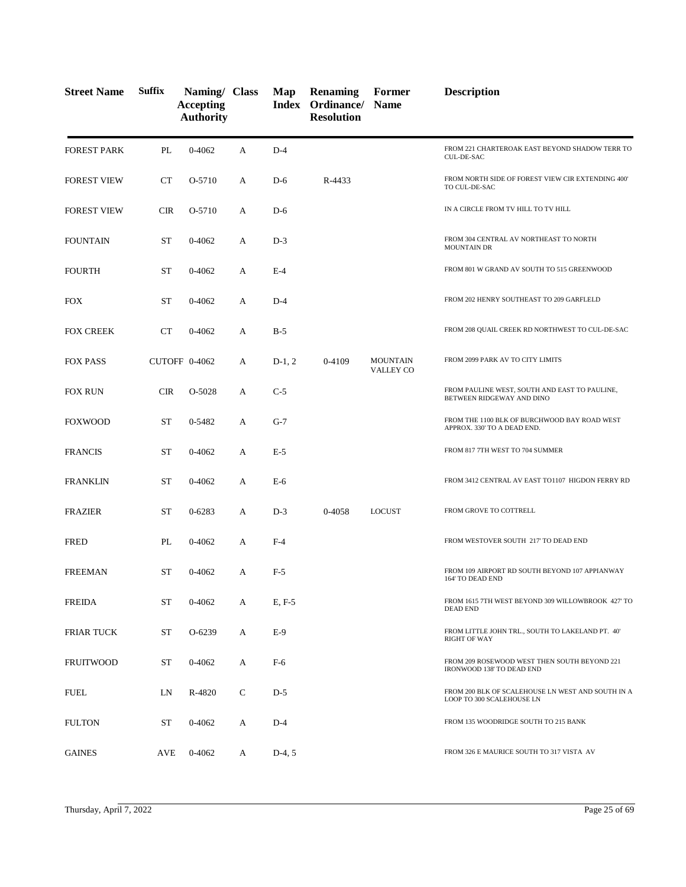| <b>Street Name</b> | <b>Suffix</b> | Naming/ Class<br><b>Accepting</b><br><b>Authority</b> |   | Map      | <b>Renaming</b><br>Index Ordinance/<br><b>Resolution</b> | Former<br><b>Name</b>               | <b>Description</b>                                                             |
|--------------------|---------------|-------------------------------------------------------|---|----------|----------------------------------------------------------|-------------------------------------|--------------------------------------------------------------------------------|
| <b>FOREST PARK</b> | PL            | $0 - 4062$                                            | A | $D-4$    |                                                          |                                     | FROM 221 CHARTEROAK EAST BEYOND SHADOW TERR TO<br><b>CUL-DE-SAC</b>            |
| <b>FOREST VIEW</b> | <b>CT</b>     | O-5710                                                | А | $D-6$    | R-4433                                                   |                                     | FROM NORTH SIDE OF FOREST VIEW CIR EXTENDING 400'<br>TO CUL-DE-SAC             |
| <b>FOREST VIEW</b> | <b>CIR</b>    | O-5710                                                | A | $D-6$    |                                                          |                                     | IN A CIRCLE FROM TV HILL TO TV HILL                                            |
| <b>FOUNTAIN</b>    | <b>ST</b>     | $0 - 4062$                                            | А | $D-3$    |                                                          |                                     | FROM 304 CENTRAL AV NORTHEAST TO NORTH<br><b>MOUNTAIN DR</b>                   |
| <b>FOURTH</b>      | <b>ST</b>     | $0 - 4062$                                            | A | $E-4$    |                                                          |                                     | FROM 801 W GRAND AV SOUTH TO 515 GREENWOOD                                     |
| <b>FOX</b>         | <b>ST</b>     | $0 - 4062$                                            | A | $D-4$    |                                                          |                                     | FROM 202 HENRY SOUTHEAST TO 209 GARFLELD                                       |
| <b>FOX CREEK</b>   | CT            | $0 - 4062$                                            | А | $B-5$    |                                                          |                                     | FROM 208 QUAIL CREEK RD NORTHWEST TO CUL-DE-SAC                                |
| <b>FOX PASS</b>    |               | CUTOFF 0-4062                                         | А | $D-1, 2$ | 0-4109                                                   | <b>MOUNTAIN</b><br><b>VALLEY CO</b> | FROM 2099 PARK AV TO CITY LIMITS                                               |
| <b>FOX RUN</b>     | <b>CIR</b>    | O-5028                                                | А | $C-5$    |                                                          |                                     | FROM PAULINE WEST, SOUTH AND EAST TO PAULINE,<br>BETWEEN RIDGEWAY AND DINO     |
| <b>FOXWOOD</b>     | <b>ST</b>     | 0-5482                                                | A | $G-7$    |                                                          |                                     | FROM THE 1100 BLK OF BURCHWOOD BAY ROAD WEST<br>APPROX. 330' TO A DEAD END.    |
| <b>FRANCIS</b>     | ST            | $0 - 4062$                                            | А | $E-5$    |                                                          |                                     | FROM 817 7TH WEST TO 704 SUMMER                                                |
| <b>FRANKLIN</b>    | ST            | $0 - 4062$                                            | A | E-6      |                                                          |                                     | FROM 3412 CENTRAL AV EAST TO1107 HIGDON FERRY RD                               |
| <b>FRAZIER</b>     | ST            | 0-6283                                                | А | $D-3$    | 0-4058                                                   | <b>LOCUST</b>                       | FROM GROVE TO COTTRELL                                                         |
| <b>FRED</b>        | PL            | $0 - 4062$                                            | А | $F-4$    |                                                          |                                     | FROM WESTOVER SOUTH 217' TO DEAD END                                           |
| <b>FREEMAN</b>     | <b>ST</b>     | 0-4062                                                | A | $F-5$    |                                                          |                                     | FROM 109 AIRPORT RD SOUTH BEYOND 107 APPIANWAY<br>164' TO DEAD END             |
| <b>FREIDA</b>      | ST            | 0-4062                                                | А | E, F-5   |                                                          |                                     | FROM 1615 7TH WEST BEYOND 309 WILLOWBROOK 427' TO<br><b>DEAD END</b>           |
| <b>FRIAR TUCK</b>  | ST            | O-6239                                                | A | $E-9$    |                                                          |                                     | FROM LITTLE JOHN TRL., SOUTH TO LAKELAND PT. 40'<br><b>RIGHT OF WAY</b>        |
| <b>FRUITWOOD</b>   | ST            | 0-4062                                                | А | $F-6$    |                                                          |                                     | FROM 209 ROSEWOOD WEST THEN SOUTH BEYOND 221<br>IRONWOOD 138' TO DEAD END      |
| <b>FUEL</b>        | LN            | R-4820                                                | C | $D-5$    |                                                          |                                     | FROM 200 BLK OF SCALEHOUSE LN WEST AND SOUTH IN A<br>LOOP TO 300 SCALEHOUSE LN |
| <b>FULTON</b>      | <b>ST</b>     | 0-4062                                                | A | $D-4$    |                                                          |                                     | FROM 135 WOODRIDGE SOUTH TO 215 BANK                                           |
| <b>GAINES</b>      | AVE           | 0-4062                                                | A | $D-4, 5$ |                                                          |                                     | FROM 326 E MAURICE SOUTH TO 317 VISTA AV                                       |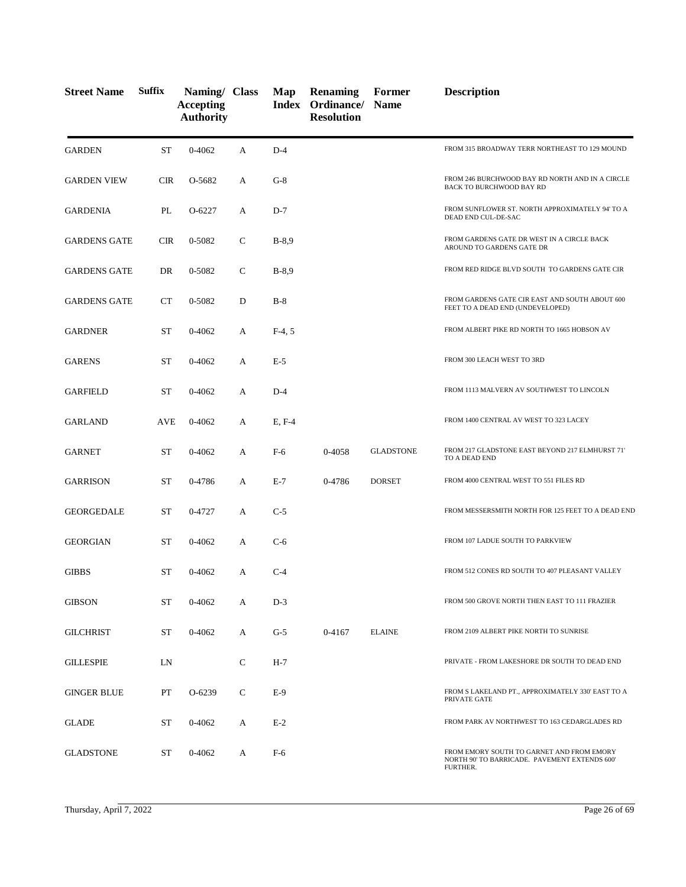| <b>Street Name</b>  | <b>Suffix</b> | Naming/ Class<br><b>Accepting</b><br><b>Authority</b> |              | Map      | <b>Renaming</b><br>Index Ordinance/ Name<br><b>Resolution</b> | Former           | <b>Description</b>                                                                                     |
|---------------------|---------------|-------------------------------------------------------|--------------|----------|---------------------------------------------------------------|------------------|--------------------------------------------------------------------------------------------------------|
| <b>GARDEN</b>       | <b>ST</b>     | $0 - 4062$                                            | А            | $D-4$    |                                                               |                  | FROM 315 BROADWAY TERR NORTHEAST TO 129 MOUND                                                          |
| <b>GARDEN VIEW</b>  | <b>CIR</b>    | O-5682                                                | A            | $G-8$    |                                                               |                  | FROM 246 BURCHWOOD BAY RD NORTH AND IN A CIRCLE<br>BACK TO BURCHWOOD BAY RD                            |
| <b>GARDENIA</b>     | PL            | O-6227                                                | A            | $D-7$    |                                                               |                  | FROM SUNFLOWER ST. NORTH APPROXIMATELY 94' TO A<br>DEAD END CUL-DE-SAC                                 |
| <b>GARDENS GATE</b> | <b>CIR</b>    | 0-5082                                                | $\mathsf{C}$ | $B-8,9$  |                                                               |                  | FROM GARDENS GATE DR WEST IN A CIRCLE BACK<br>AROUND TO GARDENS GATE DR                                |
| <b>GARDENS GATE</b> | DR            | 0-5082                                                | $\mathsf{C}$ | $B-8,9$  |                                                               |                  | FROM RED RIDGE BLVD SOUTH TO GARDENS GATE CIR                                                          |
| <b>GARDENS GATE</b> | <b>CT</b>     | 0-5082                                                | D            | $B-8$    |                                                               |                  | FROM GARDENS GATE CIR EAST AND SOUTH ABOUT 600<br>FEET TO A DEAD END (UNDEVELOPED)                     |
| <b>GARDNER</b>      | <b>ST</b>     | $0 - 4062$                                            | A            | $F-4, 5$ |                                                               |                  | FROM ALBERT PIKE RD NORTH TO 1665 HOBSON AV                                                            |
| <b>GARENS</b>       | <b>ST</b>     | 0-4062                                                | А            | $E-5$    |                                                               |                  | FROM 300 LEACH WEST TO 3RD                                                                             |
| <b>GARFIELD</b>     | <b>ST</b>     | 0-4062                                                | A            | $D-4$    |                                                               |                  | FROM 1113 MALVERN AV SOUTHWEST TO LINCOLN                                                              |
| <b>GARLAND</b>      | <b>AVE</b>    | $0 - 4062$                                            | A            | E, F-4   |                                                               |                  | FROM 1400 CENTRAL AV WEST TO 323 LACEY                                                                 |
| <b>GARNET</b>       | <b>ST</b>     | $0 - 4062$                                            | А            | F-6      | 0-4058                                                        | <b>GLADSTONE</b> | FROM 217 GLADSTONE EAST BEYOND 217 ELMHURST 71'<br>TO A DEAD END                                       |
| <b>GARRISON</b>     | <b>ST</b>     | 0-4786                                                | A            | $E-7$    | 0-4786                                                        | <b>DORSET</b>    | FROM 4000 CENTRAL WEST TO 551 FILES RD                                                                 |
| <b>GEORGEDALE</b>   | <b>ST</b>     | 0-4727                                                | А            | $C-5$    |                                                               |                  | FROM MESSERSMITH NORTH FOR 125 FEET TO A DEAD END                                                      |
| <b>GEORGIAN</b>     | <b>ST</b>     | 0-4062                                                | А            | $C-6$    |                                                               |                  | FROM 107 LADUE SOUTH TO PARKVIEW                                                                       |
| <b>GIBBS</b>        | <b>ST</b>     | $0 - 4062$                                            | А            | $C-4$    |                                                               |                  | FROM 512 CONES RD SOUTH TO 407 PLEASANT VALLEY                                                         |
| <b>GIBSON</b>       | ST            | $0 - 4062$                                            | А            | $D-3$    |                                                               |                  | FROM 500 GROVE NORTH THEN EAST TO 111 FRAZIER                                                          |
| <b>GILCHRIST</b>    | ST            | 0-4062                                                | A            | $G-5$    | 0-4167                                                        | <b>ELAINE</b>    | FROM 2109 ALBERT PIKE NORTH TO SUNRISE                                                                 |
| <b>GILLESPIE</b>    | LN            |                                                       | $\mathsf{C}$ | $H-7$    |                                                               |                  | PRIVATE - FROM LAKESHORE DR SOUTH TO DEAD END                                                          |
| <b>GINGER BLUE</b>  | PT            | O-6239                                                | C            | $E-9$    |                                                               |                  | FROM S LAKELAND PT., APPROXIMATELY 330' EAST TO A<br>PRIVATE GATE                                      |
| <b>GLADE</b>        | ST            | 0-4062                                                | А            | $E-2$    |                                                               |                  | FROM PARK AV NORTHWEST TO 163 CEDARGLADES RD                                                           |
| <b>GLADSTONE</b>    | ST            | 0-4062                                                | А            | $F-6$    |                                                               |                  | FROM EMORY SOUTH TO GARNET AND FROM EMORY<br>NORTH 90' TO BARRICADE. PAVEMENT EXTENDS 600'<br>FURTHER. |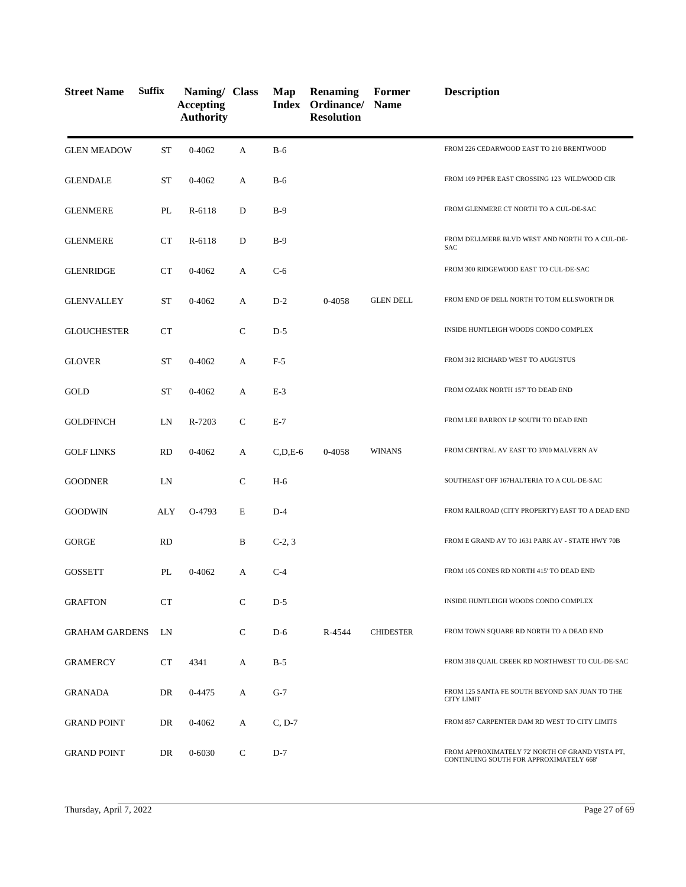| <b>Street Name</b>    | <b>Suffix</b> | Naming/ Class<br><b>Accepting</b><br><b>Authority</b> |              | Map                | <b>Renaming</b><br><b>Index Ordinance/ Name</b><br><b>Resolution</b> | Former           | <b>Description</b>                                                                         |
|-----------------------|---------------|-------------------------------------------------------|--------------|--------------------|----------------------------------------------------------------------|------------------|--------------------------------------------------------------------------------------------|
| <b>GLEN MEADOW</b>    | <b>ST</b>     | $0 - 4062$                                            | A            | $B-6$              |                                                                      |                  | FROM 226 CEDARWOOD EAST TO 210 BRENTWOOD                                                   |
| <b>GLENDALE</b>       | <b>ST</b>     | 0-4062                                                | A            | $B-6$              |                                                                      |                  | FROM 109 PIPER EAST CROSSING 123 WILDWOOD CIR                                              |
| <b>GLENMERE</b>       | PL            | R-6118                                                | D            | $B-9$              |                                                                      |                  | FROM GLENMERE CT NORTH TO A CUL-DE-SAC                                                     |
| <b>GLENMERE</b>       | <b>CT</b>     | R-6118                                                | D            | $B-9$              |                                                                      |                  | FROM DELLMERE BLVD WEST AND NORTH TO A CUL-DE-<br><b>SAC</b>                               |
| <b>GLENRIDGE</b>      | <b>CT</b>     | 0-4062                                                | A            | $C-6$              |                                                                      |                  | FROM 300 RIDGEWOOD EAST TO CUL-DE-SAC                                                      |
| <b>GLENVALLEY</b>     | <b>ST</b>     | $0 - 4062$                                            | A            | $D-2$              | 0-4058                                                               | <b>GLEN DELL</b> | FROM END OF DELL NORTH TO TOM ELLSWORTH DR                                                 |
| <b>GLOUCHESTER</b>    | <b>CT</b>     |                                                       | $\mathbf C$  | $D-5$              |                                                                      |                  | INSIDE HUNTLEIGH WOODS CONDO COMPLEX                                                       |
| <b>GLOVER</b>         | ST            | 0-4062                                                | А            | $F-5$              |                                                                      |                  | FROM 312 RICHARD WEST TO AUGUSTUS                                                          |
| GOLD                  | <b>ST</b>     | $0 - 4062$                                            | А            | $E-3$              |                                                                      |                  | FROM OZARK NORTH 157' TO DEAD END                                                          |
| <b>GOLDFINCH</b>      | LN            | R-7203                                                | $\mathbf C$  | $E-7$              |                                                                      |                  | FROM LEE BARRON LP SOUTH TO DEAD END                                                       |
| <b>GOLF LINKS</b>     | <b>RD</b>     | $0 - 4062$                                            | A            | $C$ , $D$ , $E$ -6 | 0-4058                                                               | <b>WINANS</b>    | FROM CENTRAL AV EAST TO 3700 MALVERN AV                                                    |
| <b>GOODNER</b>        | LN            |                                                       | $\mathsf{C}$ | $H-6$              |                                                                      |                  | SOUTHEAST OFF 167HALTERIA TO A CUL-DE-SAC                                                  |
| <b>GOODWIN</b>        | ALY           | O-4793                                                | E            | $D-4$              |                                                                      |                  | FROM RAILROAD (CITY PROPERTY) EAST TO A DEAD END                                           |
| <b>GORGE</b>          | <b>RD</b>     |                                                       | B            | $C-2, 3$           |                                                                      |                  | FROM E GRAND AV TO 1631 PARK AV - STATE HWY 70B                                            |
| <b>GOSSETT</b>        | PL            | 0-4062                                                | A            | $C-4$              |                                                                      |                  | FROM 105 CONES RD NORTH 415' TO DEAD END                                                   |
| <b>GRAFTON</b>        | CT            |                                                       | $\mathsf{C}$ | $D-5$              |                                                                      |                  | INSIDE HUNTLEIGH WOODS CONDO COMPLEX                                                       |
| <b>GRAHAM GARDENS</b> | LN            |                                                       | $\mathsf{C}$ | $D-6$              | R-4544                                                               | <b>CHIDESTER</b> | FROM TOWN SQUARE RD NORTH TO A DEAD END                                                    |
| <b>GRAMERCY</b>       | CT            | 4341                                                  | А            | $B-5$              |                                                                      |                  | FROM 318 QUAIL CREEK RD NORTHWEST TO CUL-DE-SAC                                            |
| GRANADA               | DR            | 0-4475                                                | A            | $G-7$              |                                                                      |                  | FROM 125 SANTA FE SOUTH BEYOND SAN JUAN TO THE<br><b>CITY LIMIT</b>                        |
| <b>GRAND POINT</b>    | DR            | 0-4062                                                | А            | $C, D-7$           |                                                                      |                  | FROM 857 CARPENTER DAM RD WEST TO CITY LIMITS                                              |
| <b>GRAND POINT</b>    | DR            | 0-6030                                                | C            | $D-7$              |                                                                      |                  | FROM APPROXIMATELY 72' NORTH OF GRAND VISTA PT,<br>CONTINUING SOUTH FOR APPROXIMATELY 668' |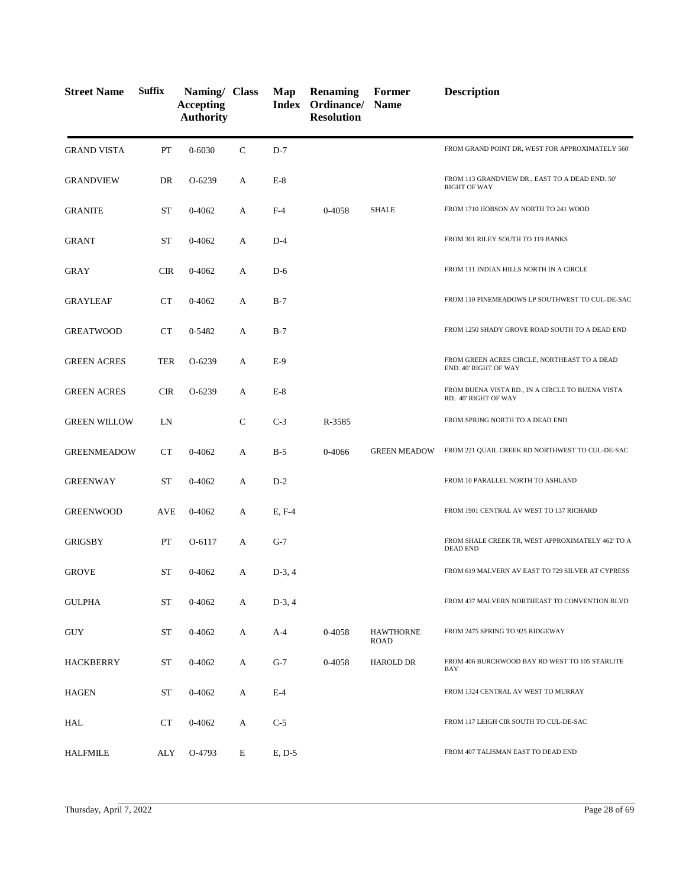| <b>Street Name</b>  | <b>Suffix</b> | Naming/ Class<br><b>Accepting</b><br><b>Authority</b> |              | Map      | <b>Renaming</b><br>Index Ordinance/ Name<br><b>Resolution</b> | Former                   | <b>Description</b>                                                       |
|---------------------|---------------|-------------------------------------------------------|--------------|----------|---------------------------------------------------------------|--------------------------|--------------------------------------------------------------------------|
| <b>GRAND VISTA</b>  | PT            | $0 - 6030$                                            | $\mathsf{C}$ | $D-7$    |                                                               |                          | FROM GRAND POINT DR, WEST FOR APPROXIMATELY 560'                         |
| <b>GRANDVIEW</b>    | DR            | O-6239                                                | А            | $E-8$    |                                                               |                          | FROM 113 GRANDVIEW DR., EAST TO A DEAD END. 50'<br><b>RIGHT OF WAY</b>   |
| <b>GRANITE</b>      | ST            | 0-4062                                                | A            | $F-4$    | 0-4058                                                        | <b>SHALE</b>             | FROM 1710 HOBSON AV NORTH TO 241 WOOD                                    |
| <b>GRANT</b>        | ST            | $0 - 4062$                                            | A            | $D-4$    |                                                               |                          | FROM 301 RILEY SOUTH TO 119 BANKS                                        |
| <b>GRAY</b>         | <b>CIR</b>    | $0 - 4062$                                            | A            | $D-6$    |                                                               |                          | FROM 111 INDIAN HILLS NORTH IN A CIRCLE                                  |
| <b>GRAYLEAF</b>     | CT            | $0 - 4062$                                            | А            | $B-7$    |                                                               |                          | FROM 110 PINEMEADOWS LP SOUTHWEST TO CUL-DE-SAC                          |
| <b>GREATWOOD</b>    | CT            | 0-5482                                                | A            | $B-7$    |                                                               |                          | FROM 1250 SHADY GROVE ROAD SOUTH TO A DEAD END                           |
| <b>GREEN ACRES</b>  | <b>TER</b>    | O-6239                                                | А            | $E-9$    |                                                               |                          | FROM GREEN ACRES CIRCLE, NORTHEAST TO A DEAD<br>END. 40' RIGHT OF WAY    |
| <b>GREEN ACRES</b>  | <b>CIR</b>    | O-6239                                                | А            | $E-8$    |                                                               |                          | FROM BUENA VISTA RD., IN A CIRCLE TO BUENA VISTA<br>RD. 40' RIGHT OF WAY |
| <b>GREEN WILLOW</b> | LN            |                                                       | $\mathsf{C}$ | $C-3$    | R-3585                                                        |                          | FROM SPRING NORTH TO A DEAD END                                          |
| <b>GREENMEADOW</b>  | CT            | 0-4062                                                | А            | $B-5$    | 0-4066                                                        | <b>GREEN MEADOW</b>      | FROM 221 QUAIL CREEK RD NORTHWEST TO CUL-DE-SAC                          |
| <b>GREENWAY</b>     | <b>ST</b>     | $0 - 4062$                                            | A            | $D-2$    |                                                               |                          | FROM 10 PARALLEL NORTH TO ASHLAND                                        |
| <b>GREENWOOD</b>    | <b>AVE</b>    | $0 - 4062$                                            | А            | E, F-4   |                                                               |                          | FROM 1901 CENTRAL AV WEST TO 137 RICHARD                                 |
| <b>GRIGSBY</b>      | PT            | $O-6117$                                              | A            | $G-7$    |                                                               |                          | FROM SHALE CREEK TR, WEST APPROXIMATELY 462' TO A<br><b>DEAD END</b>     |
| <b>GROVE</b>        | <b>ST</b>     | 0-4062                                                | A            | $D-3, 4$ |                                                               |                          | FROM 619 MALVERN AV EAST TO 729 SILVER AT CYPRESS                        |
| <b>GULPHA</b>       | <b>ST</b>     | 0-4062                                                | А            | $D-3, 4$ |                                                               |                          | FROM 437 MALVERN NORTHEAST TO CONVENTION BLVD                            |
| <b>GUY</b>          | <b>ST</b>     | 0-4062                                                | A            | $A-4$    | 0-4058                                                        | <b>HAWTHORNE</b><br>ROAD | FROM 2475 SPRING TO 925 RIDGEWAY                                         |
| HACKBERRY           | ST            | $0 - 4062$                                            | А            | $G-7$    | 0-4058                                                        | <b>HAROLD DR</b>         | FROM 406 BURCHWOOD BAY RD WEST TO 105 STARLITE<br>BAY                    |
| <b>HAGEN</b>        | <b>ST</b>     | 0-4062                                                | A            | $E-4$    |                                                               |                          | FROM 1324 CENTRAL AV WEST TO MURRAY                                      |
| HAL                 | <b>CT</b>     | 0-4062                                                | A            | $C-5$    |                                                               |                          | FROM 117 LEIGH CIR SOUTH TO CUL-DE-SAC                                   |
| <b>HALFMILE</b>     | ALY           | O-4793                                                | E            | $E, D-5$ |                                                               |                          | FROM 407 TALISMAN EAST TO DEAD END                                       |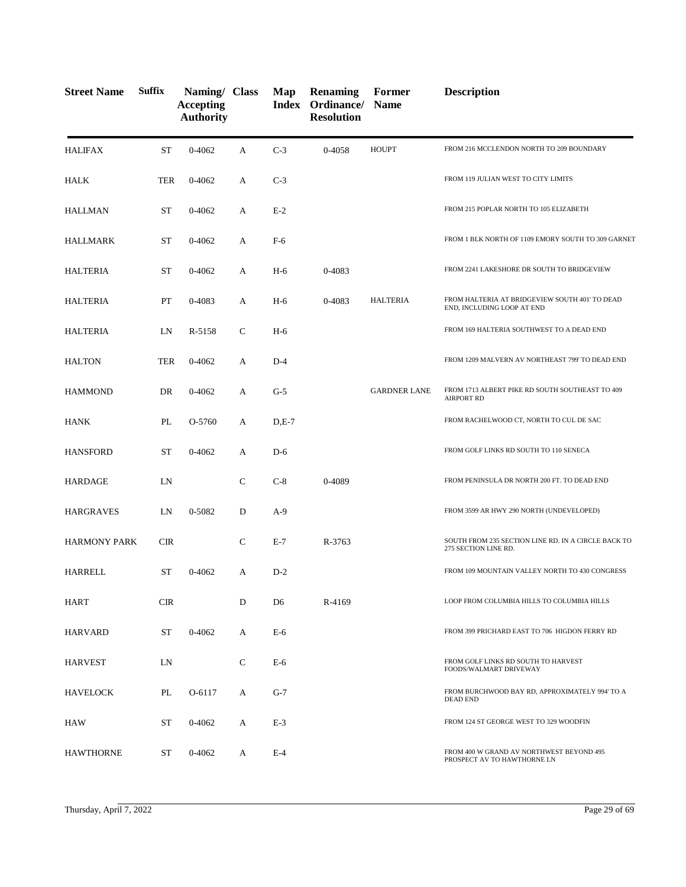| <b>Street Name</b>  | <b>Suffix</b> | Naming/ Class<br><b>Accepting</b><br><b>Authority</b> |              | Map            | <b>Renaming</b><br>Index Ordinance/ Name<br><b>Resolution</b> | Former              | <b>Description</b>                                                           |
|---------------------|---------------|-------------------------------------------------------|--------------|----------------|---------------------------------------------------------------|---------------------|------------------------------------------------------------------------------|
| <b>HALIFAX</b>      | <b>ST</b>     | 0-4062                                                | A            | $C-3$          | 0-4058                                                        | <b>HOUPT</b>        | FROM 216 MCCLENDON NORTH TO 209 BOUNDARY                                     |
| HALK                | <b>TER</b>    | $0 - 4062$                                            | А            | $C-3$          |                                                               |                     | FROM 119 JULIAN WEST TO CITY LIMITS                                          |
| <b>HALLMAN</b>      | <b>ST</b>     | 0-4062                                                | A            | $E-2$          |                                                               |                     | FROM 215 POPLAR NORTH TO 105 ELIZABETH                                       |
| HALLMARK            | <b>ST</b>     | 0-4062                                                | А            | $F-6$          |                                                               |                     | FROM 1 BLK NORTH OF 1109 EMORY SOUTH TO 309 GARNET                           |
| <b>HALTERIA</b>     | <b>ST</b>     | $0 - 4062$                                            | А            | $H-6$          | 0-4083                                                        |                     | FROM 2241 LAKESHORE DR SOUTH TO BRIDGEVIEW                                   |
| <b>HALTERIA</b>     | PT            | 0-4083                                                | A            | $H-6$          | 0-4083                                                        | <b>HALTERIA</b>     | FROM HALTERIA AT BRIDGEVIEW SOUTH 401' TO DEAD<br>END, INCLUDING LOOP AT END |
| <b>HALTERIA</b>     | LN            | R-5158                                                | $\mathsf{C}$ | $H-6$          |                                                               |                     | FROM 169 HALTERIA SOUTHWEST TO A DEAD END                                    |
| <b>HALTON</b>       | <b>TER</b>    | $0 - 4062$                                            | A            | $D-4$          |                                                               |                     | FROM 1209 MALVERN AV NORTHEAST 799' TO DEAD END                              |
| <b>HAMMOND</b>      | DR            | 0-4062                                                | А            | $G-5$          |                                                               | <b>GARDNER LANE</b> | FROM 1713 ALBERT PIKE RD SOUTH SOUTHEAST TO 409<br><b>AIRPORT RD</b>         |
| HANK                | PL            | O-5760                                                | А            | $D,E-7$        |                                                               |                     | FROM RACHELWOOD CT, NORTH TO CUL DE SAC                                      |
| <b>HANSFORD</b>     | <b>ST</b>     | $0 - 4062$                                            | A            | $D-6$          |                                                               |                     | FROM GOLF LINKS RD SOUTH TO 110 SENECA                                       |
| <b>HARDAGE</b>      | LN            |                                                       | $\mathsf{C}$ | $C-8$          | 0-4089                                                        |                     | FROM PENINSULA DR NORTH 200 FT. TO DEAD END                                  |
| <b>HARGRAVES</b>    | LN            | 0-5082                                                | D            | $A-9$          |                                                               |                     | FROM 3599 AR HWY 290 NORTH (UNDEVELOPED)                                     |
| <b>HARMONY PARK</b> | <b>CIR</b>    |                                                       | $\mathbf C$  | $E-7$          | R-3763                                                        |                     | SOUTH FROM 235 SECTION LINE RD. IN A CIRCLE BACK TO<br>275 SECTION LINE RD.  |
| HARRELL             | ST            | $0 - 4062$                                            | A            | $D-2$          |                                                               |                     | FROM 109 MOUNTAIN VALLEY NORTH TO 430 CONGRESS                               |
| <b>HART</b>         | <b>CIR</b>    |                                                       | D            | D <sub>6</sub> | R-4169                                                        |                     | LOOP FROM COLUMBIA HILLS TO COLUMBIA HILLS                                   |
| <b>HARVARD</b>      | ST            | 0-4062                                                | A            | E-6            |                                                               |                     | FROM 399 PRICHARD EAST TO 706 HIGDON FERRY RD                                |
| <b>HARVEST</b>      | LN            |                                                       | C            | $E-6$          |                                                               |                     | FROM GOLF LINKS RD SOUTH TO HARVEST<br>FOODS/WALMART DRIVEWAY                |
| <b>HAVELOCK</b>     | PL            | O-6117                                                | A            | $G-7$          |                                                               |                     | FROM BURCHWOOD BAY RD, APPROXIMATELY 994' TO A<br><b>DEAD END</b>            |
| HAW                 | ST            | 0-4062                                                | A            | $E-3$          |                                                               |                     | FROM 124 ST GEORGE WEST TO 329 WOODFIN                                       |
| <b>HAWTHORNE</b>    | ST            | 0-4062                                                | A            | $E-4$          |                                                               |                     | FROM 400 W GRAND AV NORTHWEST BEYOND 495<br>PROSPECT AV TO HAWTHORNE LN      |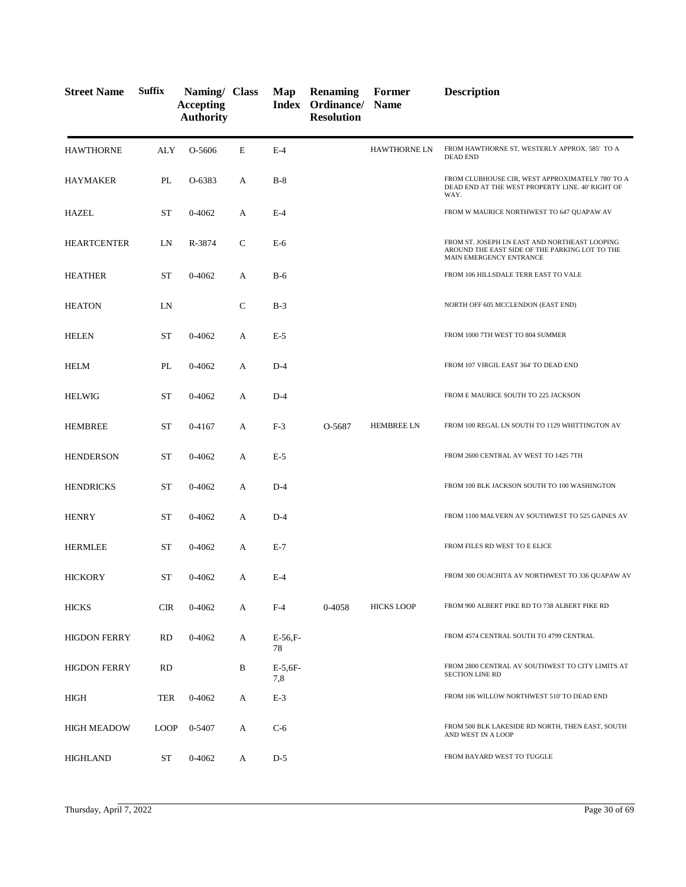| <b>Street Name</b>  | <b>Suffix</b> | Naming/ Class<br><b>Accepting</b><br><b>Authority</b> |   | Map              | <b>Renaming</b><br>Index Ordinance/ Name<br><b>Resolution</b> | Former              | <b>Description</b>                                                                                                         |
|---------------------|---------------|-------------------------------------------------------|---|------------------|---------------------------------------------------------------|---------------------|----------------------------------------------------------------------------------------------------------------------------|
| <b>HAWTHORNE</b>    | ALY           | O-5606                                                | E | $E-4$            |                                                               | <b>HAWTHORNE LN</b> | FROM HAWTHORNE ST. WESTERLY APPROX. 585' TO A<br><b>DEAD END</b>                                                           |
| HAYMAKER            | PL            | O-6383                                                | А | $B-8$            |                                                               |                     | FROM CLUBHOUSE CIR, WEST APPROXIMATELY 780' TO A<br>DEAD END AT THE WEST PROPERTY LINE. 40' RIGHT OF<br>WAY.               |
| <b>HAZEL</b>        | ST            | 0-4062                                                | А | $E-4$            |                                                               |                     | FROM W MAURICE NORTHWEST TO 647 QUAPAW AV                                                                                  |
| <b>HEARTCENTER</b>  | LN            | R-3874                                                | C | $E-6$            |                                                               |                     | FROM ST. JOSEPH LN EAST AND NORTHEAST LOOPING<br>AROUND THE EAST SIDE OF THE PARKING LOT TO THE<br>MAIN EMERGENCY ENTRANCE |
| <b>HEATHER</b>      | <b>ST</b>     | $0 - 4062$                                            | A | $B-6$            |                                                               |                     | FROM 106 HILLSDALE TERR EAST TO VALE                                                                                       |
| <b>HEATON</b>       | LN            |                                                       | C | $B-3$            |                                                               |                     | NORTH OFF 605 MCCLENDON (EAST END)                                                                                         |
| <b>HELEN</b>        | <b>ST</b>     | $0 - 4062$                                            | A | $E-5$            |                                                               |                     | FROM 1000 7TH WEST TO 804 SUMMER                                                                                           |
| <b>HELM</b>         | PL            | $0 - 4062$                                            | А | $D-4$            |                                                               |                     | FROM 107 VIRGIL EAST 364' TO DEAD END                                                                                      |
| <b>HELWIG</b>       | <b>ST</b>     | $0 - 4062$                                            | A | $D-4$            |                                                               |                     | FROM E MAURICE SOUTH TO 225 JACKSON                                                                                        |
| <b>HEMBREE</b>      | ST            | 0-4167                                                | А | $F-3$            | O-5687                                                        | <b>HEMBREE LN</b>   | FROM 100 REGAL LN SOUTH TO 1129 WHITTINGTON AV                                                                             |
| <b>HENDERSON</b>    | <b>ST</b>     | $0 - 4062$                                            | A | $E-5$            |                                                               |                     | FROM 2600 CENTRAL AV WEST TO 1425 7TH                                                                                      |
| <b>HENDRICKS</b>    | <b>ST</b>     | $0 - 4062$                                            | A | $D-4$            |                                                               |                     | FROM 100 BLK JACKSON SOUTH TO 100 WASHINGTON                                                                               |
| <b>HENRY</b>        | <b>ST</b>     | $0 - 4062$                                            | A | $D-4$            |                                                               |                     | FROM 1100 MALVERN AV SOUTHWEST TO 525 GAINES AV                                                                            |
| <b>HERMLEE</b>      | ST            | 0-4062                                                | A | $E-7$            |                                                               |                     | FROM FILES RD WEST TO E ELICE                                                                                              |
| <b>HICKORY</b>      | ST            | 0-4062                                                | А | $E-4$            |                                                               |                     | FROM 300 OUACHITA AV NORTHWEST TO 336 QUAPAW AV                                                                            |
| <b>HICKS</b>        | <b>CIR</b>    | 0-4062                                                | A | $F-4$            | 0-4058                                                        | <b>HICKS LOOP</b>   | FROM 900 ALBERT PIKE RD TO 738 ALBERT PIKE RD                                                                              |
| <b>HIGDON FERRY</b> | RD            | $0 - 4062$                                            | А | $E-56.$ F-<br>78 |                                                               |                     | FROM 4574 CENTRAL SOUTH TO 4799 CENTRAL                                                                                    |
| <b>HIGDON FERRY</b> | RD            |                                                       | B | $E-5.6F-$<br>7,8 |                                                               |                     | FROM 2800 CENTRAL AV SOUTHWEST TO CITY LIMITS AT<br><b>SECTION LINE RD</b>                                                 |
| HIGH                | TER           | 0-4062                                                | А | $E-3$            |                                                               |                     | FROM 106 WILLOW NORTHWEST 510' TO DEAD END                                                                                 |
| <b>HIGH MEADOW</b>  | <b>LOOP</b>   | 0-5407                                                | A | $C-6$            |                                                               |                     | FROM 500 BLK LAKESIDE RD NORTH, THEN EAST, SOUTH<br>AND WEST IN A LOOP                                                     |
| <b>HIGHLAND</b>     | ST            | 0-4062                                                | A | $D-5$            |                                                               |                     | FROM BAYARD WEST TO TUGGLE                                                                                                 |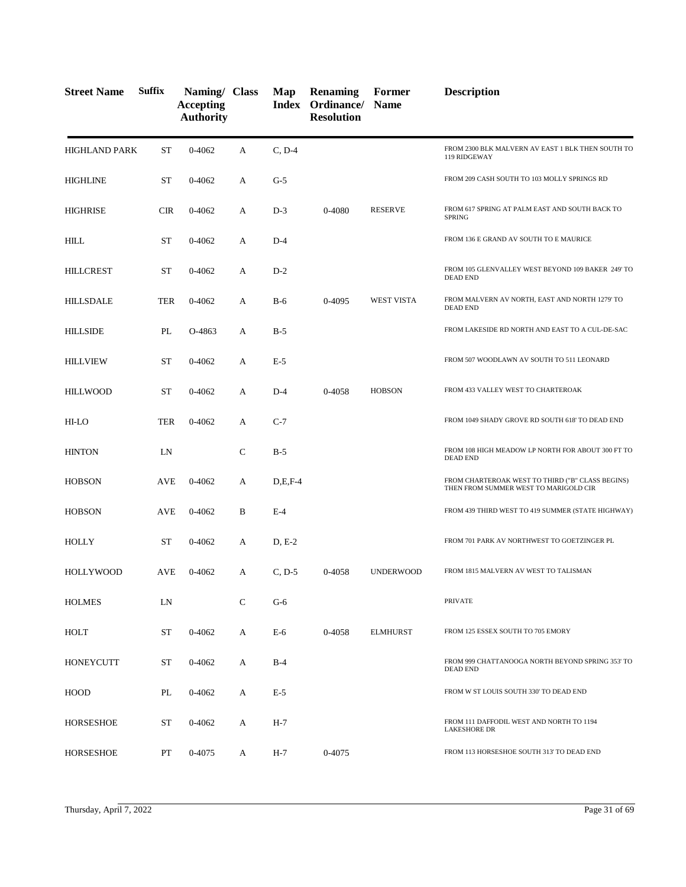| <b>Street Name</b>   | <b>Suffix</b> | Naming/ Class<br><b>Accepting</b><br><b>Authority</b> |              | Map       | <b>Renaming</b><br>Index Ordinance/ Name<br><b>Resolution</b> | Former            | <b>Description</b>                                                                        |
|----------------------|---------------|-------------------------------------------------------|--------------|-----------|---------------------------------------------------------------|-------------------|-------------------------------------------------------------------------------------------|
| <b>HIGHLAND PARK</b> | <b>ST</b>     | 0-4062                                                | А            | $C, D-4$  |                                                               |                   | FROM 2300 BLK MALVERN AV EAST 1 BLK THEN SOUTH TO<br>119 RIDGEWAY                         |
| <b>HIGHLINE</b>      | <b>ST</b>     | 0-4062                                                | A            | $G-5$     |                                                               |                   | FROM 209 CASH SOUTH TO 103 MOLLY SPRINGS RD                                               |
| HIGHRISE             | <b>CIR</b>    | $0 - 4062$                                            | А            | $D-3$     | 0-4080                                                        | <b>RESERVE</b>    | FROM 617 SPRING AT PALM EAST AND SOUTH BACK TO<br><b>SPRING</b>                           |
| <b>HILL</b>          | <b>ST</b>     | $0 - 4062$                                            | A            | $D-4$     |                                                               |                   | FROM 136 E GRAND AV SOUTH TO E MAURICE                                                    |
| <b>HILLCREST</b>     | <b>ST</b>     | $0 - 4062$                                            | A            | $D-2$     |                                                               |                   | FROM 105 GLENVALLEY WEST BEYOND 109 BAKER 249' TO<br><b>DEAD END</b>                      |
| <b>HILLSDALE</b>     | <b>TER</b>    | $0 - 4062$                                            | A            | $B-6$     | 0-4095                                                        | <b>WEST VISTA</b> | FROM MALVERN AV NORTH, EAST AND NORTH 1279' TO<br><b>DEAD END</b>                         |
| <b>HILLSIDE</b>      | PL            | O-4863                                                | А            | $B-5$     |                                                               |                   | FROM LAKESIDE RD NORTH AND EAST TO A CUL-DE-SAC                                           |
| <b>HILLVIEW</b>      | <b>ST</b>     | $0 - 4062$                                            | А            | $E-5$     |                                                               |                   | FROM 507 WOODLAWN AV SOUTH TO 511 LEONARD                                                 |
| <b>HILLWOOD</b>      | <b>ST</b>     | $0 - 4062$                                            | А            | $D-4$     | 0-4058                                                        | <b>HOBSON</b>     | FROM 433 VALLEY WEST TO CHARTEROAK                                                        |
| HI-LO                | <b>TER</b>    | $0 - 4062$                                            | A            | $C-7$     |                                                               |                   | FROM 1049 SHADY GROVE RD SOUTH 618' TO DEAD END                                           |
| <b>HINTON</b>        | LN            |                                                       | $\mathsf{C}$ | $B-5$     |                                                               |                   | FROM 108 HIGH MEADOW LP NORTH FOR ABOUT 300 FT TO<br><b>DEAD END</b>                      |
| <b>HOBSON</b>        | AVE           | 0-4062                                                | A            | $D,E,F-4$ |                                                               |                   | FROM CHARTEROAK WEST TO THIRD ("B" CLASS BEGINS)<br>THEN FROM SUMMER WEST TO MARIGOLD CIR |
| <b>HOBSON</b>        | AVE           | 0-4062                                                | B            | $E-4$     |                                                               |                   | FROM 439 THIRD WEST TO 419 SUMMER (STATE HIGHWAY)                                         |
| <b>HOLLY</b>         | ST            | $0 - 4062$                                            | А            | $D, E-2$  |                                                               |                   | FROM 701 PARK AV NORTHWEST TO GOETZINGER PL                                               |
| <b>HOLLYWOOD</b>     | <b>AVE</b>    | $0 - 4062$                                            | A            | $C, D-5$  | 0-4058                                                        | <b>UNDERWOOD</b>  | FROM 1815 MALVERN AV WEST TO TALISMAN                                                     |
| <b>HOLMES</b>        | LN            |                                                       | $\mathsf{C}$ | $G-6$     |                                                               |                   | <b>PRIVATE</b>                                                                            |
| HOLT                 | <b>ST</b>     | 0-4062                                                | A            | $E-6$     | 0-4058                                                        | <b>ELMHURST</b>   | FROM 125 ESSEX SOUTH TO 705 EMORY                                                         |
| <b>HONEYCUTT</b>     | ST            | 0-4062                                                | A            | $B-4$     |                                                               |                   | FROM 999 CHATTANOOGA NORTH BEYOND SPRING 353' TO<br><b>DEAD END</b>                       |
| HOOD                 | PL            | 0-4062                                                | A            | $E-5$     |                                                               |                   | FROM W ST LOUIS SOUTH 330' TO DEAD END                                                    |
| <b>HORSESHOE</b>     | <b>ST</b>     | 0-4062                                                | A            | H-7       |                                                               |                   | FROM 111 DAFFODIL WEST AND NORTH TO 1194<br><b>LAKESHORE DR</b>                           |
| <b>HORSESHOE</b>     | PT            | 0-4075                                                | A            | H-7       | 0-4075                                                        |                   | FROM 113 HORSESHOE SOUTH 313' TO DEAD END                                                 |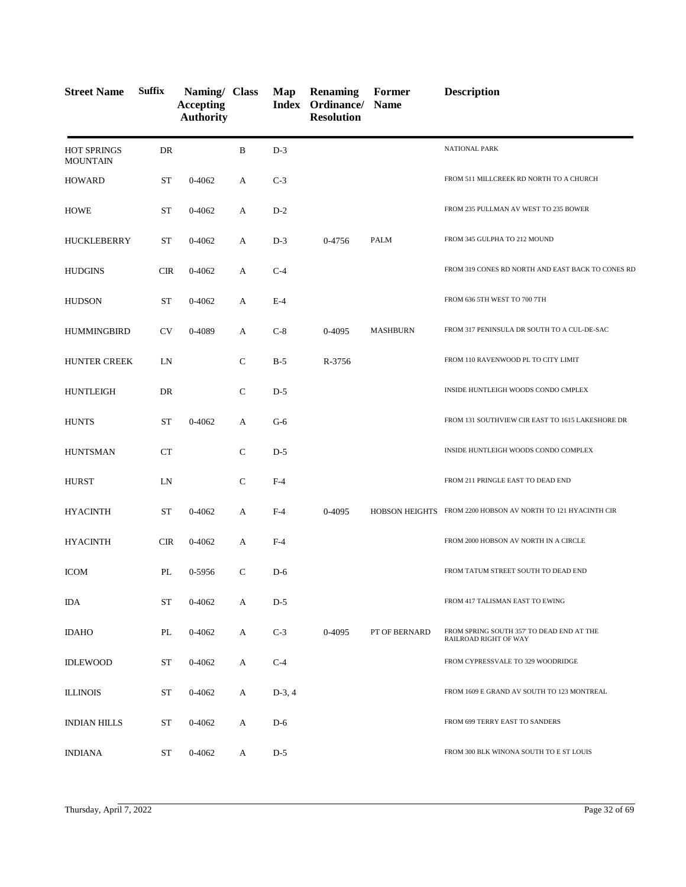| <b>Street Name</b>                    | <b>Suffix</b> | Naming/ Class<br><b>Accepting</b><br><b>Authority</b> |              | Map      | Renaming<br>Index Ordinance/ Name<br><b>Resolution</b> | Former          | <b>Description</b>                                                 |
|---------------------------------------|---------------|-------------------------------------------------------|--------------|----------|--------------------------------------------------------|-----------------|--------------------------------------------------------------------|
| <b>HOT SPRINGS</b><br><b>MOUNTAIN</b> | DR            |                                                       | B            | $D-3$    |                                                        |                 | NATIONAL PARK                                                      |
| <b>HOWARD</b>                         | <b>ST</b>     | 0-4062                                                | A            | $C-3$    |                                                        |                 | FROM 511 MILLCREEK RD NORTH TO A CHURCH                            |
| <b>HOWE</b>                           | <b>ST</b>     | 0-4062                                                | A            | $D-2$    |                                                        |                 | FROM 235 PULLMAN AV WEST TO 235 BOWER                              |
| <b>HUCKLEBERRY</b>                    | <b>ST</b>     | $0 - 4062$                                            | A            | $D-3$    | 0-4756                                                 | PALM            | FROM 345 GULPHA TO 212 MOUND                                       |
| <b>HUDGINS</b>                        | <b>CIR</b>    | 0-4062                                                | А            | $C-4$    |                                                        |                 | FROM 319 CONES RD NORTH AND EAST BACK TO CONES RD                  |
| <b>HUDSON</b>                         | <b>ST</b>     | 0-4062                                                | A            | $E-4$    |                                                        |                 | FROM 636 5TH WEST TO 700 7TH                                       |
| <b>HUMMINGBIRD</b>                    | <b>CV</b>     | 0-4089                                                | A            | $C-8$    | 0-4095                                                 | <b>MASHBURN</b> | FROM 317 PENINSULA DR SOUTH TO A CUL-DE-SAC                        |
| <b>HUNTER CREEK</b>                   | LN            |                                                       | $\mathsf{C}$ | $B-5$    | R-3756                                                 |                 | FROM 110 RAVENWOOD PL TO CITY LIMIT                                |
| <b>HUNTLEIGH</b>                      | DR            |                                                       | $\mathbf C$  | $D-5$    |                                                        |                 | INSIDE HUNTLEIGH WOODS CONDO CMPLEX                                |
| <b>HUNTS</b>                          | <b>ST</b>     | $0 - 4062$                                            | A            | $G-6$    |                                                        |                 | FROM 131 SOUTHVIEW CIR EAST TO 1615 LAKESHORE DR                   |
| <b>HUNTSMAN</b>                       | CT            |                                                       | $\mathbf C$  | $D-5$    |                                                        |                 | INSIDE HUNTLEIGH WOODS CONDO COMPLEX                               |
| <b>HURST</b>                          | LN            |                                                       | $\mathbf C$  | $F-4$    |                                                        |                 | FROM 211 PRINGLE EAST TO DEAD END                                  |
| <b>HYACINTH</b>                       | <b>ST</b>     | 0-4062                                                | A            | $F-4$    | 0-4095                                                 |                 | HOBSON HEIGHTS FROM 2200 HOBSON AV NORTH TO 121 HYACINTH CIR       |
| <b>HYACINTH</b>                       | CIR           | $0 - 4062$                                            | A            | $F-4$    |                                                        |                 | FROM 2000 HOBSON AV NORTH IN A CIRCLE                              |
| <b>ICOM</b>                           | PL            | 0-5956                                                | $\mathsf{C}$ | $D-6$    |                                                        |                 | FROM TATUM STREET SOUTH TO DEAD END                                |
| IDA                                   | ST            | 0-4062                                                | A            | $D-5$    |                                                        |                 | FROM 417 TALISMAN EAST TO EWING                                    |
| <b>IDAHO</b>                          | PL            | 0-4062                                                | A            | $C-3$    | 0-4095                                                 | PT OF BERNARD   | FROM SPRING SOUTH 357' TO DEAD END AT THE<br>RAILROAD RIGHT OF WAY |
| <b>IDLEWOOD</b>                       | ST            | 0-4062                                                | A            | $C-4$    |                                                        |                 | FROM CYPRESSVALE TO 329 WOODRIDGE                                  |
| <b>ILLINOIS</b>                       | ST            | 0-4062                                                | A            | $D-3, 4$ |                                                        |                 | FROM 1609 E GRAND AV SOUTH TO 123 MONTREAL                         |
| <b>INDIAN HILLS</b>                   | ST            | 0-4062                                                | A            | $D-6$    |                                                        |                 | FROM 699 TERRY EAST TO SANDERS                                     |
| <b>INDIANA</b>                        | ST            | 0-4062                                                | A            | $D-5$    |                                                        |                 | FROM 300 BLK WINONA SOUTH TO E ST LOUIS                            |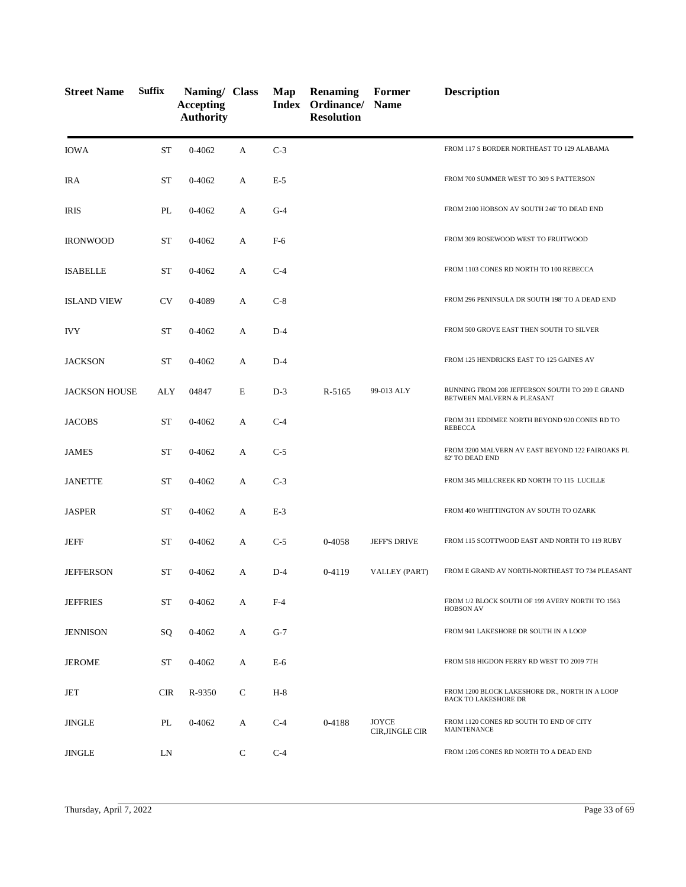| <b>Street Name</b>   | <b>Suffix</b> | Naming/ Class<br><b>Accepting</b><br><b>Authority</b> |   | Map   | <b>Renaming</b><br><b>Index Ordinance/ Name</b><br><b>Resolution</b> | Former                   | <b>Description</b>                                                            |
|----------------------|---------------|-------------------------------------------------------|---|-------|----------------------------------------------------------------------|--------------------------|-------------------------------------------------------------------------------|
| <b>IOWA</b>          | <b>ST</b>     | $0 - 4062$                                            | А | $C-3$ |                                                                      |                          | FROM 117 S BORDER NORTHEAST TO 129 ALABAMA                                    |
| IRA                  | ST            | 0-4062                                                | А | $E-5$ |                                                                      |                          | FROM 700 SUMMER WEST TO 309 S PATTERSON                                       |
| IRIS                 | PL            | 0-4062                                                | А | $G-4$ |                                                                      |                          | FROM 2100 HOBSON AV SOUTH 246' TO DEAD END                                    |
| <b>IRONWOOD</b>      | ST            | 0-4062                                                | A | F-6   |                                                                      |                          | FROM 309 ROSEWOOD WEST TO FRUITWOOD                                           |
| <b>ISABELLE</b>      | <b>ST</b>     | 0-4062                                                | А | $C-4$ |                                                                      |                          | FROM 1103 CONES RD NORTH TO 100 REBECCA                                       |
| <b>ISLAND VIEW</b>   | <b>CV</b>     | 0-4089                                                | A | $C-8$ |                                                                      |                          | FROM 296 PENINSULA DR SOUTH 198' TO A DEAD END                                |
| <b>IVY</b>           | <b>ST</b>     | 0-4062                                                | А | $D-4$ |                                                                      |                          | FROM 500 GROVE EAST THEN SOUTH TO SILVER                                      |
| <b>JACKSON</b>       | ST            | 0-4062                                                | А | $D-4$ |                                                                      |                          | FROM 125 HENDRICKS EAST TO 125 GAINES AV                                      |
| <b>JACKSON HOUSE</b> | ALY           | 04847                                                 | E | $D-3$ | R-5165                                                               | 99-013 ALY               | RUNNING FROM 208 JEFFERSON SOUTH TO 209 E GRAND<br>BETWEEN MALVERN & PLEASANT |
| <b>JACOBS</b>        | <b>ST</b>     | 0-4062                                                | A | $C-4$ |                                                                      |                          | FROM 311 EDDIMEE NORTH BEYOND 920 CONES RD TO<br><b>REBECCA</b>               |
| <b>JAMES</b>         | <b>ST</b>     | 0-4062                                                | А | $C-5$ |                                                                      |                          | FROM 3200 MALVERN AV EAST BEYOND 122 FAIROAKS PL<br>82' TO DEAD END           |
| <b>JANETTE</b>       | <b>ST</b>     | 0-4062                                                | А | $C-3$ |                                                                      |                          | FROM 345 MILLCREEK RD NORTH TO 115 LUCILLE                                    |
| <b>JASPER</b>        | <b>ST</b>     | 0-4062                                                | А | $E-3$ |                                                                      |                          | FROM 400 WHITTINGTON AV SOUTH TO OZARK                                        |
| <b>JEFF</b>          | <b>ST</b>     | 0-4062                                                | A | $C-5$ | 0-4058                                                               | <b>JEFF'S DRIVE</b>      | FROM 115 SCOTTWOOD EAST AND NORTH TO 119 RUBY                                 |
| <b>JEFFERSON</b>     | <b>ST</b>     | 0-4062                                                | А | $D-4$ | 0-4119                                                               | VALLEY (PART)            | FROM E GRAND AV NORTH-NORTHEAST TO 734 PLEASANT                               |
| <b>JEFFRIES</b>      | ST            | 0-4062                                                | А | $F-4$ |                                                                      |                          | FROM 1/2 BLOCK SOUTH OF 199 AVERY NORTH TO 1563<br><b>HOBSON AV</b>           |
| <b>JENNISON</b>      | SQ            | 0-4062                                                | А | $G-7$ |                                                                      |                          | FROM 941 LAKESHORE DR SOUTH IN A LOOP                                         |
| <b>JEROME</b>        | ST            | 0-4062                                                | А | $E-6$ |                                                                      |                          | FROM 518 HIGDON FERRY RD WEST TO 2009 7TH                                     |
| JET                  | <b>CIR</b>    | R-9350                                                | C | $H-8$ |                                                                      |                          | FROM 1200 BLOCK LAKESHORE DR., NORTH IN A LOOP<br><b>BACK TO LAKESHORE DR</b> |
| JINGLE               | PL            | 0-4062                                                | А | $C-4$ | 0-4188                                                               | JOYCE<br>CIR, JINGLE CIR | FROM 1120 CONES RD SOUTH TO END OF CITY<br>MAINTENANCE                        |
| <b>JINGLE</b>        | LN            |                                                       | C | $C-4$ |                                                                      |                          | FROM 1205 CONES RD NORTH TO A DEAD END                                        |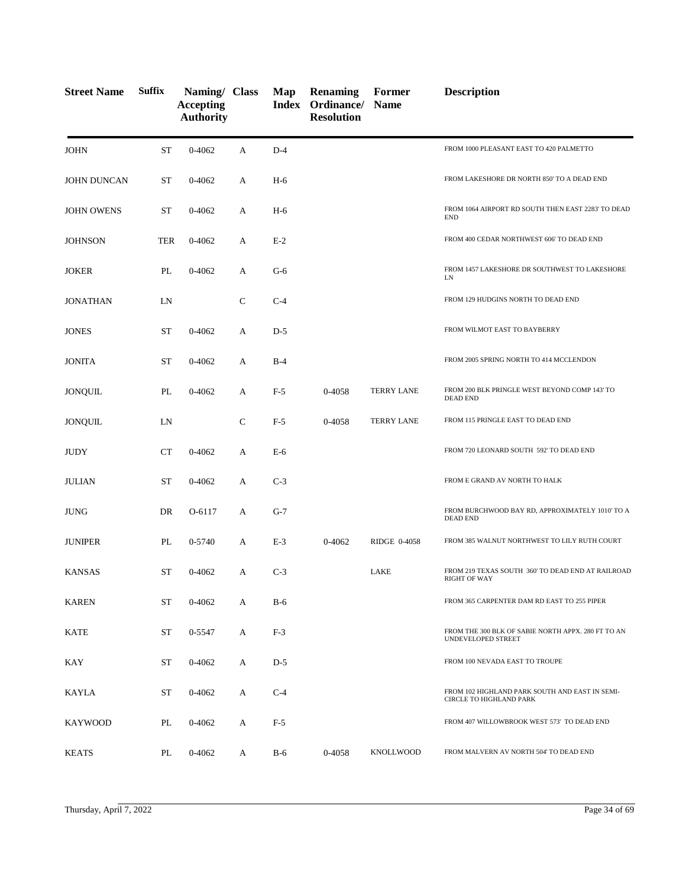| <b>Street Name</b> | <b>Suffix</b> | Naming/ Class<br><b>Accepting</b><br><b>Authority</b> |              | Map   | <b>Renaming</b><br>Index Ordinance/ Name<br><b>Resolution</b> | Former            | <b>Description</b>                                                        |
|--------------------|---------------|-------------------------------------------------------|--------------|-------|---------------------------------------------------------------|-------------------|---------------------------------------------------------------------------|
| <b>JOHN</b>        | <b>ST</b>     | 0-4062                                                | A            | $D-4$ |                                                               |                   | FROM 1000 PLEASANT EAST TO 420 PALMETTO                                   |
| <b>JOHN DUNCAN</b> | ST            | 0-4062                                                | A            | $H-6$ |                                                               |                   | FROM LAKESHORE DR NORTH 850' TO A DEAD END                                |
| <b>JOHN OWENS</b>  | ST            | 0-4062                                                | А            | $H-6$ |                                                               |                   | FROM 1064 AIRPORT RD SOUTH THEN EAST 2283' TO DEAD<br><b>END</b>          |
| <b>JOHNSON</b>     | <b>TER</b>    | $0 - 4062$                                            | A            | $E-2$ |                                                               |                   | FROM 400 CEDAR NORTHWEST 606' TO DEAD END                                 |
| <b>JOKER</b>       | PL            | 0-4062                                                | А            | $G-6$ |                                                               |                   | FROM 1457 LAKESHORE DR SOUTHWEST TO LAKESHORE<br>LN                       |
| <b>JONATHAN</b>    | LN            |                                                       | $\mathsf{C}$ | $C-4$ |                                                               |                   | FROM 129 HUDGINS NORTH TO DEAD END                                        |
| <b>JONES</b>       | <b>ST</b>     | 0-4062                                                | A            | $D-5$ |                                                               |                   | FROM WILMOT EAST TO BAYBERRY                                              |
| <b>JONITA</b>      | ST            | $0 - 4062$                                            | A            | $B-4$ |                                                               |                   | FROM 2005 SPRING NORTH TO 414 MCCLENDON                                   |
| <b>JONQUIL</b>     | PL            | 0-4062                                                | А            | $F-5$ | 0-4058                                                        | <b>TERRY LANE</b> | FROM 200 BLK PRINGLE WEST BEYOND COMP 143' TO<br><b>DEAD END</b>          |
| <b>JONQUIL</b>     | LN            |                                                       | $\mathsf{C}$ | $F-5$ | 0-4058                                                        | <b>TERRY LANE</b> | FROM 115 PRINGLE EAST TO DEAD END                                         |
| <b>JUDY</b>        | <b>CT</b>     | 0-4062                                                | A            | $E-6$ |                                                               |                   | FROM 720 LEONARD SOUTH 592' TO DEAD END                                   |
| <b>JULIAN</b>      | <b>ST</b>     | 0-4062                                                | А            | $C-3$ |                                                               |                   | FROM E GRAND AV NORTH TO HALK                                             |
| <b>JUNG</b>        | DR            | O-6117                                                | А            | $G-7$ |                                                               |                   | FROM BURCHWOOD BAY RD, APPROXIMATELY 1010' TO A<br><b>DEAD END</b>        |
| <b>JUNIPER</b>     | PL            | 0-5740                                                | A            | $E-3$ | 0-4062                                                        | RIDGE 0-4058      | FROM 385 WALNUT NORTHWEST TO LILY RUTH COURT                              |
| <b>KANSAS</b>      | ST            | 0-4062                                                | А            | $C-3$ |                                                               | LAKE              | FROM 219 TEXAS SOUTH 360' TO DEAD END AT RAILROAD<br><b>RIGHT OF WAY</b>  |
| <b>KAREN</b>       | <b>ST</b>     | 0-4062                                                | A            | $B-6$ |                                                               |                   | FROM 365 CARPENTER DAM RD EAST TO 255 PIPER                               |
| KATE               | <b>ST</b>     | 0-5547                                                | A            | $F-3$ |                                                               |                   | FROM THE 300 BLK OF SABIE NORTH APPX. 280 FT TO AN<br>UNDEVELOPED STREET  |
| <b>KAY</b>         | ST            | 0-4062                                                | A            | $D-5$ |                                                               |                   | FROM 100 NEVADA EAST TO TROUPE                                            |
| <b>KAYLA</b>       | ST            | 0-4062                                                | A            | $C-4$ |                                                               |                   | FROM 102 HIGHLAND PARK SOUTH AND EAST IN SEMI-<br>CIRCLE TO HIGHLAND PARK |
| KAYWOOD            | PL            | 0-4062                                                | А            | $F-5$ |                                                               |                   | FROM 407 WILLOWBROOK WEST 573' TO DEAD END                                |
| <b>KEATS</b>       | PL            | 0-4062                                                | А            | $B-6$ | 0-4058                                                        | KNOLLWOOD         | FROM MALVERN AV NORTH 504' TO DEAD END                                    |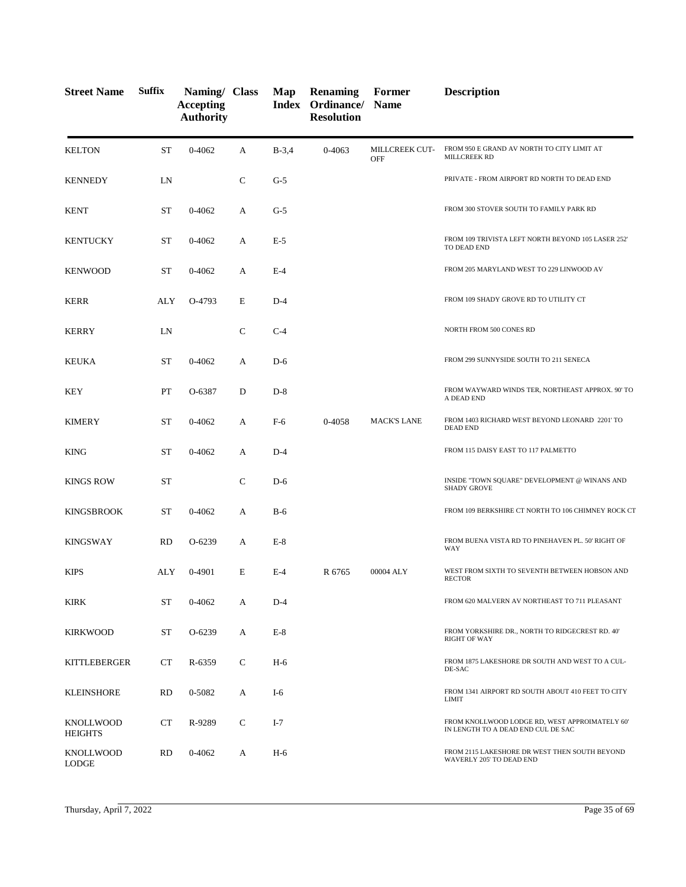| <b>Street Name</b>                 | <b>Suffix</b> | Naming/ Class<br><b>Accepting</b><br><b>Authority</b> |              | Map     | Renaming<br>Index Ordinance/ Name<br><b>Resolution</b> | Former                | <b>Description</b>                                                                   |
|------------------------------------|---------------|-------------------------------------------------------|--------------|---------|--------------------------------------------------------|-----------------------|--------------------------------------------------------------------------------------|
| <b>KELTON</b>                      | <b>ST</b>     | 0-4062                                                | A            | $B-3,4$ | 0-4063                                                 | MILLCREEK CUT-<br>OFF | FROM 950 E GRAND AV NORTH TO CITY LIMIT AT<br>MILLCREEK RD                           |
| <b>KENNEDY</b>                     | LN            |                                                       | $\mathsf{C}$ | $G-5$   |                                                        |                       | PRIVATE - FROM AIRPORT RD NORTH TO DEAD END                                          |
| <b>KENT</b>                        | <b>ST</b>     | 0-4062                                                | A            | $G-5$   |                                                        |                       | FROM 300 STOVER SOUTH TO FAMILY PARK RD                                              |
| KENTUCKY                           | <b>ST</b>     | 0-4062                                                | А            | $E-5$   |                                                        |                       | FROM 109 TRIVISTA LEFT NORTH BEYOND 105 LASER 252'<br>TO DEAD END                    |
| <b>KENWOOD</b>                     | <b>ST</b>     | 0-4062                                                | А            | $E-4$   |                                                        |                       | FROM 205 MARYLAND WEST TO 229 LINWOOD AV                                             |
| <b>KERR</b>                        | ALY           | O-4793                                                | E            | $D-4$   |                                                        |                       | FROM 109 SHADY GROVE RD TO UTILITY CT                                                |
| <b>KERRY</b>                       | LN            |                                                       | $\mathsf{C}$ | $C-4$   |                                                        |                       | NORTH FROM 500 CONES RD                                                              |
| <b>KEUKA</b>                       | <b>ST</b>     | 0-4062                                                | A            | $D-6$   |                                                        |                       | FROM 299 SUNNYSIDE SOUTH TO 211 SENECA                                               |
| <b>KEY</b>                         | PT            | O-6387                                                | D            | $D-8$   |                                                        |                       | FROM WAYWARD WINDS TER, NORTHEAST APPROX. 90' TO<br>A DEAD END                       |
| <b>KIMERY</b>                      | <b>ST</b>     | 0-4062                                                | A            | $F-6$   | 0-4058                                                 | <b>MACK'S LANE</b>    | FROM 1403 RICHARD WEST BEYOND LEONARD 2201'TO<br><b>DEAD END</b>                     |
| <b>KING</b>                        | ST            | 0-4062                                                | A            | $D-4$   |                                                        |                       | FROM 115 DAISY EAST TO 117 PALMETTO                                                  |
| <b>KINGS ROW</b>                   | ST            |                                                       | $\mathsf{C}$ | $D-6$   |                                                        |                       | INSIDE "TOWN SQUARE" DEVELOPMENT @ WINANS AND<br><b>SHADY GROVE</b>                  |
| KINGSBROOK                         | ST            | 0-4062                                                | A            | $B-6$   |                                                        |                       | FROM 109 BERKSHIRE CT NORTH TO 106 CHIMNEY ROCK CT                                   |
| <b>KINGSWAY</b>                    | <b>RD</b>     | O-6239                                                | A            | $E-8$   |                                                        |                       | FROM BUENA VISTA RD TO PINEHAVEN PL. 50' RIGHT OF<br>WAY                             |
| <b>KIPS</b>                        | ALY           | 0-4901                                                | E            | $E-4$   | R 6765                                                 | 00004 ALY             | WEST FROM SIXTH TO SEVENTH BETWEEN HOBSON AND<br><b>RECTOR</b>                       |
| <b>KIRK</b>                        | ST            | 0-4062                                                | A            | $D-4$   |                                                        |                       | FROM 620 MALVERN AV NORTHEAST TO 711 PLEASANT                                        |
| <b>KIRKWOOD</b>                    | <b>ST</b>     | $O-6239$                                              | A            | $E-8$   |                                                        |                       | FROM YORKSHIRE DR., NORTH TO RIDGECREST RD. 40'<br><b>RIGHT OF WAY</b>               |
| KITTLEBERGER                       | <b>CT</b>     | R-6359                                                | C            | H-6     |                                                        |                       | FROM 1875 LAKESHORE DR SOUTH AND WEST TO A CUL-<br>DE-SAC                            |
| <b>KLEINSHORE</b>                  | <b>RD</b>     | 0-5082                                                | A            | $I-6$   |                                                        |                       | FROM 1341 AIRPORT RD SOUTH ABOUT 410 FEET TO CITY<br><b>LIMIT</b>                    |
| <b>KNOLLWOOD</b><br><b>HEIGHTS</b> | CT            | R-9289                                                | C            | $I-7$   |                                                        |                       | FROM KNOLLWOOD LODGE RD, WEST APPROIMATELY 60'<br>IN LENGTH TO A DEAD END CUL DE SAC |
| <b>KNOLLWOOD</b><br>LODGE          | <b>RD</b>     | 0-4062                                                | A            | $H-6$   |                                                        |                       | FROM 2115 LAKESHORE DR WEST THEN SOUTH BEYOND<br>WAVERLY 205' TO DEAD END            |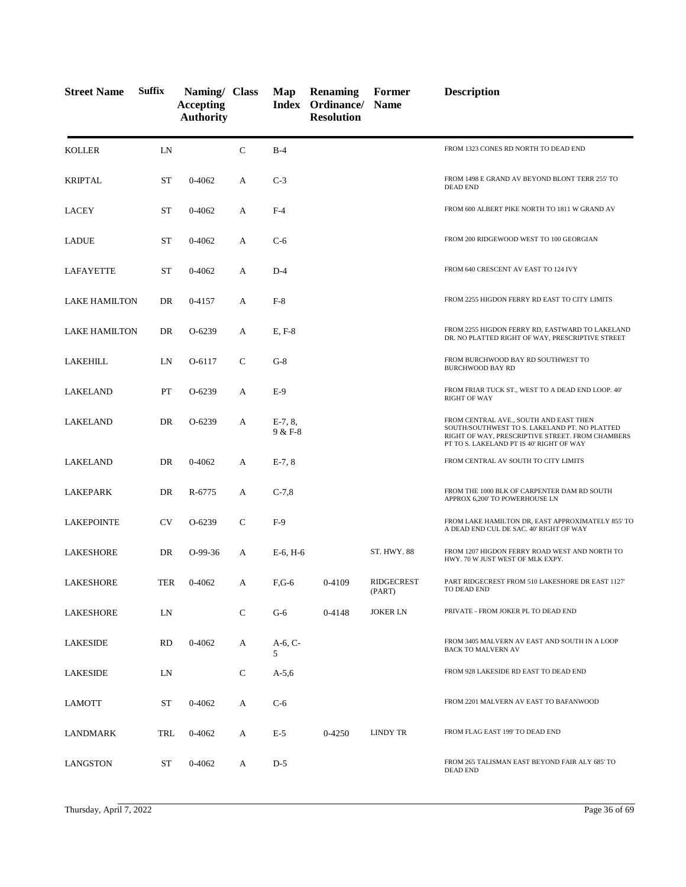| <b>Street Name</b>   | <b>Suffix</b> | Naming/ Class<br><b>Accepting</b><br><b>Authority</b> |              | Map                  | <b>Renaming</b><br>Index Ordinance/ Name<br><b>Resolution</b> | Former                      | <b>Description</b>                                                                                                                                                                      |
|----------------------|---------------|-------------------------------------------------------|--------------|----------------------|---------------------------------------------------------------|-----------------------------|-----------------------------------------------------------------------------------------------------------------------------------------------------------------------------------------|
| <b>KOLLER</b>        | LN            |                                                       | $\mathsf{C}$ | $B-4$                |                                                               |                             | FROM 1323 CONES RD NORTH TO DEAD END                                                                                                                                                    |
| <b>KRIPTAL</b>       | ST            | 0-4062                                                | A            | $C-3$                |                                                               |                             | FROM 1498 E GRAND AV BEYOND BLONT TERR 255' TO<br><b>DEAD END</b>                                                                                                                       |
| <b>LACEY</b>         | <b>ST</b>     | 0-4062                                                | А            | $F-4$                |                                                               |                             | FROM 600 ALBERT PIKE NORTH TO 1811 W GRAND AV                                                                                                                                           |
| LADUE                | <b>ST</b>     | 0-4062                                                | А            | $C-6$                |                                                               |                             | FROM 200 RIDGEWOOD WEST TO 100 GEORGIAN                                                                                                                                                 |
| LAFAYETTE            | <b>ST</b>     | $0 - 4062$                                            | A            | $D-4$                |                                                               |                             | FROM 640 CRESCENT AV EAST TO 124 IVY                                                                                                                                                    |
| <b>LAKE HAMILTON</b> | DR            | 0-4157                                                | А            | $F-8$                |                                                               |                             | FROM 2255 HIGDON FERRY RD EAST TO CITY LIMITS                                                                                                                                           |
| <b>LAKE HAMILTON</b> | DR            | O-6239                                                | A            | $E, F-8$             |                                                               |                             | FROM 2255 HIGDON FERRY RD, EASTWARD TO LAKELAND<br>DR. NO PLATTED RIGHT OF WAY, PRESCRIPTIVE STREET                                                                                     |
| LAKEHILL             | LN            | O-6117                                                | C            | $G-8$                |                                                               |                             | FROM BURCHWOOD BAY RD SOUTHWEST TO<br><b>BURCHWOOD BAY RD</b>                                                                                                                           |
| LAKELAND             | PT            | O-6239                                                | А            | $E-9$                |                                                               |                             | FROM FRIAR TUCK ST., WEST TO A DEAD END LOOP. 40'<br><b>RIGHT OF WAY</b>                                                                                                                |
| LAKELAND             | DR            | O-6239                                                | А            | $E-7, 8,$<br>9 & F-8 |                                                               |                             | FROM CENTRAL AVE., SOUTH AND EAST THEN<br>SOUTH/SOUTHWEST TO S. LAKELAND PT. NO PLATTED<br>RIGHT OF WAY, PRESCRIPTIVE STREET. FROM CHAMBERS<br>PT TO S. LAKELAND PT IS 40' RIGHT OF WAY |
| LAKELAND             | DR            | $0 - 4062$                                            | A            | $E-7, 8$             |                                                               |                             | FROM CENTRAL AV SOUTH TO CITY LIMITS                                                                                                                                                    |
| LAKEPARK             | DR            | R-6775                                                | А            | $C-7,8$              |                                                               |                             | FROM THE 1000 BLK OF CARPENTER DAM RD SOUTH<br>APPROX 6,200' TO POWERHOUSE LN                                                                                                           |
| LAKEPOINTE           | <b>CV</b>     | O-6239                                                | C            | $F-9$                |                                                               |                             | FROM LAKE HAMILTON DR, EAST APPROXIMATELY 855' TO<br>A DEAD END CUL DE SAC. 40' RIGHT OF WAY                                                                                            |
| <b>LAKESHORE</b>     | DR            | $O-99-36$                                             | A            | $E-6$ , $H-6$        |                                                               | <b>ST. HWY. 88</b>          | FROM 1207 HIGDON FERRY ROAD WEST AND NORTH TO<br>HWY. 70 W JUST WEST OF MLK EXPY.                                                                                                       |
| LAKESHORE            | <b>TER</b>    | $0 - 4062$                                            | A            | $F.G-6$              | 0-4109                                                        | <b>RIDGECREST</b><br>(PART) | PART RIDGECREST FROM 510 LAKESHORE DR EAST 1127<br>TO DEAD END                                                                                                                          |
| LAKESHORE            | LN            |                                                       | $\mathbf C$  | $G-6$                | 0-4148                                                        | <b>JOKER LN</b>             | PRIVATE - FROM JOKER PL TO DEAD END                                                                                                                                                     |
| LAKESIDE             | <b>RD</b>     | 0-4062                                                | A            | $A-6, C-$<br>5       |                                                               |                             | FROM 3405 MALVERN AV EAST AND SOUTH IN A LOOP<br><b>BACK TO MALVERN AV</b>                                                                                                              |
| LAKESIDE             | LN            |                                                       | C            | $A-5,6$              |                                                               |                             | FROM 928 LAKESIDE RD EAST TO DEAD END                                                                                                                                                   |
| LAMOTT               | ST            | 0-4062                                                | A            | $C-6$                |                                                               |                             | FROM 2201 MALVERN AV EAST TO BAFANWOOD                                                                                                                                                  |
| LANDMARK             | TRL           | 0-4062                                                | A            | $E-5$                | 0-4250                                                        | <b>LINDY TR</b>             | FROM FLAG EAST 199' TO DEAD END                                                                                                                                                         |
| LANGSTON             | ST            | 0-4062                                                | A            | $D-5$                |                                                               |                             | FROM 265 TALISMAN EAST BEYOND FAIR ALY 685' TO<br><b>DEAD END</b>                                                                                                                       |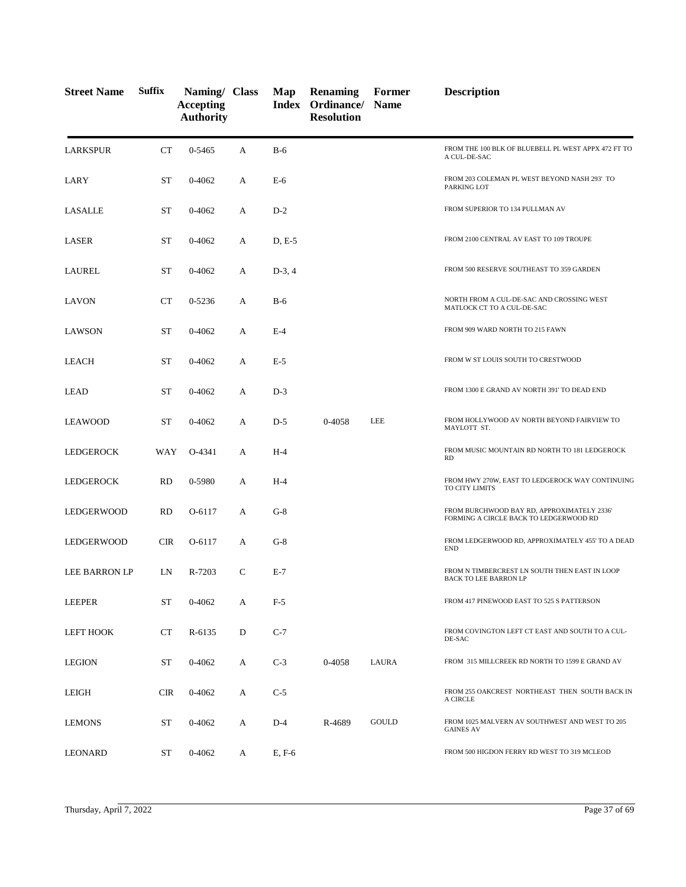| <b>Street Name</b>   | <b>Suffix</b> | Naming/ Class<br><b>Accepting</b><br><b>Authority</b> |              | Map      | Renaming<br>Index Ordinance/ Name<br><b>Resolution</b> | Former       | <b>Description</b>                                                                   |
|----------------------|---------------|-------------------------------------------------------|--------------|----------|--------------------------------------------------------|--------------|--------------------------------------------------------------------------------------|
| <b>LARKSPUR</b>      | CT            | 0-5465                                                | A            | $B-6$    |                                                        |              | FROM THE 100 BLK OF BLUEBELL PL WEST APPX 472 FT TO<br>A CUL-DE-SAC                  |
| LARY                 | <b>ST</b>     | $0 - 4062$                                            | A            | $E-6$    |                                                        |              | FROM 203 COLEMAN PL WEST BEYOND NASH 293' TO<br>PARKING LOT                          |
| <b>LASALLE</b>       | <b>ST</b>     | $0 - 4062$                                            | A            | $D-2$    |                                                        |              | FROM SUPERIOR TO 134 PULLMAN AV                                                      |
| <b>LASER</b>         | ST            | 0-4062                                                | A            | D, E-5   |                                                        |              | FROM 2100 CENTRAL AV EAST TO 109 TROUPE                                              |
| LAUREL               | ST            | 0-4062                                                | A            | $D-3, 4$ |                                                        |              | FROM 500 RESERVE SOUTHEAST TO 359 GARDEN                                             |
| LAVON                | <b>CT</b>     | 0-5236                                                | A            | $B-6$    |                                                        |              | NORTH FROM A CUL-DE-SAC AND CROSSING WEST<br>MATLOCK CT TO A CUL-DE-SAC              |
| <b>LAWSON</b>        | ST            | $0 - 4062$                                            | A            | $E-4$    |                                                        |              | FROM 909 WARD NORTH TO 215 FAWN                                                      |
| LEACH                | ST            | $0 - 4062$                                            | A            | $E-5$    |                                                        |              | FROM W ST LOUIS SOUTH TO CRESTWOOD                                                   |
| <b>LEAD</b>          | ST            | 0-4062                                                | A            | $D-3$    |                                                        |              | FROM 1300 E GRAND AV NORTH 391' TO DEAD END                                          |
| <b>LEAWOOD</b>       | ST            | $0 - 4062$                                            | A            | $D-5$    | 0-4058                                                 | LEE          | FROM HOLLYWOOD AV NORTH BEYOND FAIRVIEW TO<br>MAYLOTT ST.                            |
| <b>LEDGEROCK</b>     | WAY           | O-4341                                                | A            | $H-4$    |                                                        |              | FROM MUSIC MOUNTAIN RD NORTH TO 181 LEDGEROCK<br><b>RD</b>                           |
| LEDGEROCK            | <b>RD</b>     | 0-5980                                                | A            | $H-4$    |                                                        |              | FROM HWY 270W, EAST TO LEDGEROCK WAY CONTINUING<br>TO CITY LIMITS                    |
| LEDGERWOOD           | <b>RD</b>     | O-6117                                                | A            | $G-8$    |                                                        |              | FROM BURCHWOOD BAY RD, APPROXIMATELY 2336'<br>FORMING A CIRCLE BACK TO LEDGERWOOD RD |
| LEDGERWOOD           | <b>CIR</b>    | O-6117                                                | A            | $G-8$    |                                                        |              | FROM LEDGERWOOD RD, APPROXIMATELY 455' TO A DEAD<br><b>END</b>                       |
| <b>LEE BARRON LP</b> | LN            | R-7203                                                | $\mathsf{C}$ | $E-7$    |                                                        |              | FROM N TIMBERCREST LN SOUTH THEN EAST IN LOOP<br>BACK TO LEE BARRON LP               |
| <b>LEEPER</b>        | ST            | $0 - 4062$                                            | A            | $F-5$    |                                                        |              | FROM 417 PINEWOOD EAST TO 525 S PATTERSON                                            |
| LEFT HOOK            | CT            | R-6135                                                | D            | $C-7$    |                                                        |              | FROM COVINGTON LEFT CT EAST AND SOUTH TO A CUL-<br>DE-SAC                            |
| <b>LEGION</b>        | <b>ST</b>     | 0-4062                                                | A            | $C-3$    | 0-4058                                                 | LAURA        | FROM 315 MILLCREEK RD NORTH TO 1599 E GRAND AV                                       |
| LEIGH                | <b>CIR</b>    | 0-4062                                                | A            | $C-5$    |                                                        |              | FROM 255 OAKCREST NORTHEAST THEN SOUTH BACK IN<br>A CIRCLE                           |
| <b>LEMONS</b>        | ST            | 0-4062                                                | A            | $D-4$    | R-4689                                                 | <b>GOULD</b> | FROM 1025 MALVERN AV SOUTHWEST AND WEST TO 205<br><b>GAINES AV</b>                   |
| <b>LEONARD</b>       | ST            | $0 - 4062$                                            | A            | E, F-6   |                                                        |              | FROM 500 HIGDON FERRY RD WEST TO 319 MCLEOD                                          |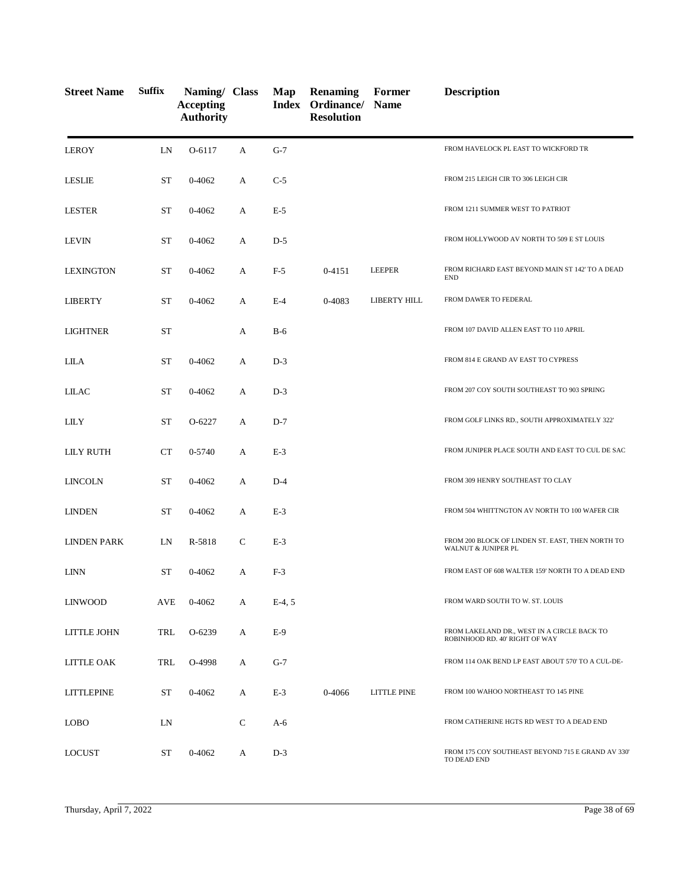| <b>Street Name</b> | <b>Suffix</b> | Naming/ Class<br><b>Accepting</b><br><b>Authority</b> |              | Map      | <b>Renaming</b><br>Index Ordinance/ Name<br><b>Resolution</b> | Former             | <b>Description</b>                                                            |
|--------------------|---------------|-------------------------------------------------------|--------------|----------|---------------------------------------------------------------|--------------------|-------------------------------------------------------------------------------|
| <b>LEROY</b>       | LN            | O-6117                                                | A            | $G-7$    |                                                               |                    | FROM HAVELOCK PL EAST TO WICKFORD TR                                          |
| <b>LESLIE</b>      | <b>ST</b>     | 0-4062                                                | A            | $C-5$    |                                                               |                    | FROM 215 LEIGH CIR TO 306 LEIGH CIR                                           |
| <b>LESTER</b>      | <b>ST</b>     | 0-4062                                                | A            | $E-5$    |                                                               |                    | FROM 1211 SUMMER WEST TO PATRIOT                                              |
| <b>LEVIN</b>       | <b>ST</b>     | 0-4062                                                | А            | $D-5$    |                                                               |                    | FROM HOLLYWOOD AV NORTH TO 509 E ST LOUIS                                     |
| <b>LEXINGTON</b>   | <b>ST</b>     | 0-4062                                                | А            | $F-5$    | 0-4151                                                        | <b>LEEPER</b>      | FROM RICHARD EAST BEYOND MAIN ST 142' TO A DEAD<br><b>END</b>                 |
| <b>LIBERTY</b>     | <b>ST</b>     | 0-4062                                                | A            | $E-4$    | 0-4083                                                        | LIBERTY HILL       | FROM DAWER TO FEDERAL                                                         |
| <b>LIGHTNER</b>    | <b>ST</b>     |                                                       | A            | $B-6$    |                                                               |                    | FROM 107 DAVID ALLEN EAST TO 110 APRIL                                        |
| <b>LILA</b>        | <b>ST</b>     | 0-4062                                                | A            | $D-3$    |                                                               |                    | FROM 814 E GRAND AV EAST TO CYPRESS                                           |
| LILAC              | <b>ST</b>     | 0-4062                                                | А            | $D-3$    |                                                               |                    | FROM 207 COY SOUTH SOUTHEAST TO 903 SPRING                                    |
| <b>LILY</b>        | <b>ST</b>     | O-6227                                                | A            | $D-7$    |                                                               |                    | FROM GOLF LINKS RD., SOUTH APPROXIMATELY 322'                                 |
| <b>LILY RUTH</b>   | CT            | 0-5740                                                | A            | $E-3$    |                                                               |                    | FROM JUNIPER PLACE SOUTH AND EAST TO CUL DE SAC                               |
| <b>LINCOLN</b>     | <b>ST</b>     | 0-4062                                                | A            | $D-4$    |                                                               |                    | FROM 309 HENRY SOUTHEAST TO CLAY                                              |
| <b>LINDEN</b>      | <b>ST</b>     | 0-4062                                                | А            | $E-3$    |                                                               |                    | FROM 504 WHITTNGTON AV NORTH TO 100 WAFER CIR                                 |
| <b>LINDEN PARK</b> | LN            | R-5818                                                | $\mathsf{C}$ | $E-3$    |                                                               |                    | FROM 200 BLOCK OF LINDEN ST. EAST, THEN NORTH TO<br>WALNUT & JUNIPER PL       |
| <b>LINN</b>        | ST            | 0-4062                                                | А            | $F-3$    |                                                               |                    | FROM EAST OF 608 WALTER 159' NORTH TO A DEAD END                              |
| <b>LINWOOD</b>     | AVE           | 0-4062                                                | А            | $E-4, 5$ |                                                               |                    | FROM WARD SOUTH TO W. ST. LOUIS                                               |
| LITTLE JOHN        | TRL           | O-6239                                                | А            | $E-9$    |                                                               |                    | FROM LAKELAND DR., WEST IN A CIRCLE BACK TO<br>ROBINHOOD RD. 40' RIGHT OF WAY |
| LITTLE OAK         | TRL           | O-4998                                                | А            | $G-7$    |                                                               |                    | FROM 114 OAK BEND LP EAST ABOUT 570' TO A CUL-DE-                             |
| <b>LITTLEPINE</b>  | ST            | 0-4062                                                | А            | $E-3$    | 0-4066                                                        | <b>LITTLE PINE</b> | FROM 100 WAHOO NORTHEAST TO 145 PINE                                          |
| <b>LOBO</b>        | LN            |                                                       | C            | A-6      |                                                               |                    | FROM CATHERINE HGTS RD WEST TO A DEAD END                                     |
| <b>LOCUST</b>      | ST            | 0-4062                                                | A            | $D-3$    |                                                               |                    | FROM 175 COY SOUTHEAST BEYOND 715 E GRAND AV 330'<br>TO DEAD END              |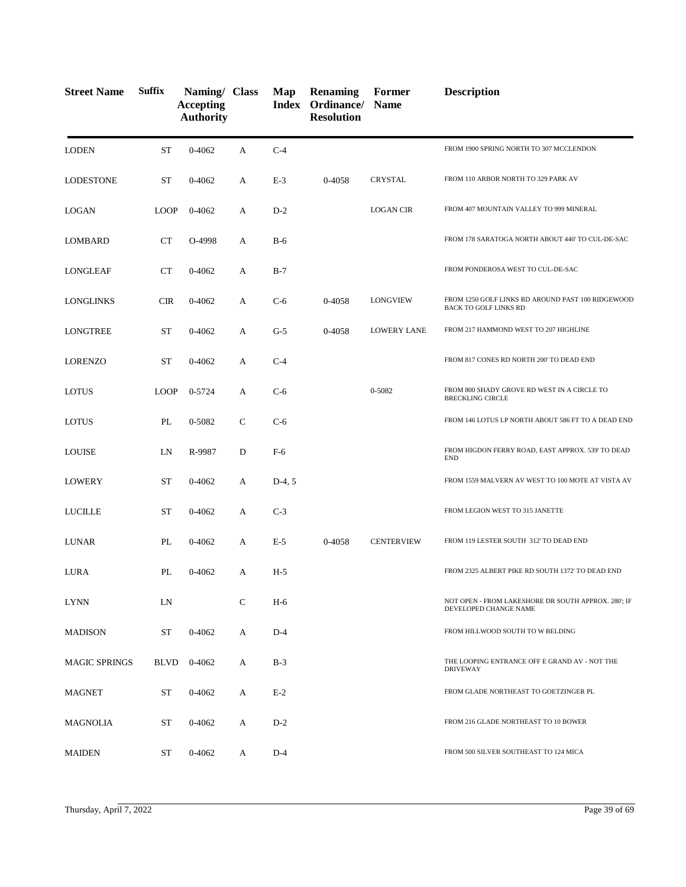| <b>Street Name</b>   | <b>Suffix</b> | Naming/ Class<br><b>Accepting</b><br><b>Authority</b> |              | Map      | <b>Renaming</b><br>Index Ordinance/ Name<br><b>Resolution</b> | Former             | <b>Description</b>                                                                |
|----------------------|---------------|-------------------------------------------------------|--------------|----------|---------------------------------------------------------------|--------------------|-----------------------------------------------------------------------------------|
| <b>LODEN</b>         | <b>ST</b>     | 0-4062                                                | A            | $C-4$    |                                                               |                    | FROM 1900 SPRING NORTH TO 307 MCCLENDON                                           |
| <b>LODESTONE</b>     | ST            | 0-4062                                                | A            | $E-3$    | 0-4058                                                        | CRYSTAL            | FROM 110 ARBOR NORTH TO 329 PARK AV                                               |
| <b>LOGAN</b>         | <b>LOOP</b>   | 0-4062                                                | A            | $D-2$    |                                                               | <b>LOGAN CIR</b>   | FROM 407 MOUNTAIN VALLEY TO 999 MINERAL                                           |
| <b>LOMBARD</b>       | CT            | O-4998                                                | A            | $B-6$    |                                                               |                    | FROM 178 SARATOGA NORTH ABOUT 440' TO CUL-DE-SAC                                  |
| LONGLEAF             | CT            | $0 - 4062$                                            | А            | $B-7$    |                                                               |                    | FROM PONDEROSA WEST TO CUL-DE-SAC                                                 |
| <b>LONGLINKS</b>     | <b>CIR</b>    | 0-4062                                                | A            | $C-6$    | 0-4058                                                        | <b>LONGVIEW</b>    | FROM 1250 GOLF LINKS RD AROUND PAST 100 RIDGEWOOD<br><b>BACK TO GOLF LINKS RD</b> |
| <b>LONGTREE</b>      | <b>ST</b>     | 0-4062                                                | A            | $G-5$    | 0-4058                                                        | <b>LOWERY LANE</b> | FROM 217 HAMMOND WEST TO 207 HIGHLINE                                             |
| <b>LORENZO</b>       | <b>ST</b>     | 0-4062                                                | А            | $C-4$    |                                                               |                    | FROM 817 CONES RD NORTH 200' TO DEAD END                                          |
| <b>LOTUS</b>         | <b>LOOP</b>   | 0-5724                                                | A            | $C-6$    |                                                               | 0-5082             | FROM 800 SHADY GROVE RD WEST IN A CIRCLE TO<br><b>BRECKLING CIRCLE</b>            |
| <b>LOTUS</b>         | PL            | 0-5082                                                | $\mathsf{C}$ | $C-6$    |                                                               |                    | FROM 146 LOTUS LP NORTH ABOUT 586 FT TO A DEAD END                                |
| <b>LOUISE</b>        | LN            | R-9987                                                | D            | $F-6$    |                                                               |                    | FROM HIGDON FERRY ROAD, EAST APPROX. 539' TO DEAD<br><b>END</b>                   |
| <b>LOWERY</b>        | <b>ST</b>     | 0-4062                                                | A            | $D-4, 5$ |                                                               |                    | FROM 1559 MALVERN AV WEST TO 100 MOTE AT VISTA AV                                 |
| <b>LUCILLE</b>       | <b>ST</b>     | $0 - 4062$                                            | A            | $C-3$    |                                                               |                    | FROM LEGION WEST TO 315 JANETTE                                                   |
| <b>LUNAR</b>         | PL            | 0-4062                                                | A            | $E-5$    | 0-4058                                                        | <b>CENTERVIEW</b>  | FROM 119 LESTER SOUTH 312' TO DEAD END                                            |
| LURA                 | PL            | 0-4062                                                | А            | $H-5$    |                                                               |                    | FROM 2325 ALBERT PIKE RD SOUTH 1372' TO DEAD END                                  |
| <b>LYNN</b>          | LN            |                                                       | C            | $H-6$    |                                                               |                    | NOT OPEN - FROM LAKESHORE DR SOUTH APPROX. 280'; IF<br>DEVELOPED CHANGE NAME      |
| <b>MADISON</b>       | ST            | 0-4062                                                | А            | $D-4$    |                                                               |                    | FROM HILLWOOD SOUTH TO W BELDING                                                  |
| <b>MAGIC SPRINGS</b> | <b>BLVD</b>   | 0-4062                                                | А            | $B-3$    |                                                               |                    | THE LOOPING ENTRANCE OFF E GRAND AV - NOT THE<br><b>DRIVEWAY</b>                  |
| <b>MAGNET</b>        | ST            | 0-4062                                                | A            | $E-2$    |                                                               |                    | FROM GLADE NORTHEAST TO GOETZINGER PL                                             |
| MAGNOLIA             | ST            | 0-4062                                                | A            | $D-2$    |                                                               |                    | FROM 216 GLADE NORTHEAST TO 10 BOWER                                              |
| <b>MAIDEN</b>        | ST            | 0-4062                                                | A            | $D-4$    |                                                               |                    | FROM 500 SILVER SOUTHEAST TO 124 MICA                                             |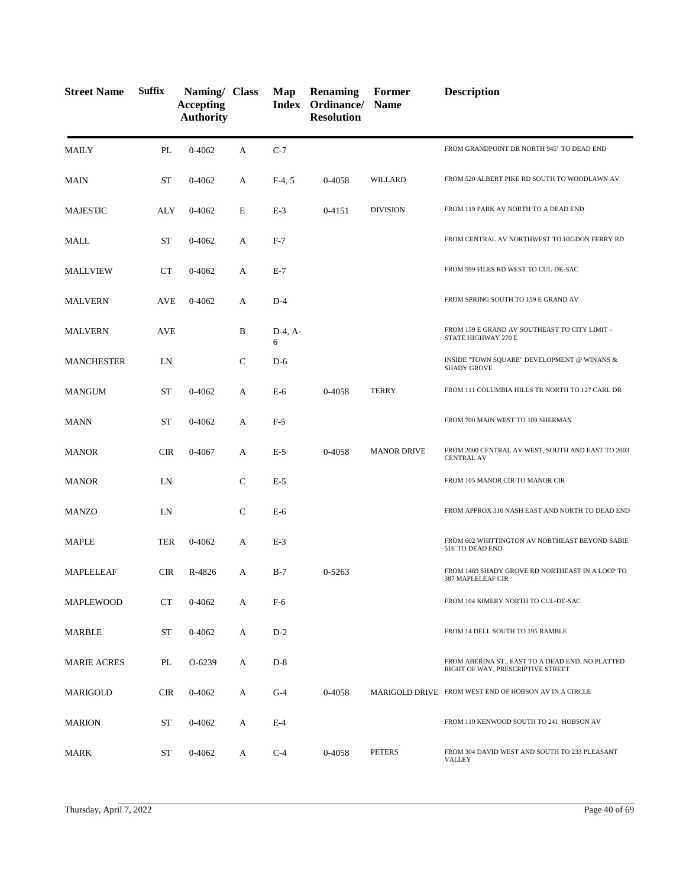| <b>Street Name</b> | <b>Suffix</b> | Naming/ Class<br><b>Accepting</b><br><b>Authority</b> |              | Map            | <b>Renaming</b><br>Index Ordinance/ Name<br><b>Resolution</b> | Former             | <b>Description</b>                                                                    |
|--------------------|---------------|-------------------------------------------------------|--------------|----------------|---------------------------------------------------------------|--------------------|---------------------------------------------------------------------------------------|
| <b>MAILY</b>       | PL            | $0 - 4062$                                            | A            | $C-7$          |                                                               |                    | FROM GRANDPOINT DR NORTH 945' TO DEAD END                                             |
| <b>MAIN</b>        | ST            | $0 - 4062$                                            | А            | $F-4, 5$       | 0-4058                                                        | WILLARD            | FROM 520 ALBERT PIKE RD SOUTH TO WOODLAWN AV                                          |
| <b>MAJESTIC</b>    | ALY           | $0 - 4062$                                            | E            | $E-3$          | 0-4151                                                        | <b>DIVISION</b>    | FROM 119 PARK AV NORTH TO A DEAD END                                                  |
| MALL               | ST            | $0 - 4062$                                            | А            | $F-7$          |                                                               |                    | FROM CENTRAL AV NORTHWEST TO HIGDON FERRY RD                                          |
| <b>MALLVIEW</b>    | <b>CT</b>     | $0 - 4062$                                            | A            | $E-7$          |                                                               |                    | FROM 599 FILES RD WEST TO CUL-DE-SAC                                                  |
| <b>MALVERN</b>     | <b>AVE</b>    | $0 - 4062$                                            | А            | $D-4$          |                                                               |                    | FROM SPRING SOUTH TO 159 E GRAND AV                                                   |
| <b>MALVERN</b>     | <b>AVE</b>    |                                                       | B            | $D-4, A-$<br>6 |                                                               |                    | FROM 159 E GRAND AV SOUTHEAST TO CITY LIMIT -<br>STATE HIGHWAY 270 E                  |
| <b>MANCHESTER</b>  | LN            |                                                       | C            | $D-6$          |                                                               |                    | INSIDE "TOWN SQUARE" DEVELOPMENT @ WINANS &<br><b>SHADY GROVE</b>                     |
| <b>MANGUM</b>      | ST            | 0-4062                                                | А            | E-6            | 0-4058                                                        | <b>TERRY</b>       | FROM 111 COLUMBIA HILLS TR NORTH TO 127 CARL DR                                       |
| <b>MANN</b>        | <b>ST</b>     | 0-4062                                                | А            | $F-5$          |                                                               |                    | FROM 700 MAIN WEST TO 109 SHERMAN                                                     |
| <b>MANOR</b>       | <b>CIR</b>    | 0-4067                                                | А            | $E-5$          | 0-4058                                                        | <b>MANOR DRIVE</b> | FROM 2000 CENTRAL AV WEST, SOUTH AND EAST TO 2003<br><b>CENTRAL AV</b>                |
| <b>MANOR</b>       | LN            |                                                       | C            | $E-5$          |                                                               |                    | FROM 105 MANOR CIR TO MANOR CIR                                                       |
| <b>MANZO</b>       | LN            |                                                       | $\mathsf{C}$ | $E-6$          |                                                               |                    | FROM APPROX 310 NASH EAST AND NORTH TO DEAD END                                       |
| <b>MAPLE</b>       | <b>TER</b>    | $0 - 4062$                                            | А            | $E-3$          |                                                               |                    | FROM 602 WHITTINGTON AV NORTHEAST BEYOND SABIE<br>516' TO DEAD END                    |
| <b>MAPLELEAF</b>   | CIR           | R-4826                                                | A            | $B-7$          | 0-5263                                                        |                    | FROM 1469 SHADY GROVE RD NORTHEAST IN A LOOP TO<br>387 MAPLELEAF CIR                  |
| MAPLEWOOD          | CT            | 0-4062                                                | А            | $F-6$          |                                                               |                    | FROM 104 KIMERY NORTH TO CUL-DE-SAC                                                   |
| MARBLE             | <b>ST</b>     | 0-4062                                                | A            | $D-2$          |                                                               |                    | FROM 14 DELL SOUTH TO 195 RAMBLE                                                      |
| <b>MARIE ACRES</b> | PL            | O-6239                                                | A            | $D-8$          |                                                               |                    | FROM ABERINA ST., EAST TO A DEAD END. NO PLATTED<br>RIGHT OF WAY, PRESCRIPTIVE STREET |
| MARIGOLD           | <b>CIR</b>    | 0-4062                                                | A            | $G-4$          | 0-4058                                                        |                    | MARIGOLD DRIVE FROM WEST END OF HOBSON AV IN A CIRCLE                                 |
| <b>MARION</b>      | ST            | 0-4062                                                | А            | $E-4$          |                                                               |                    | FROM 110 KENWOOD SOUTH TO 241 HOBSON AV                                               |
| <b>MARK</b>        | ST            | $0 - 4062$                                            | A            | $C-4$          | 0-4058                                                        | <b>PETERS</b>      | FROM 304 DAVID WEST AND SOUTH TO 233 PLEASANT<br><b>VALLEY</b>                        |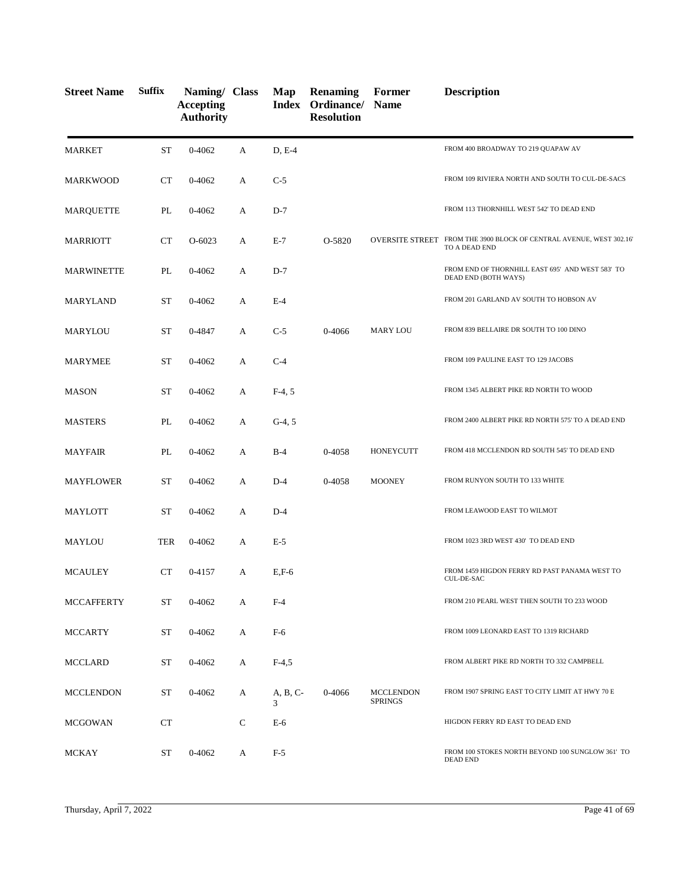| <b>Street Name</b> | <b>Suffix</b> | Naming/ Class<br><b>Accepting</b><br><b>Authority</b> |              | Map           | <b>Renaming</b><br>Index Ordinance/ Name<br><b>Resolution</b> | Former                             | <b>Description</b>                                                                   |
|--------------------|---------------|-------------------------------------------------------|--------------|---------------|---------------------------------------------------------------|------------------------------------|--------------------------------------------------------------------------------------|
| <b>MARKET</b>      | <b>ST</b>     | $0 - 4062$                                            | А            | D, E-4        |                                                               |                                    | FROM 400 BROADWAY TO 219 QUAPAW AV                                                   |
| <b>MARKWOOD</b>    | CT            | 0-4062                                                | A            | $C-5$         |                                                               |                                    | FROM 109 RIVIERA NORTH AND SOUTH TO CUL-DE-SACS                                      |
| MARQUETTE          | PL            | 0-4062                                                | А            | $D-7$         |                                                               |                                    | FROM 113 THORNHILL WEST 542' TO DEAD END                                             |
| <b>MARRIOTT</b>    | <b>CT</b>     | $O-6023$                                              | A            | $E-7$         | O-5820                                                        |                                    | OVERSITE STREET FROM THE 3900 BLOCK OF CENTRAL AVENUE, WEST 302.16'<br>TO A DEAD END |
| <b>MARWINETTE</b>  | PL            | 0-4062                                                | А            | $D-7$         |                                                               |                                    | FROM END OF THORNHILL EAST 695' AND WEST 583' TO<br>DEAD END (BOTH WAYS)             |
| <b>MARYLAND</b>    | <b>ST</b>     | 0-4062                                                | A            | $E-4$         |                                                               |                                    | FROM 201 GARLAND AV SOUTH TO HOBSON AV                                               |
| MARYLOU            | <b>ST</b>     | 0-4847                                                | A            | $C-5$         | 0-4066                                                        | <b>MARY LOU</b>                    | FROM 839 BELLAIRE DR SOUTH TO 100 DINO                                               |
| <b>MARYMEE</b>     | <b>ST</b>     | 0-4062                                                | А            | $C-4$         |                                                               |                                    | FROM 109 PAULINE EAST TO 129 JACOBS                                                  |
| <b>MASON</b>       | <b>ST</b>     | 0-4062                                                | A            | $F-4, 5$      |                                                               |                                    | FROM 1345 ALBERT PIKE RD NORTH TO WOOD                                               |
| <b>MASTERS</b>     | PL            | $0 - 4062$                                            | A            | $G-4, 5$      |                                                               |                                    | FROM 2400 ALBERT PIKE RD NORTH 575' TO A DEAD END                                    |
| <b>MAYFAIR</b>     | PL            | 0-4062                                                | А            | $B-4$         | 0-4058                                                        | <b>HONEYCUTT</b>                   | FROM 418 MCCLENDON RD SOUTH 545' TO DEAD END                                         |
| MAYFLOWER          | <b>ST</b>     | 0-4062                                                | A            | $D-4$         | 0-4058                                                        | <b>MOONEY</b>                      | FROM RUNYON SOUTH TO 133 WHITE                                                       |
| MAYLOTT            | <b>ST</b>     | 0-4062                                                | A            | $D-4$         |                                                               |                                    | FROM LEAWOOD EAST TO WILMOT                                                          |
| MAYLOU             | <b>TER</b>    | 0-4062                                                | А            | $E-5$         |                                                               |                                    | FROM 1023 3RD WEST 430' TO DEAD END                                                  |
| <b>MCAULEY</b>     | CT            | 0-4157                                                | A            | $E, F-6$      |                                                               |                                    | FROM 1459 HIGDON FERRY RD PAST PANAMA WEST TO<br><b>CUL-DE-SAC</b>                   |
| <b>MCCAFFERTY</b>  | ST            | 0-4062                                                | А            | $F-4$         |                                                               |                                    | FROM 210 PEARL WEST THEN SOUTH TO 233 WOOD                                           |
| <b>MCCARTY</b>     | <b>ST</b>     | 0-4062                                                | A            | $F-6$         |                                                               |                                    | FROM 1009 LEONARD EAST TO 1319 RICHARD                                               |
| <b>MCCLARD</b>     | ST            | 0-4062                                                | A            | $F-4,5$       |                                                               |                                    | FROM ALBERT PIKE RD NORTH TO 332 CAMPBELL                                            |
| <b>MCCLENDON</b>   | <b>ST</b>     | 0-4062                                                | A            | A, B, C-<br>3 | 0-4066                                                        | <b>MCCLENDON</b><br><b>SPRINGS</b> | FROM 1907 SPRING EAST TO CITY LIMIT AT HWY 70 E                                      |
| <b>MCGOWAN</b>     | <b>CT</b>     |                                                       | $\mathsf{C}$ | $E-6$         |                                                               |                                    | HIGDON FERRY RD EAST TO DEAD END                                                     |
| MCKAY              | ST            | 0-4062                                                | A            | $F-5$         |                                                               |                                    | FROM 100 STOKES NORTH BEYOND 100 SUNGLOW 361' TO<br><b>DEAD END</b>                  |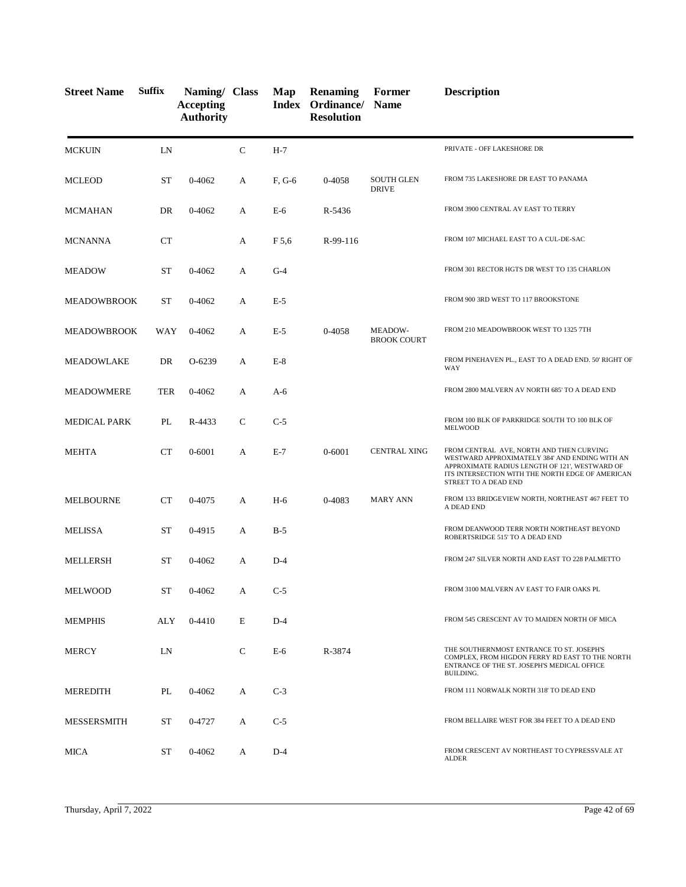| <b>Street Name</b>  | <b>Suffix</b> | Naming/ Class<br><b>Accepting</b><br><b>Authority</b> |               | Map    | <b>Renaming</b><br><b>Index Ordinance/ Name</b><br><b>Resolution</b> | Former                            | <b>Description</b>                                                                                                                                                                                                       |
|---------------------|---------------|-------------------------------------------------------|---------------|--------|----------------------------------------------------------------------|-----------------------------------|--------------------------------------------------------------------------------------------------------------------------------------------------------------------------------------------------------------------------|
| <b>MCKUIN</b>       | LN            |                                                       | $\mathbf C$   | $H-7$  |                                                                      |                                   | PRIVATE - OFF LAKESHORE DR                                                                                                                                                                                               |
| <b>MCLEOD</b>       | ST            | 0-4062                                                | A             | F, G-6 | 0-4058                                                               | <b>SOUTH GLEN</b><br><b>DRIVE</b> | FROM 735 LAKESHORE DR EAST TO PANAMA                                                                                                                                                                                     |
| <b>MCMAHAN</b>      | DR            | 0-4062                                                | А             | $E-6$  | R-5436                                                               |                                   | FROM 3900 CENTRAL AV EAST TO TERRY                                                                                                                                                                                       |
| <b>MCNANNA</b>      | CT            |                                                       | A             | F 5,6  | R-99-116                                                             |                                   | FROM 107 MICHAEL EAST TO A CUL-DE-SAC                                                                                                                                                                                    |
| <b>MEADOW</b>       | ST            | 0-4062                                                | A             | $G-4$  |                                                                      |                                   | FROM 301 RECTOR HGTS DR WEST TO 135 CHARLON                                                                                                                                                                              |
| <b>MEADOWBROOK</b>  | <b>ST</b>     | $0 - 4062$                                            | А             | $E-5$  |                                                                      |                                   | FROM 900 3RD WEST TO 117 BROOKSTONE                                                                                                                                                                                      |
| <b>MEADOWBROOK</b>  | WAY           | 0-4062                                                | А             | $E-5$  | 0-4058                                                               | MEADOW-<br><b>BROOK COURT</b>     | FROM 210 MEADOWBROOK WEST TO 1325 7TH                                                                                                                                                                                    |
| MEADOWLAKE          | DR            | O-6239                                                | A             | $E-8$  |                                                                      |                                   | FROM PINEHAVEN PL., EAST TO A DEAD END. 50' RIGHT OF<br>WAY                                                                                                                                                              |
| <b>MEADOWMERE</b>   | <b>TER</b>    | 0-4062                                                | А             | $A-6$  |                                                                      |                                   | FROM 2800 MALVERN AV NORTH 685' TO A DEAD END                                                                                                                                                                            |
| <b>MEDICAL PARK</b> | PL            | R-4433                                                | $\mathsf{C}$  | $C-5$  |                                                                      |                                   | FROM 100 BLK OF PARKRIDGE SOUTH TO 100 BLK OF<br><b>MELWOOD</b>                                                                                                                                                          |
| <b>MEHTA</b>        | CT            | $0 - 6001$                                            | A             | $E-7$  | $0 - 6001$                                                           | <b>CENTRAL XING</b>               | FROM CENTRAL AVE, NORTH AND THEN CURVING<br>WESTWARD APPROXIMATELY 384' AND ENDING WITH AN<br>APPROXIMATE RADIUS LENGTH OF 121', WESTWARD OF<br>ITS INTERSECTION WITH THE NORTH EDGE OF AMERICAN<br>STREET TO A DEAD END |
| <b>MELBOURNE</b>    | <b>CT</b>     | 0-4075                                                | А             | $H-6$  | 0-4083                                                               | <b>MARY ANN</b>                   | FROM 133 BRIDGEVIEW NORTH, NORTHEAST 467 FEET TO<br>A DEAD END                                                                                                                                                           |
| <b>MELISSA</b>      | <b>ST</b>     | 0-4915                                                | A             | $B-5$  |                                                                      |                                   | FROM DEANWOOD TERR NORTH NORTHEAST BEYOND<br>ROBERTSRIDGE 515' TO A DEAD END                                                                                                                                             |
| <b>MELLERSH</b>     | <b>ST</b>     | $0-4062$                                              | A             | $D-4$  |                                                                      |                                   | FROM 247 SILVER NORTH AND EAST TO 228 PALMETTO                                                                                                                                                                           |
| <b>MELWOOD</b>      | <b>ST</b>     | 0-4062                                                | A             | $C-5$  |                                                                      |                                   | FROM 3100 MALVERN AV EAST TO FAIR OAKS PL                                                                                                                                                                                |
| <b>MEMPHIS</b>      | ALY           | $0-4410$                                              | E             | $D-4$  |                                                                      |                                   | FROM 545 CRESCENT AV TO MAIDEN NORTH OF MICA                                                                                                                                                                             |
| <b>MERCY</b>        | LN            |                                                       | $\mathcal{C}$ | $E-6$  | R-3874                                                               |                                   | THE SOUTHERNMOST ENTRANCE TO ST. JOSEPH'S<br>COMPLEX, FROM HIGDON FERRY RD EAST TO THE NORTH<br>ENTRANCE OF THE ST. JOSEPH'S MEDICAL OFFICE<br>BUILDING.                                                                 |
| <b>MEREDITH</b>     | PL            | 0-4062                                                | A             | $C-3$  |                                                                      |                                   | FROM 111 NORWALK NORTH 318' TO DEAD END                                                                                                                                                                                  |
| <b>MESSERSMITH</b>  | ST            | 0-4727                                                | A             | $C-5$  |                                                                      |                                   | FROM BELLAIRE WEST FOR 384 FEET TO A DEAD END                                                                                                                                                                            |
| <b>MICA</b>         | ST            | 0-4062                                                | A             | $D-4$  |                                                                      |                                   | FROM CRESCENT AV NORTHEAST TO CYPRESSVALE AT<br><b>ALDER</b>                                                                                                                                                             |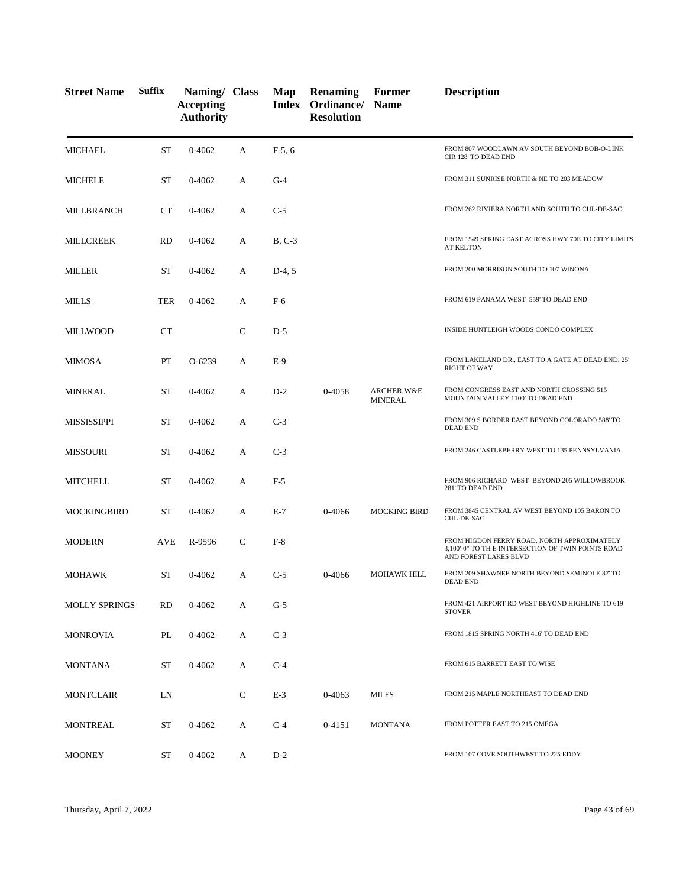| <b>Street Name</b>   | <b>Suffix</b> | Naming/ Class<br><b>Accepting</b><br><b>Authority</b> |              | Map      | Renaming<br>Index Ordinance/ Name<br><b>Resolution</b> | Former                        | <b>Description</b>                                                                                                         |
|----------------------|---------------|-------------------------------------------------------|--------------|----------|--------------------------------------------------------|-------------------------------|----------------------------------------------------------------------------------------------------------------------------|
| <b>MICHAEL</b>       | <b>ST</b>     | 0-4062                                                | A            | $F-5, 6$ |                                                        |                               | FROM 807 WOODLAWN AV SOUTH BEYOND BOB-O-LINK<br>CIR 128' TO DEAD END                                                       |
| <b>MICHELE</b>       | <b>ST</b>     | 0-4062                                                | A            | $G-4$    |                                                        |                               | FROM 311 SUNRISE NORTH & NE TO 203 MEADOW                                                                                  |
| MILLBRANCH           | <b>CT</b>     | 0-4062                                                | A            | $C-5$    |                                                        |                               | FROM 262 RIVIERA NORTH AND SOUTH TO CUL-DE-SAC                                                                             |
| MILLCREEK            | <b>RD</b>     | 0-4062                                                | A            | $B, C-3$ |                                                        |                               | FROM 1549 SPRING EAST ACROSS HWY 70E TO CITY LIMITS<br><b>AT KELTON</b>                                                    |
| <b>MILLER</b>        | <b>ST</b>     | 0-4062                                                | А            | $D-4, 5$ |                                                        |                               | FROM 200 MORRISON SOUTH TO 107 WINONA                                                                                      |
| MILLS                | <b>TER</b>    | 0-4062                                                | A            | $F-6$    |                                                        |                               | FROM 619 PANAMA WEST 559' TO DEAD END                                                                                      |
| <b>MILLWOOD</b>      | <b>CT</b>     |                                                       | $\mathsf{C}$ | $D-5$    |                                                        |                               | INSIDE HUNTLEIGH WOODS CONDO COMPLEX                                                                                       |
| MIMOSA               | PT            | $O-6239$                                              | A            | $E-9$    |                                                        |                               | FROM LAKELAND DR., EAST TO A GATE AT DEAD END. 25'<br><b>RIGHT OF WAY</b>                                                  |
| <b>MINERAL</b>       | <b>ST</b>     | 0-4062                                                | А            | $D-2$    | 0-4058                                                 | ARCHER, W&E<br><b>MINERAL</b> | FROM CONGRESS EAST AND NORTH CROSSING 515<br>MOUNTAIN VALLEY 1100' TO DEAD END                                             |
| <b>MISSISSIPPI</b>   | <b>ST</b>     | 0-4062                                                | A            | $C-3$    |                                                        |                               | FROM 309 S BORDER EAST BEYOND COLORADO 588' TO<br><b>DEAD END</b>                                                          |
| <b>MISSOURI</b>      | ST            | 0-4062                                                | A            | $C-3$    |                                                        |                               | FROM 246 CASTLEBERRY WEST TO 135 PENNSYLVANIA                                                                              |
| <b>MITCHELL</b>      | ST            | 0-4062                                                | A            | $F-5$    |                                                        |                               | FROM 906 RICHARD WEST BEYOND 205 WILLOWBROOK<br>281' TO DEAD END                                                           |
| <b>MOCKINGBIRD</b>   | ST            | 0-4062                                                | A            | $E-7$    | 0-4066                                                 | <b>MOCKING BIRD</b>           | FROM 3845 CENTRAL AV WEST BEYOND 105 BARON TO<br>CUL-DE-SAC                                                                |
| <b>MODERN</b>        | AVE           | R-9596                                                | C            | $F-8$    |                                                        |                               | FROM HIGDON FERRY ROAD, NORTH APPROXIMATELY<br>3,100'-0" TO TH E INTERSECTION OF TWIN POINTS ROAD<br>AND FOREST LAKES BLVD |
| <b>MOHAWK</b>        | ST            | 0-4062                                                | A            | $C-5$    | 0-4066                                                 | <b>MOHAWK HILL</b>            | FROM 209 SHAWNEE NORTH BEYOND SEMINOLE 87' TO<br><b>DEAD END</b>                                                           |
| <b>MOLLY SPRINGS</b> | <b>RD</b>     | 0-4062                                                | A            | $G-5$    |                                                        |                               | FROM 421 AIRPORT RD WEST BEYOND HIGHLINE TO 619<br><b>STOVER</b>                                                           |
| MONROVIA             | PL            | 0-4062                                                | A            | $C-3$    |                                                        |                               | FROM 1815 SPRING NORTH 416' TO DEAD END                                                                                    |
| <b>MONTANA</b>       | ST            | 0-4062                                                | А            | $C-4$    |                                                        |                               | FROM 615 BARRETT EAST TO WISE                                                                                              |
| <b>MONTCLAIR</b>     | LN            |                                                       | $\mathsf{C}$ | $E-3$    | 0-4063                                                 | MILES                         | FROM 215 MAPLE NORTHEAST TO DEAD END                                                                                       |
| MONTREAL             | ST            | 0-4062                                                | А            | $C-4$    | $0 - 4151$                                             | <b>MONTANA</b>                | FROM POTTER EAST TO 215 OMEGA                                                                                              |
| <b>MOONEY</b>        | ST            | 0-4062                                                | A            | $D-2$    |                                                        |                               | FROM 107 COVE SOUTHWEST TO 225 EDDY                                                                                        |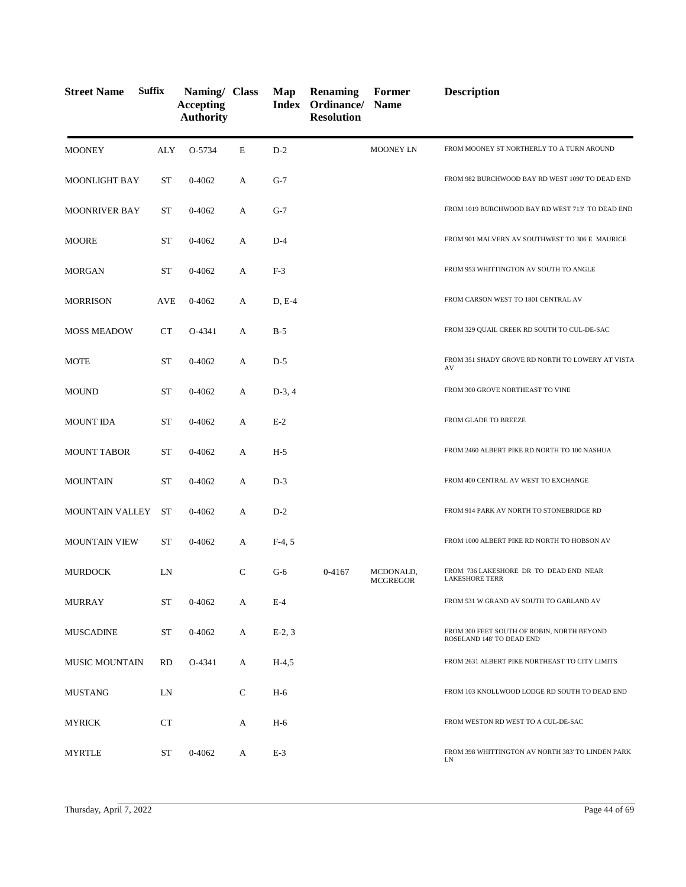| <b>Street Name</b>     | <b>Suffix</b> | Naming/ Class<br><b>Accepting</b><br><b>Authority</b> |              | Map      | <b>Renaming</b><br>Index Ordinance/ Name<br><b>Resolution</b> | Former                       | <b>Description</b>                                                      |
|------------------------|---------------|-------------------------------------------------------|--------------|----------|---------------------------------------------------------------|------------------------------|-------------------------------------------------------------------------|
| <b>MOONEY</b>          | ALY           | O-5734                                                | E            | $D-2$    |                                                               | <b>MOONEY LN</b>             | FROM MOONEY ST NORTHERLY TO A TURN AROUND                               |
| <b>MOONLIGHT BAY</b>   | ST            | 0-4062                                                | A            | $G-7$    |                                                               |                              | FROM 982 BURCHWOOD BAY RD WEST 1090' TO DEAD END                        |
| <b>MOONRIVER BAY</b>   | ST            | $0 - 4062$                                            | A            | $G-7$    |                                                               |                              | FROM 1019 BURCHWOOD BAY RD WEST 713' TO DEAD END                        |
| <b>MOORE</b>           | ST            | 0-4062                                                | А            | $D-4$    |                                                               |                              | FROM 901 MALVERN AV SOUTHWEST TO 306 E MAURICE                          |
| <b>MORGAN</b>          | ST            | $0 - 4062$                                            | A            | $F-3$    |                                                               |                              | FROM 953 WHITTINGTON AV SOUTH TO ANGLE                                  |
| <b>MORRISON</b>        | AVE           | $0 - 4062$                                            | A            | $D, E-4$ |                                                               |                              | FROM CARSON WEST TO 1801 CENTRAL AV                                     |
| <b>MOSS MEADOW</b>     | CT            | O-4341                                                | A            | $B-5$    |                                                               |                              | FROM 329 QUAIL CREEK RD SOUTH TO CUL-DE-SAC                             |
| <b>MOTE</b>            | <b>ST</b>     | $0 - 4062$                                            | A            | $D-5$    |                                                               |                              | FROM 351 SHADY GROVE RD NORTH TO LOWERY AT VISTA<br>AV                  |
| <b>MOUND</b>           | <b>ST</b>     | 0-4062                                                | А            | $D-3, 4$ |                                                               |                              | FROM 300 GROVE NORTHEAST TO VINE                                        |
| <b>MOUNT IDA</b>       | <b>ST</b>     | $0 - 4062$                                            | A            | $E-2$    |                                                               |                              | FROM GLADE TO BREEZE                                                    |
| <b>MOUNT TABOR</b>     | <b>ST</b>     | 0-4062                                                | A            | $H-5$    |                                                               |                              | FROM 2460 ALBERT PIKE RD NORTH TO 100 NASHUA                            |
| <b>MOUNTAIN</b>        | <b>ST</b>     | $0 - 4062$                                            | A            | $D-3$    |                                                               |                              | FROM 400 CENTRAL AV WEST TO EXCHANGE                                    |
| <b>MOUNTAIN VALLEY</b> | <b>ST</b>     | 0-4062                                                | А            | $D-2$    |                                                               |                              | FROM 914 PARK AV NORTH TO STONEBRIDGE RD                                |
| <b>MOUNTAIN VIEW</b>   | ST            | $0 - 4062$                                            | А            | $F-4, 5$ |                                                               |                              | FROM 1000 ALBERT PIKE RD NORTH TO HOBSON AV                             |
| <b>MURDOCK</b>         | LN            |                                                       | C            | $G-6$    | 0-4167                                                        | MCDONALD,<br><b>MCGREGOR</b> | FROM 736 LAKESHORE DR TO DEAD END NEAR<br><b>LAKESHORE TERR</b>         |
| <b>MURRAY</b>          | ST            | $0 - 4062$                                            | A            | $E-4$    |                                                               |                              | FROM 531 W GRAND AV SOUTH TO GARLAND AV                                 |
| <b>MUSCADINE</b>       | ST            | 0-4062                                                | A            | $E-2, 3$ |                                                               |                              | FROM 300 FEET SOUTH OF ROBIN, NORTH BEYOND<br>ROSELAND 148' TO DEAD END |
| <b>MUSIC MOUNTAIN</b>  | RD            | O-4341                                                | A            | $H-4,5$  |                                                               |                              | FROM 2631 ALBERT PIKE NORTHEAST TO CITY LIMITS                          |
| <b>MUSTANG</b>         | LN            |                                                       | $\mathsf{C}$ | $H-6$    |                                                               |                              | FROM 103 KNOLLWOOD LODGE RD SOUTH TO DEAD END                           |
| MYRICK                 | CT            |                                                       | A            | H-6      |                                                               |                              | FROM WESTON RD WEST TO A CUL-DE-SAC                                     |
| <b>MYRTLE</b>          | ST            | 0-4062                                                | A            | $E-3$    |                                                               |                              | FROM 398 WHITTINGTON AV NORTH 383' TO LINDEN PARK<br>LN                 |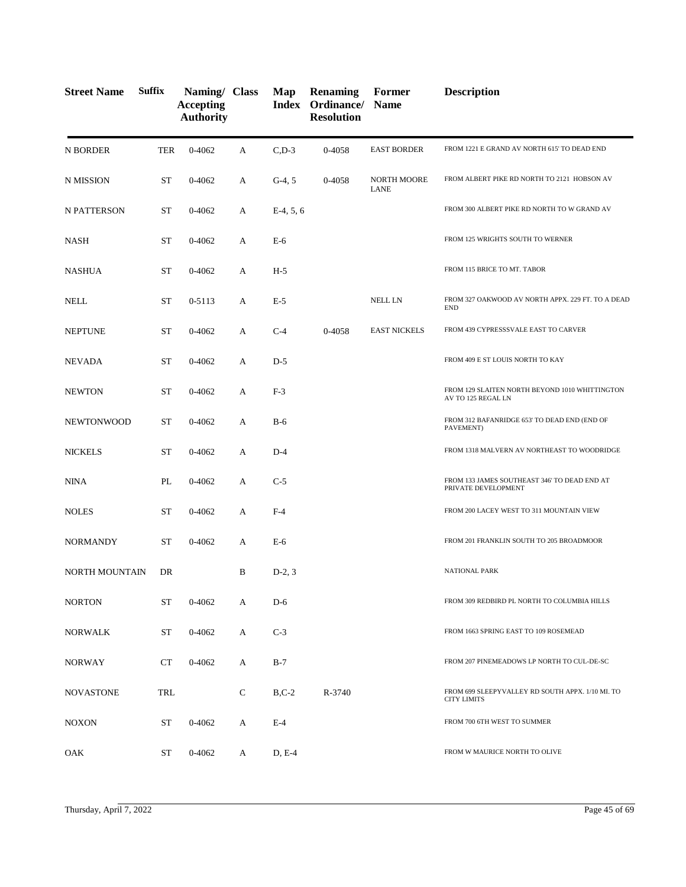| <b>Street Name</b>    | <b>Suffix</b> | Naming/ Class<br><b>Accepting</b><br><b>Authority</b> |   | Map         | <b>Renaming</b><br>Index Ordinance/<br><b>Resolution</b> | Former<br><b>Name</b>             | <b>Description</b>                                                     |
|-----------------------|---------------|-------------------------------------------------------|---|-------------|----------------------------------------------------------|-----------------------------------|------------------------------------------------------------------------|
| N BORDER              | <b>TER</b>    | 0-4062                                                | A | $C$ , $D-3$ | 0-4058                                                   | <b>EAST BORDER</b>                | FROM 1221 E GRAND AV NORTH 615' TO DEAD END                            |
| N MISSION             | <b>ST</b>     | 0-4062                                                | A | $G-4, 5$    | 0-4058                                                   | <b>NORTH MOORE</b><br><b>LANE</b> | FROM ALBERT PIKE RD NORTH TO 2121 HOBSON AV                            |
| N PATTERSON           | <b>ST</b>     | 0-4062                                                | A | $E-4, 5, 6$ |                                                          |                                   | FROM 300 ALBERT PIKE RD NORTH TO W GRAND AV                            |
| <b>NASH</b>           | <b>ST</b>     | 0-4062                                                | A | $E-6$       |                                                          |                                   | FROM 125 WRIGHTS SOUTH TO WERNER                                       |
| <b>NASHUA</b>         | <b>ST</b>     | 0-4062                                                | A | $H-5$       |                                                          |                                   | FROM 115 BRICE TO MT. TABOR                                            |
| <b>NELL</b>           | <b>ST</b>     | 0-5113                                                | A | $E-5$       |                                                          | <b>NELL LN</b>                    | FROM 327 OAKWOOD AV NORTH APPX. 229 FT. TO A DEAD<br><b>END</b>        |
| <b>NEPTUNE</b>        | <b>ST</b>     | 0-4062                                                | A | $C-4$       | 0-4058                                                   | <b>EAST NICKELS</b>               | FROM 439 CYPRESSSVALE EAST TO CARVER                                   |
| NEVADA                | <b>ST</b>     | 0-4062                                                | A | $D-5$       |                                                          |                                   | FROM 409 E ST LOUIS NORTH TO KAY                                       |
| <b>NEWTON</b>         | <b>ST</b>     | 0-4062                                                | A | $F-3$       |                                                          |                                   | FROM 129 SLAITEN NORTH BEYOND 1010 WHITTINGTON<br>AV TO 125 REGAL LN   |
| <b>NEWTONWOOD</b>     | <b>ST</b>     | 0-4062                                                | A | $B-6$       |                                                          |                                   | FROM 312 BAFANRIDGE 653' TO DEAD END (END OF<br>PAVEMENT)              |
| <b>NICKELS</b>        | <b>ST</b>     | 0-4062                                                | A | $D-4$       |                                                          |                                   | FROM 1318 MALVERN AV NORTHEAST TO WOODRIDGE                            |
| <b>NINA</b>           | PL            | 0-4062                                                | A | $C-5$       |                                                          |                                   | FROM 133 JAMES SOUTHEAST 346' TO DEAD END AT<br>PRIVATE DEVELOPMENT    |
| <b>NOLES</b>          | <b>ST</b>     | 0-4062                                                | A | $F-4$       |                                                          |                                   | FROM 200 LACEY WEST TO 311 MOUNTAIN VIEW                               |
| <b>NORMANDY</b>       | <b>ST</b>     | 0-4062                                                | A | E-6         |                                                          |                                   | FROM 201 FRANKLIN SOUTH TO 205 BROADMOOR                               |
| <b>NORTH MOUNTAIN</b> | DR            |                                                       | B | $D-2, 3$    |                                                          |                                   | <b>NATIONAL PARK</b>                                                   |
| <b>NORTON</b>         | <b>ST</b>     | 0-4062                                                | A | $D-6$       |                                                          |                                   | FROM 309 REDBIRD PL NORTH TO COLUMBIA HILLS                            |
| <b>NORWALK</b>        | ST            | 0-4062                                                | A | $C-3$       |                                                          |                                   | FROM 1663 SPRING EAST TO 109 ROSEMEAD                                  |
| <b>NORWAY</b>         | <b>CT</b>     | 0-4062                                                | A | $B-7$       |                                                          |                                   | FROM 207 PINEMEADOWS LP NORTH TO CUL-DE-SC                             |
| <b>NOVASTONE</b>      | TRL           |                                                       | C | $B, C-2$    | R-3740                                                   |                                   | FROM 699 SLEEPYVALLEY RD SOUTH APPX. 1/10 MI. TO<br><b>CITY LIMITS</b> |
| <b>NOXON</b>          | ST            | 0-4062                                                | A | $E-4$       |                                                          |                                   | FROM 700 6TH WEST TO SUMMER                                            |
| OAK                   | ST            | 0-4062                                                | A | $D, E-4$    |                                                          |                                   | FROM W MAURICE NORTH TO OLIVE                                          |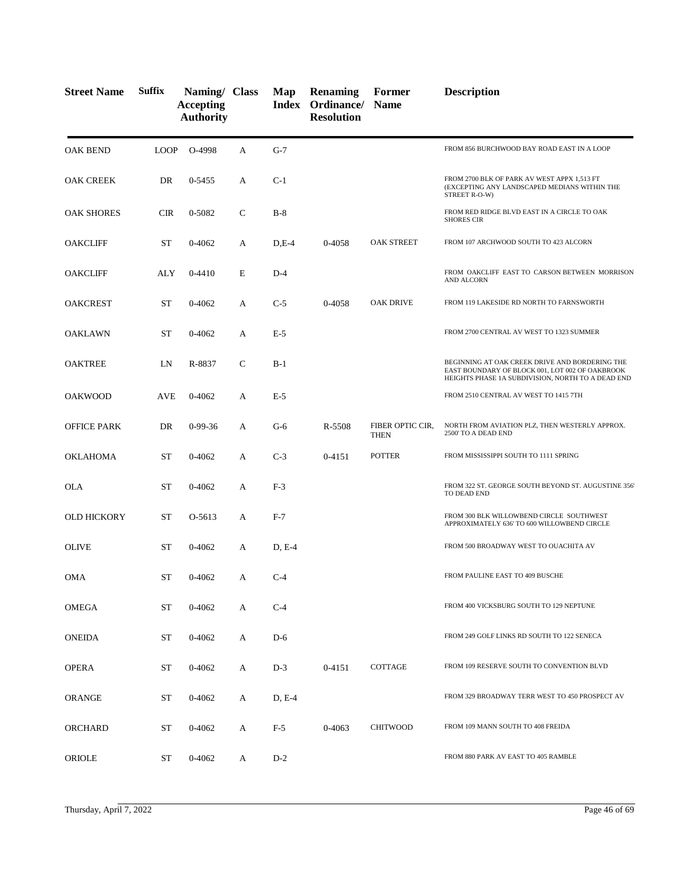| <b>Street Name</b> | <b>Suffix</b> | Naming/ Class<br><b>Accepting</b><br><b>Authority</b> |              | Map     | <b>Renaming</b><br>Index Ordinance/<br><b>Resolution</b> | Former<br><b>Name</b>           | <b>Description</b>                                                                                                                                     |
|--------------------|---------------|-------------------------------------------------------|--------------|---------|----------------------------------------------------------|---------------------------------|--------------------------------------------------------------------------------------------------------------------------------------------------------|
| <b>OAK BEND</b>    | <b>LOOP</b>   | O-4998                                                | A            | $G-7$   |                                                          |                                 | FROM 856 BURCHWOOD BAY ROAD EAST IN A LOOP                                                                                                             |
| <b>OAK CREEK</b>   | DR            | 0-5455                                                | A            | $C-1$   |                                                          |                                 | FROM 2700 BLK OF PARK AV WEST APPX 1,513 FT<br>(EXCEPTING ANY LANDSCAPED MEDIANS WITHIN THE<br>STREET R-O-W)                                           |
| <b>OAK SHORES</b>  | <b>CIR</b>    | 0-5082                                                | $\mathsf{C}$ | $B-8$   |                                                          |                                 | FROM RED RIDGE BLVD EAST IN A CIRCLE TO OAK<br><b>SHORES CIR</b>                                                                                       |
| OAKCLIFF           | <b>ST</b>     | 0-4062                                                | A            | $D,E-4$ | 0-4058                                                   | <b>OAK STREET</b>               | FROM 107 ARCHWOOD SOUTH TO 423 ALCORN                                                                                                                  |
| <b>OAKCLIFF</b>    | ALY           | $0 - 4410$                                            | E            | $D-4$   |                                                          |                                 | FROM OAKCLIFF EAST TO CARSON BETWEEN MORRISON<br><b>AND ALCORN</b>                                                                                     |
| <b>OAKCREST</b>    | <b>ST</b>     | 0-4062                                                | A            | $C-5$   | 0-4058                                                   | <b>OAK DRIVE</b>                | FROM 119 LAKESIDE RD NORTH TO FARNSWORTH                                                                                                               |
| OAKLAWN            | <b>ST</b>     | 0-4062                                                | А            | $E-5$   |                                                          |                                 | FROM 2700 CENTRAL AV WEST TO 1323 SUMMER                                                                                                               |
| <b>OAKTREE</b>     | LN            | R-8837                                                | $\mathsf{C}$ | $B-1$   |                                                          |                                 | BEGINNING AT OAK CREEK DRIVE AND BORDERING THE<br>EAST BOUNDARY OF BLOCK 001, LOT 002 OF OAKBROOK<br>HEIGHTS PHASE 1A SUBDIVISION, NORTH TO A DEAD END |
| <b>OAKWOOD</b>     | AVE           | $0 - 4062$                                            | A            | $E-5$   |                                                          |                                 | FROM 2510 CENTRAL AV WEST TO 1415 7TH                                                                                                                  |
| OFFICE PARK        | DR            | $0-99-36$                                             | A            | $G-6$   | R-5508                                                   | FIBER OPTIC CIR,<br><b>THEN</b> | NORTH FROM AVIATION PLZ, THEN WESTERLY APPROX.<br>2500' TO A DEAD END                                                                                  |
| <b>OKLAHOMA</b>    | <b>ST</b>     | 0-4062                                                | A            | $C-3$   | 0-4151                                                   | <b>POTTER</b>                   | FROM MISSISSIPPI SOUTH TO 1111 SPRING                                                                                                                  |
| OLA                | <b>ST</b>     | 0-4062                                                | A            | $F-3$   |                                                          |                                 | FROM 322 ST. GEORGE SOUTH BEYOND ST. AUGUSTINE 356'<br>TO DEAD END                                                                                     |
| <b>OLD HICKORY</b> | <b>ST</b>     | O-5613                                                | A            | $F-7$   |                                                          |                                 | FROM 300 BLK WILLOWBEND CIRCLE SOUTHWEST<br>APPROXIMATELY 636' TO 600 WILLOWBEND CIRCLE                                                                |
| <b>OLIVE</b>       | <b>ST</b>     | 0-4062                                                | A            | D, E-4  |                                                          |                                 | FROM 500 BROADWAY WEST TO OUACHITA AV                                                                                                                  |
| OMA                | ST            | 0-4062                                                | A            | $C-4$   |                                                          |                                 | FROM PAULINE EAST TO 409 BUSCHE                                                                                                                        |
| OMEGA              | ST            | 0-4062                                                | A            | $C-4$   |                                                          |                                 | FROM 400 VICKSBURG SOUTH TO 129 NEPTUNE                                                                                                                |
| <b>ONEIDA</b>      | ST            | 0-4062                                                | A            | $D-6$   |                                                          |                                 | FROM 249 GOLF LINKS RD SOUTH TO 122 SENECA                                                                                                             |
| <b>OPERA</b>       | ST            | 0-4062                                                | A            | $D-3$   | $0 - 4151$                                               | COTTAGE                         | FROM 109 RESERVE SOUTH TO CONVENTION BLVD                                                                                                              |
| <b>ORANGE</b>      | ST            | 0-4062                                                | A            | D, E-4  |                                                          |                                 | FROM 329 BROADWAY TERR WEST TO 450 PROSPECT AV                                                                                                         |
| ORCHARD            | ST            | 0-4062                                                | A            | $F-5$   | $0 - 4063$                                               | <b>CHITWOOD</b>                 | FROM 109 MANN SOUTH TO 408 FREIDA                                                                                                                      |
| <b>ORIOLE</b>      | ST            | 0-4062                                                | А            | $D-2$   |                                                          |                                 | FROM 880 PARK AV EAST TO 405 RAMBLE                                                                                                                    |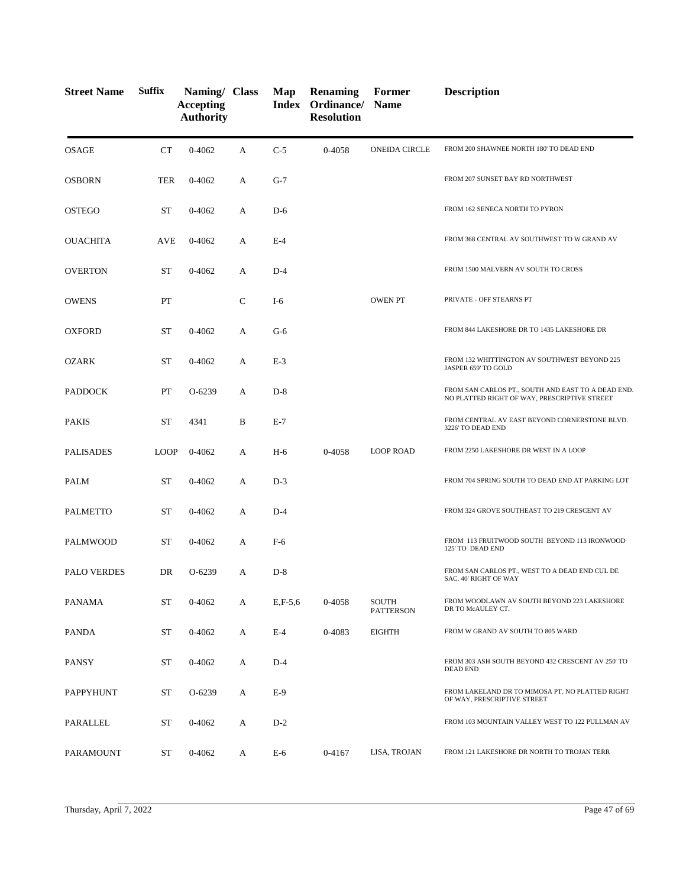| <b>Street Name</b> | <b>Suffix</b> | Naming/ Class<br><b>Accepting</b><br><b>Authority</b> |              | Map         | <b>Renaming</b><br>Index Ordinance/ Name<br><b>Resolution</b> | Former                    | <b>Description</b>                                                                                 |
|--------------------|---------------|-------------------------------------------------------|--------------|-------------|---------------------------------------------------------------|---------------------------|----------------------------------------------------------------------------------------------------|
| <b>OSAGE</b>       | CT            | 0-4062                                                | A            | $C-5$       | 0-4058                                                        | <b>ONEIDA CIRCLE</b>      | FROM 200 SHAWNEE NORTH 180' TO DEAD END                                                            |
| <b>OSBORN</b>      | <b>TER</b>    | 0-4062                                                | A            | $G-7$       |                                                               |                           | FROM 207 SUNSET BAY RD NORTHWEST                                                                   |
| OSTEGO             | <b>ST</b>     | 0-4062                                                | А            | $D-6$       |                                                               |                           | FROM 162 SENECA NORTH TO PYRON                                                                     |
| <b>OUACHITA</b>    | <b>AVE</b>    | 0-4062                                                | А            | $E-4$       |                                                               |                           | FROM 368 CENTRAL AV SOUTHWEST TO W GRAND AV                                                        |
| <b>OVERTON</b>     | <b>ST</b>     | 0-4062                                                | A            | $D-4$       |                                                               |                           | FROM 1500 MALVERN AV SOUTH TO CROSS                                                                |
| <b>OWENS</b>       | PT            |                                                       | $\mathsf{C}$ | $I-6$       |                                                               | <b>OWEN PT</b>            | PRIVATE - OFF STEARNS PT                                                                           |
| <b>OXFORD</b>      | <b>ST</b>     | 0-4062                                                | А            | $G-6$       |                                                               |                           | FROM 844 LAKESHORE DR TO 1435 LAKESHORE DR                                                         |
| <b>OZARK</b>       | <b>ST</b>     | 0-4062                                                | А            | $E-3$       |                                                               |                           | FROM 132 WHITTINGTON AV SOUTHWEST BEYOND 225<br>JASPER 659' TO GOLD                                |
| <b>PADDOCK</b>     | PT            | O-6239                                                | A            | $D-8$       |                                                               |                           | FROM SAN CARLOS PT., SOUTH AND EAST TO A DEAD END.<br>NO PLATTED RIGHT OF WAY, PRESCRIPTIVE STREET |
| <b>PAKIS</b>       | <b>ST</b>     | 4341                                                  | B            | $E-7$       |                                                               |                           | FROM CENTRAL AV EAST BEYOND CORNERSTONE BLVD.<br>3226' TO DEAD END                                 |
| <b>PALISADES</b>   | <b>LOOP</b>   | 0-4062                                                | А            | $H-6$       | 0-4058                                                        | <b>LOOP ROAD</b>          | FROM 2250 LAKESHORE DR WEST IN A LOOP                                                              |
| <b>PALM</b>        | <b>ST</b>     | 0-4062                                                | A            | $D-3$       |                                                               |                           | FROM 704 SPRING SOUTH TO DEAD END AT PARKING LOT                                                   |
| <b>PALMETTO</b>    | <b>ST</b>     | 0-4062                                                | А            | $D-4$       |                                                               |                           | FROM 324 GROVE SOUTHEAST TO 219 CRESCENT AV                                                        |
| PALMWOOD           | <b>ST</b>     | 0-4062                                                | А            | $F-6$       |                                                               |                           | FROM 113 FRUITWOOD SOUTH BEYOND 113 IRONWOOD<br>125' TO DEAD END                                   |
| PALO VERDES        | DR            | O-6239                                                | А            | $D-8$       |                                                               |                           | FROM SAN CARLOS PT., WEST TO A DEAD END CUL DE<br>SAC. 40' RIGHT OF WAY                            |
| PANAMA             | <b>ST</b>     | 0-4062                                                | А            | $E, F-5, 6$ | 0-4058                                                        | SOUTH<br><b>PATTERSON</b> | FROM WOODLAWN AV SOUTH BEYOND 223 LAKESHORE<br>DR TO McAULEY CT.                                   |
| <b>PANDA</b>       | <b>ST</b>     | 0-4062                                                | А            | $E-4$       | 0-4083                                                        | <b>EIGHTH</b>             | FROM W GRAND AV SOUTH TO 805 WARD                                                                  |
| <b>PANSY</b>       | ST            | 0-4062                                                | A            | $D-4$       |                                                               |                           | FROM 303 ASH SOUTH BEYOND 432 CRESCENT AV 250' TO<br><b>DEAD END</b>                               |
| PAPPYHUNT          | <b>ST</b>     | O-6239                                                | А            | $E-9$       |                                                               |                           | FROM LAKELAND DR TO MIMOSA PT. NO PLATTED RIGHT<br>OF WAY, PRESCRIPTIVE STREET                     |
| PARALLEL           | <b>ST</b>     | 0-4062                                                | А            | $D-2$       |                                                               |                           | FROM 103 MOUNTAIN VALLEY WEST TO 122 PULLMAN AV                                                    |
| PARAMOUNT          | ST            | 0-4062                                                | A            | $E-6$       | 0-4167                                                        | LISA, TROJAN              | FROM 121 LAKESHORE DR NORTH TO TROJAN TERR                                                         |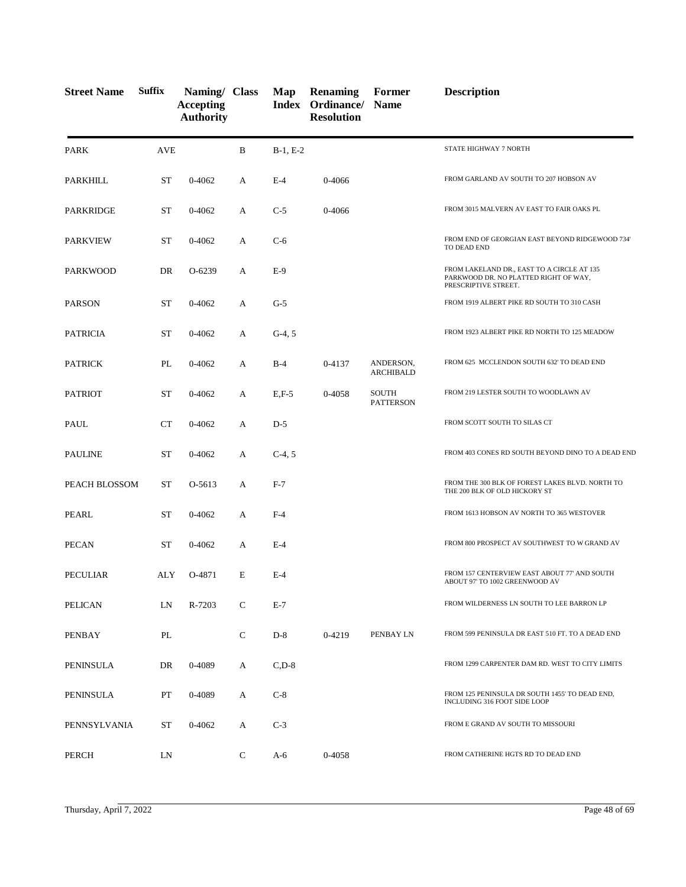| <b>Street Name</b> | <b>Suffix</b> | Naming/ Class<br><b>Accepting</b><br><b>Authority</b> |              | Map        | <b>Renaming</b><br>Index Ordinance/<br><b>Resolution</b> | Former<br><b>Name</b>            | <b>Description</b>                                                                                          |
|--------------------|---------------|-------------------------------------------------------|--------------|------------|----------------------------------------------------------|----------------------------------|-------------------------------------------------------------------------------------------------------------|
| <b>PARK</b>        | <b>AVE</b>    |                                                       | B            | $B-1, E-2$ |                                                          |                                  | STATE HIGHWAY 7 NORTH                                                                                       |
| PARKHILL           | ST            | 0-4062                                                | А            | $E-4$      | 0-4066                                                   |                                  | FROM GARLAND AV SOUTH TO 207 HOBSON AV                                                                      |
| <b>PARKRIDGE</b>   | ST            | 0-4062                                                | A            | $C-5$      | 0-4066                                                   |                                  | FROM 3015 MALVERN AV EAST TO FAIR OAKS PL                                                                   |
| <b>PARKVIEW</b>    | ST            | 0-4062                                                | А            | $C-6$      |                                                          |                                  | FROM END OF GEORGIAN EAST BEYOND RIDGEWOOD 734'<br>TO DEAD END                                              |
| PARKWOOD           | DR            | O-6239                                                | А            | $E-9$      |                                                          |                                  | FROM LAKELAND DR., EAST TO A CIRCLE AT 135<br>PARKWOOD DR. NO PLATTED RIGHT OF WAY,<br>PRESCRIPTIVE STREET. |
| <b>PARSON</b>      | <b>ST</b>     | 0-4062                                                | A            | $G-5$      |                                                          |                                  | FROM 1919 ALBERT PIKE RD SOUTH TO 310 CASH                                                                  |
| <b>PATRICIA</b>    | ST            | 0-4062                                                | A            | $G-4, 5$   |                                                          |                                  | FROM 1923 ALBERT PIKE RD NORTH TO 125 MEADOW                                                                |
| <b>PATRICK</b>     | PL            | 0-4062                                                | А            | $B-4$      | 0-4137                                                   | ANDERSON,<br><b>ARCHIBALD</b>    | FROM 625 MCCLENDON SOUTH 632' TO DEAD END                                                                   |
| <b>PATRIOT</b>     | <b>ST</b>     | 0-4062                                                | A            | $E, F-5$   | 0-4058                                                   | <b>SOUTH</b><br><b>PATTERSON</b> | FROM 219 LESTER SOUTH TO WOODLAWN AV                                                                        |
| PAUL               | CT            | 0-4062                                                | A            | $D-5$      |                                                          |                                  | FROM SCOTT SOUTH TO SILAS CT                                                                                |
| <b>PAULINE</b>     | <b>ST</b>     | 0-4062                                                | A            | $C-4, 5$   |                                                          |                                  | FROM 403 CONES RD SOUTH BEYOND DINO TO A DEAD END                                                           |
| PEACH BLOSSOM      | <b>ST</b>     | O-5613                                                | A            | $F-7$      |                                                          |                                  | FROM THE 300 BLK OF FOREST LAKES BLVD. NORTH TO<br>THE 200 BLK OF OLD HICKORY ST                            |
| PEARL              | <b>ST</b>     | $0 - 4062$                                            | A            | $F-4$      |                                                          |                                  | FROM 1613 HOBSON AV NORTH TO 365 WESTOVER                                                                   |
| <b>PECAN</b>       | <b>ST</b>     | 0-4062                                                | A            | $E-4$      |                                                          |                                  | FROM 800 PROSPECT AV SOUTHWEST TO W GRAND AV                                                                |
| <b>PECULIAR</b>    | ALY           | O-4871                                                | E            | $E-4$      |                                                          |                                  | FROM 157 CENTERVIEW EAST ABOUT 77' AND SOUTH<br>ABOUT 97' TO 1002 GREENWOOD AV                              |
| <b>PELICAN</b>     | LN            | R-7203                                                | $\mathsf{C}$ | $E-7$      |                                                          |                                  | FROM WILDERNESS LN SOUTH TO LEE BARRON LP                                                                   |
| PENBAY             | PL            |                                                       | $\mathbf C$  | $D-8$      | 0-4219                                                   | PENBAY LN                        | FROM 599 PENINSULA DR EAST 510 FT. TO A DEAD END                                                            |
| PENINSULA          | DR            | 0-4089                                                | A            | $C, D-8$   |                                                          |                                  | FROM 1299 CARPENTER DAM RD. WEST TO CITY LIMITS                                                             |
| PENINSULA          | PT            | 0-4089                                                | A            | $C-8$      |                                                          |                                  | FROM 125 PENINSULA DR SOUTH 1455' TO DEAD END,<br>INCLUDING 316 FOOT SIDE LOOP                              |
| PENNSYLVANIA       | ST            | 0-4062                                                | A            | $C-3$      |                                                          |                                  | FROM E GRAND AV SOUTH TO MISSOURI                                                                           |
| PERCH              | LN            |                                                       | $\mathsf{C}$ | $A-6$      | 0-4058                                                   |                                  | FROM CATHERINE HGTS RD TO DEAD END                                                                          |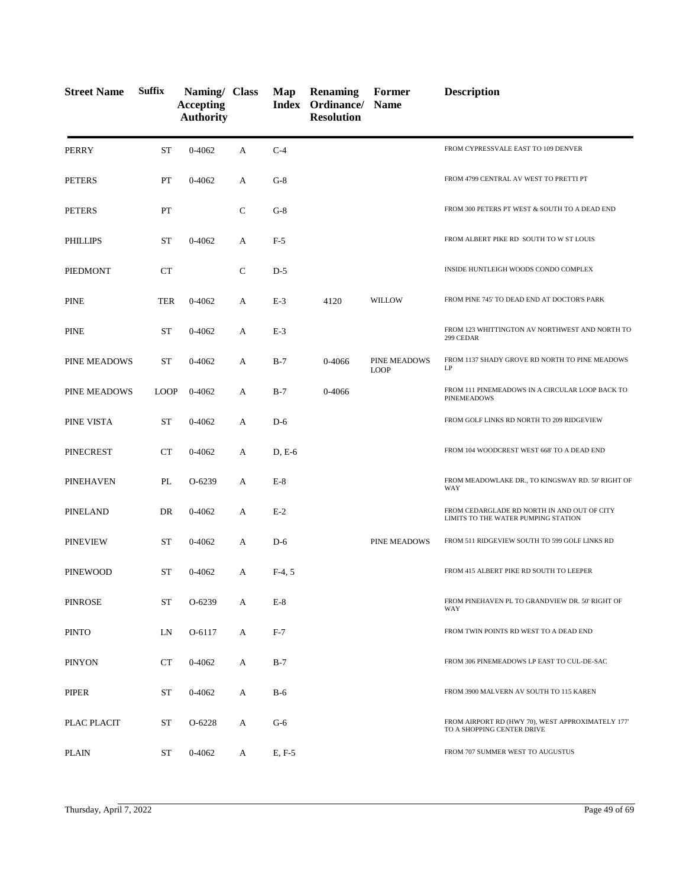| <b>Street Name</b>  | <b>Suffix</b> | Naming/ Class<br><b>Accepting</b><br><b>Authority</b> |   | Map      | <b>Renaming</b><br>Index Ordinance/<br><b>Resolution</b> | Former<br><b>Name</b>       | <b>Description</b>                                                                 |
|---------------------|---------------|-------------------------------------------------------|---|----------|----------------------------------------------------------|-----------------------------|------------------------------------------------------------------------------------|
| <b>PERRY</b>        | <b>ST</b>     | $0 - 4062$                                            | A | $C-4$    |                                                          |                             | FROM CYPRESSVALE EAST TO 109 DENVER                                                |
| <b>PETERS</b>       | PT            | 0-4062                                                | A | $G-8$    |                                                          |                             | FROM 4799 CENTRAL AV WEST TO PRETTI PT                                             |
| <b>PETERS</b>       | PT            |                                                       | C | $G-8$    |                                                          |                             | FROM 300 PETERS PT WEST & SOUTH TO A DEAD END                                      |
| PHILLIPS            | <b>ST</b>     | $0 - 4062$                                            | A | $F-5$    |                                                          |                             | FROM ALBERT PIKE RD SOUTH TO W ST LOUIS                                            |
| PIEDMONT            | CT            |                                                       | C | $D-5$    |                                                          |                             | INSIDE HUNTLEIGH WOODS CONDO COMPLEX                                               |
| <b>PINE</b>         | <b>TER</b>    | $0 - 4062$                                            | A | $E-3$    | 4120                                                     | <b>WILLOW</b>               | FROM PINE 745' TO DEAD END AT DOCTOR'S PARK                                        |
| <b>PINE</b>         | <b>ST</b>     | $0 - 4062$                                            | A | $E-3$    |                                                          |                             | FROM 123 WHITTINGTON AV NORTHWEST AND NORTH TO<br>299 CEDAR                        |
| <b>PINE MEADOWS</b> | <b>ST</b>     | 0-4062                                                | А | $B-7$    | 0-4066                                                   | PINE MEADOWS<br><b>LOOP</b> | FROM 1137 SHADY GROVE RD NORTH TO PINE MEADOWS<br>LP                               |
| PINE MEADOWS        | <b>LOOP</b>   | 0-4062                                                | A | $B-7$    | 0-4066                                                   |                             | FROM 111 PINEMEADOWS IN A CIRCULAR LOOP BACK TO<br><b>PINEMEADOWS</b>              |
| PINE VISTA          | <b>ST</b>     | 0-4062                                                | A | $D-6$    |                                                          |                             | FROM GOLF LINKS RD NORTH TO 209 RIDGEVIEW                                          |
| <b>PINECREST</b>    | CT            | $0 - 4062$                                            | A | $D, E-6$ |                                                          |                             | FROM 104 WOODCREST WEST 668' TO A DEAD END                                         |
| PINEHAVEN           | PL            | $O-6239$                                              | A | $E-8$    |                                                          |                             | FROM MEADOWLAKE DR., TO KINGSWAY RD. 50' RIGHT OF<br>WAY                           |
| <b>PINELAND</b>     | DR            | $0 - 4062$                                            | A | $E-2$    |                                                          |                             | FROM CEDARGLADE RD NORTH IN AND OUT OF CITY<br>LIMITS TO THE WATER PUMPING STATION |
| <b>PINEVIEW</b>     | <b>ST</b>     | $0 - 4062$                                            | A | $D-6$    |                                                          | PINE MEADOWS                | FROM 511 RIDGEVIEW SOUTH TO 599 GOLF LINKS RD                                      |
| <b>PINEWOOD</b>     | ST            | $0 - 4062$                                            | A | $F-4, 5$ |                                                          |                             | FROM 415 ALBERT PIKE RD SOUTH TO LEEPER                                            |
| <b>PINROSE</b>      | <b>ST</b>     | O-6239                                                | А | $E-8$    |                                                          |                             | FROM PINEHAVEN PL TO GRANDVIEW DR. 50' RIGHT OF<br>WAY                             |
| <b>PINTO</b>        | LN            | O-6117                                                | A | $F-7$    |                                                          |                             | FROM TWIN POINTS RD WEST TO A DEAD END                                             |
| <b>PINYON</b>       | <b>CT</b>     | 0-4062                                                | A | $B-7$    |                                                          |                             | FROM 306 PINEMEADOWS LP EAST TO CUL-DE-SAC                                         |
| <b>PIPER</b>        | <b>ST</b>     | 0-4062                                                | A | $B-6$    |                                                          |                             | FROM 3900 MALVERN AV SOUTH TO 115 KAREN                                            |
| PLAC PLACIT         | <b>ST</b>     | O-6228                                                | A | $G-6$    |                                                          |                             | FROM AIRPORT RD (HWY 70), WEST APPROXIMATELY 177'<br>TO A SHOPPING CENTER DRIVE    |
| <b>PLAIN</b>        | ST            | 0-4062                                                | A | $E, F-5$ |                                                          |                             | FROM 707 SUMMER WEST TO AUGUSTUS                                                   |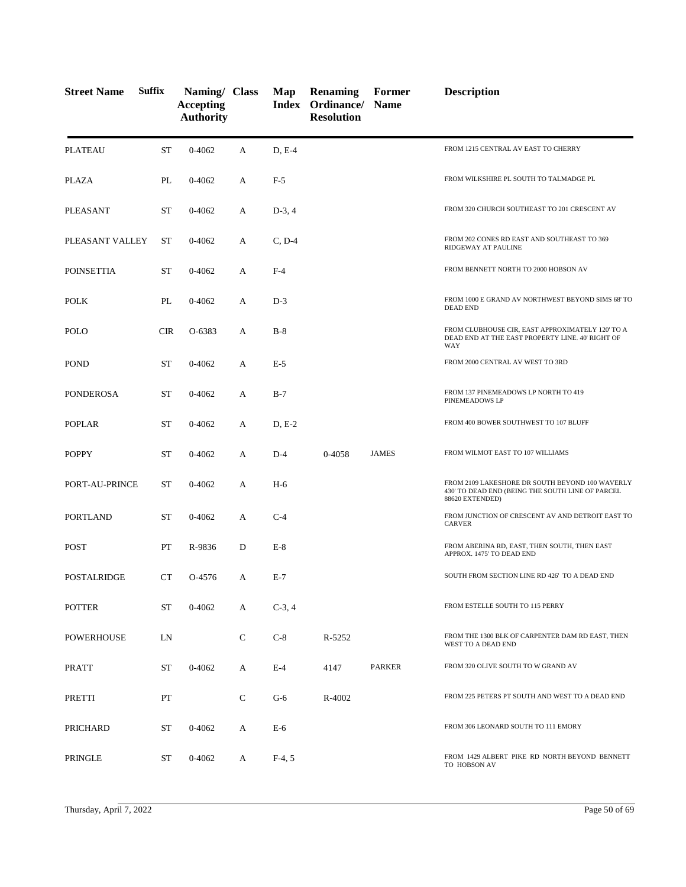| <b>Street Name</b> | <b>Suffix</b> | Naming/ Class<br><b>Accepting</b><br><b>Authority</b> |              | Map      | Renaming<br>Index Ordinance/ Name<br><b>Resolution</b> | Former        | <b>Description</b>                                                                                                     |
|--------------------|---------------|-------------------------------------------------------|--------------|----------|--------------------------------------------------------|---------------|------------------------------------------------------------------------------------------------------------------------|
| <b>PLATEAU</b>     | <b>ST</b>     | 0-4062                                                | A            | D, E-4   |                                                        |               | FROM 1215 CENTRAL AV EAST TO CHERRY                                                                                    |
| PLAZA              | PL            | 0-4062                                                | A            | $F-5$    |                                                        |               | FROM WILKSHIRE PL SOUTH TO TALMADGE PL                                                                                 |
| <b>PLEASANT</b>    | <b>ST</b>     | 0-4062                                                | A            | $D-3, 4$ |                                                        |               | FROM 320 CHURCH SOUTHEAST TO 201 CRESCENT AV                                                                           |
| PLEASANT VALLEY    | <b>ST</b>     | 0-4062                                                | A            | $C, D-4$ |                                                        |               | FROM 202 CONES RD EAST AND SOUTHEAST TO 369<br>RIDGEWAY AT PAULINE                                                     |
| <b>POINSETTIA</b>  | <b>ST</b>     | 0-4062                                                | А            | $F-4$    |                                                        |               | FROM BENNETT NORTH TO 2000 HOBSON AV                                                                                   |
| <b>POLK</b>        | PL            | 0-4062                                                | A            | $D-3$    |                                                        |               | FROM 1000 E GRAND AV NORTHWEST BEYOND SIMS 68' TO<br><b>DEAD END</b>                                                   |
| POLO               | <b>CIR</b>    | O-6383                                                | A            | $B-8$    |                                                        |               | FROM CLUBHOUSE CIR, EAST APPROXIMATELY 120' TO A<br>DEAD END AT THE EAST PROPERTY LINE. 40' RIGHT OF<br><b>WAY</b>     |
| <b>POND</b>        | <b>ST</b>     | 0-4062                                                | A            | $E-5$    |                                                        |               | FROM 2000 CENTRAL AV WEST TO 3RD                                                                                       |
| PONDEROSA          | <b>ST</b>     | 0-4062                                                | A            | $B-7$    |                                                        |               | FROM 137 PINEMEADOWS LP NORTH TO 419<br>PINEMEADOWS LP                                                                 |
| <b>POPLAR</b>      | <b>ST</b>     | 0-4062                                                | A            | $D, E-2$ |                                                        |               | FROM 400 BOWER SOUTHWEST TO 107 BLUFF                                                                                  |
| <b>POPPY</b>       | <b>ST</b>     | 0-4062                                                | A            | $D-4$    | 0-4058                                                 | <b>JAMES</b>  | FROM WILMOT EAST TO 107 WILLIAMS                                                                                       |
| PORT-AU-PRINCE     | <b>ST</b>     | 0-4062                                                | A            | $H-6$    |                                                        |               | FROM 2109 LAKESHORE DR SOUTH BEYOND 100 WAVERLY<br>430' TO DEAD END (BEING THE SOUTH LINE OF PARCEL<br>88620 EXTENDED) |
| <b>PORTLAND</b>    | ST            | 0-4062                                                | A            | $C-4$    |                                                        |               | FROM JUNCTION OF CRESCENT AV AND DETROIT EAST TO<br><b>CARVER</b>                                                      |
| <b>POST</b>        | PT            | R-9836                                                | D            | $E-8$    |                                                        |               | FROM ABERINA RD, EAST, THEN SOUTH, THEN EAST<br>APPROX. 1475' TO DEAD END                                              |
| <b>POSTALRIDGE</b> | <b>CT</b>     | O-4576                                                | A            | $E-7$    |                                                        |               | SOUTH FROM SECTION LINE RD 426' TO A DEAD END                                                                          |
| <b>POTTER</b>      | <b>ST</b>     | $0 - 4062$                                            | A            | $C-3, 4$ |                                                        |               | FROM ESTELLE SOUTH TO 115 PERRY                                                                                        |
| POWERHOUSE         | LN            |                                                       | $\mathsf{C}$ | $C-8$    | R-5252                                                 |               | FROM THE 1300 BLK OF CARPENTER DAM RD EAST, THEN<br>WEST TO A DEAD END                                                 |
| <b>PRATT</b>       | ST            | 0-4062                                                | A            | $E-4$    | 4147                                                   | <b>PARKER</b> | FROM 320 OLIVE SOUTH TO W GRAND AV                                                                                     |
| PRETTI             | PT            |                                                       | $\mathsf{C}$ | $G-6$    | R-4002                                                 |               | FROM 225 PETERS PT SOUTH AND WEST TO A DEAD END                                                                        |
| PRICHARD           | <b>ST</b>     | 0-4062                                                | A            | E-6      |                                                        |               | FROM 306 LEONARD SOUTH TO 111 EMORY                                                                                    |
| PRINGLE            | ST            | 0-4062                                                | A            | $F-4, 5$ |                                                        |               | FROM 1429 ALBERT PIKE RD NORTH BEYOND BENNETT<br>TO HOBSON AV                                                          |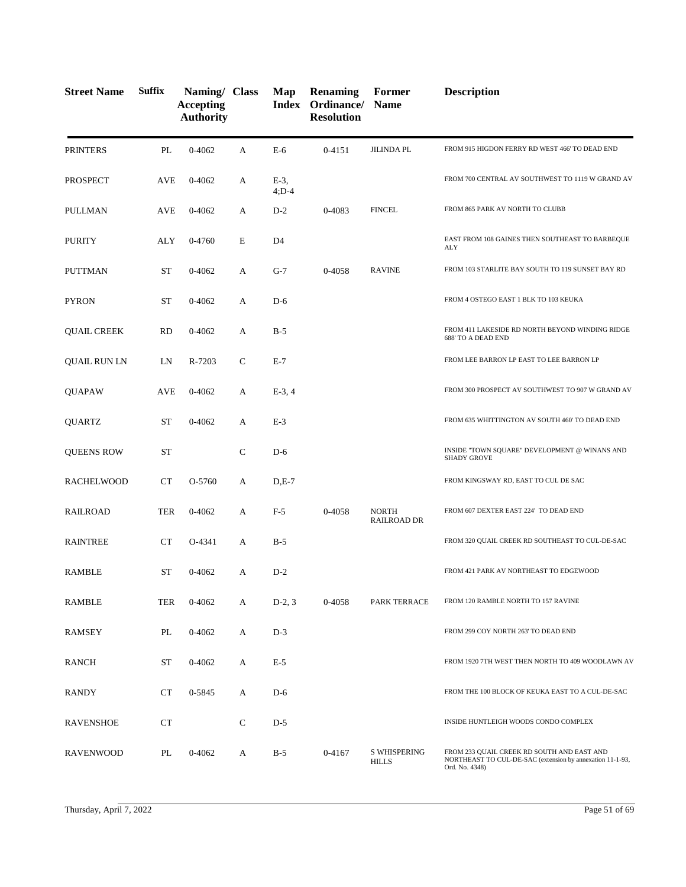| <b>Street Name</b>  | <b>Suffix</b> | Naming/ Class<br><b>Accepting</b><br><b>Authority</b> |              | Map                | <b>Renaming</b><br>Index Ordinance/ Name<br><b>Resolution</b> | Former                              | <b>Description</b>                                                                                                        |
|---------------------|---------------|-------------------------------------------------------|--------------|--------------------|---------------------------------------------------------------|-------------------------------------|---------------------------------------------------------------------------------------------------------------------------|
| <b>PRINTERS</b>     | PL            | $0 - 4062$                                            | A            | E-6                | $0 - 4151$                                                    | <b>JILINDA PL</b>                   | FROM 915 HIGDON FERRY RD WEST 466' TO DEAD END                                                                            |
| PROSPECT            | <b>AVE</b>    | 0-4062                                                | А            | $E-3$ ,<br>$4;D-4$ |                                                               |                                     | FROM 700 CENTRAL AV SOUTHWEST TO 1119 W GRAND AV                                                                          |
| PULLMAN             | AVE           | 0-4062                                                | А            | $D-2$              | 0-4083                                                        | <b>FINCEL</b>                       | FROM 865 PARK AV NORTH TO CLUBB                                                                                           |
| <b>PURITY</b>       | ALY           | 0-4760                                                | E            | D4                 |                                                               |                                     | EAST FROM 108 GAINES THEN SOUTHEAST TO BARBEQUE<br>ALY                                                                    |
| <b>PUTTMAN</b>      | <b>ST</b>     | 0-4062                                                | А            | $G-7$              | 0-4058                                                        | <b>RAVINE</b>                       | FROM 103 STARLITE BAY SOUTH TO 119 SUNSET BAY RD                                                                          |
| <b>PYRON</b>        | <b>ST</b>     | 0-4062                                                | A            | $D-6$              |                                                               |                                     | FROM 4 OSTEGO EAST 1 BLK TO 103 KEUKA                                                                                     |
| <b>QUAIL CREEK</b>  | <b>RD</b>     | 0-4062                                                | А            | $B-5$              |                                                               |                                     | FROM 411 LAKESIDE RD NORTH BEYOND WINDING RIDGE<br><b>688' TO A DEAD END</b>                                              |
| <b>QUAIL RUN LN</b> | LN            | R-7203                                                | $\mathsf{C}$ | $E-7$              |                                                               |                                     | FROM LEE BARRON LP EAST TO LEE BARRON LP                                                                                  |
| <b>QUAPAW</b>       | AVE           | 0-4062                                                | А            | $E-3, 4$           |                                                               |                                     | FROM 300 PROSPECT AV SOUTHWEST TO 907 W GRAND AV                                                                          |
| <b>QUARTZ</b>       | <b>ST</b>     | 0-4062                                                | A            | $E-3$              |                                                               |                                     | FROM 635 WHITTINGTON AV SOUTH 460' TO DEAD END                                                                            |
| <b>QUEENS ROW</b>   | <b>ST</b>     |                                                       | $\mathsf{C}$ | $D-6$              |                                                               |                                     | INSIDE "TOWN SQUARE" DEVELOPMENT @ WINANS AND<br><b>SHADY GROVE</b>                                                       |
| <b>RACHELWOOD</b>   | CT            | O-5760                                                | A            | $D,E-7$            |                                                               |                                     | FROM KINGSWAY RD, EAST TO CUL DE SAC                                                                                      |
| <b>RAILROAD</b>     | <b>TER</b>    | $0 - 4062$                                            | A            | $F-5$              | 0-4058                                                        | <b>NORTH</b><br><b>RAILROAD DR</b>  | FROM 607 DEXTER EAST 224' TO DEAD END                                                                                     |
| <b>RAINTREE</b>     | CT            | O-4341                                                | А            | $B-5$              |                                                               |                                     | FROM 320 QUAIL CREEK RD SOUTHEAST TO CUL-DE-SAC                                                                           |
| <b>RAMBLE</b>       | <b>ST</b>     | 0-4062                                                | А            | $D-2$              |                                                               |                                     | FROM 421 PARK AV NORTHEAST TO EDGEWOOD                                                                                    |
| RAMBLE              | <b>TER</b>    | 0-4062                                                | А            | $D-2, 3$           | 0-4058                                                        | PARK TERRACE                        | FROM 120 RAMBLE NORTH TO 157 RAVINE                                                                                       |
| RAMSEY              | PL            | 0-4062                                                | А            | $D-3$              |                                                               |                                     | FROM 299 COY NORTH 263' TO DEAD END                                                                                       |
| RANCH               | ST            | $0 - 4062$                                            | А            | $E-5$              |                                                               |                                     | FROM 1920 7TH WEST THEN NORTH TO 409 WOODLAWN AV                                                                          |
| <b>RANDY</b>        | <b>CT</b>     | 0-5845                                                | А            | $D-6$              |                                                               |                                     | FROM THE 100 BLOCK OF KEUKA EAST TO A CUL-DE-SAC                                                                          |
| RAVENSHOE           | <b>CT</b>     |                                                       | $\mathbf C$  | $D-5$              |                                                               |                                     | INSIDE HUNTLEIGH WOODS CONDO COMPLEX                                                                                      |
| <b>RAVENWOOD</b>    | PL            | 0-4062                                                | A            | $B-5$              | 0-4167                                                        | <b>S WHISPERING</b><br><b>HILLS</b> | FROM 233 QUAIL CREEK RD SOUTH AND EAST AND<br>NORTHEAST TO CUL-DE-SAC (extension by annexation 11-1-93,<br>Ord. No. 4348) |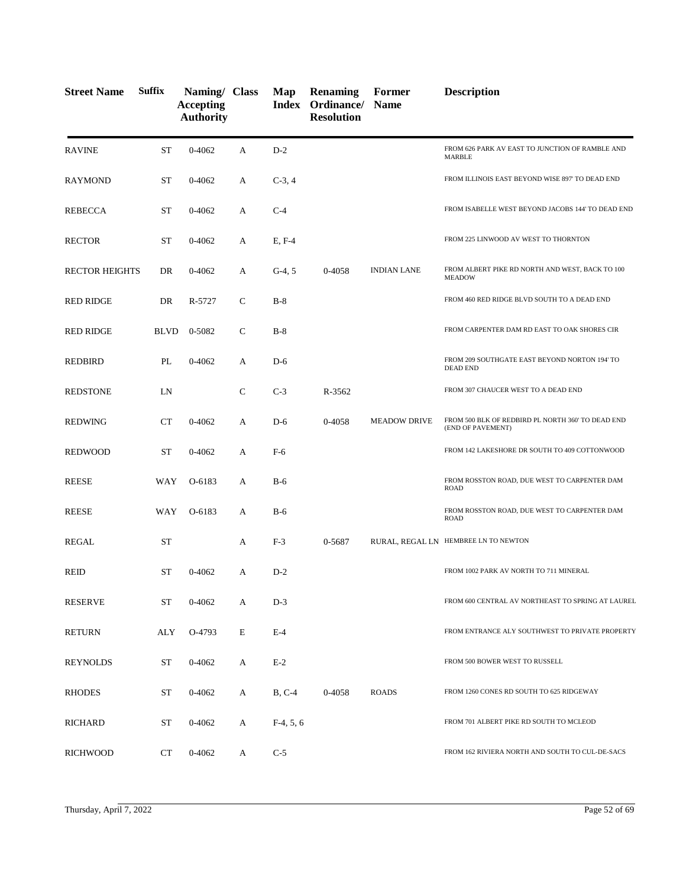| <b>Street Name</b>    | <b>Suffix</b> | Naming/ Class<br><b>Accepting</b><br><b>Authority</b> |              | Map         | <b>Renaming</b><br><b>Index Ordinance/ Name</b><br><b>Resolution</b> | Former              | <b>Description</b>                                                     |
|-----------------------|---------------|-------------------------------------------------------|--------------|-------------|----------------------------------------------------------------------|---------------------|------------------------------------------------------------------------|
| <b>RAVINE</b>         | <b>ST</b>     | $0 - 4062$                                            | A            | $D-2$       |                                                                      |                     | FROM 626 PARK AV EAST TO JUNCTION OF RAMBLE AND<br><b>MARBLE</b>       |
| RAYMOND               | ST            | 0-4062                                                | А            | $C-3, 4$    |                                                                      |                     | FROM ILLINOIS EAST BEYOND WISE 897' TO DEAD END                        |
| <b>REBECCA</b>        | ST            | 0-4062                                                | А            | $C-4$       |                                                                      |                     | FROM ISABELLE WEST BEYOND JACOBS 144' TO DEAD END                      |
| <b>RECTOR</b>         | ST            | 0-4062                                                | А            | E, F-4      |                                                                      |                     | FROM 225 LINWOOD AV WEST TO THORNTON                                   |
| <b>RECTOR HEIGHTS</b> | DR            | 0-4062                                                | А            | $G-4, 5$    | 0-4058                                                               | <b>INDIAN LANE</b>  | FROM ALBERT PIKE RD NORTH AND WEST, BACK TO 100<br><b>MEADOW</b>       |
| <b>RED RIDGE</b>      | DR            | R-5727                                                | $\mathsf{C}$ | $B-8$       |                                                                      |                     | FROM 460 RED RIDGE BLVD SOUTH TO A DEAD END                            |
| <b>RED RIDGE</b>      | <b>BLVD</b>   | 0-5082                                                | $\mathsf{C}$ | $B-8$       |                                                                      |                     | FROM CARPENTER DAM RD EAST TO OAK SHORES CIR                           |
| REDBIRD               | PL            | 0-4062                                                | А            | $D-6$       |                                                                      |                     | FROM 209 SOUTHGATE EAST BEYOND NORTON 194' TO<br><b>DEAD END</b>       |
| <b>REDSTONE</b>       | LN            |                                                       | $\mathsf{C}$ | $C-3$       | R-3562                                                               |                     | FROM 307 CHAUCER WEST TO A DEAD END                                    |
| <b>REDWING</b>        | <b>CT</b>     | $0 - 4062$                                            | A            | $D-6$       | 0-4058                                                               | <b>MEADOW DRIVE</b> | FROM 500 BLK OF REDBIRD PL NORTH 360' TO DEAD END<br>(END OF PAVEMENT) |
| <b>REDWOOD</b>        | <b>ST</b>     | 0-4062                                                | А            | $F-6$       |                                                                      |                     | FROM 142 LAKESHORE DR SOUTH TO 409 COTTONWOOD                          |
| <b>REESE</b>          | WAY           | O-6183                                                | A            | $B-6$       |                                                                      |                     | FROM ROSSTON ROAD, DUE WEST TO CARPENTER DAM<br><b>ROAD</b>            |
| <b>REESE</b>          | WAY           | O-6183                                                | A            | $B-6$       |                                                                      |                     | FROM ROSSTON ROAD, DUE WEST TO CARPENTER DAM<br><b>ROAD</b>            |
| <b>REGAL</b>          | <b>ST</b>     |                                                       | A            | $F-3$       | 0-5687                                                               |                     | RURAL, REGAL LN HEMBREE LN TO NEWTON                                   |
| <b>REID</b>           | <b>ST</b>     | 0-4062                                                | A            | $D-2$       |                                                                      |                     | FROM 1002 PARK AV NORTH TO 711 MINERAL                                 |
| <b>RESERVE</b>        | ST            | $0 - 4062$                                            | A            | $D-3$       |                                                                      |                     | FROM 600 CENTRAL AV NORTHEAST TO SPRING AT LAUREI                      |
| <b>RETURN</b>         | ALY           | O-4793                                                | E            | $E-4$       |                                                                      |                     | FROM ENTRANCE ALY SOUTHWEST TO PRIVATE PROPERTY                        |
| <b>REYNOLDS</b>       | ST            | $0 - 4062$                                            | A            | $E-2$       |                                                                      |                     | FROM 500 BOWER WEST TO RUSSELL                                         |
| <b>RHODES</b>         | ST            | 0-4062                                                | A            | $B, C-4$    | 0-4058                                                               | <b>ROADS</b>        | FROM 1260 CONES RD SOUTH TO 625 RIDGEWAY                               |
| RICHARD               | <b>ST</b>     | 0-4062                                                | A            | $F-4, 5, 6$ |                                                                      |                     | FROM 701 ALBERT PIKE RD SOUTH TO MCLEOD                                |
| <b>RICHWOOD</b>       | CT            | 0-4062                                                | A            | $C-5$       |                                                                      |                     | FROM 162 RIVIERA NORTH AND SOUTH TO CUL-DE-SACS                        |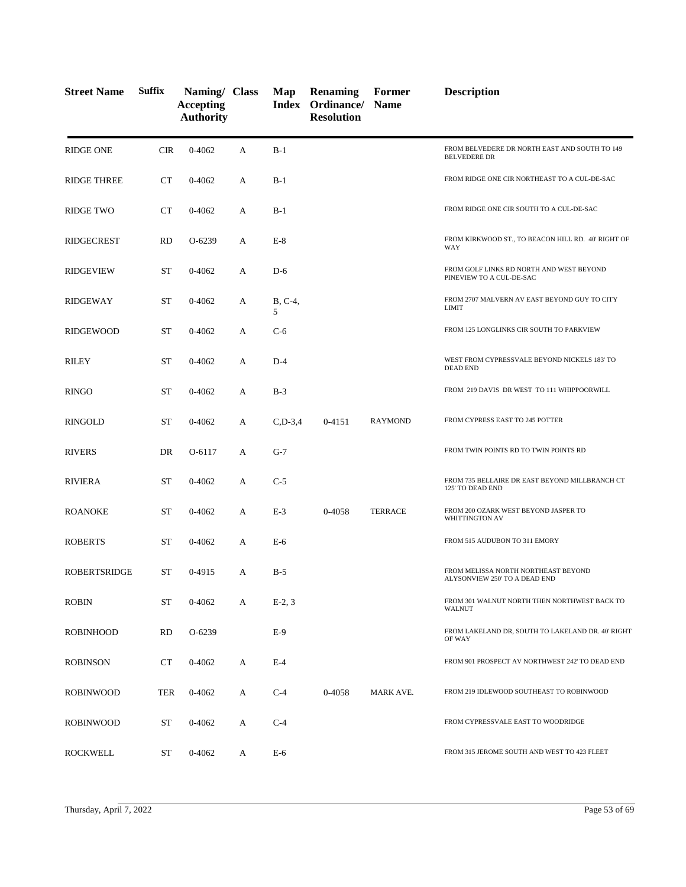| <b>Street Name</b>  | <b>Suffix</b> | Naming/ Class<br><b>Accepting</b><br><b>Authority</b> |   | Map            | <b>Renaming</b><br>Index Ordinance/ Name<br><b>Resolution</b> | Former         | <b>Description</b>                                                   |
|---------------------|---------------|-------------------------------------------------------|---|----------------|---------------------------------------------------------------|----------------|----------------------------------------------------------------------|
| <b>RIDGE ONE</b>    | <b>CIR</b>    | $0 - 4062$                                            | A | $B-1$          |                                                               |                | FROM BELVEDERE DR NORTH EAST AND SOUTH TO 149<br><b>BELVEDERE DR</b> |
| <b>RIDGE THREE</b>  | CT            | 0-4062                                                | А | $B-1$          |                                                               |                | FROM RIDGE ONE CIR NORTHEAST TO A CUL-DE-SAC                         |
| <b>RIDGE TWO</b>    | <b>CT</b>     | 0-4062                                                | A | $B-1$          |                                                               |                | FROM RIDGE ONE CIR SOUTH TO A CUL-DE-SAC                             |
| <b>RIDGECREST</b>   | <b>RD</b>     | O-6239                                                | А | $E-8$          |                                                               |                | FROM KIRKWOOD ST., TO BEACON HILL RD. 40' RIGHT OF<br>WAY            |
| <b>RIDGEVIEW</b>    | <b>ST</b>     | 0-4062                                                | А | $D-6$          |                                                               |                | FROM GOLF LINKS RD NORTH AND WEST BEYOND<br>PINEVIEW TO A CUL-DE-SAC |
| <b>RIDGEWAY</b>     | <b>ST</b>     | 0-4062                                                | А | $B, C-4,$<br>5 |                                                               |                | FROM 2707 MALVERN AV EAST BEYOND GUY TO CITY<br><b>LIMIT</b>         |
| RIDGEWOOD           | <b>ST</b>     | 0-4062                                                | А | $C-6$          |                                                               |                | FROM 125 LONGLINKS CIR SOUTH TO PARKVIEW                             |
| <b>RILEY</b>        | <b>ST</b>     | 0-4062                                                | А | $D-4$          |                                                               |                | WEST FROM CYPRESSVALE BEYOND NICKELS 183' TO<br><b>DEAD END</b>      |
| <b>RINGO</b>        | ST            | 0-4062                                                | А | $B-3$          |                                                               |                | FROM 219 DAVIS DR WEST TO 111 WHIPPOORWILL                           |
| <b>RINGOLD</b>      | <b>ST</b>     | $0 - 4062$                                            | А | $C, D-3, 4$    | $0 - 4151$                                                    | <b>RAYMOND</b> | FROM CYPRESS EAST TO 245 POTTER                                      |
| <b>RIVERS</b>       | DR            | O-6117                                                | А | $G-7$          |                                                               |                | FROM TWIN POINTS RD TO TWIN POINTS RD                                |
| <b>RIVIERA</b>      | <b>ST</b>     | 0-4062                                                | А | $C-5$          |                                                               |                | FROM 735 BELLAIRE DR EAST BEYOND MILLBRANCH CT<br>125' TO DEAD END   |
| <b>ROANOKE</b>      | <b>ST</b>     | 0-4062                                                | А | $E-3$          | 0-4058                                                        | <b>TERRACE</b> | FROM 200 OZARK WEST BEYOND JASPER TO<br>WHITTINGTON AV               |
| <b>ROBERTS</b>      | <b>ST</b>     | 0-4062                                                | А | $E-6$          |                                                               |                | FROM 515 AUDUBON TO 311 EMORY                                        |
| <b>ROBERTSRIDGE</b> | ST            | 0-4915                                                | А | $B-5$          |                                                               |                | FROM MELISSA NORTH NORTHEAST BEYOND<br>ALYSONVIEW 250' TO A DEAD END |
| <b>ROBIN</b>        | ST            | $0 - 4062$                                            | А | $E-2, 3$       |                                                               |                | FROM 301 WALNUT NORTH THEN NORTHWEST BACK TO<br><b>WALNUT</b>        |
| <b>ROBINHOOD</b>    | <b>RD</b>     | O-6239                                                |   | $E-9$          |                                                               |                | FROM LAKELAND DR, SOUTH TO LAKELAND DR. 40' RIGHT<br>OF WAY          |
| <b>ROBINSON</b>     | <b>CT</b>     | 0-4062                                                | A | $E-4$          |                                                               |                | FROM 901 PROSPECT AV NORTHWEST 242' TO DEAD END                      |
| <b>ROBINWOOD</b>    | TER           | $0 - 4062$                                            | A | $C-4$          | 0-4058                                                        | MARK AVE.      | FROM 219 IDLEWOOD SOUTHEAST TO ROBINWOOD                             |
| <b>ROBINWOOD</b>    | <b>ST</b>     | 0-4062                                                | А | $C-4$          |                                                               |                | FROM CYPRESSVALE EAST TO WOODRIDGE                                   |
| <b>ROCKWELL</b>     | ST            | 0-4062                                                | A | E-6            |                                                               |                | FROM 315 JEROME SOUTH AND WEST TO 423 FLEET                          |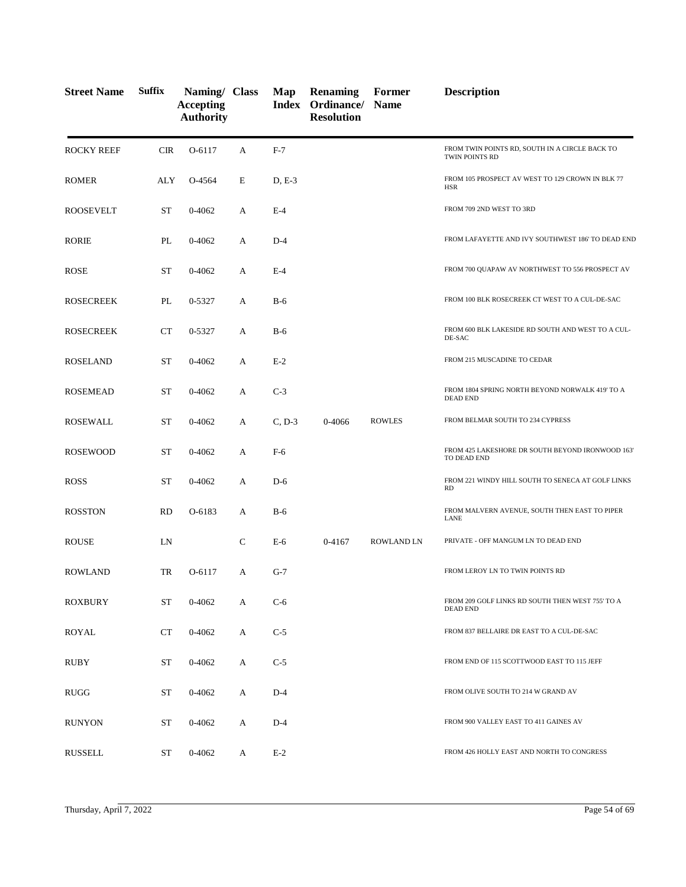| <b>Street Name</b> | <b>Suffix</b> | Naming/ Class<br><b>Accepting</b><br><b>Authority</b> |              | Map      | <b>Renaming</b><br>Index Ordinance/<br><b>Resolution</b> | Former<br><b>Name</b> | <b>Description</b>                                                  |
|--------------------|---------------|-------------------------------------------------------|--------------|----------|----------------------------------------------------------|-----------------------|---------------------------------------------------------------------|
| <b>ROCKY REEF</b>  | <b>CIR</b>    | O-6117                                                | A            | $F-7$    |                                                          |                       | FROM TWIN POINTS RD, SOUTH IN A CIRCLE BACK TO<br>TWIN POINTS RD    |
| <b>ROMER</b>       | ALY           | O-4564                                                | E            | $D, E-3$ |                                                          |                       | FROM 105 PROSPECT AV WEST TO 129 CROWN IN BLK 77<br>HSR             |
| <b>ROOSEVELT</b>   | ST            | 0-4062                                                | A            | $E-4$    |                                                          |                       | FROM 709 2ND WEST TO 3RD                                            |
| <b>RORIE</b>       | PL            | 0-4062                                                | A            | $D-4$    |                                                          |                       | FROM LAFAYETTE AND IVY SOUTHWEST 186' TO DEAD END                   |
| <b>ROSE</b>        | ST            | 0-4062                                                | A            | $E-4$    |                                                          |                       | FROM 700 QUAPAW AV NORTHWEST TO 556 PROSPECT AV                     |
| <b>ROSECREEK</b>   | PL            | 0-5327                                                | A            | $B-6$    |                                                          |                       | FROM 100 BLK ROSECREEK CT WEST TO A CUL-DE-SAC                      |
| <b>ROSECREEK</b>   | <b>CT</b>     | 0-5327                                                | А            | $B-6$    |                                                          |                       | FROM 600 BLK LAKESIDE RD SOUTH AND WEST TO A CUL-<br>DE-SAC         |
| <b>ROSELAND</b>    | ST            | 0-4062                                                | А            | $E-2$    |                                                          |                       | FROM 215 MUSCADINE TO CEDAR                                         |
| <b>ROSEMEAD</b>    | ST            | 0-4062                                                | А            | $C-3$    |                                                          |                       | FROM 1804 SPRING NORTH BEYOND NORWALK 419' TO A<br><b>DEAD END</b>  |
| <b>ROSEWALL</b>    | ST            | 0-4062                                                | A            | $C, D-3$ | 0-4066                                                   | <b>ROWLES</b>         | FROM BELMAR SOUTH TO 234 CYPRESS                                    |
| <b>ROSEWOOD</b>    | ST            | 0-4062                                                | А            | F-6      |                                                          |                       | FROM 425 LAKESHORE DR SOUTH BEYOND IRONWOOD 163'<br>TO DEAD END     |
| <b>ROSS</b>        | ST            | 0-4062                                                | A            | $D-6$    |                                                          |                       | FROM 221 WINDY HILL SOUTH TO SENECA AT GOLF LINKS<br><b>RD</b>      |
| <b>ROSSTON</b>     | <b>RD</b>     | O-6183                                                | А            | $B-6$    |                                                          |                       | FROM MALVERN AVENUE, SOUTH THEN EAST TO PIPER<br>LANE               |
| <b>ROUSE</b>       | LN            |                                                       | $\mathsf{C}$ | $E-6$    | 0-4167                                                   | <b>ROWLAND LN</b>     | PRIVATE - OFF MANGUM LN TO DEAD END                                 |
| <b>ROWLAND</b>     | TR            | O-6117                                                | А            | $G-7$    |                                                          |                       | FROM LEROY LN TO TWIN POINTS RD                                     |
| <b>ROXBURY</b>     | <b>ST</b>     | 0-4062                                                | А            | $C-6$    |                                                          |                       | FROM 209 GOLF LINKS RD SOUTH THEN WEST 755' TO A<br><b>DEAD END</b> |
| <b>ROYAL</b>       | CT            | 0-4062                                                | А            | $C-5$    |                                                          |                       | FROM 837 BELLAIRE DR EAST TO A CUL-DE-SAC                           |
| RUBY               | ST            | 0-4062                                                | А            | $C-5$    |                                                          |                       | FROM END OF 115 SCOTTWOOD EAST TO 115 JEFF                          |
| <b>RUGG</b>        | <b>ST</b>     | 0-4062                                                | А            | $D-4$    |                                                          |                       | FROM OLIVE SOUTH TO 214 W GRAND AV                                  |
| <b>RUNYON</b>      | <b>ST</b>     | 0-4062                                                | А            | $D-4$    |                                                          |                       | FROM 900 VALLEY EAST TO 411 GAINES AV                               |
| <b>RUSSELL</b>     | ST            | 0-4062                                                | A            | $E-2$    |                                                          |                       | FROM 426 HOLLY EAST AND NORTH TO CONGRESS                           |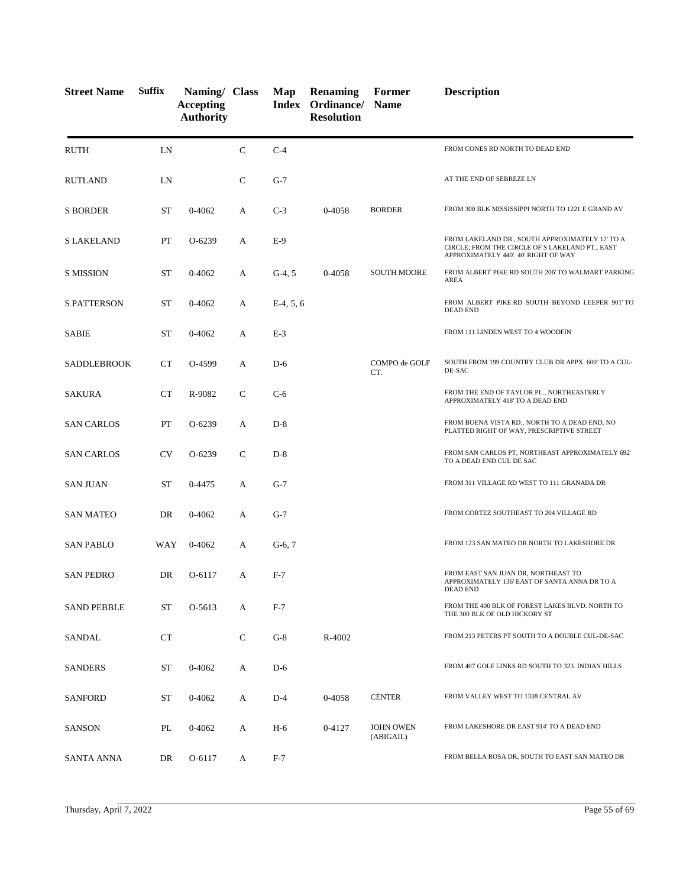| <b>Street Name</b> | <b>Suffix</b> | Naming/ Class<br><b>Accepting</b><br><b>Authority</b> |              | Map         | <b>Renaming</b><br>Index Ordinance/ Name<br><b>Resolution</b> | Former                        | <b>Description</b>                                                                                                                         |
|--------------------|---------------|-------------------------------------------------------|--------------|-------------|---------------------------------------------------------------|-------------------------------|--------------------------------------------------------------------------------------------------------------------------------------------|
| <b>RUTH</b>        | LN            |                                                       | $\mathbf C$  | $C-4$       |                                                               |                               | FROM CONES RD NORTH TO DEAD END                                                                                                            |
| <b>RUTLAND</b>     | LN            |                                                       | $\mathsf{C}$ | $G-7$       |                                                               |                               | AT THE END OF SEBREZE LN                                                                                                                   |
| <b>S BORDER</b>    | <b>ST</b>     | 0-4062                                                | А            | $C-3$       | 0-4058                                                        | <b>BORDER</b>                 | FROM 300 BLK MISSISSIPPI NORTH TO 1221 E GRAND AV                                                                                          |
| S LAKELAND         | PT            | $O-6239$                                              | А            | $E-9$       |                                                               |                               | FROM LAKELAND DR., SOUTH APPROXIMATELY 12' TO A<br>CIRCLE; FROM THE CIRCLE OF S LAKELAND PT., EAST<br>APPROXIMATELY 440'. 40' RIGHT OF WAY |
| <b>S MISSION</b>   | <b>ST</b>     | 0-4062                                                | А            | $G-4, 5$    | 0-4058                                                        | <b>SOUTH MOORE</b>            | FROM ALBERT PIKE RD SOUTH 206' TO WALMART PARKING<br>AREA                                                                                  |
| <b>S PATTERSON</b> | <b>ST</b>     | 0-4062                                                | A            | $E-4, 5, 6$ |                                                               |                               | FROM ALBERT PIKE RD SOUTH BEYOND LEEPER 901'TO<br><b>DEAD END</b>                                                                          |
| SABIE              | <b>ST</b>     | 0-4062                                                | А            | $E-3$       |                                                               |                               | FROM 111 LINDEN WEST TO 4 WOODFIN                                                                                                          |
| <b>SADDLEBROOK</b> | <b>CT</b>     | O-4599                                                | А            | $D-6$       |                                                               | COMPO de GOLF<br>CT.          | SOUTH FROM 199 COUNTRY CLUB DR APPX. 600' TO A CUL-<br>DE-SAC                                                                              |
| <b>SAKURA</b>      | <b>CT</b>     | R-9082                                                | $\mathsf{C}$ | $C-6$       |                                                               |                               | FROM THE END OF TAYLOR PL., NORTHEASTERLY<br>APPROXIMATELY 418' TO A DEAD END                                                              |
| <b>SAN CARLOS</b>  | PT            | O-6239                                                | А            | $D-8$       |                                                               |                               | FROM BUENA VISTA RD., NORTH TO A DEAD END. NO<br>PLATTED RIGHT OF WAY, PRESCRIPTIVE STREET                                                 |
| SAN CARLOS         | <b>CV</b>     | O-6239                                                | $\mathsf{C}$ | $D-8$       |                                                               |                               | FROM SAN CARLOS PT, NORTHEAST APPROXIMATELY 692'<br>TO A DEAD END CUL DE SAC                                                               |
| SAN JUAN           | <b>ST</b>     | 0-4475                                                | А            | $G-7$       |                                                               |                               | FROM 311 VILLAGE RD WEST TO 111 GRANADA DR                                                                                                 |
| <b>SAN MATEO</b>   | DR            | 0-4062                                                | А            | $G-7$       |                                                               |                               | FROM CORTEZ SOUTHEAST TO 204 VILLAGE RD                                                                                                    |
| <b>SAN PABLO</b>   | WAY           | 0-4062                                                | А            | $G-6, 7$    |                                                               |                               | FROM 123 SAN MATEO DR NORTH TO LAKESHORE DR                                                                                                |
| <b>SAN PEDRO</b>   | DR            | O-6117                                                | A            | $F-7$       |                                                               |                               | FROM EAST SAN JUAN DR, NORTHEAST TO<br>APPROXIMATELY 136' EAST OF SANTA ANNA DR TO A<br>DEAD END                                           |
| <b>SAND PEBBLE</b> | <b>ST</b>     | O-5613                                                | A            | $F-7$       |                                                               |                               | FROM THE 400 BLK OF FOREST LAKES BLVD. NORTH TO<br>THE 300 BLK OF OLD HICKORY ST                                                           |
| <b>SANDAL</b>      | CT            |                                                       | $\mathsf{C}$ | $G-8$       | R-4002                                                        |                               | FROM 213 PETERS PT SOUTH TO A DOUBLE CUL-DE-SAC                                                                                            |
| <b>SANDERS</b>     | ST            | 0-4062                                                | A            | $D-6$       |                                                               |                               | FROM 407 GOLF LINKS RD SOUTH TO 323 INDIAN HILLS                                                                                           |
| <b>SANFORD</b>     | ST            | 0-4062                                                | А            | $D-4$       | 0-4058                                                        | <b>CENTER</b>                 | FROM VALLEY WEST TO 1338 CENTRAL AV                                                                                                        |
| SANSON             | PL            | 0-4062                                                | A            | H-6         | 0-4127                                                        | <b>JOHN OWEN</b><br>(ABIGAIL) | FROM LAKESHORE DR EAST 914' TO A DEAD END                                                                                                  |
| SANTA ANNA         | DR            | O-6117                                                | A            | $F-7$       |                                                               |                               | FROM BELLA ROSA DR, SOUTH TO EAST SAN MATEO DR                                                                                             |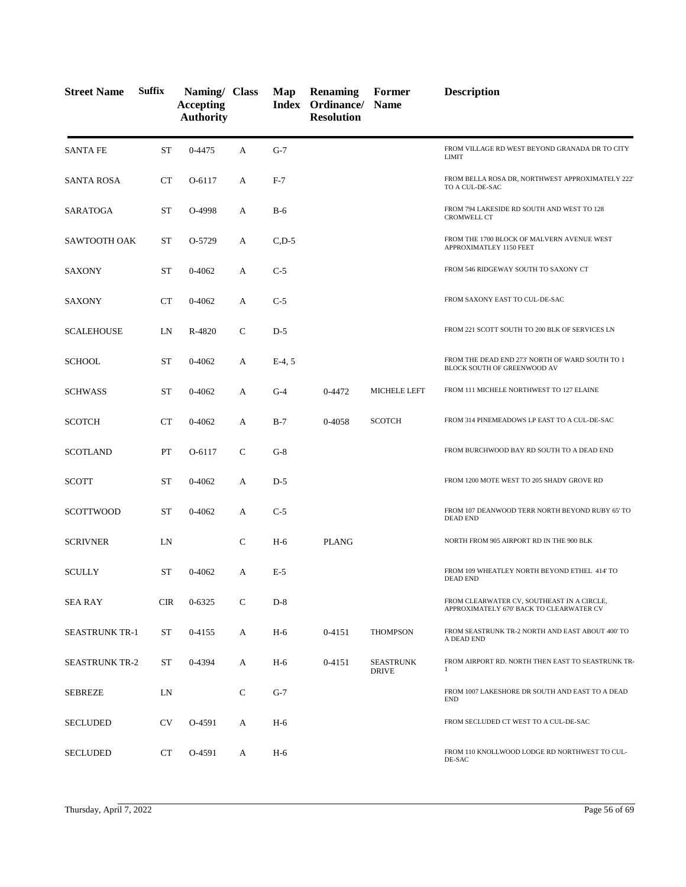| <b>Street Name</b>    | <b>Suffix</b> | Naming/ Class<br><b>Accepting</b><br><b>Authority</b> |              | Map         | <b>Renaming</b><br>Index Ordinance/<br><b>Resolution</b> | Former<br><b>Name</b>            | <b>Description</b>                                                                     |
|-----------------------|---------------|-------------------------------------------------------|--------------|-------------|----------------------------------------------------------|----------------------------------|----------------------------------------------------------------------------------------|
| <b>SANTA FE</b>       | <b>ST</b>     | 0-4475                                                | A            | $G-7$       |                                                          |                                  | FROM VILLAGE RD WEST BEYOND GRANADA DR TO CITY<br><b>LIMIT</b>                         |
| <b>SANTA ROSA</b>     | <b>CT</b>     | O-6117                                                | A            | $F-7$       |                                                          |                                  | FROM BELLA ROSA DR, NORTHWEST APPROXIMATELY 222'<br>TO A CUL-DE-SAC                    |
| SARATOGA              | <b>ST</b>     | O-4998                                                | A            | $B-6$       |                                                          |                                  | FROM 794 LAKESIDE RD SOUTH AND WEST TO 128<br><b>CROMWELL CT</b>                       |
| SAWTOOTH OAK          | ST            | O-5729                                                | A            | $C$ , $D-5$ |                                                          |                                  | FROM THE 1700 BLOCK OF MALVERN AVENUE WEST<br>APPROXIMATLEY 1150 FEET                  |
| <b>SAXONY</b>         | <b>ST</b>     | 0-4062                                                | A            | $C-5$       |                                                          |                                  | FROM 546 RIDGEWAY SOUTH TO SAXONY CT                                                   |
| <b>SAXONY</b>         | CT            | 0-4062                                                | А            | $C-5$       |                                                          |                                  | FROM SAXONY EAST TO CUL-DE-SAC                                                         |
| <b>SCALEHOUSE</b>     | LN            | R-4820                                                | $\mathsf{C}$ | $D-5$       |                                                          |                                  | FROM 221 SCOTT SOUTH TO 200 BLK OF SERVICES LN                                         |
| <b>SCHOOL</b>         | <b>ST</b>     | 0-4062                                                | A            | $E-4, 5$    |                                                          |                                  | FROM THE DEAD END 273' NORTH OF WARD SOUTH TO 1<br>BLOCK SOUTH OF GREENWOOD AV         |
| <b>SCHWASS</b>        | ST            | 0-4062                                                | A            | $G-4$       | 0-4472                                                   | MICHELE LEFT                     | FROM 111 MICHELE NORTHWEST TO 127 ELAINE                                               |
| <b>SCOTCH</b>         | CT            | 0-4062                                                | A            | $B-7$       | 0-4058                                                   | <b>SCOTCH</b>                    | FROM 314 PINEMEADOWS LP EAST TO A CUL-DE-SAC                                           |
| SCOTLAND              | PT            | O-6117                                                | $\mathsf{C}$ | $G-8$       |                                                          |                                  | FROM BURCHWOOD BAY RD SOUTH TO A DEAD END                                              |
| <b>SCOTT</b>          | <b>ST</b>     | 0-4062                                                | А            | $D-5$       |                                                          |                                  | FROM 1200 MOTE WEST TO 205 SHADY GROVE RD                                              |
| SCOTTWOOD             | <b>ST</b>     | 0-4062                                                | А            | $C-5$       |                                                          |                                  | FROM 107 DEANWOOD TERR NORTH BEYOND RUBY 65' TO<br><b>DEAD END</b>                     |
| <b>SCRIVNER</b>       | LN            |                                                       | $\mathsf{C}$ | $H-6$       | <b>PLANG</b>                                             |                                  | NORTH FROM 905 AIRPORT RD IN THE 900 BLK                                               |
| <b>SCULLY</b>         | <b>ST</b>     | 0-4062                                                | A            | $E-5$       |                                                          |                                  | FROM 109 WHEATLEY NORTH BEYOND ETHEL 414' TO<br><b>DEAD END</b>                        |
| <b>SEA RAY</b>        | <b>CIR</b>    | $0 - 6325$                                            | $\mathsf{C}$ | $D-8$       |                                                          |                                  | FROM CLEARWATER CV, SOUTHEAST IN A CIRCLE,<br>APPROXIMATELY 670' BACK TO CLEARWATER CV |
| <b>SEASTRUNK TR-1</b> | ST            | 0-4155                                                | А            | $H-6$       | 0-4151                                                   | <b>THOMPSON</b>                  | FROM SEASTRUNK TR-2 NORTH AND EAST ABOUT 400' TO<br>A DEAD END                         |
| <b>SEASTRUNK TR-2</b> | ST            | 0-4394                                                | A            | $H-6$       | 0-4151                                                   | <b>SEASTRUNK</b><br><b>DRIVE</b> | FROM AIRPORT RD. NORTH THEN EAST TO SEASTRUNK TR-<br>$\mathbf{1}$                      |
| <b>SEBREZE</b>        | LN            |                                                       | $\mathsf{C}$ | $G-7$       |                                                          |                                  | FROM 1007 LAKESHORE DR SOUTH AND EAST TO A DEAD<br><b>END</b>                          |
| <b>SECLUDED</b>       | CV            | O-4591                                                | A            | $H-6$       |                                                          |                                  | FROM SECLUDED CT WEST TO A CUL-DE-SAC                                                  |
| <b>SECLUDED</b>       | CT            | O-4591                                                | A            | $H-6$       |                                                          |                                  | FROM 110 KNOLLWOOD LODGE RD NORTHWEST TO CUL-<br>DE-SAC                                |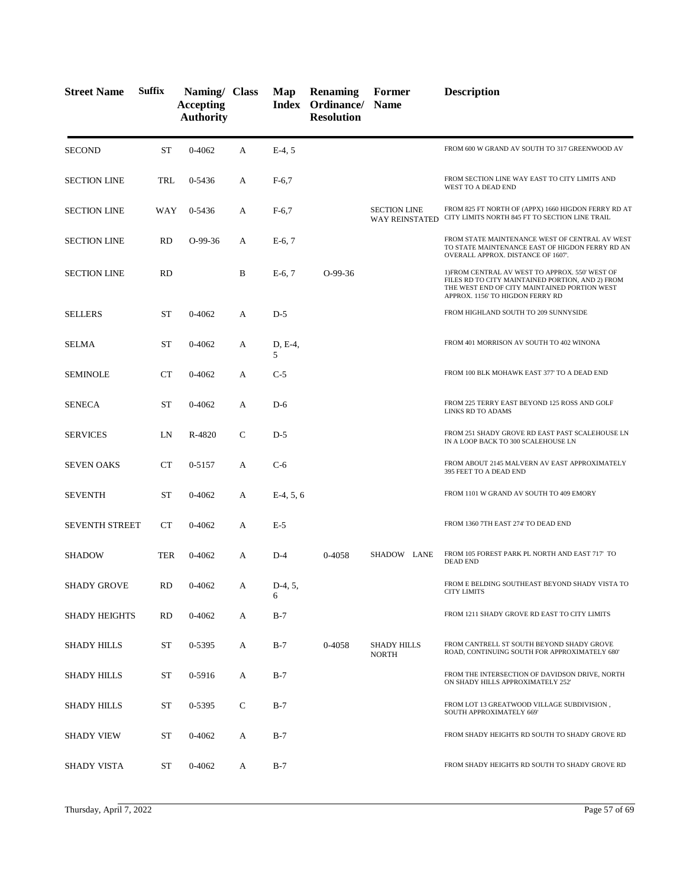| <b>Street Name</b>    | <b>Suffix</b> | Naming/ Class<br><b>Accepting</b><br><b>Authority</b> |   | Map            | <b>Renaming</b><br>Index Ordinance/ Name<br><b>Resolution</b> | Former                                       | <b>Description</b>                                                                                                                                                                      |
|-----------------------|---------------|-------------------------------------------------------|---|----------------|---------------------------------------------------------------|----------------------------------------------|-----------------------------------------------------------------------------------------------------------------------------------------------------------------------------------------|
| <b>SECOND</b>         | <b>ST</b>     | 0-4062                                                | А | $E-4, 5$       |                                                               |                                              | FROM 600 W GRAND AV SOUTH TO 317 GREENWOOD AV                                                                                                                                           |
| <b>SECTION LINE</b>   | TRL           | 0-5436                                                | A | $F-6,7$        |                                                               |                                              | FROM SECTION LINE WAY EAST TO CITY LIMITS AND<br>WEST TO A DEAD END                                                                                                                     |
| <b>SECTION LINE</b>   | WAY           | 0-5436                                                | A | $F-6,7$        |                                                               | <b>SECTION LINE</b><br><b>WAY REINSTATED</b> | FROM 825 FT NORTH OF (APPX) 1660 HIGDON FERRY RD AT<br>CITY LIMITS NORTH 845 FT TO SECTION LINE TRAIL                                                                                   |
| <b>SECTION LINE</b>   | RD            | $O-99-36$                                             | A | $E-6, 7$       |                                                               |                                              | FROM STATE MAINTENANCE WEST OF CENTRAL AV WEST<br>TO STATE MAINTENANCE EAST OF HIGDON FERRY RD AN<br>OVERALL APPROX. DISTANCE OF 1607'.                                                 |
| <b>SECTION LINE</b>   | <b>RD</b>     |                                                       | B | $E-6, 7$       | $O-99-36$                                                     |                                              | 1) FROM CENTRAL AV WEST TO APPROX. 550' WEST OF<br>FILES RD TO CITY MAINTAINED PORTION, AND 2) FROM<br>THE WEST END OF CITY MAINTAINED PORTION WEST<br>APPROX. 1156' TO HIGDON FERRY RD |
| <b>SELLERS</b>        | ST            | 0-4062                                                | A | $D-5$          |                                                               |                                              | FROM HIGHLAND SOUTH TO 209 SUNNYSIDE                                                                                                                                                    |
| <b>SELMA</b>          | <b>ST</b>     | 0-4062                                                | A | D, E-4,<br>5   |                                                               |                                              | FROM 401 MORRISON AV SOUTH TO 402 WINONA                                                                                                                                                |
| SEMINOLE              | CT            | 0-4062                                                | A | $C-5$          |                                                               |                                              | FROM 100 BLK MOHAWK EAST 377' TO A DEAD END                                                                                                                                             |
| <b>SENECA</b>         | <b>ST</b>     | 0-4062                                                | А | $D-6$          |                                                               |                                              | FROM 225 TERRY EAST BEYOND 125 ROSS AND GOLF<br>LINKS RD TO ADAMS                                                                                                                       |
| <b>SERVICES</b>       | LN            | R-4820                                                | C | $D-5$          |                                                               |                                              | FROM 251 SHADY GROVE RD EAST PAST SCALEHOUSE LN<br>IN A LOOP BACK TO 300 SCALEHOUSE LN                                                                                                  |
| <b>SEVEN OAKS</b>     | CT            | $0 - 5157$                                            | A | $C-6$          |                                                               |                                              | FROM ABOUT 2145 MALVERN AV EAST APPROXIMATELY<br>395 FEET TO A DEAD END                                                                                                                 |
| <b>SEVENTH</b>        | ST            | 0-4062                                                | А | $E-4, 5, 6$    |                                                               |                                              | FROM 1101 W GRAND AV SOUTH TO 409 EMORY                                                                                                                                                 |
| <b>SEVENTH STREET</b> | <b>CT</b>     | 0-4062                                                | А | $E-5$          |                                                               |                                              | FROM 1360 7TH EAST 274' TO DEAD END                                                                                                                                                     |
| <b>SHADOW</b>         | <b>TER</b>    | 0-4062                                                | А | $D-4$          | 0-4058                                                        | SHADOW LANE                                  | FROM 105 FOREST PARK PL NORTH AND EAST 717' TO<br><b>DEAD END</b>                                                                                                                       |
| SHADY GROVE           | RD            | 0-4062                                                | A | $D-4, 5,$<br>6 |                                                               |                                              | FROM E BELDING SOUTHEAST BEYOND SHADY VISTA TO<br><b>CITY LIMITS</b>                                                                                                                    |
| <b>SHADY HEIGHTS</b>  | <b>RD</b>     | 0-4062                                                | A | $B-7$          |                                                               |                                              | FROM 1211 SHADY GROVE RD EAST TO CITY LIMITS                                                                                                                                            |
| <b>SHADY HILLS</b>    | <b>ST</b>     | 0-5395                                                | А | $B-7$          | 0-4058                                                        | <b>SHADY HILLS</b><br><b>NORTH</b>           | FROM CANTRELL ST SOUTH BEYOND SHADY GROVE<br>ROAD, CONTINUING SOUTH FOR APPROXIMATELY 680'                                                                                              |
| SHADY HILLS           | ST            | 0-5916                                                | A | $B-7$          |                                                               |                                              | FROM THE INTERSECTION OF DAVIDSON DRIVE, NORTH<br>ON SHADY HILLS APPROXIMATELY 252'                                                                                                     |
| SHADY HILLS           | ST            | 0-5395                                                | C | $B-7$          |                                                               |                                              | FROM LOT 13 GREATWOOD VILLAGE SUBDIVISION,<br>SOUTH APPROXIMATELY 669'                                                                                                                  |
| <b>SHADY VIEW</b>     | ST            | 0-4062                                                | А | $B-7$          |                                                               |                                              | FROM SHADY HEIGHTS RD SOUTH TO SHADY GROVE RD                                                                                                                                           |
| SHADY VISTA           | ST            | 0-4062                                                | A | $B-7$          |                                                               |                                              | FROM SHADY HEIGHTS RD SOUTH TO SHADY GROVE RD                                                                                                                                           |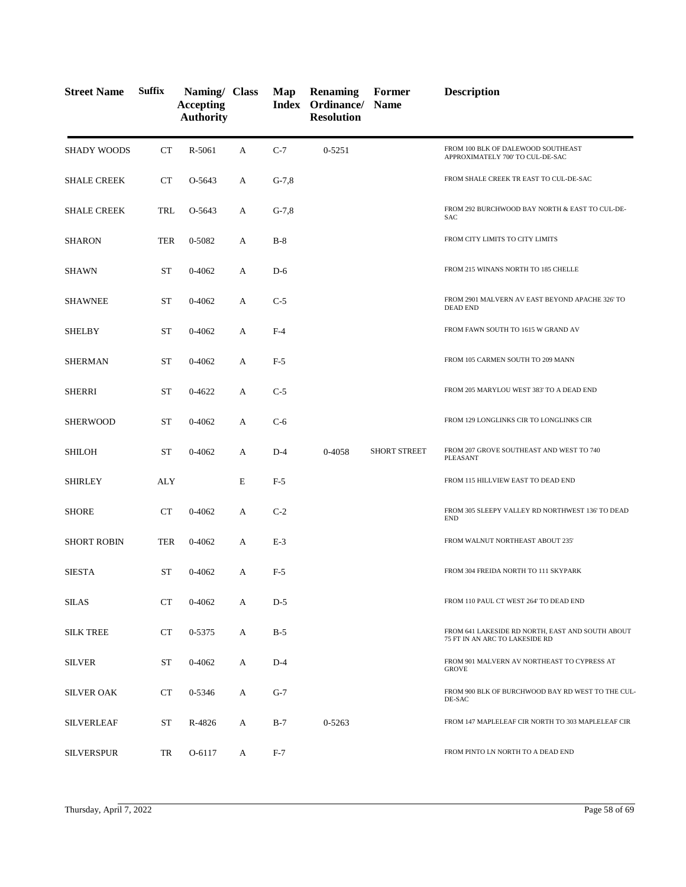| <b>Street Name</b> | <b>Suffix</b> | Naming/ Class<br><b>Accepting</b><br><b>Authority</b> |   | Map     | <b>Renaming</b><br>Index Ordinance/ Name<br><b>Resolution</b> | Former              | <b>Description</b>                                                                 |
|--------------------|---------------|-------------------------------------------------------|---|---------|---------------------------------------------------------------|---------------------|------------------------------------------------------------------------------------|
| <b>SHADY WOODS</b> | CT            | R-5061                                                | A | $C-7$   | $0 - 5251$                                                    |                     | FROM 100 BLK OF DALEWOOD SOUTHEAST<br>APPROXIMATELY 700' TO CUL-DE-SAC             |
| <b>SHALE CREEK</b> | CT            | O-5643                                                | A | $G-7,8$ |                                                               |                     | FROM SHALE CREEK TR EAST TO CUL-DE-SAC                                             |
| <b>SHALE CREEK</b> | TRL           | O-5643                                                | A | $G-7,8$ |                                                               |                     | FROM 292 BURCHWOOD BAY NORTH & EAST TO CUL-DE-<br><b>SAC</b>                       |
| <b>SHARON</b>      | <b>TER</b>    | 0-5082                                                | A | $B-8$   |                                                               |                     | FROM CITY LIMITS TO CITY LIMITS                                                    |
| SHAWN              | <b>ST</b>     | $0 - 4062$                                            | A | $D-6$   |                                                               |                     | FROM 215 WINANS NORTH TO 185 CHELLE                                                |
| <b>SHAWNEE</b>     | <b>ST</b>     | $0 - 4062$                                            | A | $C-5$   |                                                               |                     | FROM 2901 MALVERN AV EAST BEYOND APACHE 326' TO<br><b>DEAD END</b>                 |
| <b>SHELBY</b>      | <b>ST</b>     | $0 - 4062$                                            | A | $F-4$   |                                                               |                     | FROM FAWN SOUTH TO 1615 W GRAND AV                                                 |
| <b>SHERMAN</b>     | <b>ST</b>     | $0 - 4062$                                            | A | $F-5$   |                                                               |                     | FROM 105 CARMEN SOUTH TO 209 MANN                                                  |
| <b>SHERRI</b>      | <b>ST</b>     | 0-4622                                                | А | $C-5$   |                                                               |                     | FROM 205 MARYLOU WEST 383' TO A DEAD END                                           |
| <b>SHERWOOD</b>    | <b>ST</b>     | $0 - 4062$                                            | A | $C-6$   |                                                               |                     | FROM 129 LONGLINKS CIR TO LONGLINKS CIR                                            |
| <b>SHILOH</b>      | <b>ST</b>     | $0 - 4062$                                            | A | $D-4$   | 0-4058                                                        | <b>SHORT STREET</b> | FROM 207 GROVE SOUTHEAST AND WEST TO 740<br>PLEASANT                               |
| <b>SHIRLEY</b>     | ALY           |                                                       | E | $F-5$   |                                                               |                     | FROM 115 HILLVIEW EAST TO DEAD END                                                 |
| <b>SHORE</b>       | CT            | $0 - 4062$                                            | А | $C-2$   |                                                               |                     | FROM 305 SLEEPY VALLEY RD NORTHWEST 136' TO DEAD<br><b>END</b>                     |
| <b>SHORT ROBIN</b> | TER           | $0 - 4062$                                            | A | $E-3$   |                                                               |                     | FROM WALNUT NORTHEAST ABOUT 235'                                                   |
| <b>SIESTA</b>      | ST            | $0 - 4062$                                            | A | $F-5$   |                                                               |                     | FROM 304 FREIDA NORTH TO 111 SKYPARK                                               |
| <b>SILAS</b>       | <b>CT</b>     | 0-4062                                                | A | $D-5$   |                                                               |                     | FROM 110 PAUL CT WEST 264' TO DEAD END                                             |
| <b>SILK TREE</b>   | <b>CT</b>     | 0-5375                                                | A | $B-5$   |                                                               |                     | FROM 641 LAKESIDE RD NORTH, EAST AND SOUTH ABOUT<br>75 FT IN AN ARC TO LAKESIDE RD |
| <b>SILVER</b>      | ST            | 0-4062                                                | A | $D-4$   |                                                               |                     | FROM 901 MALVERN AV NORTHEAST TO CYPRESS AT<br><b>GROVE</b>                        |
| <b>SILVER OAK</b>  | <b>CT</b>     | 0-5346                                                | A | $G-7$   |                                                               |                     | FROM 900 BLK OF BURCHWOOD BAY RD WEST TO THE CUL-<br>DE-SAC                        |
| <b>SILVERLEAF</b>  | <b>ST</b>     | R-4826                                                | A | $B-7$   | 0-5263                                                        |                     | FROM 147 MAPLELEAF CIR NORTH TO 303 MAPLELEAF CIR                                  |
| <b>SILVERSPUR</b>  | TR            | O-6117                                                | A | $F-7$   |                                                               |                     | FROM PINTO LN NORTH TO A DEAD END                                                  |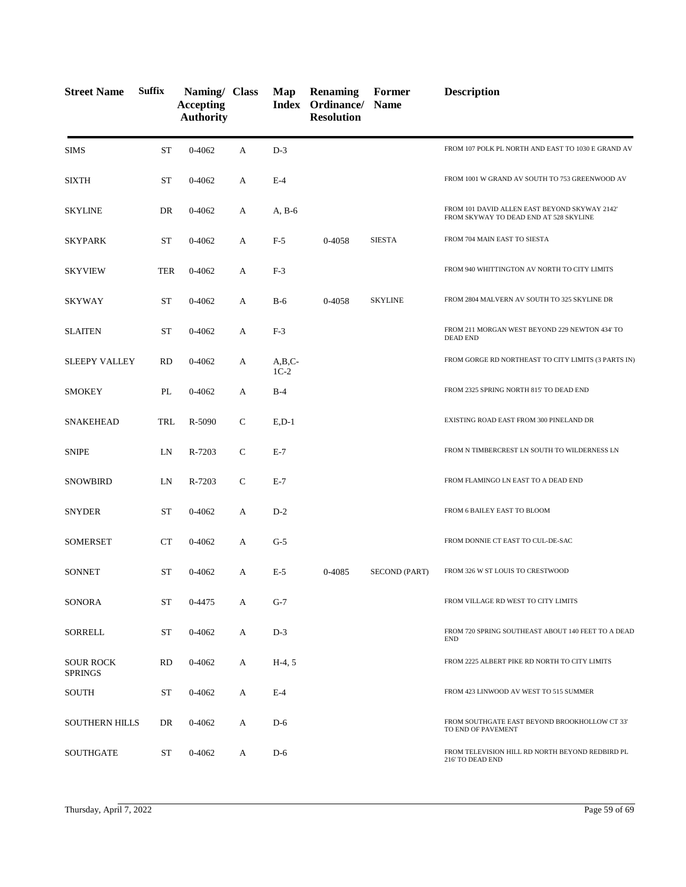| <b>Street Name</b>                 | <b>Suffix</b> | Naming/ Class<br><b>Accepting</b><br><b>Authority</b> |              | Map                   | <b>Renaming</b><br>Index Ordinance/ Name<br><b>Resolution</b> | Former         | <b>Description</b>                                                                      |
|------------------------------------|---------------|-------------------------------------------------------|--------------|-----------------------|---------------------------------------------------------------|----------------|-----------------------------------------------------------------------------------------|
| <b>SIMS</b>                        | <b>ST</b>     | $0 - 4062$                                            | A            | $D-3$                 |                                                               |                | FROM 107 POLK PL NORTH AND EAST TO 1030 E GRAND AV                                      |
| <b>SIXTH</b>                       | <b>ST</b>     | 0-4062                                                | A            | $E-4$                 |                                                               |                | FROM 1001 W GRAND AV SOUTH TO 753 GREENWOOD AV                                          |
| <b>SKYLINE</b>                     | DR            | 0-4062                                                | A            | $A, B-6$              |                                                               |                | FROM 101 DAVID ALLEN EAST BEYOND SKYWAY 2142'<br>FROM SKYWAY TO DEAD END AT 528 SKYLINE |
| <b>SKYPARK</b>                     | <b>ST</b>     | 0-4062                                                | A            | $F-5$                 | 0-4058                                                        | <b>SIESTA</b>  | FROM 704 MAIN EAST TO SIESTA                                                            |
| <b>SKYVIEW</b>                     | <b>TER</b>    | 0-4062                                                | А            | $F-3$                 |                                                               |                | FROM 940 WHITTINGTON AV NORTH TO CITY LIMITS                                            |
| <b>SKYWAY</b>                      | <b>ST</b>     | 0-4062                                                | A            | $B-6$                 | 0-4058                                                        | <b>SKYLINE</b> | FROM 2804 MALVERN AV SOUTH TO 325 SKYLINE DR                                            |
| <b>SLAITEN</b>                     | <b>ST</b>     | $0 - 4062$                                            | А            | $F-3$                 |                                                               |                | FROM 211 MORGAN WEST BEYOND 229 NEWTON 434' TO<br><b>DEAD END</b>                       |
| <b>SLEEPY VALLEY</b>               | <b>RD</b>     | 0-4062                                                | А            | $A,B,C-$<br>$1C-2$    |                                                               |                | FROM GORGE RD NORTHEAST TO CITY LIMITS (3 PARTS IN)                                     |
| <b>SMOKEY</b>                      | PL            | 0-4062                                                | A            | $B-4$                 |                                                               |                | FROM 2325 SPRING NORTH 815' TO DEAD END                                                 |
| <b>SNAKEHEAD</b>                   | TRL           | R-5090                                                | $\mathbf C$  | $E$ <sub>D</sub> $-1$ |                                                               |                | EXISTING ROAD EAST FROM 300 PINELAND DR                                                 |
| <b>SNIPE</b>                       | LN            | R-7203                                                | $\mathsf{C}$ | $E-7$                 |                                                               |                | FROM N TIMBERCREST LN SOUTH TO WILDERNESS LN                                            |
| SNOWBIRD                           | LN            | R-7203                                                | $\mathsf{C}$ | $E-7$                 |                                                               |                | FROM FLAMINGO LN EAST TO A DEAD END                                                     |
| <b>SNYDER</b>                      | <b>ST</b>     | $0 - 4062$                                            | A            | $D-2$                 |                                                               |                | FROM 6 BAILEY EAST TO BLOOM                                                             |
| <b>SOMERSET</b>                    | CT            | 0-4062                                                | А            | $G-5$                 |                                                               |                | FROM DONNIE CT EAST TO CUL-DE-SAC                                                       |
| <b>SONNET</b>                      | <b>ST</b>     | 0-4062                                                | A            | $E-5$                 | 0-4085                                                        | SECOND (PART)  | FROM 326 W ST LOUIS TO CRESTWOOD                                                        |
| SONORA                             | <b>ST</b>     | 0-4475                                                | А            | $G-7$                 |                                                               |                | FROM VILLAGE RD WEST TO CITY LIMITS                                                     |
| SORRELL                            | <b>ST</b>     | 0-4062                                                | А            | $D-3$                 |                                                               |                | FROM 720 SPRING SOUTHEAST ABOUT 140 FEET TO A DEAD<br><b>END</b>                        |
| <b>SOUR ROCK</b><br><b>SPRINGS</b> | RD            | 0-4062                                                | А            | $H-4, 5$              |                                                               |                | FROM 2225 ALBERT PIKE RD NORTH TO CITY LIMITS                                           |
| SOUTH                              | ST            | 0-4062                                                | A            | $E-4$                 |                                                               |                | FROM 423 LINWOOD AV WEST TO 515 SUMMER                                                  |
| <b>SOUTHERN HILLS</b>              | DR            | 0-4062                                                | A            | $D-6$                 |                                                               |                | FROM SOUTHGATE EAST BEYOND BROOKHOLLOW CT 33'<br>TO END OF PAVEMENT                     |
| <b>SOUTHGATE</b>                   | ST            | 0-4062                                                | A            | $D-6$                 |                                                               |                | FROM TELEVISION HILL RD NORTH BEYOND REDBIRD PL<br>216' TO DEAD END                     |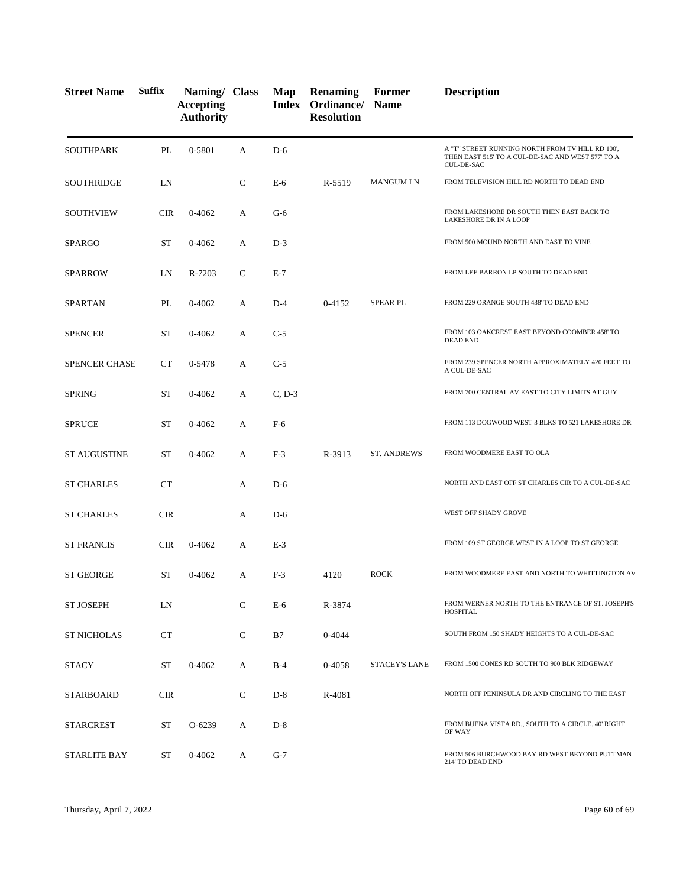| <b>Street Name</b>   | <b>Suffix</b> | Naming/ Class<br><b>Accepting</b><br><b>Authority</b> |              | Map      | <b>Renaming</b><br>Index Ordinance/<br><b>Resolution</b> | Former<br><b>Name</b> | <b>Description</b>                                                                                                         |
|----------------------|---------------|-------------------------------------------------------|--------------|----------|----------------------------------------------------------|-----------------------|----------------------------------------------------------------------------------------------------------------------------|
| <b>SOUTHPARK</b>     | PL            | 0-5801                                                | A            | $D-6$    |                                                          |                       | A "T" STREET RUNNING NORTH FROM TV HILL RD 100',<br>THEN EAST 515' TO A CUL-DE-SAC AND WEST 577' TO A<br><b>CUL-DE-SAC</b> |
| <b>SOUTHRIDGE</b>    | LN            |                                                       | $\mathsf{C}$ | $E-6$    | R-5519                                                   | <b>MANGUM LN</b>      | FROM TELEVISION HILL RD NORTH TO DEAD END                                                                                  |
| SOUTHVIEW            | CIR           | 0-4062                                                | A            | $G-6$    |                                                          |                       | FROM LAKESHORE DR SOUTH THEN EAST BACK TO<br>LAKESHORE DR IN A LOOP                                                        |
| <b>SPARGO</b>        | <b>ST</b>     | 0-4062                                                | A            | $D-3$    |                                                          |                       | FROM 500 MOUND NORTH AND EAST TO VINE                                                                                      |
| <b>SPARROW</b>       | LN            | R-7203                                                | $\mathsf{C}$ | $E-7$    |                                                          |                       | FROM LEE BARRON LP SOUTH TO DEAD END                                                                                       |
| <b>SPARTAN</b>       | PL            | 0-4062                                                | A            | $D-4$    | 0-4152                                                   | <b>SPEAR PL</b>       | FROM 229 ORANGE SOUTH 438' TO DEAD END                                                                                     |
| <b>SPENCER</b>       | <b>ST</b>     | 0-4062                                                | A            | $C-5$    |                                                          |                       | FROM 103 OAKCREST EAST BEYOND COOMBER 458' TO<br><b>DEAD END</b>                                                           |
| <b>SPENCER CHASE</b> | CT            | 0-5478                                                | А            | $C-5$    |                                                          |                       | FROM 239 SPENCER NORTH APPROXIMATELY 420 FEET TO<br>A CUL-DE-SAC                                                           |
| <b>SPRING</b>        | <b>ST</b>     | 0-4062                                                | A            | $C, D-3$ |                                                          |                       | FROM 700 CENTRAL AV EAST TO CITY LIMITS AT GUY                                                                             |
| <b>SPRUCE</b>        | <b>ST</b>     | 0-4062                                                | A            | $F-6$    |                                                          |                       | FROM 113 DOGWOOD WEST 3 BLKS TO 521 LAKESHORE DR                                                                           |
| <b>ST AUGUSTINE</b>  | ST            | 0-4062                                                | A            | $F-3$    | R-3913                                                   | ST. ANDREWS           | FROM WOODMERE EAST TO OLA                                                                                                  |
| <b>ST CHARLES</b>    | CT            |                                                       | A            | $D-6$    |                                                          |                       | NORTH AND EAST OFF ST CHARLES CIR TO A CUL-DE-SAC                                                                          |
| <b>ST CHARLES</b>    | <b>CIR</b>    |                                                       | A            | $D-6$    |                                                          |                       | WEST OFF SHADY GROVE                                                                                                       |
| <b>ST FRANCIS</b>    | <b>CIR</b>    | 0-4062                                                | A            | $E-3$    |                                                          |                       | FROM 109 ST GEORGE WEST IN A LOOP TO ST GEORGE                                                                             |
| <b>ST GEORGE</b>     | ST            | 0-4062                                                | A            | $F-3$    | 4120                                                     | <b>ROCK</b>           | FROM WOODMERE EAST AND NORTH TO WHITTINGTON AV                                                                             |
| <b>ST JOSEPH</b>     | LN            |                                                       | $\mathsf{C}$ | $E-6$    | R-3874                                                   |                       | FROM WERNER NORTH TO THE ENTRANCE OF ST. JOSEPH'S<br><b>HOSPITAL</b>                                                       |
| <b>ST NICHOLAS</b>   | CT            |                                                       | $\mathsf{C}$ | B7       | 0-4044                                                   |                       | SOUTH FROM 150 SHADY HEIGHTS TO A CUL-DE-SAC                                                                               |
| <b>STACY</b>         | ST            | 0-4062                                                | A            | $B-4$    | 0-4058                                                   | <b>STACEY'S LANE</b>  | FROM 1500 CONES RD SOUTH TO 900 BLK RIDGEWAY                                                                               |
| STARBOARD            | <b>CIR</b>    |                                                       | $\mathsf{C}$ | $D-8$    | R-4081                                                   |                       | NORTH OFF PENINSULA DR AND CIRCLING TO THE EAST                                                                            |
| <b>STARCREST</b>     | <b>ST</b>     | O-6239                                                | A            | $D-8$    |                                                          |                       | FROM BUENA VISTA RD., SOUTH TO A CIRCLE. 40' RIGHT<br>OF WAY                                                               |
| STARLITE BAY         | ST            | 0-4062                                                | A            | $G-7$    |                                                          |                       | FROM 506 BURCHWOOD BAY RD WEST BEYOND PUTTMAN<br>214' TO DEAD END                                                          |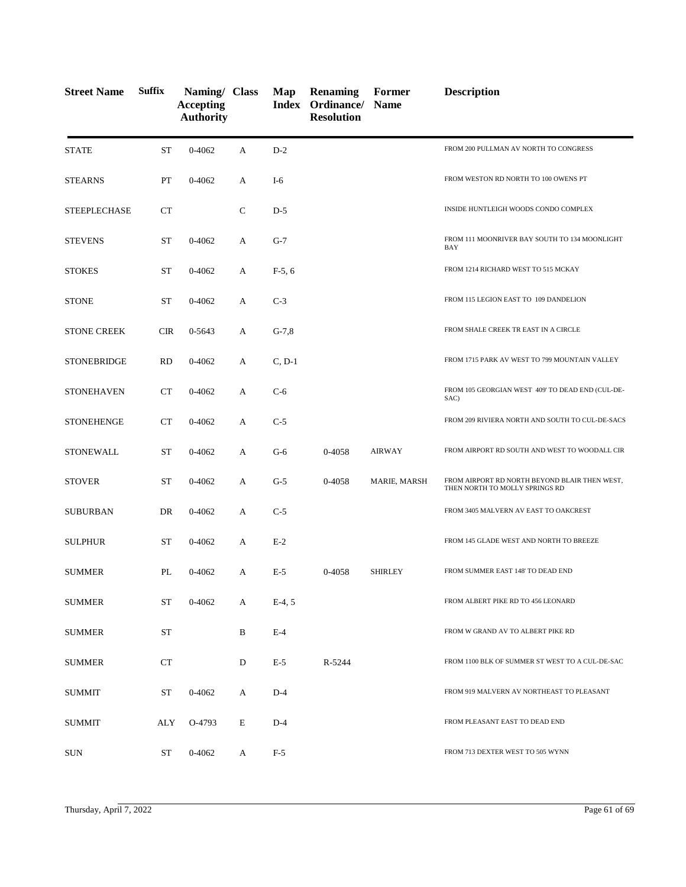| <b>Street Name</b>  | <b>Suffix</b> | Naming/ Class<br><b>Accepting</b><br><b>Authority</b> |             | Map      | <b>Renaming</b><br>Index Ordinance/ Name<br><b>Resolution</b> | Former         | <b>Description</b>                                                              |
|---------------------|---------------|-------------------------------------------------------|-------------|----------|---------------------------------------------------------------|----------------|---------------------------------------------------------------------------------|
| <b>STATE</b>        | ST            | 0-4062                                                | A           | $D-2$    |                                                               |                | FROM 200 PULLMAN AV NORTH TO CONGRESS                                           |
| <b>STEARNS</b>      | PT            | 0-4062                                                | A           | I-6      |                                                               |                | FROM WESTON RD NORTH TO 100 OWENS PT                                            |
| <b>STEEPLECHASE</b> | CT            |                                                       | $\mathbf C$ | $D-5$    |                                                               |                | INSIDE HUNTLEIGH WOODS CONDO COMPLEX                                            |
| <b>STEVENS</b>      | <b>ST</b>     | 0-4062                                                | А           | $G-7$    |                                                               |                | FROM 111 MOONRIVER BAY SOUTH TO 134 MOONLIGHT<br>BAY                            |
| <b>STOKES</b>       | <b>ST</b>     | 0-4062                                                | А           | $F-5, 6$ |                                                               |                | FROM 1214 RICHARD WEST TO 515 MCKAY                                             |
| <b>STONE</b>        | <b>ST</b>     | 0-4062                                                | A           | $C-3$    |                                                               |                | FROM 115 LEGION EAST TO 109 DANDELION                                           |
| <b>STONE CREEK</b>  | <b>CIR</b>    | 0-5643                                                | A           | $G-7,8$  |                                                               |                | FROM SHALE CREEK TR EAST IN A CIRCLE                                            |
| <b>STONEBRIDGE</b>  | <b>RD</b>     | 0-4062                                                | А           | $C, D-1$ |                                                               |                | FROM 1715 PARK AV WEST TO 799 MOUNTAIN VALLEY                                   |
| <b>STONEHAVEN</b>   | <b>CT</b>     | $0 - 4062$                                            | А           | $C-6$    |                                                               |                | FROM 105 GEORGIAN WEST 409' TO DEAD END (CUL-DE-<br>SAC)                        |
| <b>STONEHENGE</b>   | <b>CT</b>     | 0-4062                                                | A           | $C-5$    |                                                               |                | FROM 209 RIVIERA NORTH AND SOUTH TO CUL-DE-SACS                                 |
| <b>STONEWALL</b>    | <b>ST</b>     | 0-4062                                                | А           | $G-6$    | 0-4058                                                        | <b>AIRWAY</b>  | FROM AIRPORT RD SOUTH AND WEST TO WOODALL CIR                                   |
| <b>STOVER</b>       | <b>ST</b>     | $0 - 4062$                                            | А           | $G-5$    | 0-4058                                                        | MARIE, MARSH   | FROM AIRPORT RD NORTH BEYOND BLAIR THEN WEST,<br>THEN NORTH TO MOLLY SPRINGS RD |
| <b>SUBURBAN</b>     | DR            | $0 - 4062$                                            | А           | $C-5$    |                                                               |                | FROM 3405 MALVERN AV EAST TO OAKCREST                                           |
| <b>SULPHUR</b>      | <b>ST</b>     | $0 - 4062$                                            | A           | $E-2$    |                                                               |                | FROM 145 GLADE WEST AND NORTH TO BREEZE                                         |
| <b>SUMMER</b>       | PL            | 0-4062                                                | А           | $E-5$    | 0-4058                                                        | <b>SHIRLEY</b> | FROM SUMMER EAST 148' TO DEAD END                                               |
| <b>SUMMER</b>       | <b>ST</b>     | 0-4062                                                | A           | $E-4, 5$ |                                                               |                | FROM ALBERT PIKE RD TO 456 LEONARD                                              |
| <b>SUMMER</b>       | ST            |                                                       | B           | $E-4$    |                                                               |                | FROM W GRAND AV TO ALBERT PIKE RD                                               |
| <b>SUMMER</b>       | CT            |                                                       | D           | $E-5$    | R-5244                                                        |                | FROM 1100 BLK OF SUMMER ST WEST TO A CUL-DE-SAC                                 |
| SUMMIT              | ST            | $0 - 4062$                                            | A           | $D-4$    |                                                               |                | FROM 919 MALVERN AV NORTHEAST TO PLEASANT                                       |
| SUMMIT              | ALY           | O-4793                                                | E           | $D-4$    |                                                               |                | FROM PLEASANT EAST TO DEAD END                                                  |
| <b>SUN</b>          | ST            | $0 - 4062$                                            | A           | $F-5$    |                                                               |                | FROM 713 DEXTER WEST TO 505 WYNN                                                |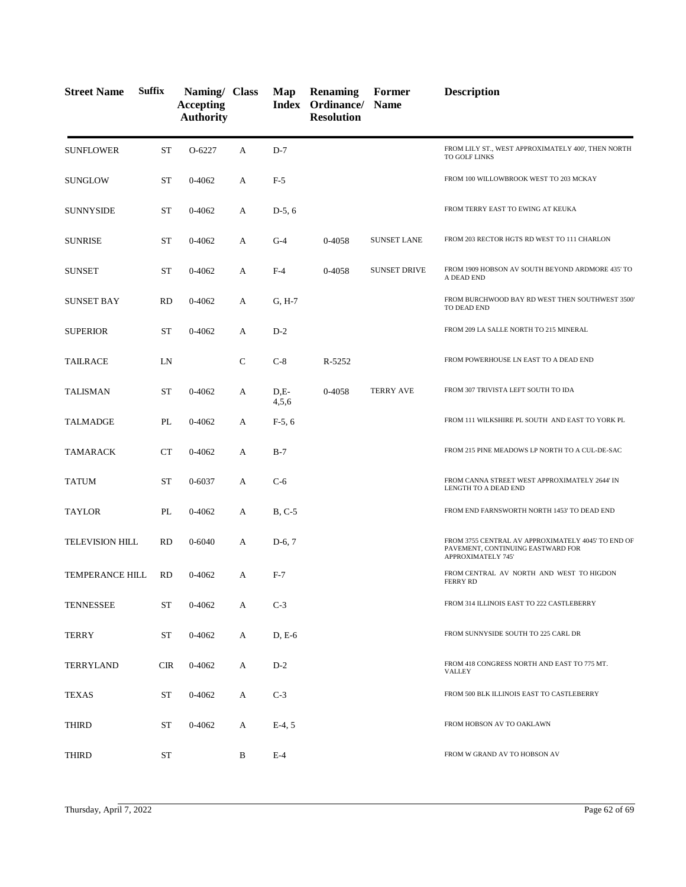| <b>Street Name</b>     | <b>Suffix</b> | Naming/ Class<br><b>Accepting</b><br><b>Authority</b> |              | Map             | <b>Renaming</b><br>Index Ordinance/ Name<br><b>Resolution</b> | Former              | <b>Description</b>                                                                                            |
|------------------------|---------------|-------------------------------------------------------|--------------|-----------------|---------------------------------------------------------------|---------------------|---------------------------------------------------------------------------------------------------------------|
| <b>SUNFLOWER</b>       | <b>ST</b>     | O-6227                                                | A            | $D-7$           |                                                               |                     | FROM LILY ST., WEST APPROXIMATELY 400', THEN NORTH<br>TO GOLF LINKS                                           |
| <b>SUNGLOW</b>         | ST            | 0-4062                                                | A            | $F-5$           |                                                               |                     | FROM 100 WILLOWBROOK WEST TO 203 MCKAY                                                                        |
| <b>SUNNYSIDE</b>       | ST            | 0-4062                                                | A            | $D-5, 6$        |                                                               |                     | FROM TERRY EAST TO EWING AT KEUKA                                                                             |
| <b>SUNRISE</b>         | ST            | 0-4062                                                | А            | $G-4$           | 0-4058                                                        | <b>SUNSET LANE</b>  | FROM 203 RECTOR HGTS RD WEST TO 111 CHARLON                                                                   |
| <b>SUNSET</b>          | <b>ST</b>     | 0-4062                                                | A            | $F-4$           | 0-4058                                                        | <b>SUNSET DRIVE</b> | FROM 1909 HOBSON AV SOUTH BEYOND ARDMORE 435' TO<br>A DEAD END                                                |
| <b>SUNSET BAY</b>      | <b>RD</b>     | 0-4062                                                | A            | $G, H-7$        |                                                               |                     | FROM BURCHWOOD BAY RD WEST THEN SOUTHWEST 3500'<br>TO DEAD END                                                |
| <b>SUPERIOR</b>        | <b>ST</b>     | 0-4062                                                | A            | $D-2$           |                                                               |                     | FROM 209 LA SALLE NORTH TO 215 MINERAL                                                                        |
| <b>TAILRACE</b>        | LN            |                                                       | $\mathsf{C}$ | $C-8$           | R-5252                                                        |                     | FROM POWERHOUSE LN EAST TO A DEAD END                                                                         |
| <b>TALISMAN</b>        | <b>ST</b>     | $0 - 4062$                                            | A            | $D.E-$<br>4,5,6 | 0-4058                                                        | <b>TERRY AVE</b>    | FROM 307 TRIVISTA LEFT SOUTH TO IDA                                                                           |
| <b>TALMADGE</b>        | PL            | 0-4062                                                | A            | $F-5, 6$        |                                                               |                     | FROM 111 WILKSHIRE PL SOUTH AND EAST TO YORK PL                                                               |
| <b>TAMARACK</b>        | <b>CT</b>     | 0-4062                                                | A            | $B-7$           |                                                               |                     | FROM 215 PINE MEADOWS LP NORTH TO A CUL-DE-SAC                                                                |
| <b>TATUM</b>           | <b>ST</b>     | 0-6037                                                | A            | $C-6$           |                                                               |                     | FROM CANNA STREET WEST APPROXIMATELY 2644' IN<br>LENGTH TO A DEAD END                                         |
| <b>TAYLOR</b>          | PL            | 0-4062                                                | A            | $B, C-5$        |                                                               |                     | FROM END FARNSWORTH NORTH 1453' TO DEAD END                                                                   |
| <b>TELEVISION HILL</b> | <b>RD</b>     | 0-6040                                                | A            | $D-6, 7$        |                                                               |                     | FROM 3755 CENTRAL AV APPROXIMATELY 4045' TO END OF<br>PAVEMENT, CONTINUING EASTWARD FOR<br>APPROXIMATELY 745' |
| <b>TEMPERANCE HILL</b> | <b>RD</b>     | 0-4062                                                | A            | $F-7$           |                                                               |                     | FROM CENTRAL AV NORTH AND WEST TO HIGDON<br><b>FERRY RD</b>                                                   |
| <b>TENNESSEE</b>       | ST            | 0-4062                                                | A            | $C-3$           |                                                               |                     | FROM 314 ILLINOIS EAST TO 222 CASTLEBERRY                                                                     |
| <b>TERRY</b>           | ST            | 0-4062                                                | A            | $D, E-6$        |                                                               |                     | FROM SUNNYSIDE SOUTH TO 225 CARL DR                                                                           |
| TERRYLAND              | CIR           | 0-4062                                                | A            | $D-2$           |                                                               |                     | FROM 418 CONGRESS NORTH AND EAST TO 775 MT.<br><b>VALLEY</b>                                                  |
| <b>TEXAS</b>           | <b>ST</b>     | 0-4062                                                | A            | $C-3$           |                                                               |                     | FROM 500 BLK ILLINOIS EAST TO CASTLEBERRY                                                                     |
| THIRD                  | ST            | 0-4062                                                | A            | $E-4, 5$        |                                                               |                     | FROM HOBSON AV TO OAKLAWN                                                                                     |
| THIRD                  | ST            |                                                       | B            | $E-4$           |                                                               |                     | FROM W GRAND AV TO HOBSON AV                                                                                  |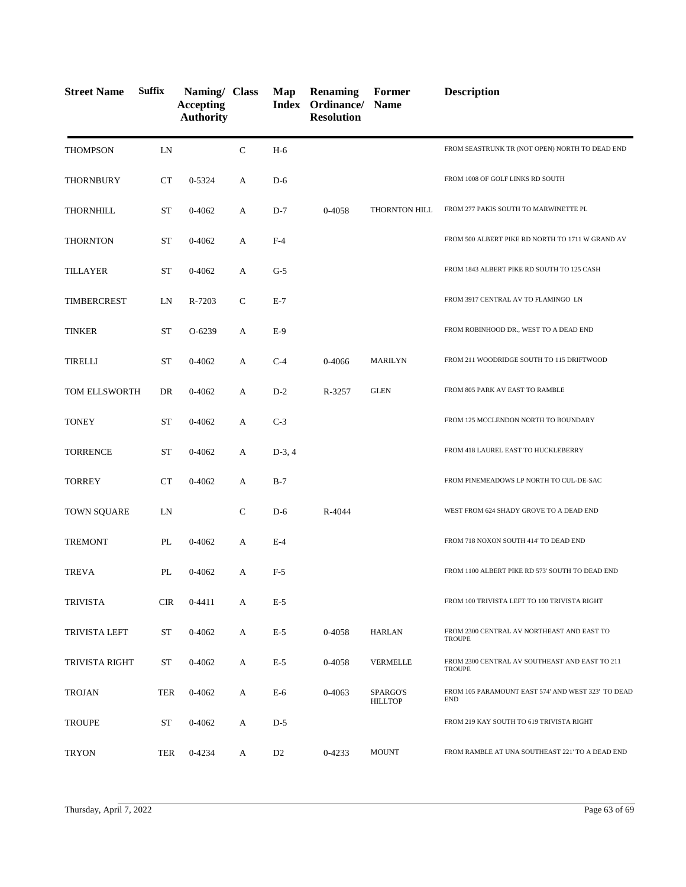| <b>Street Name</b>   | <b>Suffix</b> | Naming/ Class<br><b>Accepting</b><br><b>Authority</b> |              | Map            | <b>Renaming</b><br>Index Ordinance/ Name<br><b>Resolution</b> | Former                     | <b>Description</b>                                               |
|----------------------|---------------|-------------------------------------------------------|--------------|----------------|---------------------------------------------------------------|----------------------------|------------------------------------------------------------------|
| <b>THOMPSON</b>      | LN            |                                                       | $\mathsf{C}$ | $H-6$          |                                                               |                            | FROM SEASTRUNK TR (NOT OPEN) NORTH TO DEAD END                   |
| <b>THORNBURY</b>     | CT            | 0-5324                                                | A            | $D-6$          |                                                               |                            | FROM 1008 OF GOLF LINKS RD SOUTH                                 |
| <b>THORNHILL</b>     | ST            | 0-4062                                                | A            | $D-7$          | 0-4058                                                        | <b>THORNTON HILL</b>       | FROM 277 PAKIS SOUTH TO MARWINETTE PL                            |
| <b>THORNTON</b>      | ST            | $0 - 4062$                                            | A            | $F-4$          |                                                               |                            | FROM 500 ALBERT PIKE RD NORTH TO 1711 W GRAND AV                 |
| <b>TILLAYER</b>      | ST            | $0 - 4062$                                            | A            | $G-5$          |                                                               |                            | FROM 1843 ALBERT PIKE RD SOUTH TO 125 CASH                       |
| TIMBERCREST          | LN            | R-7203                                                | $\mathsf{C}$ | $E-7$          |                                                               |                            | FROM 3917 CENTRAL AV TO FLAMINGO LN                              |
| <b>TINKER</b>        | ST            | O-6239                                                | A            | $E-9$          |                                                               |                            | FROM ROBINHOOD DR., WEST TO A DEAD END                           |
| TIRELLI              | ST            | $0 - 4062$                                            | A            | $C-4$          | 0-4066                                                        | <b>MARILYN</b>             | FROM 211 WOODRIDGE SOUTH TO 115 DRIFTWOOD                        |
| TOM ELLSWORTH        | DR            | 0-4062                                                | A            | $D-2$          | R-3257                                                        | <b>GLEN</b>                | FROM 805 PARK AV EAST TO RAMBLE                                  |
| <b>TONEY</b>         | ST            | $0 - 4062$                                            | A            | $C-3$          |                                                               |                            | FROM 125 MCCLENDON NORTH TO BOUNDARY                             |
| <b>TORRENCE</b>      | <b>ST</b>     | 0-4062                                                | A            | $D-3, 4$       |                                                               |                            | FROM 418 LAUREL EAST TO HUCKLEBERRY                              |
| <b>TORREY</b>        | CT            | $0 - 4062$                                            | A            | $B-7$          |                                                               |                            | FROM PINEMEADOWS LP NORTH TO CUL-DE-SAC                          |
| <b>TOWN SQUARE</b>   | LN            |                                                       | $\mathsf{C}$ | $D-6$          | R-4044                                                        |                            | WEST FROM 624 SHADY GROVE TO A DEAD END                          |
| <b>TREMONT</b>       | PL            | $0 - 4062$                                            | A            | $E-4$          |                                                               |                            | FROM 718 NOXON SOUTH 414' TO DEAD END                            |
| <b>TREVA</b>         | PL            | $0 - 4062$                                            | A            | $F-5$          |                                                               |                            | FROM 1100 ALBERT PIKE RD 573' SOUTH TO DEAD END                  |
| <b>TRIVISTA</b>      | <b>CIR</b>    | $0-4411$                                              | А            | $E-5$          |                                                               |                            | FROM 100 TRIVISTA LEFT TO 100 TRIVISTA RIGHT                     |
| <b>TRIVISTA LEFT</b> | ST            | $0 - 4062$                                            | A            | $E-5$          | 0-4058                                                        | <b>HARLAN</b>              | FROM 2300 CENTRAL AV NORTHEAST AND EAST TO<br><b>TROUPE</b>      |
| TRIVISTA RIGHT       | ST            | 0-4062                                                | A            | $E-5$          | 0-4058                                                        | <b>VERMELLE</b>            | FROM 2300 CENTRAL AV SOUTHEAST AND EAST TO 211<br><b>TROUPE</b>  |
| <b>TROJAN</b>        | <b>TER</b>    | 0-4062                                                | A            | E-6            | 0-4063                                                        | SPARGO'S<br><b>HILLTOP</b> | FROM 105 PARAMOUNT EAST 574' AND WEST 323' TO DEAD<br><b>END</b> |
| <b>TROUPE</b>        | ST            | $0 - 4062$                                            | A            | $D-5$          |                                                               |                            | FROM 219 KAY SOUTH TO 619 TRIVISTA RIGHT                         |
| <b>TRYON</b>         | TER           | 0-4234                                                | A            | D <sub>2</sub> | 0-4233                                                        | <b>MOUNT</b>               | FROM RAMBLE AT UNA SOUTHEAST 221' TO A DEAD END                  |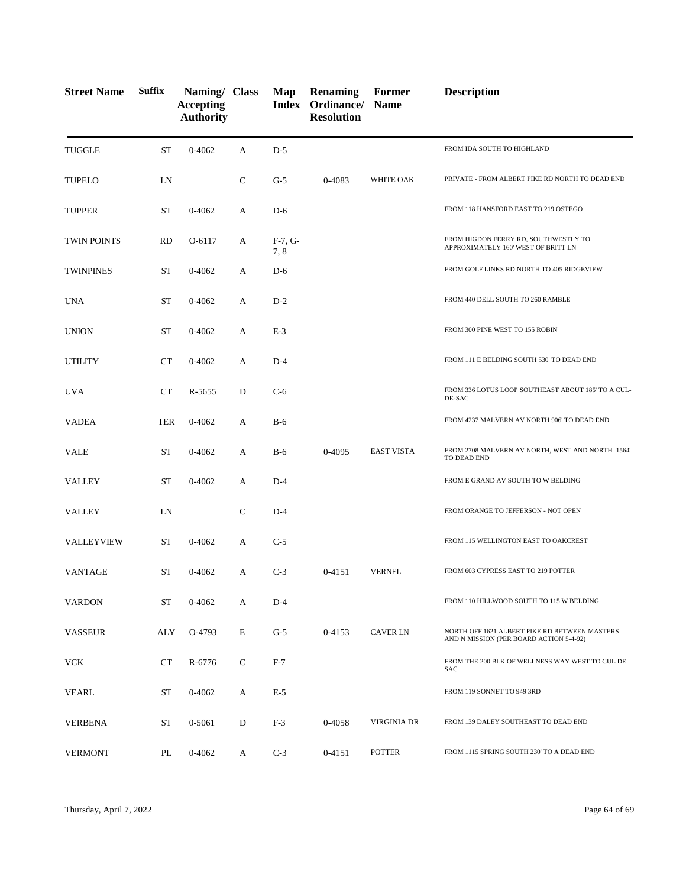| <b>Street Name</b> | <b>Suffix</b> | Naming/ Class<br><b>Accepting</b><br><b>Authority</b> |              | Map              | <b>Renaming</b><br>Index Ordinance/ Name<br><b>Resolution</b> | Former            | <b>Description</b>                                                                       |
|--------------------|---------------|-------------------------------------------------------|--------------|------------------|---------------------------------------------------------------|-------------------|------------------------------------------------------------------------------------------|
| <b>TUGGLE</b>      | <b>ST</b>     | 0-4062                                                | A            | $D-5$            |                                                               |                   | FROM IDA SOUTH TO HIGHLAND                                                               |
| <b>TUPELO</b>      | LN            |                                                       | $\mathsf{C}$ | $G-5$            | 0-4083                                                        | WHITE OAK         | PRIVATE - FROM ALBERT PIKE RD NORTH TO DEAD END                                          |
| <b>TUPPER</b>      | <b>ST</b>     | $0 - 4062$                                            | A            | $D-6$            |                                                               |                   | FROM 118 HANSFORD EAST TO 219 OSTEGO                                                     |
| <b>TWIN POINTS</b> | <b>RD</b>     | O-6117                                                | A            | $F-7, G-$<br>7,8 |                                                               |                   | FROM HIGDON FERRY RD, SOUTHWESTLY TO<br>APPROXIMATELY 160' WEST OF BRITT LN              |
| <b>TWINPINES</b>   | <b>ST</b>     | $0 - 4062$                                            | A            | $D-6$            |                                                               |                   | FROM GOLF LINKS RD NORTH TO 405 RIDGEVIEW                                                |
| <b>UNA</b>         | <b>ST</b>     | $0 - 4062$                                            | A            | $D-2$            |                                                               |                   | FROM 440 DELL SOUTH TO 260 RAMBLE                                                        |
| <b>UNION</b>       | <b>ST</b>     | 0-4062                                                | A            | $E-3$            |                                                               |                   | FROM 300 PINE WEST TO 155 ROBIN                                                          |
| <b>UTILITY</b>     | CT            | $0 - 4062$                                            | A            | $D-4$            |                                                               |                   | FROM 111 E BELDING SOUTH 530' TO DEAD END                                                |
| <b>UVA</b>         | CT            | R-5655                                                | D            | $C-6$            |                                                               |                   | FROM 336 LOTUS LOOP SOUTHEAST ABOUT 185' TO A CUL-<br>DE-SAC                             |
| <b>VADEA</b>       | <b>TER</b>    | $0 - 4062$                                            | A            | $B-6$            |                                                               |                   | FROM 4237 MALVERN AV NORTH 906' TO DEAD END                                              |
| <b>VALE</b>        | <b>ST</b>     | $0 - 4062$                                            | A            | $B-6$            | 0-4095                                                        | <b>EAST VISTA</b> | FROM 2708 MALVERN AV NORTH, WEST AND NORTH 1564'<br>TO DEAD END                          |
| <b>VALLEY</b>      | <b>ST</b>     | 0-4062                                                | A            | $D-4$            |                                                               |                   | FROM E GRAND AV SOUTH TO W BELDING                                                       |
| VALLEY             | LN            |                                                       | C            | $D-4$            |                                                               |                   | FROM ORANGE TO JEFFERSON - NOT OPEN                                                      |
| <b>VALLEYVIEW</b>  | <b>ST</b>     | 0-4062                                                | A            | $C-5$            |                                                               |                   | FROM 115 WELLINGTON EAST TO OAKCREST                                                     |
| <b>VANTAGE</b>     | <b>ST</b>     | $0 - 4062$                                            | A            | $C-3$            | $0 - 4151$                                                    | <b>VERNEL</b>     | FROM 603 CYPRESS EAST TO 219 POTTER                                                      |
| <b>VARDON</b>      | <b>ST</b>     | $0 - 4062$                                            | A            | $D-4$            |                                                               |                   | FROM 110 HILLWOOD SOUTH TO 115 W BELDING                                                 |
| <b>VASSEUR</b>     | ALY           | O-4793                                                | E            | $G-5$            | 0-4153                                                        | <b>CAVER LN</b>   | NORTH OFF 1621 ALBERT PIKE RD BETWEEN MASTERS<br>AND N MISSION (PER BOARD ACTION 5-4-92) |
| <b>VCK</b>         | <b>CT</b>     | R-6776                                                | C            | $F-7$            |                                                               |                   | FROM THE 200 BLK OF WELLNESS WAY WEST TO CUL DE<br>SAC                                   |
| <b>VEARL</b>       | ST            | 0-4062                                                | A            | $E-5$            |                                                               |                   | FROM 119 SONNET TO 949 3RD                                                               |
| <b>VERBENA</b>     | <b>ST</b>     | 0-5061                                                | D            | $F-3$            | 0-4058                                                        | VIRGINIA DR       | FROM 139 DALEY SOUTHEAST TO DEAD END                                                     |
| <b>VERMONT</b>     | PL            | $0 - 4062$                                            | A            | $C-3$            | 0-4151                                                        | <b>POTTER</b>     | FROM 1115 SPRING SOUTH 230' TO A DEAD END                                                |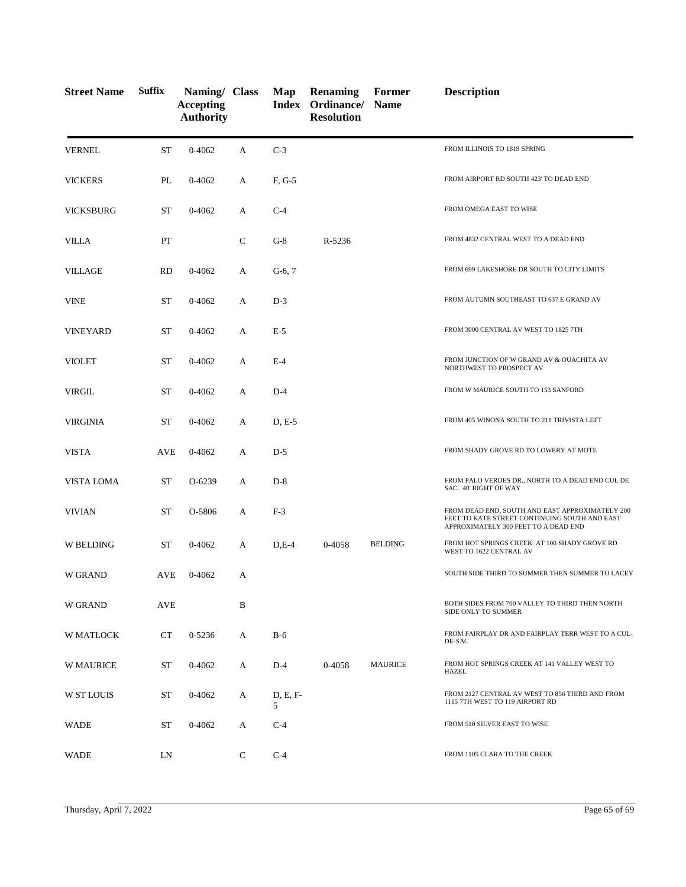| <b>Street Name</b> | <b>Suffix</b> | Naming/ Class<br><b>Accepting</b><br><b>Authority</b> |              | Map           | Renaming<br>Index Ordinance/ Name<br><b>Resolution</b> | Former         | <b>Description</b>                                                                                                                       |
|--------------------|---------------|-------------------------------------------------------|--------------|---------------|--------------------------------------------------------|----------------|------------------------------------------------------------------------------------------------------------------------------------------|
| <b>VERNEL</b>      | ST            | $0 - 4062$                                            | A            | $C-3$         |                                                        |                | FROM ILLINOIS TO 1819 SPRING                                                                                                             |
| <b>VICKERS</b>     | PL            | 0-4062                                                | A            | F, G-5        |                                                        |                | FROM AIRPORT RD SOUTH 423' TO DEAD END                                                                                                   |
| <b>VICKSBURG</b>   | <b>ST</b>     | $0 - 4062$                                            | A            | $C-4$         |                                                        |                | FROM OMEGA EAST TO WISE                                                                                                                  |
| <b>VILLA</b>       | PT            |                                                       | $\mathsf{C}$ | $G-8$         | R-5236                                                 |                | FROM 4832 CENTRAL WEST TO A DEAD END                                                                                                     |
| <b>VILLAGE</b>     | <b>RD</b>     | 0-4062                                                | A            | $G-6, 7$      |                                                        |                | FROM 699 LAKESHORE DR SOUTH TO CITY LIMITS                                                                                               |
| <b>VINE</b>        | <b>ST</b>     | $0 - 4062$                                            | A            | $D-3$         |                                                        |                | FROM AUTUMN SOUTHEAST TO 637 E GRAND AV                                                                                                  |
| <b>VINEYARD</b>    | <b>ST</b>     | 0-4062                                                | A            | $E-5$         |                                                        |                | FROM 3000 CENTRAL AV WEST TO 1825 7TH                                                                                                    |
| <b>VIOLET</b>      | <b>ST</b>     | $0 - 4062$                                            | A            | $E-4$         |                                                        |                | FROM JUNCTION OF W GRAND AV & OUACHITA AV<br>NORTHWEST TO PROSPECT AV                                                                    |
| VIRGIL             | <b>ST</b>     | 0-4062                                                | A            | $D-4$         |                                                        |                | FROM W MAURICE SOUTH TO 153 SANFORD                                                                                                      |
| VIRGINIA           | <b>ST</b>     | $0 - 4062$                                            | A            | $D, E-5$      |                                                        |                | FROM 405 WINONA SOUTH TO 211 TRIVISTA LEFT                                                                                               |
| <b>VISTA</b>       | AVE           | $0 - 4062$                                            | A            | $D-5$         |                                                        |                | FROM SHADY GROVE RD TO LOWERY AT MOTE                                                                                                    |
| <b>VISTA LOMA</b>  | ST            | O-6239                                                | A            | $D-8$         |                                                        |                | FROM PALO VERDES DR., NORTH TO A DEAD END CUL DE<br>SAC. 40' RIGHT OF WAY                                                                |
| <b>VIVIAN</b>      | <b>ST</b>     | O-5806                                                | A            | $F-3$         |                                                        |                | FROM DEAD END, SOUTH AND EAST APPROXIMATELY 200<br>FEET TO KATE STREET CONTINUING SOUTH AND EAST<br>APPROXIMATELY 300 FEET TO A DEAD END |
| <b>W BELDING</b>   | <b>ST</b>     | $0 - 4062$                                            | A            | $D,E-4$       | 0-4058                                                 | <b>BELDING</b> | FROM HOT SPRINGS CREEK AT 100 SHADY GROVE RD<br>WEST TO 1622 CENTRAL AV                                                                  |
| <b>W GRAND</b>     | AVE           | 0-4062                                                | A            |               |                                                        |                | SOUTH SIDE THIRD TO SUMMER THEN SUMMER TO LACEY                                                                                          |
| W GRAND            | AVE           |                                                       | B            |               |                                                        |                | BOTH SIDES FROM 700 VALLEY TO THIRD THEN NORTH<br>SIDE ONLY TO SUMMER                                                                    |
| W MATLOCK          | <b>CT</b>     | 0-5236                                                | A            | $B-6$         |                                                        |                | FROM FAIRPLAY DR AND FAIRPLAY TERR WEST TO A CUL-<br>DE-SAC                                                                              |
| <b>W MAURICE</b>   | ST            | $0 - 4062$                                            | A            | $D-4$         | 0-4058                                                 | <b>MAURICE</b> | FROM HOT SPRINGS CREEK AT 141 VALLEY WEST TO<br>HAZEL                                                                                    |
| <b>W ST LOUIS</b>  | ST            | 0-4062                                                | A            | D, E, F-<br>5 |                                                        |                | FROM 2127 CENTRAL AV WEST TO 856 THIRD AND FROM<br>1115 7TH WEST TO 119 AIRPORT RD                                                       |
| WADE               | ST            | 0-4062                                                | А            | $C-4$         |                                                        |                | FROM 510 SILVER EAST TO WISE                                                                                                             |
| <b>WADE</b>        | LN            |                                                       | C            | $C-4$         |                                                        |                | FROM 1105 CLARA TO THE CREEK                                                                                                             |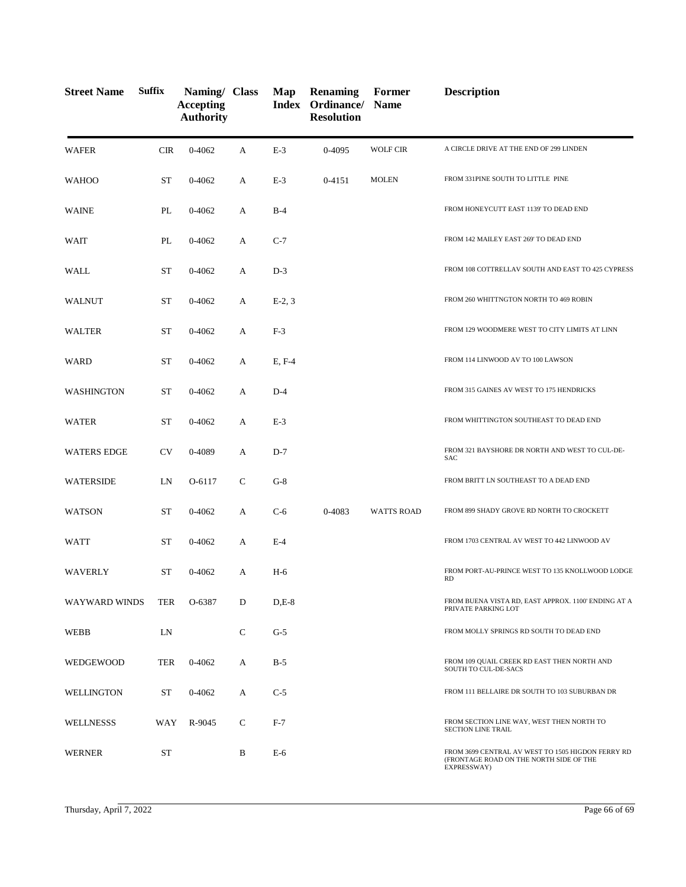| <b>Street Name</b> | <b>Suffix</b> | Naming/ Class<br><b>Accepting</b><br><b>Authority</b> |              | Map      | <b>Renaming</b><br>Index Ordinance/<br><b>Resolution</b> | Former<br><b>Name</b> | <b>Description</b>                                                                                          |
|--------------------|---------------|-------------------------------------------------------|--------------|----------|----------------------------------------------------------|-----------------------|-------------------------------------------------------------------------------------------------------------|
| <b>WAFER</b>       | <b>CIR</b>    | 0-4062                                                | A            | $E-3$    | 0-4095                                                   | <b>WOLF CIR</b>       | A CIRCLE DRIVE AT THE END OF 299 LINDEN                                                                     |
| <b>WAHOO</b>       | ST            | $0 - 4062$                                            | A            | $E-3$    | 0-4151                                                   | <b>MOLEN</b>          | FROM 331PINE SOUTH TO LITTLE PINE                                                                           |
| <b>WAINE</b>       | PL            | $0 - 4062$                                            | A            | $B-4$    |                                                          |                       | FROM HONEYCUTT EAST 1139' TO DEAD END                                                                       |
| <b>WAIT</b>        | PL            | $0 - 4062$                                            | A            | $C-7$    |                                                          |                       | FROM 142 MAILEY EAST 269' TO DEAD END                                                                       |
| WALL               | ST            | $0 - 4062$                                            | A            | $D-3$    |                                                          |                       | FROM 108 COTTRELLAV SOUTH AND EAST TO 425 CYPRESS                                                           |
| <b>WALNUT</b>      | <b>ST</b>     | 0-4062                                                | A            | $E-2, 3$ |                                                          |                       | FROM 260 WHITTNGTON NORTH TO 469 ROBIN                                                                      |
| <b>WALTER</b>      | ST            | $0 - 4062$                                            | A            | $F-3$    |                                                          |                       | FROM 129 WOODMERE WEST TO CITY LIMITS AT LINN                                                               |
| WARD               | <b>ST</b>     | 0-4062                                                | A            | E, F-4   |                                                          |                       | FROM 114 LINWOOD AV TO 100 LAWSON                                                                           |
| WASHINGTON         | ST            | $0 - 4062$                                            | А            | $D-4$    |                                                          |                       | FROM 315 GAINES AV WEST TO 175 HENDRICKS                                                                    |
| <b>WATER</b>       | <b>ST</b>     | 0-4062                                                | A            | $E-3$    |                                                          |                       | FROM WHITTINGTON SOUTHEAST TO DEAD END                                                                      |
| <b>WATERS EDGE</b> | <b>CV</b>     | 0-4089                                                | A            | $D-7$    |                                                          |                       | FROM 321 BAYSHORE DR NORTH AND WEST TO CUL-DE-<br><b>SAC</b>                                                |
| <b>WATERSIDE</b>   | LN            | O-6117                                                | $\mathsf{C}$ | $G-8$    |                                                          |                       | FROM BRITT LN SOUTHEAST TO A DEAD END                                                                       |
| <b>WATSON</b>      | ST            | $0 - 4062$                                            | A            | $C-6$    | 0-4083                                                   | <b>WATTS ROAD</b>     | FROM 899 SHADY GROVE RD NORTH TO CROCKETT                                                                   |
| WATT               | <b>ST</b>     | $0 - 4062$                                            | A            | $E-4$    |                                                          |                       | FROM 1703 CENTRAL AV WEST TO 442 LINWOOD AV                                                                 |
| <b>WAVERLY</b>     | <b>ST</b>     | $0 - 4062$                                            | А            | $H-6$    |                                                          |                       | FROM PORT-AU-PRINCE WEST TO 135 KNOLLWOOD LODGE<br><b>RD</b>                                                |
| WAYWARD WINDS      | <b>TER</b>    | O-6387                                                | D            | $D.E-8$  |                                                          |                       | FROM BUENA VISTA RD, EAST APPROX. 1100' ENDING AT A<br>PRIVATE PARKING LOT                                  |
| <b>WEBB</b>        | LN            |                                                       | $\mathsf{C}$ | $G-5$    |                                                          |                       | FROM MOLLY SPRINGS RD SOUTH TO DEAD END                                                                     |
| WEDGEWOOD          | <b>TER</b>    | $0 - 4062$                                            | A            | $B-5$    |                                                          |                       | FROM 109 QUAIL CREEK RD EAST THEN NORTH AND<br>SOUTH TO CUL-DE-SACS                                         |
| <b>WELLINGTON</b>  | ST            | $0 - 4062$                                            | А            | $C-5$    |                                                          |                       | FROM 111 BELLAIRE DR SOUTH TO 103 SUBURBAN DR                                                               |
| <b>WELLNESSS</b>   | WAY           | R-9045                                                | C            | $F-7$    |                                                          |                       | FROM SECTION LINE WAY, WEST THEN NORTH TO<br><b>SECTION LINE TRAIL</b>                                      |
| <b>WERNER</b>      | ST            |                                                       | B            | $E-6$    |                                                          |                       | FROM 3699 CENTRAL AV WEST TO 1505 HIGDON FERRY RD<br>(FRONTAGE ROAD ON THE NORTH SIDE OF THE<br>EXPRESSWAY) |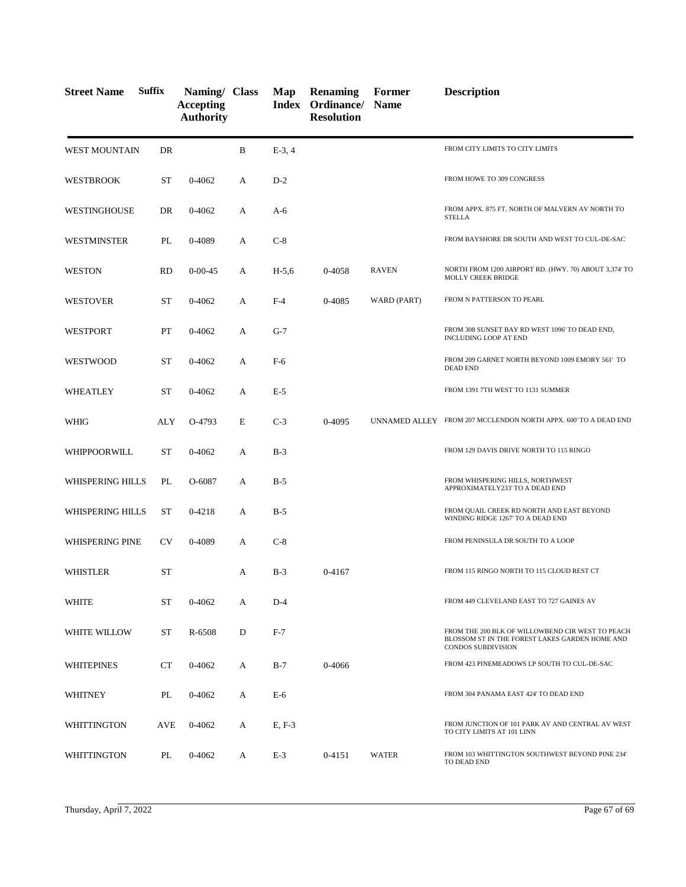| <b>Street Name</b>     | <b>Suffix</b> | Naming/ Class<br><b>Accepting</b><br><b>Authority</b> |   | Map      | <b>Renaming</b><br>Index Ordinance/<br><b>Resolution</b> | Former<br><b>Name</b> | <b>Description</b>                                                                                                              |
|------------------------|---------------|-------------------------------------------------------|---|----------|----------------------------------------------------------|-----------------------|---------------------------------------------------------------------------------------------------------------------------------|
| <b>WEST MOUNTAIN</b>   | DR            |                                                       | B | $E-3, 4$ |                                                          |                       | FROM CITY LIMITS TO CITY LIMITS                                                                                                 |
| <b>WESTBROOK</b>       | ST            | 0-4062                                                | A | $D-2$    |                                                          |                       | FROM HOWE TO 309 CONGRESS                                                                                                       |
| <b>WESTINGHOUSE</b>    | DR            | 0-4062                                                | А | $A-6$    |                                                          |                       | FROM APPX. 875 FT. NORTH OF MALVERN AV NORTH TO<br><b>STELLA</b>                                                                |
| WESTMINSTER            | PL            | 0-4089                                                | А | $C-8$    |                                                          |                       | FROM BAYSHORE DR SOUTH AND WEST TO CUL-DE-SAC                                                                                   |
| <b>WESTON</b>          | <b>RD</b>     | $0 - 00 - 45$                                         | А | $H-5,6$  | 0-4058                                                   | <b>RAVEN</b>          | NORTH FROM 1200 AIRPORT RD. (HWY. 70) ABOUT 3,374' TO<br>MOLLY CREEK BRIDGE                                                     |
| <b>WESTOVER</b>        | <b>ST</b>     | 0-4062                                                | А | $F-4$    | 0-4085                                                   | WARD (PART)           | FROM N PATTERSON TO PEARL                                                                                                       |
| WESTPORT               | PT            | 0-4062                                                | А | $G-7$    |                                                          |                       | FROM 308 SUNSET BAY RD WEST 1096' TO DEAD END,<br>INCLUDING LOOP AT END                                                         |
| WESTWOOD               | ST            | 0-4062                                                | A | $F-6$    |                                                          |                       | FROM 209 GARNET NORTH BEYOND 1009 EMORY 561' TO<br><b>DEAD END</b>                                                              |
| WHEATLEY               | <b>ST</b>     | 0-4062                                                | А | $E-5$    |                                                          |                       | FROM 1391 7TH WEST TO 1131 SUMMER                                                                                               |
| WHIG                   | ALY           | O-4793                                                | E | $C-3$    | 0-4095                                                   |                       | UNNAMED ALLEY FROM 207 MCCLENDON NORTH APPX. 600'TO A DEAD END                                                                  |
| WHIPPOORWILL           | <b>ST</b>     | 0-4062                                                | А | $B-3$    |                                                          |                       | FROM 129 DAVIS DRIVE NORTH TO 115 RINGO                                                                                         |
| WHISPERING HILLS       | PL            | O-6087                                                | A | $B-5$    |                                                          |                       | FROM WHISPERING HILLS, NORTHWEST<br>APPROXIMATELY233' TO A DEAD END                                                             |
| WHISPERING HILLS       | <b>ST</b>     | $0 - 4218$                                            | A | $B-5$    |                                                          |                       | FROM QUAIL CREEK RD NORTH AND EAST BEYOND<br>WINDING RIDGE 1267' TO A DEAD END                                                  |
| <b>WHISPERING PINE</b> | <b>CV</b>     | 0-4089                                                | A | $C-8$    |                                                          |                       | FROM PENINSULA DR SOUTH TO A LOOP                                                                                               |
| <b>WHISTLER</b>        | <b>ST</b>     |                                                       | А | $B-3$    | 0-4167                                                   |                       | FROM 115 RINGO NORTH TO 115 CLOUD REST CT                                                                                       |
| <b>WHITE</b>           | <b>ST</b>     | 0-4062                                                | А | $D-4$    |                                                          |                       | FROM 449 CLEVELAND EAST TO 727 GAINES AV                                                                                        |
| WHITE WILLOW           | ST            | R-6508                                                | D | $F-7$    |                                                          |                       | FROM THE 200 BLK OF WILLOWBEND CIR WEST TO PEACH<br>BLOSSOM ST IN THE FOREST LAKES GARDEN HOME AND<br><b>CONDOS SUBDIVISION</b> |
| WHITEPINES             | CT            | 0-4062                                                | А | $B-7$    | 0-4066                                                   |                       | FROM 423 PINEMEADOWS LP SOUTH TO CUL-DE-SAC                                                                                     |
| WHITNEY                | PL            | 0-4062                                                | A | $E-6$    |                                                          |                       | FROM 304 PANAMA EAST 424' TO DEAD END                                                                                           |
| WHITTINGTON            | <b>AVE</b>    | 0-4062                                                | A | E, F-3   |                                                          |                       | FROM JUNCTION OF 101 PARK AV AND CENTRAL AV WEST<br>TO CITY LIMITS AT 101 LINN                                                  |
| WHITTINGTON            | PL            | 0-4062                                                | A | $E-3$    | 0-4151                                                   | <b>WATER</b>          | FROM 103 WHITTINGTON SOUTHWEST BEYOND PINE 234'<br>TO DEAD END                                                                  |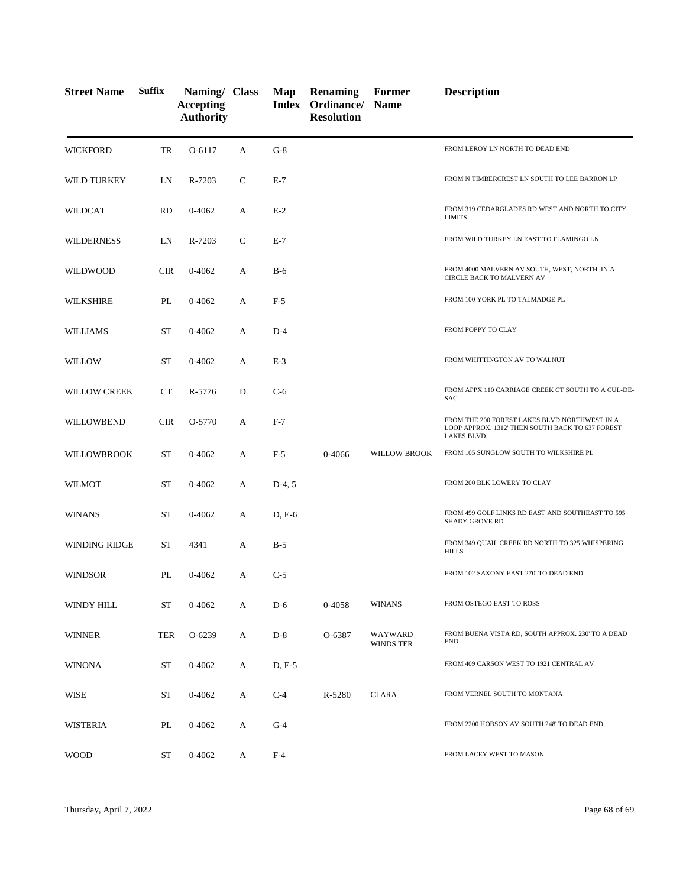| <b>Street Name</b>  | <b>Suffix</b> | Naming/ Class<br><b>Accepting</b><br><b>Authority</b> |   | Map      | <b>Renaming</b><br><b>Index Ordinance/ Name</b><br><b>Resolution</b> | Former               | <b>Description</b>                                                                                               |
|---------------------|---------------|-------------------------------------------------------|---|----------|----------------------------------------------------------------------|----------------------|------------------------------------------------------------------------------------------------------------------|
| <b>WICKFORD</b>     | TR            | O-6117                                                | A | $G-8$    |                                                                      |                      | FROM LEROY LN NORTH TO DEAD END                                                                                  |
| WILD TURKEY         | LN            | R-7203                                                | C | $E-7$    |                                                                      |                      | FROM N TIMBERCREST LN SOUTH TO LEE BARRON LP                                                                     |
| WILDCAT             | <b>RD</b>     | 0-4062                                                | А | $E-2$    |                                                                      |                      | FROM 319 CEDARGLADES RD WEST AND NORTH TO CITY<br><b>LIMITS</b>                                                  |
| <b>WILDERNESS</b>   | LN            | R-7203                                                | C | $E-7$    |                                                                      |                      | FROM WILD TURKEY LN EAST TO FLAMINGO LN                                                                          |
| WILDWOOD            | <b>CIR</b>    | 0-4062                                                | А | $B-6$    |                                                                      |                      | FROM 4000 MALVERN AV SOUTH, WEST, NORTH IN A<br><b>CIRCLE BACK TO MALVERN AV</b>                                 |
| <b>WILKSHIRE</b>    | PL            | 0-4062                                                | A | $F-5$    |                                                                      |                      | FROM 100 YORK PL TO TALMADGE PL                                                                                  |
| <b>WILLIAMS</b>     | <b>ST</b>     | 0-4062                                                | A | $D-4$    |                                                                      |                      | FROM POPPY TO CLAY                                                                                               |
| WILLOW              | ST            | 0-4062                                                | A | $E-3$    |                                                                      |                      | FROM WHITTINGTON AV TO WALNUT                                                                                    |
| <b>WILLOW CREEK</b> | <b>CT</b>     | R-5776                                                | D | $C-6$    |                                                                      |                      | FROM APPX 110 CARRIAGE CREEK CT SOUTH TO A CUL-DE-<br><b>SAC</b>                                                 |
| WILLOWBEND          | <b>CIR</b>    | O-5770                                                | А | $F-7$    |                                                                      |                      | FROM THE 200 FOREST LAKES BLVD NORTHWEST IN A<br>LOOP APPROX. 1312' THEN SOUTH BACK TO 637 FOREST<br>LAKES BLVD. |
| WILLOWBROOK         | <b>ST</b>     | 0-4062                                                | A | $F-5$    | 0-4066                                                               | <b>WILLOW BROOK</b>  | FROM 105 SUNGLOW SOUTH TO WILKSHIRE PL                                                                           |
| <b>WILMOT</b>       | <b>ST</b>     | 0-4062                                                | А | $D-4, 5$ |                                                                      |                      | FROM 200 BLK LOWERY TO CLAY                                                                                      |
| WINANS              | <b>ST</b>     | $0 - 4062$                                            | А | $D, E-6$ |                                                                      |                      | FROM 499 GOLF LINKS RD EAST AND SOUTHEAST TO 595<br><b>SHADY GROVE RD</b>                                        |
| WINDING RIDGE       | <b>ST</b>     | 4341                                                  | А | $B-5$    |                                                                      |                      | FROM 349 QUAIL CREEK RD NORTH TO 325 WHISPERING<br><b>HILLS</b>                                                  |
| WINDSOR             | PL            | 0-4062                                                | A | $C-5$    |                                                                      |                      | FROM 102 SAXONY EAST 270' TO DEAD END                                                                            |
| WINDY HILL          | <b>ST</b>     | 0-4062                                                | A | $D-6$    | 0-4058                                                               | <b>WINANS</b>        | FROM OSTEGO EAST TO ROSS                                                                                         |
| <b>WINNER</b>       | TER           | O-6239                                                | А | $D-8$    | O-6387                                                               | WAYWARD<br>WINDS TER | FROM BUENA VISTA RD, SOUTH APPROX. 230' TO A DEAD<br><b>END</b>                                                  |
| <b>WINONA</b>       | <b>ST</b>     | $0 - 4062$                                            | A | D, E-5   |                                                                      |                      | FROM 409 CARSON WEST TO 1921 CENTRAL AV                                                                          |
| <b>WISE</b>         | <b>ST</b>     | 0-4062                                                | A | $C-4$    | R-5280                                                               | <b>CLARA</b>         | FROM VERNEL SOUTH TO MONTANA                                                                                     |
| <b>WISTERIA</b>     | PL            | 0-4062                                                | A | $G-4$    |                                                                      |                      | FROM 2200 HOBSON AV SOUTH 248' TO DEAD END                                                                       |
| <b>WOOD</b>         | ST            | $0 - 4062$                                            | A | $F-4$    |                                                                      |                      | FROM LACEY WEST TO MASON                                                                                         |